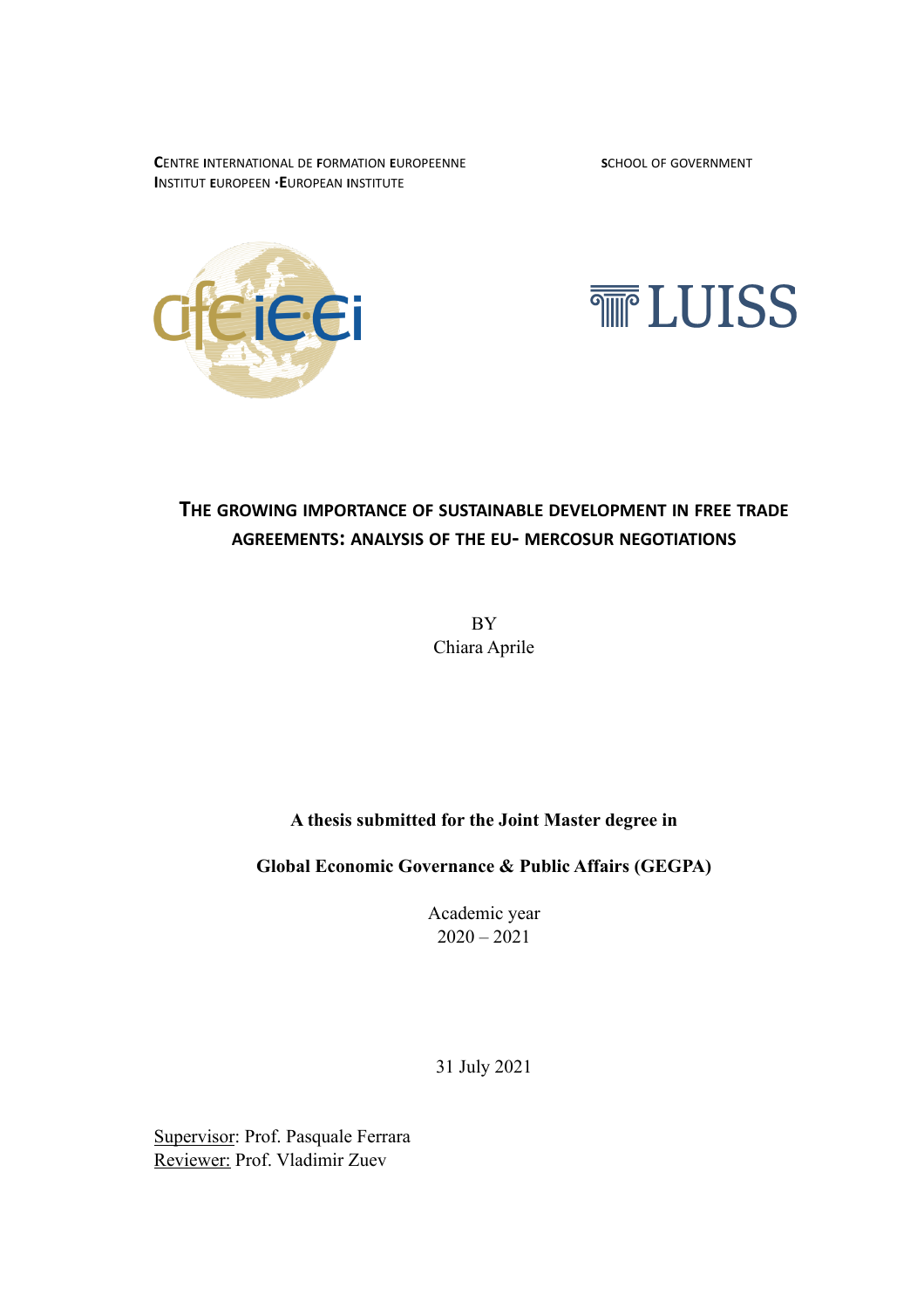**C**ENTRE **I**NTERNATIONAL DE **F**ORMATION **E**UROPEENNE **S**CHOOL OF GOVERNMENT **I**NSTITUT **E**UROPEEN **·E**UROPEAN **I**NSTITUTE





# **THE GROWING IMPORTANCE OF SUSTAINABLE DEVELOPMENT IN FREE TRADE AGREEMENTS: ANALYSIS OF THE EU- MERCOSUR NEGOTIATIONS**

**BY** Chiara Aprile

# **A thesis submitted for the Joint Master degree in**

**Global Economic Governance & Public Affairs (GEGPA)**

Academic year  $2020 - 2021$ 

31 July 2021

Supervisor: Prof. Pasquale Ferrara Reviewer: Prof. Vladimir Zuev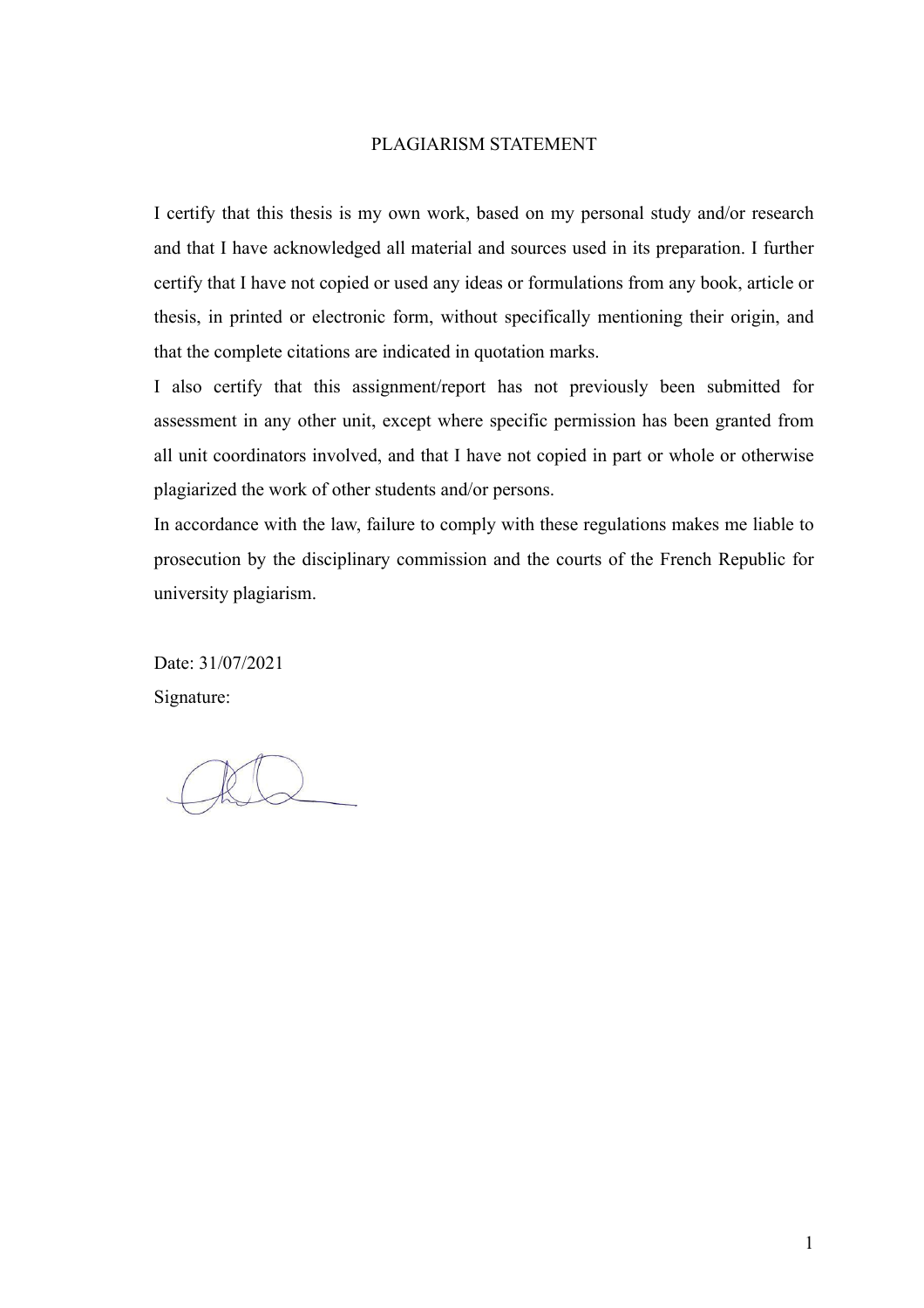## PLAGIARISM STATEMENT

I certify that this thesis is my own work, based on my personal study and/or research and that I have acknowledged all material and sources used in its preparation. I further certify that I have not copied or used any ideas or formulations from any book, article or thesis, in printed or electronic form, without specifically mentioning their origin, and that the complete citations are indicated in quotation marks.

I also certify that this assignment/report has not previously been submitted for assessment in any other unit, except where specific permission has been granted from all unit coordinators involved, and that I have not copied in part or whole or otherwise plagiarized the work of other students and/or persons.

In accordance with the law, failure to comply with these regulations makes me liable to prosecution by the disciplinary commission and the courts of the French Republic for university plagiarism.

Date: 31/07/2021 Signature: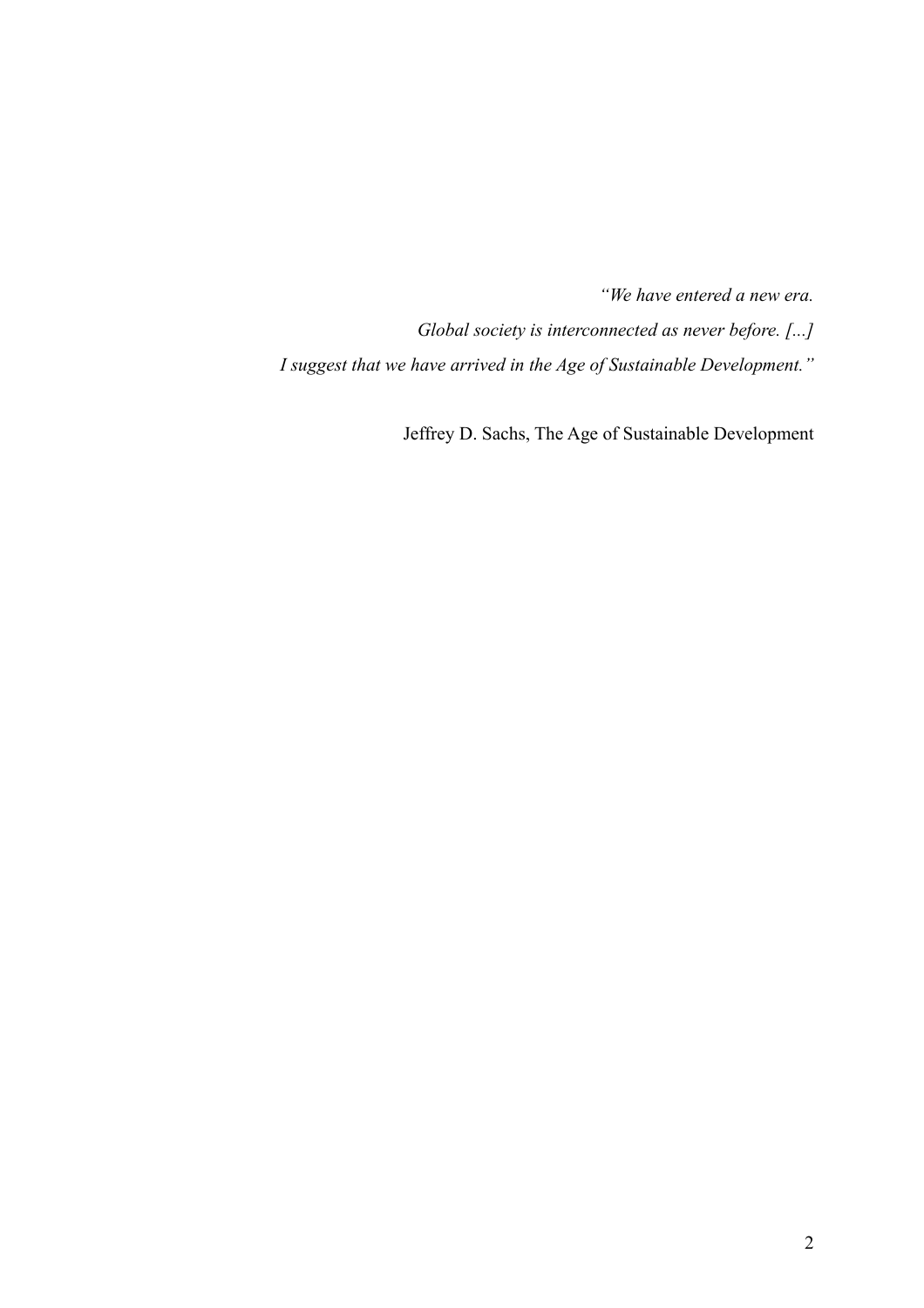*"We have entered a new era. Global society is interconnected as never before. [...]* 

*I suggest that we have arrived in the Age of Sustainable Development."* 

Jeffrey D. Sachs, The Age of Sustainable Development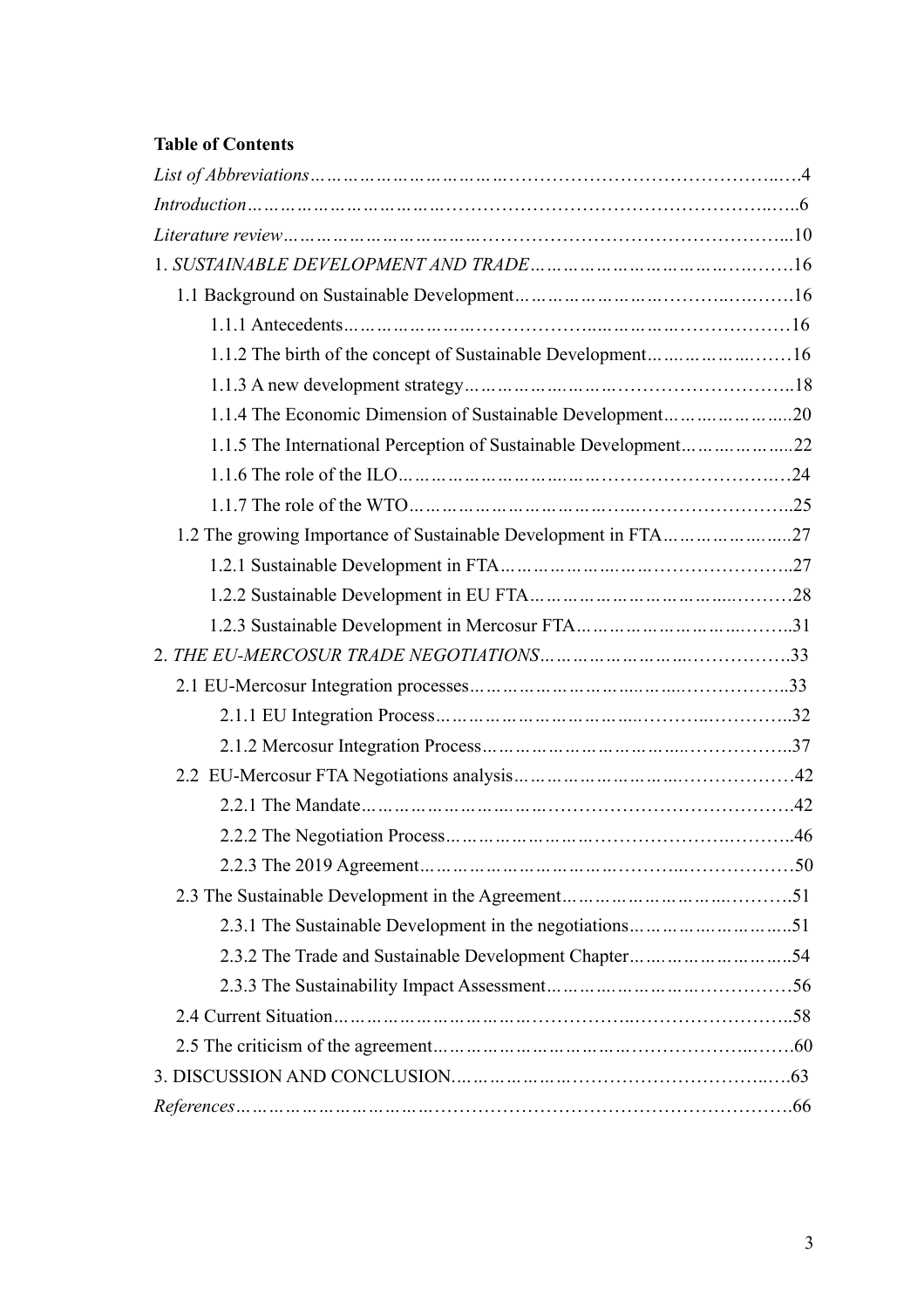# **Table of Contents**

| 1.1.2 The birth of the concept of Sustainable Development16     |  |
|-----------------------------------------------------------------|--|
|                                                                 |  |
|                                                                 |  |
| 1.1.5 The International Perception of Sustainable Development22 |  |
|                                                                 |  |
|                                                                 |  |
| 1.2 The growing Importance of Sustainable Development in FTA27  |  |
|                                                                 |  |
|                                                                 |  |
|                                                                 |  |
|                                                                 |  |
|                                                                 |  |
|                                                                 |  |
|                                                                 |  |
|                                                                 |  |
|                                                                 |  |
|                                                                 |  |
|                                                                 |  |
|                                                                 |  |
|                                                                 |  |
|                                                                 |  |
|                                                                 |  |
|                                                                 |  |
|                                                                 |  |
|                                                                 |  |
|                                                                 |  |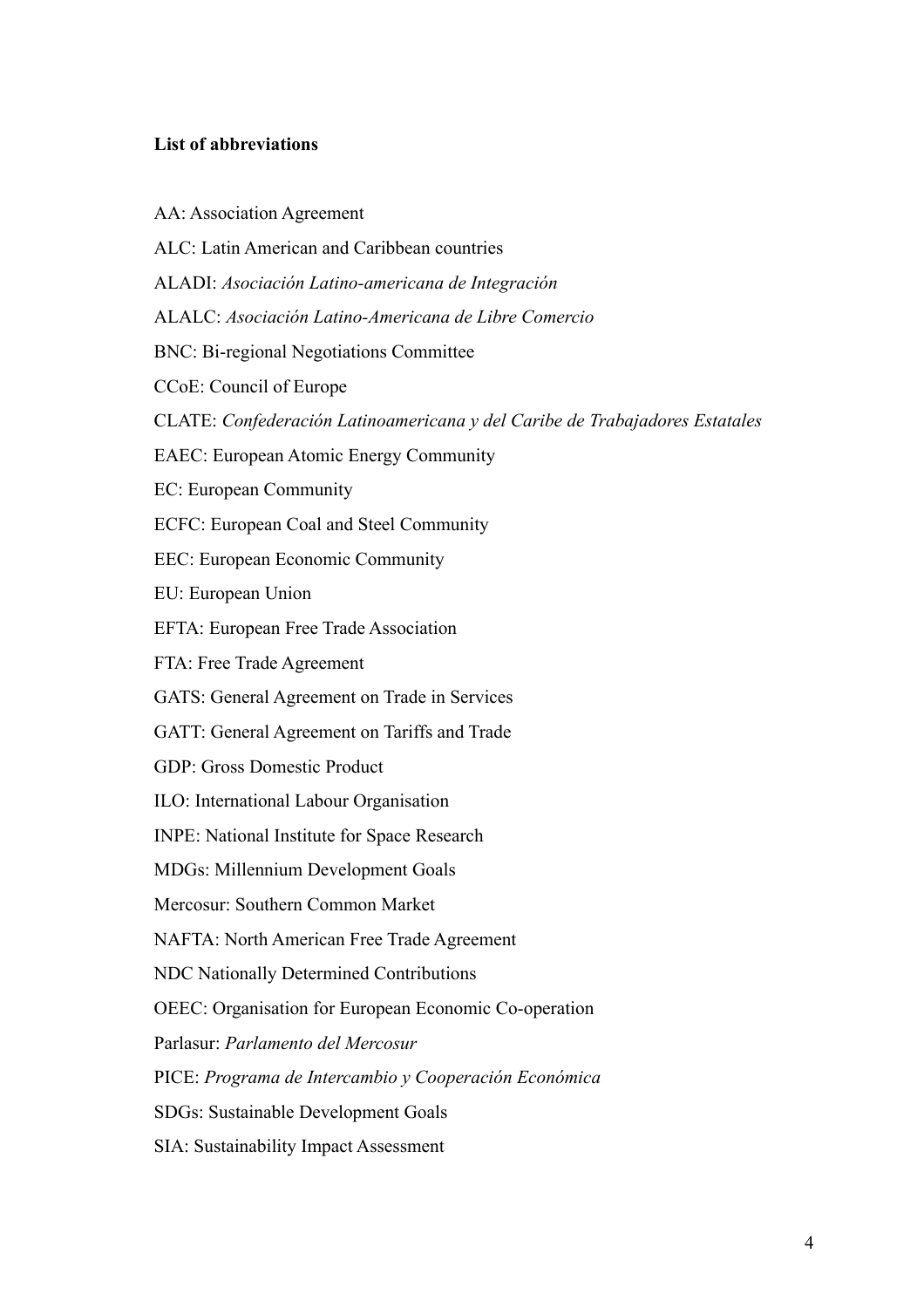# **List of abbreviations**

AA: Association Agreement ALC: Latin American and Caribbean countries ALADI: *Asociación Latino-americana de Integración* ALALC: *Asociación Latino-Americana de Libre Comercio* BNC: Bi-regional Negotiations Committee CCoE: Council of Europe CLATE: *Confederación Latinoamericana y del Caribe de Trabajadores Estatales* EAEC: European Atomic Energy Community EC: European Community ECFC: European Coal and Steel Community EEC: European Economic Community EU: European Union EFTA: European Free Trade Association FTA: Free Trade Agreement GATS: General Agreement on Trade in Services GATT: General Agreement on Tariffs and Trade GDP: Gross Domestic Product ILO: International Labour Organisation INPE: National Institute for Space Research MDGs: Millennium Development Goals Mercosur: Southern Common Market NAFTA: North American Free Trade Agreement NDC Nationally Determined Contributions OEEC: Organisation for European Economic Co-operation Parlasur: *Parlamento del Mercosur* PICE: *Programa de Intercambio y Cooperación Económica* SDGs: Sustainable Development Goals SIA: Sustainability Impact Assessment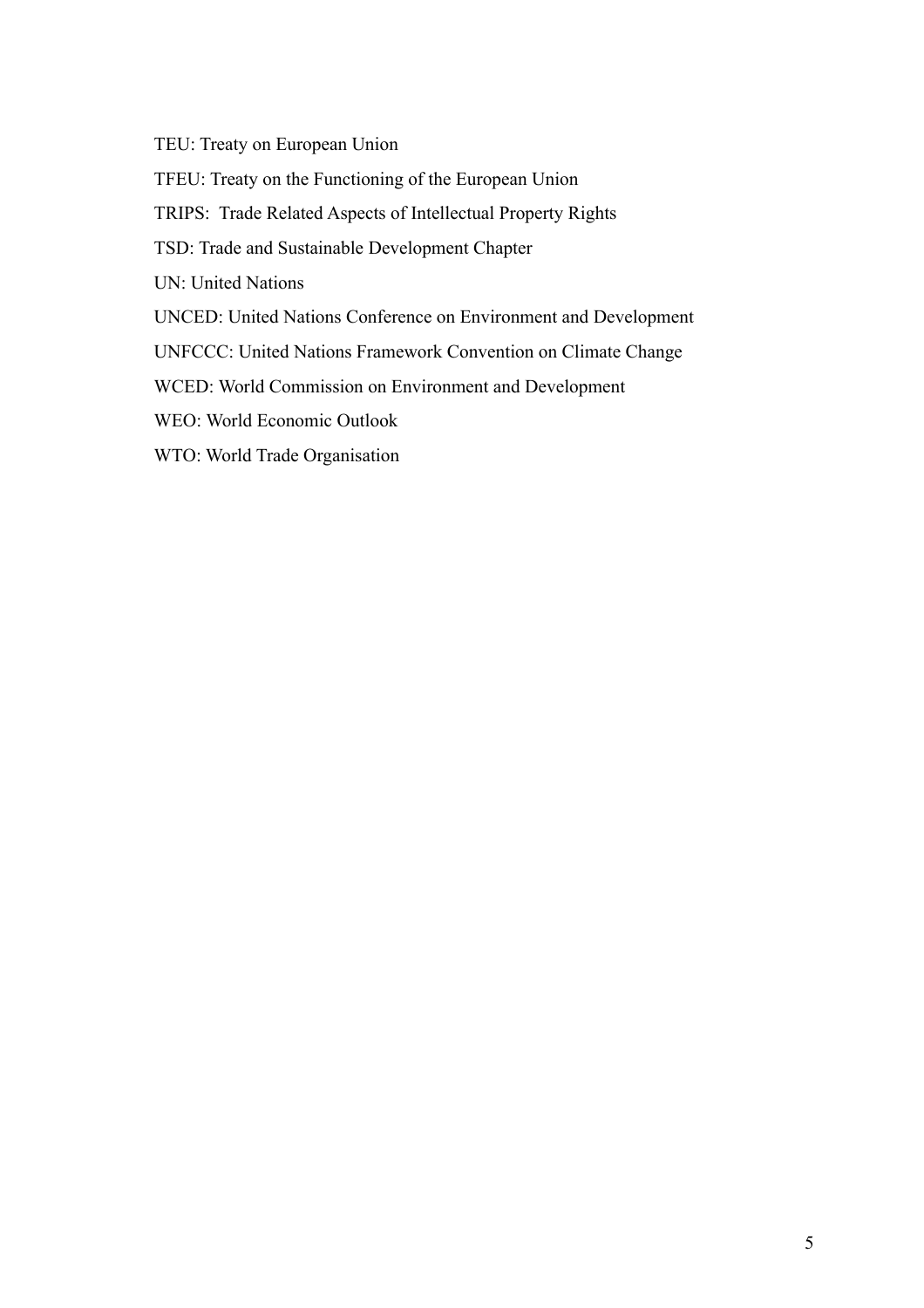TEU: Treaty on European Union

TFEU: Treaty on the Functioning of the European Union

TRIPS: Trade Related Aspects of Intellectual Property Rights

TSD: Trade and Sustainable Development Chapter

UN: United Nations

UNCED: United Nations Conference on Environment and Development

UNFCCC: United Nations Framework Convention on Climate Change

WCED: World Commission on Environment and Development

WEO: World Economic Outlook

WTO: World Trade Organisation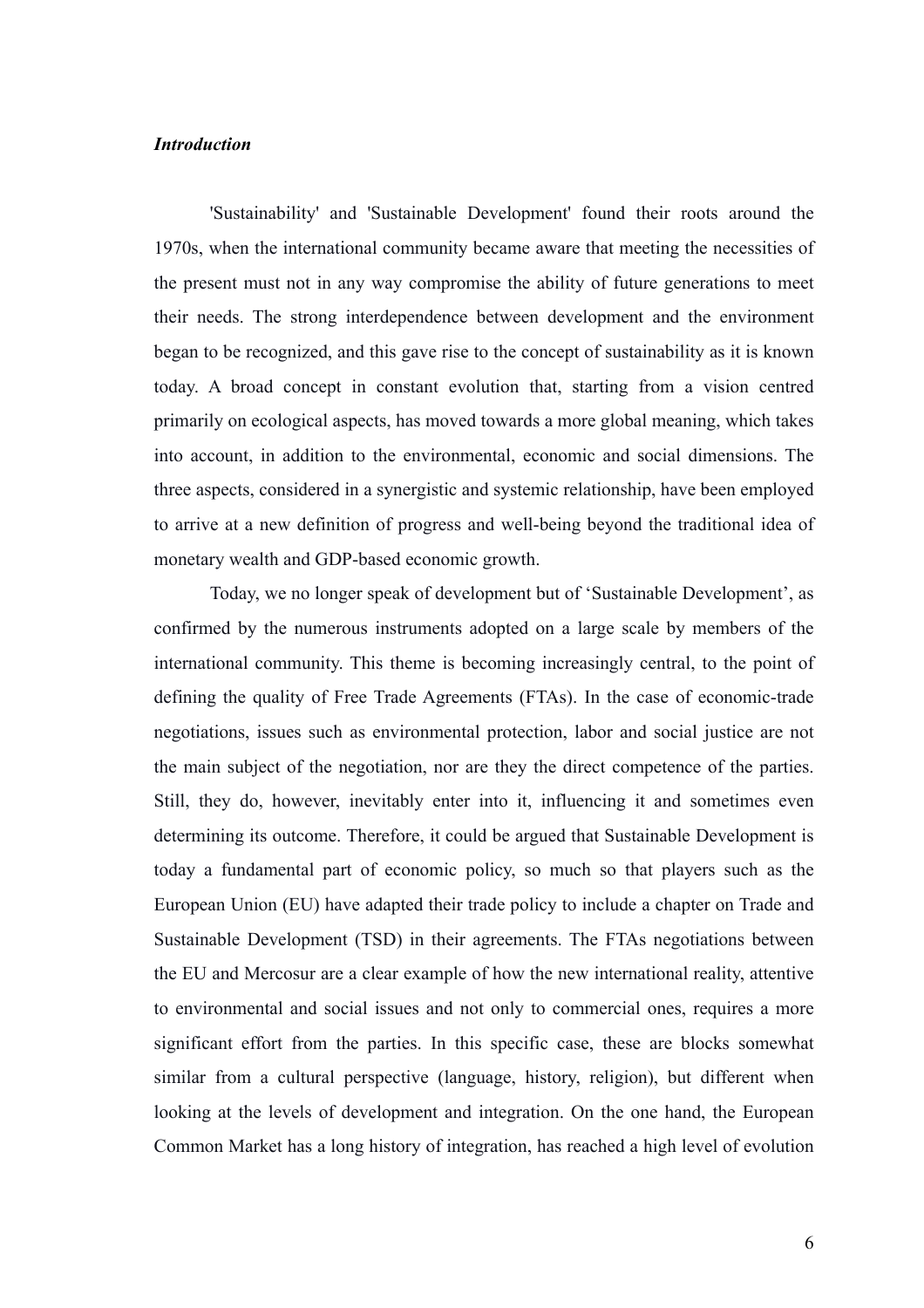### *Introduction*

'Sustainability' and 'Sustainable Development' found their roots around the 1970s, when the international community became aware that meeting the necessities of the present must not in any way compromise the ability of future generations to meet their needs. The strong interdependence between development and the environment began to be recognized, and this gave rise to the concept of sustainability as it is known today. A broad concept in constant evolution that, starting from a vision centred primarily on ecological aspects, has moved towards a more global meaning, which takes into account, in addition to the environmental, economic and social dimensions. The three aspects, considered in a synergistic and systemic relationship, have been employed to arrive at a new definition of progress and well-being beyond the traditional idea of monetary wealth and GDP-based economic growth.

Today, we no longer speak of development but of 'Sustainable Development', as confirmed by the numerous instruments adopted on a large scale by members of the international community. This theme is becoming increasingly central, to the point of defining the quality of Free Trade Agreements (FTAs). In the case of economic-trade negotiations, issues such as environmental protection, labor and social justice are not the main subject of the negotiation, nor are they the direct competence of the parties. Still, they do, however, inevitably enter into it, influencing it and sometimes even determining its outcome. Therefore, it could be argued that Sustainable Development is today a fundamental part of economic policy, so much so that players such as the European Union (EU) have adapted their trade policy to include a chapter on Trade and Sustainable Development (TSD) in their agreements. The FTAs negotiations between the EU and Mercosur are a clear example of how the new international reality, attentive to environmental and social issues and not only to commercial ones, requires a more significant effort from the parties. In this specific case, these are blocks somewhat similar from a cultural perspective (language, history, religion), but different when looking at the levels of development and integration. On the one hand, the European Common Market has a long history of integration, has reached a high level of evolution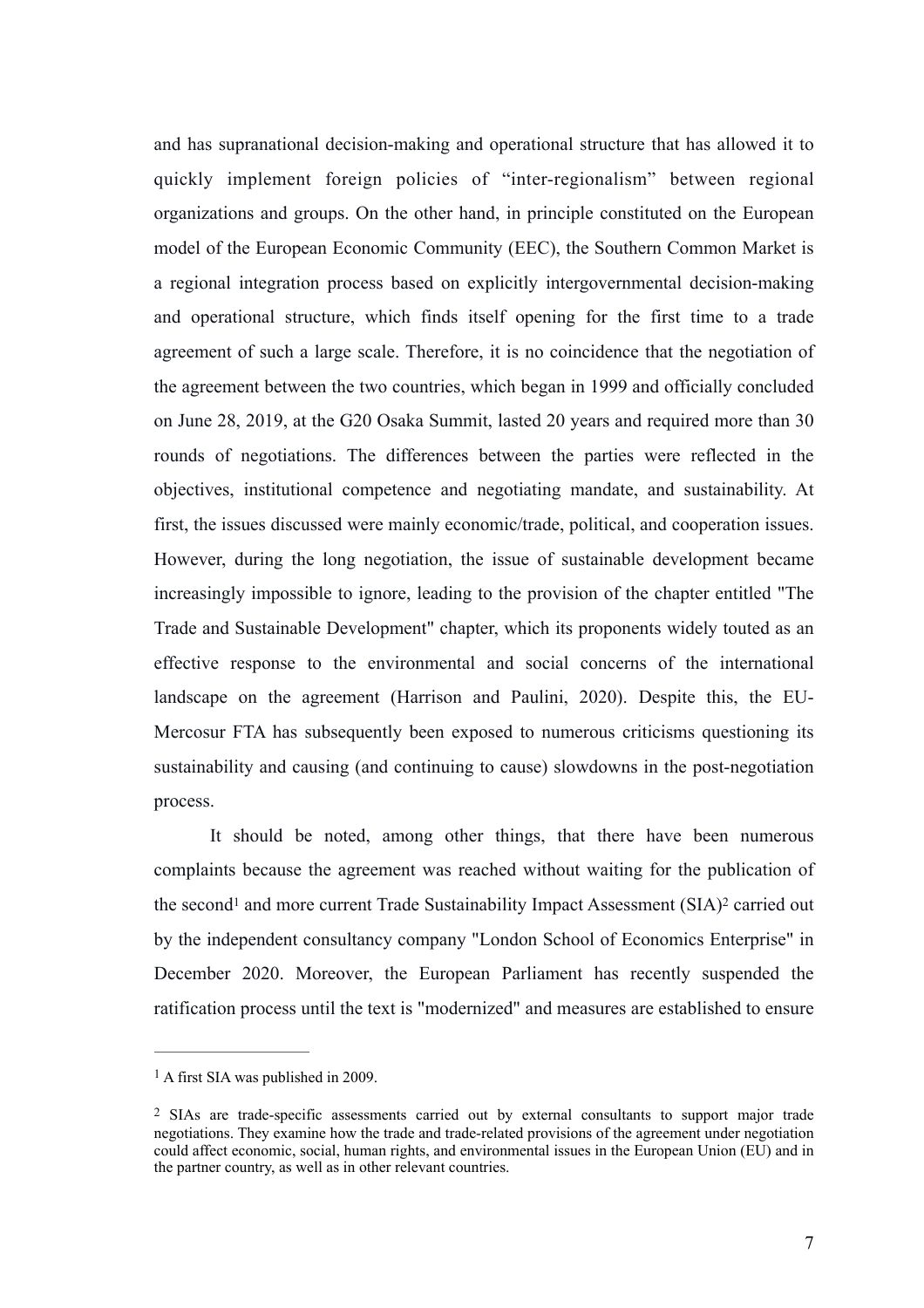and has supranational decision-making and operational structure that has allowed it to quickly implement foreign policies of "inter-regionalism" between regional organizations and groups. On the other hand, in principle constituted on the European model of the European Economic Community (EEC), the Southern Common Market is a regional integration process based on explicitly intergovernmental decision-making and operational structure, which finds itself opening for the first time to a trade agreement of such a large scale. Therefore, it is no coincidence that the negotiation of the agreement between the two countries, which began in 1999 and officially concluded on June 28, 2019, at the G20 Osaka Summit, lasted 20 years and required more than 30 rounds of negotiations. The differences between the parties were reflected in the objectives, institutional competence and negotiating mandate, and sustainability. At first, the issues discussed were mainly economic/trade, political, and cooperation issues. However, during the long negotiation, the issue of sustainable development became increasingly impossible to ignore, leading to the provision of the chapter entitled "The Trade and Sustainable Development" chapter, which its proponents widely touted as an effective response to the environmental and social concerns of the international landscape on the agreement (Harrison and Paulini, 2020). Despite this, the EU-Mercosur FTA has subsequently been exposed to numerous criticisms questioning its sustainability and causing (and continuing to cause) slowdowns in the post-negotiation process.

<span id="page-7-3"></span><span id="page-7-2"></span>It should be noted, among other things, that there have been numerous complaints because the agreement was reached without waiting for the publication of the secon[d](#page-7-0)<sup>1</sup> and more current Trade Sustainability Impact Assessment (SIA[\)](#page-7-1)<sup>2</sup> carried out by the independent consultancy company "London School of Economics Enterprise" in December 2020. Moreover, the European Parliament has recently suspended the ratification process until the text is "modernized" and measures are established to ensure

<span id="page-7-0"></span> $<sup>1</sup>$  $<sup>1</sup>$  $<sup>1</sup>$  A first SIA was published in 2009.</sup>

<span id="page-7-1"></span><sup>&</sup>lt;sup>[2](#page-7-3)</sup> SIAs are trade-specific assessments carried out by external consultants to support major trade negotiations. They examine how the trade and trade-related provisions of the agreement under negotiation could affect economic, social, human rights, and environmental issues in the European Union (EU) and in the partner country, as well as in other relevant countries.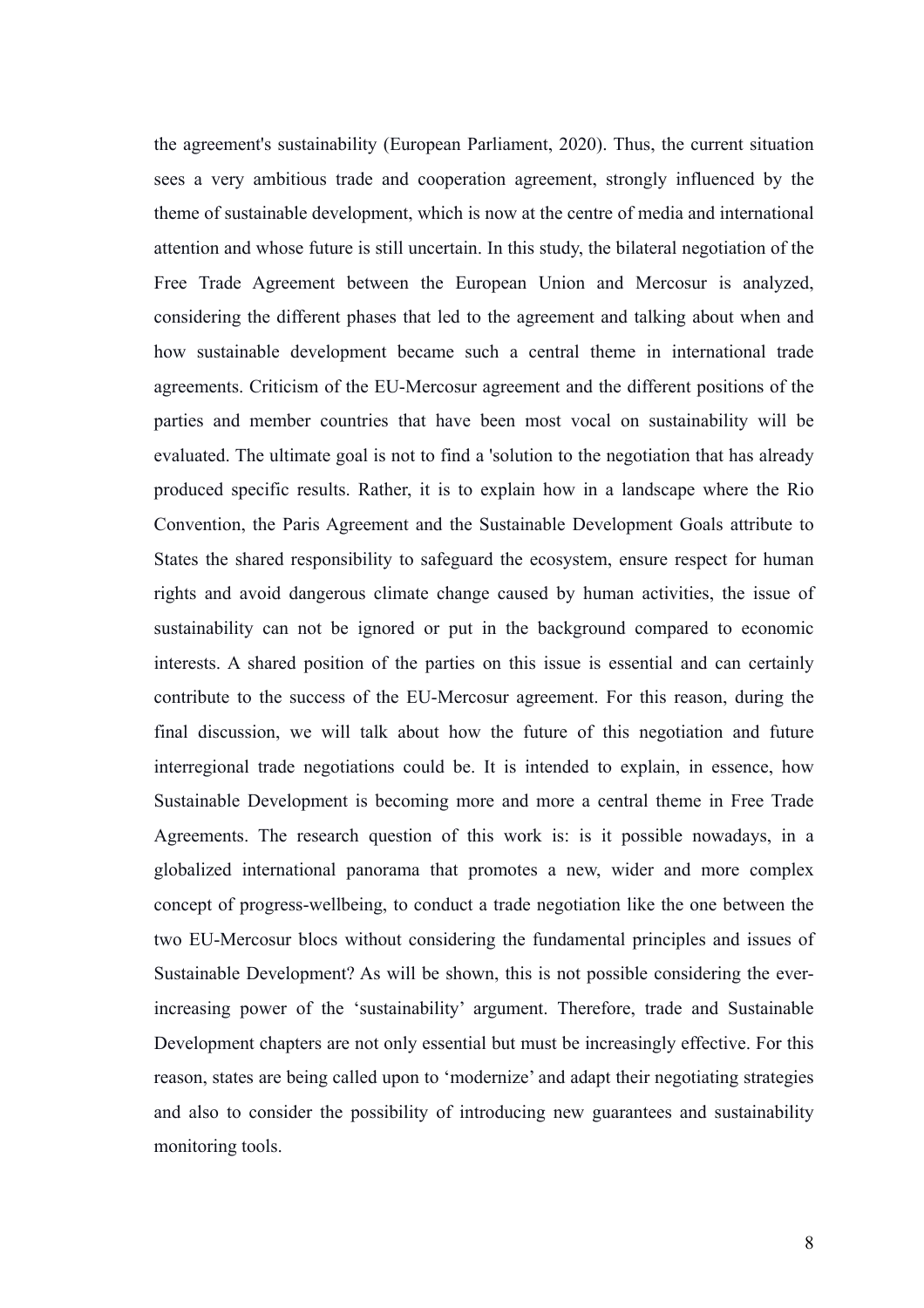the agreement's sustainability (European Parliament, 2020). Thus, the current situation sees a very ambitious trade and cooperation agreement, strongly influenced by the theme of sustainable development, which is now at the centre of media and international attention and whose future is still uncertain. In this study, the bilateral negotiation of the Free Trade Agreement between the European Union and Mercosur is analyzed, considering the different phases that led to the agreement and talking about when and how sustainable development became such a central theme in international trade agreements. Criticism of the EU-Mercosur agreement and the different positions of the parties and member countries that have been most vocal on sustainability will be evaluated. The ultimate goal is not to find a 'solution to the negotiation that has already produced specific results. Rather, it is to explain how in a landscape where the Rio Convention, the Paris Agreement and the Sustainable Development Goals attribute to States the shared responsibility to safeguard the ecosystem, ensure respect for human rights and avoid dangerous climate change caused by human activities, the issue of sustainability can not be ignored or put in the background compared to economic interests. A shared position of the parties on this issue is essential and can certainly contribute to the success of the EU-Mercosur agreement. For this reason, during the final discussion, we will talk about how the future of this negotiation and future interregional trade negotiations could be. It is intended to explain, in essence, how Sustainable Development is becoming more and more a central theme in Free Trade Agreements. The research question of this work is: is it possible nowadays, in a globalized international panorama that promotes a new, wider and more complex concept of progress-wellbeing, to conduct a trade negotiation like the one between the two EU-Mercosur blocs without considering the fundamental principles and issues of Sustainable Development? As will be shown, this is not possible considering the everincreasing power of the 'sustainability' argument. Therefore, trade and Sustainable Development chapters are not only essential but must be increasingly effective. For this reason, states are being called upon to 'modernize' and adapt their negotiating strategies and also to consider the possibility of introducing new guarantees and sustainability monitoring tools.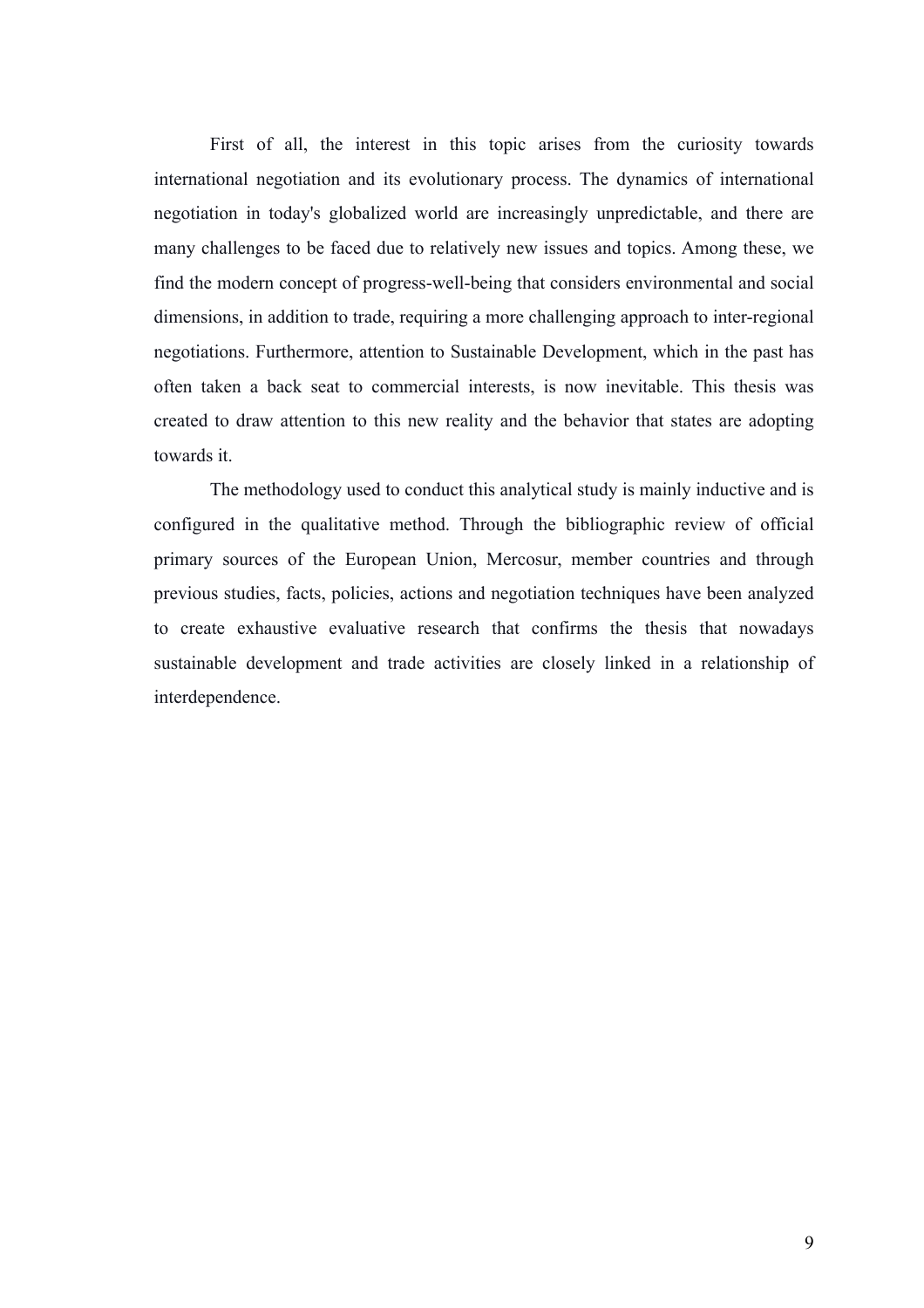First of all, the interest in this topic arises from the curiosity towards international negotiation and its evolutionary process. The dynamics of international negotiation in today's globalized world are increasingly unpredictable, and there are many challenges to be faced due to relatively new issues and topics. Among these, we find the modern concept of progress-well-being that considers environmental and social dimensions, in addition to trade, requiring a more challenging approach to inter-regional negotiations. Furthermore, attention to Sustainable Development, which in the past has often taken a back seat to commercial interests, is now inevitable. This thesis was created to draw attention to this new reality and the behavior that states are adopting towards it.

The methodology used to conduct this analytical study is mainly inductive and is configured in the qualitative method. Through the bibliographic review of official primary sources of the European Union, Mercosur, member countries and through previous studies, facts, policies, actions and negotiation techniques have been analyzed to create exhaustive evaluative research that confirms the thesis that nowadays sustainable development and trade activities are closely linked in a relationship of interdependence.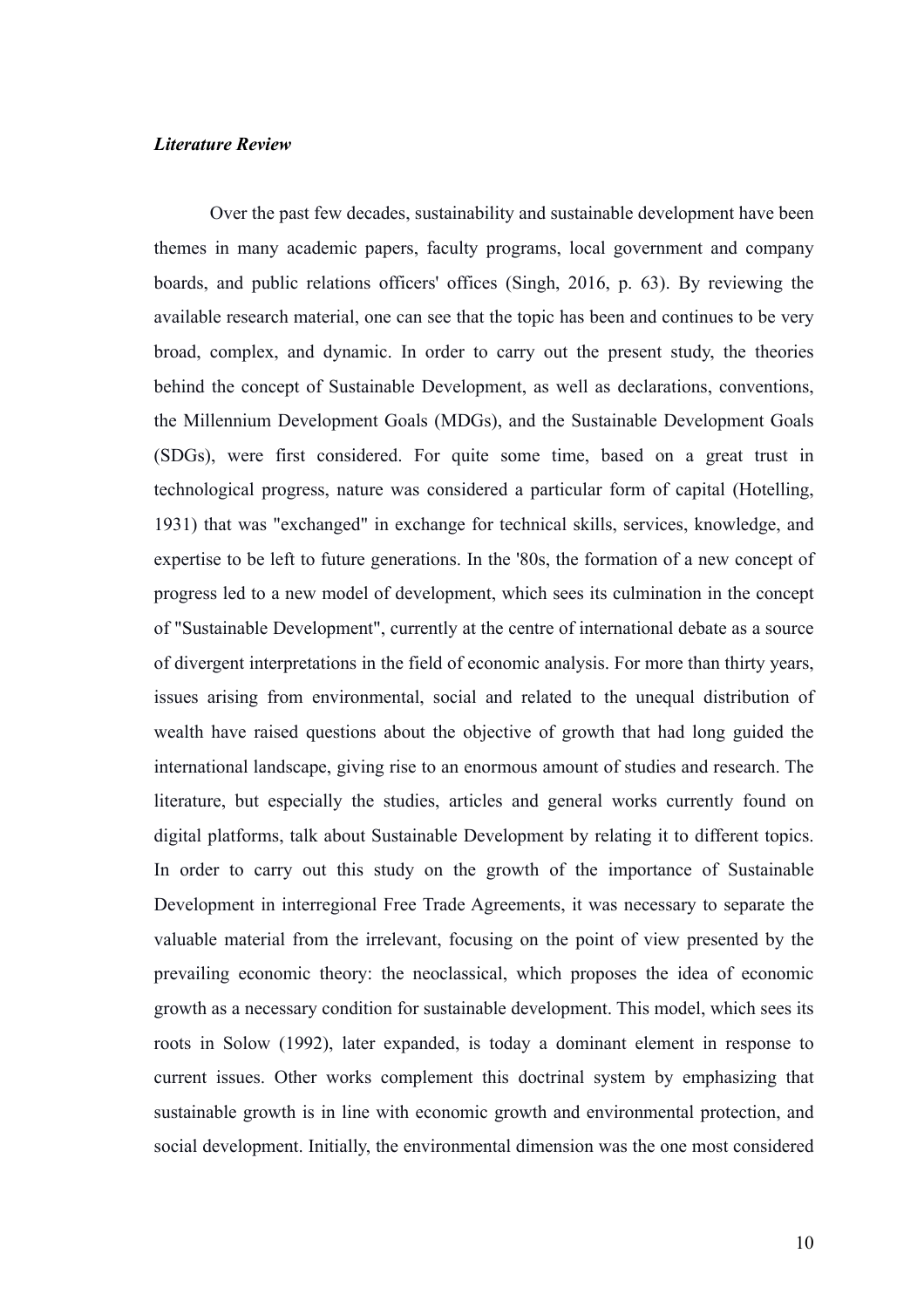# *Literature Review*

Over the past few decades, sustainability and sustainable development have been themes in many academic papers, faculty programs, local government and company boards, and public relations officers' offices (Singh, 2016, p. 63). By reviewing the available research material, one can see that the topic has been and continues to be very broad, complex, and dynamic. In order to carry out the present study, the theories behind the concept of Sustainable Development, as well as declarations, conventions, the Millennium Development Goals (MDGs), and the Sustainable Development Goals (SDGs), were first considered. For quite some time, based on a great trust in technological progress, nature was considered a particular form of capital (Hotelling, 1931) that was "exchanged" in exchange for technical skills, services, knowledge, and expertise to be left to future generations. In the '80s, the formation of a new concept of progress led to a new model of development, which sees its culmination in the concept of "Sustainable Development", currently at the centre of international debate as a source of divergent interpretations in the field of economic analysis. For more than thirty years, issues arising from environmental, social and related to the unequal distribution of wealth have raised questions about the objective of growth that had long guided the international landscape, giving rise to an enormous amount of studies and research. The literature, but especially the studies, articles and general works currently found on digital platforms, talk about Sustainable Development by relating it to different topics. In order to carry out this study on the growth of the importance of Sustainable Development in interregional Free Trade Agreements, it was necessary to separate the valuable material from the irrelevant, focusing on the point of view presented by the prevailing economic theory: the neoclassical, which proposes the idea of economic growth as a necessary condition for sustainable development. This model, which sees its roots in Solow (1992), later expanded, is today a dominant element in response to current issues. Other works complement this doctrinal system by emphasizing that sustainable growth is in line with economic growth and environmental protection, and social development. Initially, the environmental dimension was the one most considered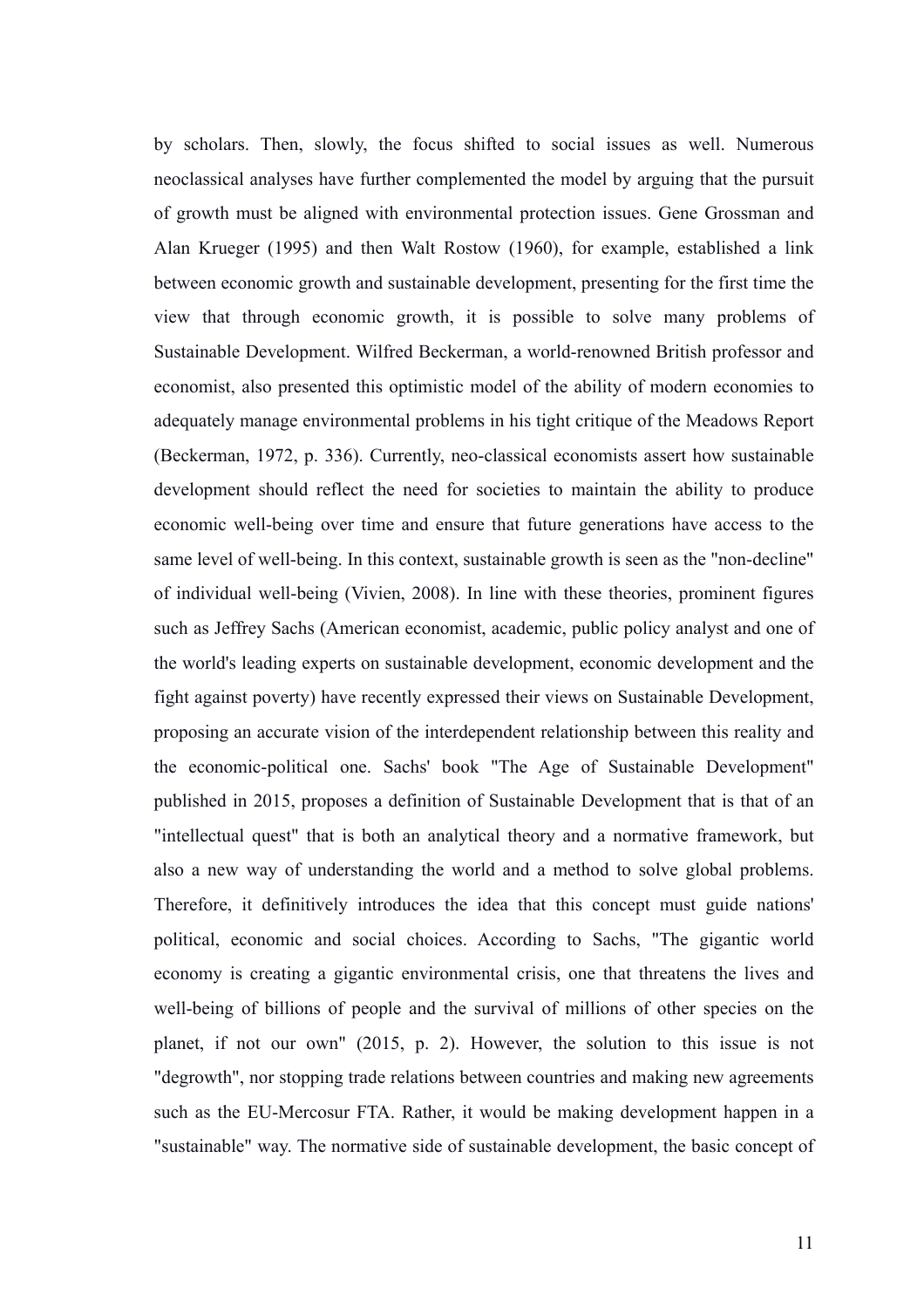by scholars. Then, slowly, the focus shifted to social issues as well. Numerous neoclassical analyses have further complemented the model by arguing that the pursuit of growth must be aligned with environmental protection issues. Gene Grossman and Alan Krueger (1995) and then Walt Rostow (1960), for example, established a link between economic growth and sustainable development, presenting for the first time the view that through economic growth, it is possible to solve many problems of Sustainable Development. Wilfred Beckerman, a world-renowned British professor and economist, also presented this optimistic model of the ability of modern economies to adequately manage environmental problems in his tight critique of the Meadows Report (Beckerman, 1972, p. 336). Currently, neo-classical economists assert how sustainable development should reflect the need for societies to maintain the ability to produce economic well-being over time and ensure that future generations have access to the same level of well-being. In this context, sustainable growth is seen as the "non-decline" of individual well-being (Vivien, 2008). In line with these theories, prominent figures such as Jeffrey Sachs (American economist, academic, public policy analyst and one of the world's leading experts on sustainable development, economic development and the fight against poverty) have recently expressed their views on Sustainable Development, proposing an accurate vision of the interdependent relationship between this reality and the economic-political one. Sachs' book "The Age of Sustainable Development" published in 2015, proposes a definition of Sustainable Development that is that of an "intellectual quest" that is both an analytical theory and a normative framework, but also a new way of understanding the world and a method to solve global problems. Therefore, it definitively introduces the idea that this concept must guide nations' political, economic and social choices. According to Sachs, "The gigantic world economy is creating a gigantic environmental crisis, one that threatens the lives and well-being of billions of people and the survival of millions of other species on the planet, if not our own" (2015, p. 2). However, the solution to this issue is not "degrowth", nor stopping trade relations between countries and making new agreements such as the EU-Mercosur FTA. Rather, it would be making development happen in a "sustainable" way. The normative side of sustainable development, the basic concept of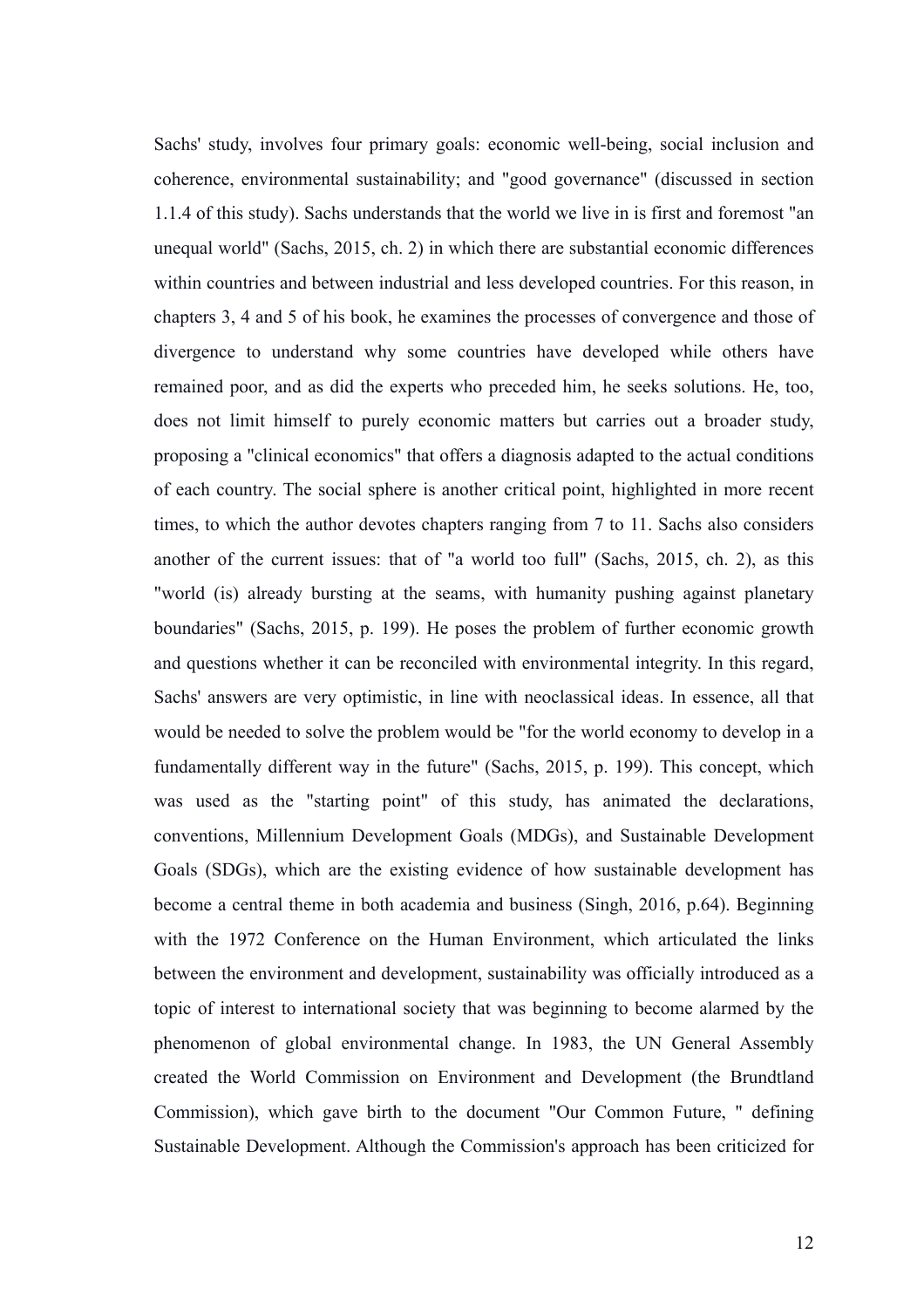Sachs' study, involves four primary goals: economic well-being, social inclusion and coherence, environmental sustainability; and "good governance" (discussed in section 1.1.4 of this study). Sachs understands that the world we live in is first and foremost "an unequal world" (Sachs, 2015, ch. 2) in which there are substantial economic differences within countries and between industrial and less developed countries. For this reason, in chapters 3, 4 and 5 of his book, he examines the processes of convergence and those of divergence to understand why some countries have developed while others have remained poor, and as did the experts who preceded him, he seeks solutions. He, too, does not limit himself to purely economic matters but carries out a broader study, proposing a "clinical economics" that offers a diagnosis adapted to the actual conditions of each country. The social sphere is another critical point, highlighted in more recent times, to which the author devotes chapters ranging from 7 to 11. Sachs also considers another of the current issues: that of "a world too full" (Sachs, 2015, ch. 2), as this "world (is) already bursting at the seams, with humanity pushing against planetary boundaries" (Sachs, 2015, p. 199). He poses the problem of further economic growth and questions whether it can be reconciled with environmental integrity. In this regard, Sachs' answers are very optimistic, in line with neoclassical ideas. In essence, all that would be needed to solve the problem would be "for the world economy to develop in a fundamentally different way in the future" (Sachs, 2015, p. 199). This concept, which was used as the "starting point" of this study, has animated the declarations, conventions, Millennium Development Goals (MDGs), and Sustainable Development Goals (SDGs), which are the existing evidence of how sustainable development has become a central theme in both academia and business (Singh, 2016, p.64). Beginning with the 1972 Conference on the Human Environment, which articulated the links between the environment and development, sustainability was officially introduced as a topic of interest to international society that was beginning to become alarmed by the phenomenon of global environmental change. In 1983, the UN General Assembly created the World Commission on Environment and Development (the Brundtland Commission), which gave birth to the document "Our Common Future, " defining Sustainable Development. Although the Commission's approach has been criticized for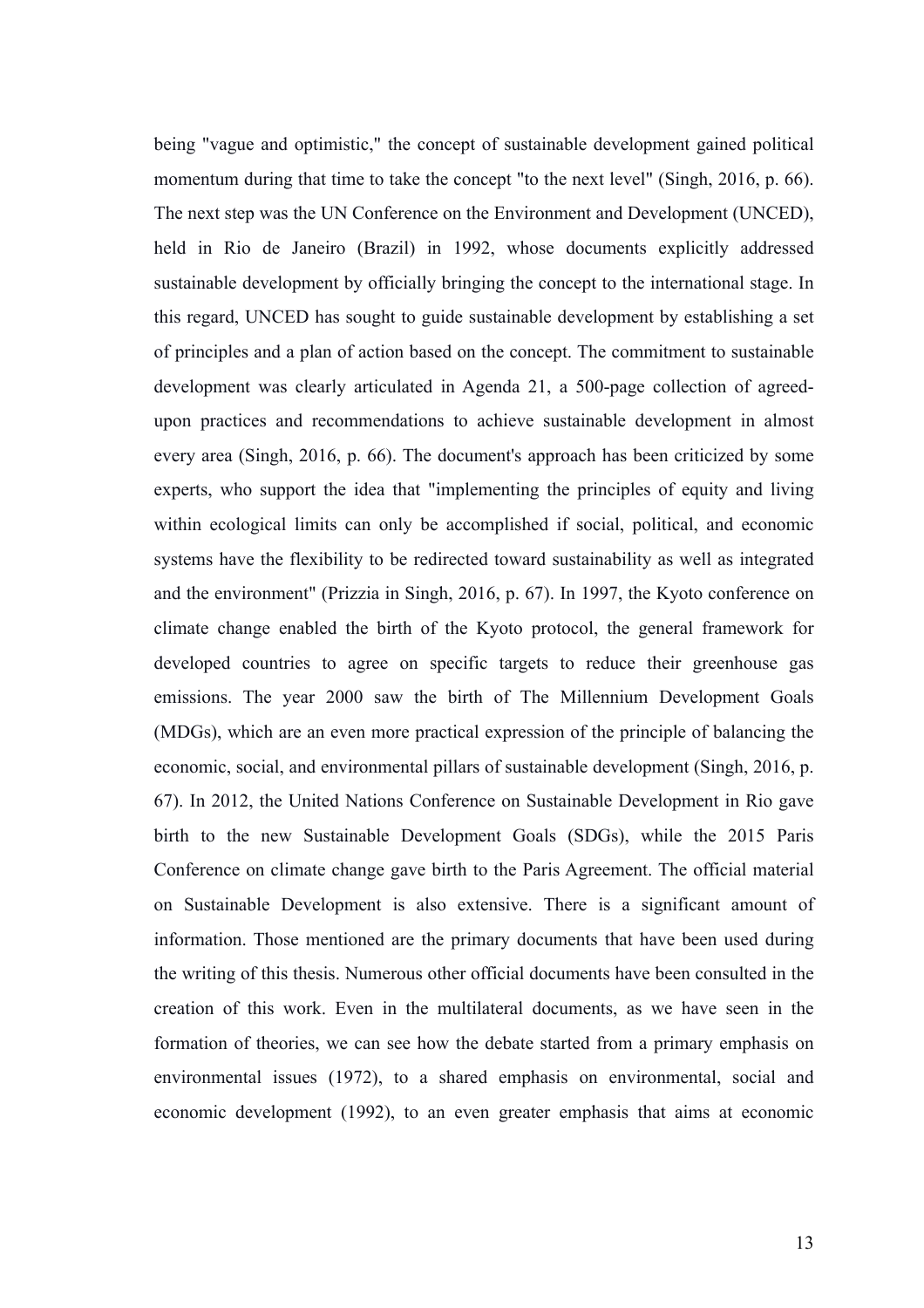being "vague and optimistic," the concept of sustainable development gained political momentum during that time to take the concept "to the next level" (Singh, 2016, p. 66). The next step was the UN Conference on the Environment and Development (UNCED), held in Rio de Janeiro (Brazil) in 1992, whose documents explicitly addressed sustainable development by officially bringing the concept to the international stage. In this regard, UNCED has sought to guide sustainable development by establishing a set of principles and a plan of action based on the concept. The commitment to sustainable development was clearly articulated in Agenda 21, a 500-page collection of agreedupon practices and recommendations to achieve sustainable development in almost every area (Singh, 2016, p. 66). The document's approach has been criticized by some experts, who support the idea that "implementing the principles of equity and living within ecological limits can only be accomplished if social, political, and economic systems have the flexibility to be redirected toward sustainability as well as integrated and the environment" (Prizzia in Singh, 2016, p. 67). In 1997, the Kyoto conference on climate change enabled the birth of the Kyoto protocol, the general framework for developed countries to agree on specific targets to reduce their greenhouse gas emissions. The year 2000 saw the birth of The Millennium Development Goals (MDGs), which are an even more practical expression of the principle of balancing the economic, social, and environmental pillars of sustainable development (Singh, 2016, p. 67). In 2012, the United Nations Conference on Sustainable Development in Rio gave birth to the new Sustainable Development Goals (SDGs), while the 2015 Paris Conference on climate change gave birth to the Paris Agreement. The official material on Sustainable Development is also extensive. There is a significant amount of information. Those mentioned are the primary documents that have been used during the writing of this thesis. Numerous other official documents have been consulted in the creation of this work. Even in the multilateral documents, as we have seen in the formation of theories, we can see how the debate started from a primary emphasis on environmental issues (1972), to a shared emphasis on environmental, social and economic development (1992), to an even greater emphasis that aims at economic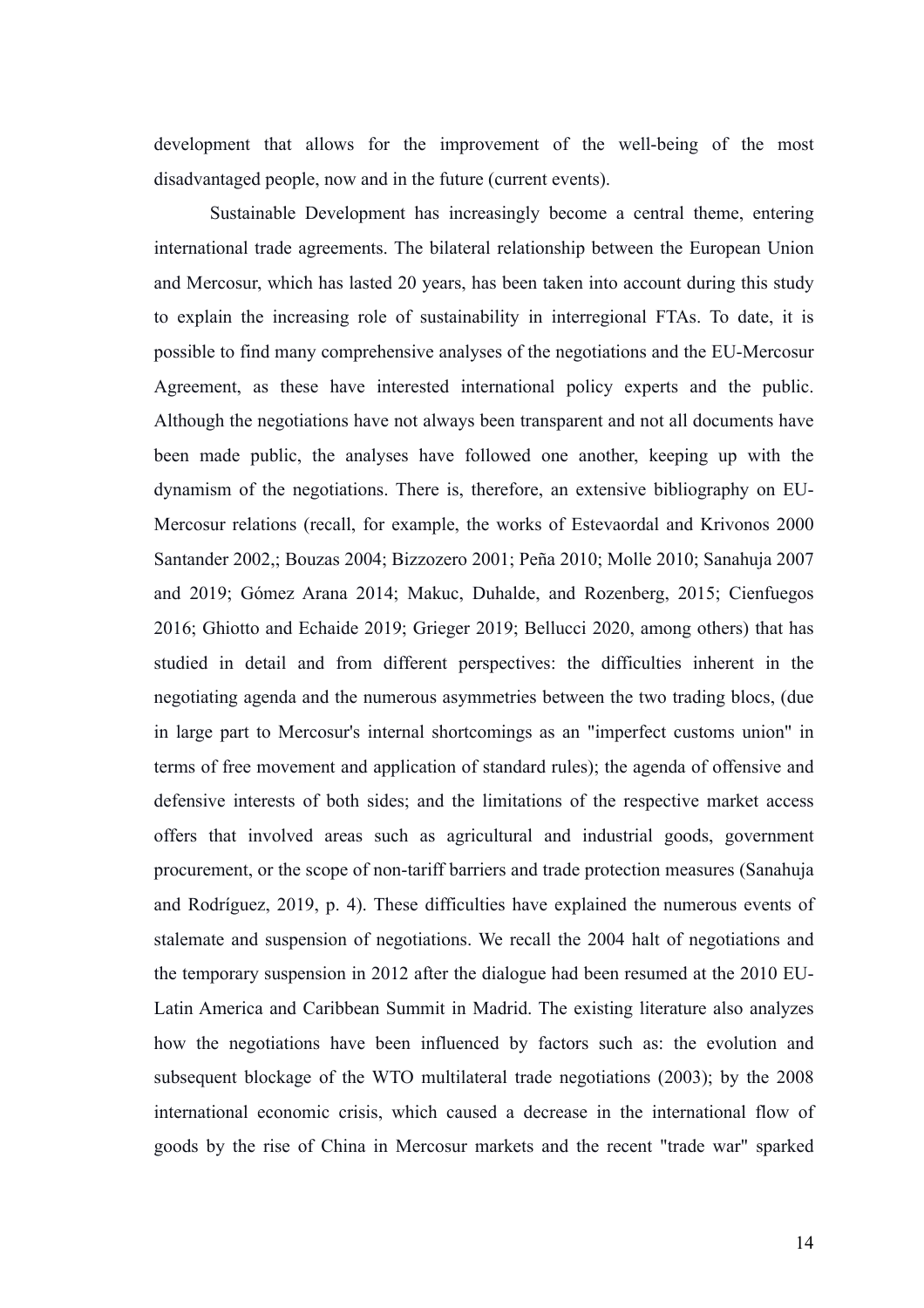development that allows for the improvement of the well-being of the most disadvantaged people, now and in the future (current events).

Sustainable Development has increasingly become a central theme, entering international trade agreements. The bilateral relationship between the European Union and Mercosur, which has lasted 20 years, has been taken into account during this study to explain the increasing role of sustainability in interregional FTAs. To date, it is possible to find many comprehensive analyses of the negotiations and the EU-Mercosur Agreement, as these have interested international policy experts and the public. Although the negotiations have not always been transparent and not all documents have been made public, the analyses have followed one another, keeping up with the dynamism of the negotiations. There is, therefore, an extensive bibliography on EU-Mercosur relations (recall, for example, the works of Estevaordal and Krivonos 2000 Santander 2002,; Bouzas 2004; Bizzozero 2001; Peña 2010; Molle 2010; Sanahuja 2007 and 2019; Gómez Arana 2014; Makuc, Duhalde, and Rozenberg, 2015; Cienfuegos 2016; Ghiotto and Echaide 2019; Grieger 2019; Bellucci 2020, among others) that has studied in detail and from different perspectives: the difficulties inherent in the negotiating agenda and the numerous asymmetries between the two trading blocs, (due in large part to Mercosur's internal shortcomings as an "imperfect customs union" in terms of free movement and application of standard rules); the agenda of offensive and defensive interests of both sides; and the limitations of the respective market access offers that involved areas such as agricultural and industrial goods, government procurement, or the scope of non-tariff barriers and trade protection measures (Sanahuja and Rodríguez, 2019, p. 4). These difficulties have explained the numerous events of stalemate and suspension of negotiations. We recall the 2004 halt of negotiations and the temporary suspension in 2012 after the dialogue had been resumed at the 2010 EU-Latin America and Caribbean Summit in Madrid. The existing literature also analyzes how the negotiations have been influenced by factors such as: the evolution and subsequent blockage of the WTO multilateral trade negotiations (2003); by the 2008 international economic crisis, which caused a decrease in the international flow of goods by the rise of China in Mercosur markets and the recent "trade war" sparked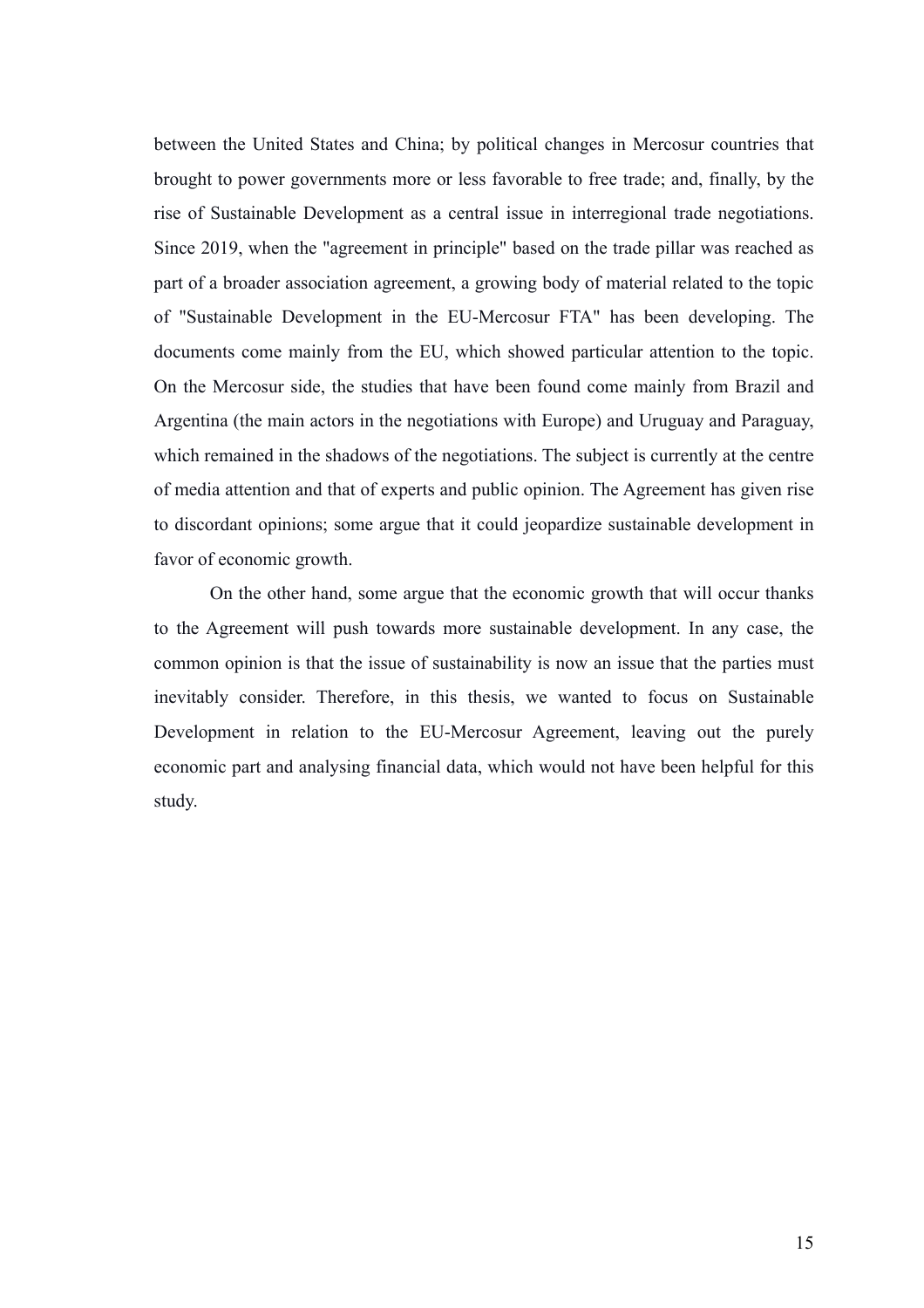between the United States and China; by political changes in Mercosur countries that brought to power governments more or less favorable to free trade; and, finally, by the rise of Sustainable Development as a central issue in interregional trade negotiations. Since 2019, when the "agreement in principle" based on the trade pillar was reached as part of a broader association agreement, a growing body of material related to the topic of "Sustainable Development in the EU-Mercosur FTA" has been developing. The documents come mainly from the EU, which showed particular attention to the topic. On the Mercosur side, the studies that have been found come mainly from Brazil and Argentina (the main actors in the negotiations with Europe) and Uruguay and Paraguay, which remained in the shadows of the negotiations. The subject is currently at the centre of media attention and that of experts and public opinion. The Agreement has given rise to discordant opinions; some argue that it could jeopardize sustainable development in favor of economic growth.

On the other hand, some argue that the economic growth that will occur thanks to the Agreement will push towards more sustainable development. In any case, the common opinion is that the issue of sustainability is now an issue that the parties must inevitably consider. Therefore, in this thesis, we wanted to focus on Sustainable Development in relation to the EU-Mercosur Agreement, leaving out the purely economic part and analysing financial data, which would not have been helpful for this study.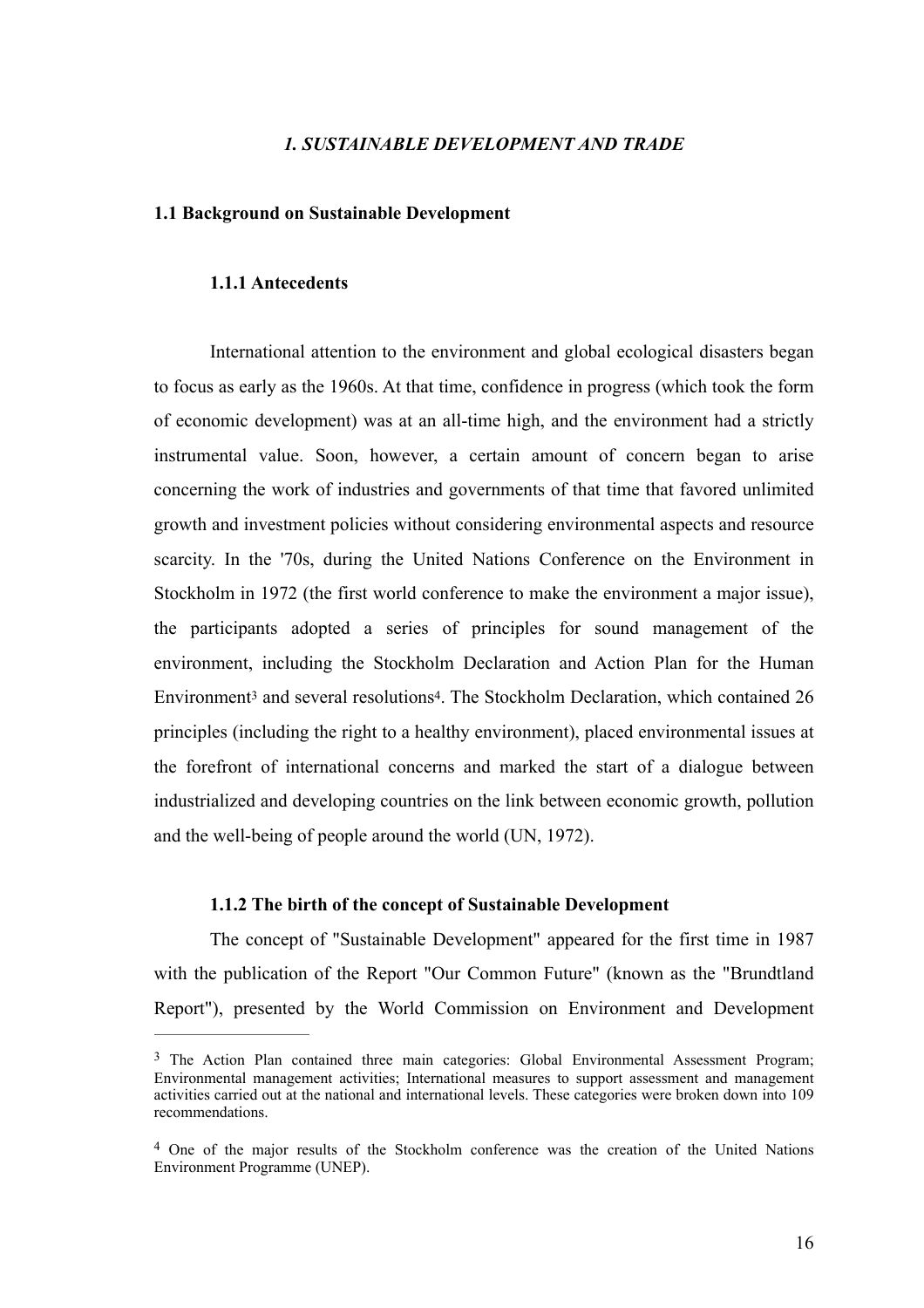### *1. SUSTAINABLE DEVELOPMENT AND TRADE*

#### **1.1 Background on Sustainable Development**

#### **1.1.1 Antecedents**

International attention to the environment and global ecological disasters began to focus as early as the 1960s. At that time, confidence in progress (which took the form of economic development) was at an all-time high, and the environment had a strictly instrumental value. Soon, however, a certain amount of concern began to arise concerning the work of industries and governments of that time that favored unlimited growth and investment policies without considering environmental aspects and resource scarcity. In the '70s, during the United Nations Conference on the Environment in Stockholm in 1972 (the first world conference to make the environment a major issue), the participants adopted a series of principles for sound management of the environment, including the Stockholm Declaration and Action Plan for the Human Environment<sup>3</sup>and several resolutions<sup>4</sup>[.](#page-16-1) The Stockholm Declaration, which contained 26 principles (including the right to a healthy environment), placed environmental issues at the forefront of international concerns and marked the start of a dialogue between industrialized and developing countries on the link between economic growth, pollution and the well-being of people around the world (UN, 1972).

#### <span id="page-16-3"></span><span id="page-16-2"></span>**1.1.2 The birth of the concept of Sustainable Development**

The concept of "Sustainable Development" appeared for the first time in 1987 with the publication of the Report "Our Common Future" (known as the "Brundtland Report"), presented by the World Commission on Environment and Development

<span id="page-16-0"></span><sup>&</sup>lt;sup>[3](#page-16-2)</sup> The Action Plan contained three main categories: Global Environmental Assessment Program; Environmental management activities; International measures to support assessment and management activities carried out at the national and international levels. These categories were broken down into 109 recommendations.

<span id="page-16-1"></span><sup>&</sup>lt;sup>[4](#page-16-3)</sup> One of the major results of the Stockholm conference was the creation of the United Nations Environment Programme (UNEP).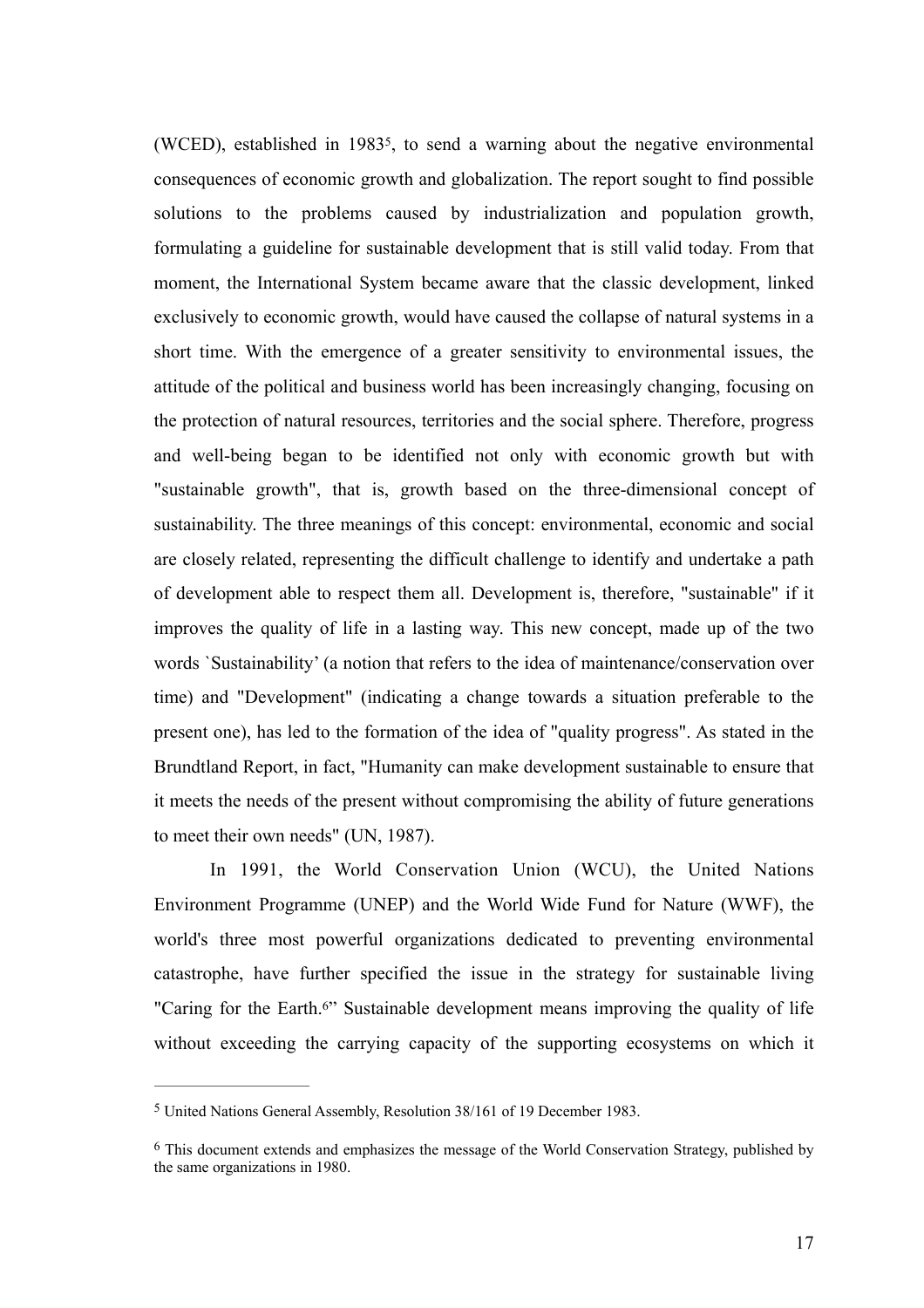<span id="page-17-2"></span>(WCED)[,](#page-17-0) established in 1983<sup>[5](#page-17-0)</sup>, to send a warning about the negative environmental consequences of economic growth and globalization. The report sought to find possible solutions to the problems caused by industrialization and population growth, formulating a guideline for sustainable development that is still valid today. From that moment, the International System became aware that the classic development, linked exclusively to economic growth, would have caused the collapse of natural systems in a short time. With the emergence of a greater sensitivity to environmental issues, the attitude of the political and business world has been increasingly changing, focusing on the protection of natural resources, territories and the social sphere. Therefore, progress and well-being began to be identified not only with economic growth but with "sustainable growth", that is, growth based on the three-dimensional concept of sustainability. The three meanings of this concept: environmental, economic and social are closely related, representing the difficult challenge to identify and undertake a path of development able to respect them all. Development is, therefore, "sustainable" if it improves the quality of life in a lasting way. This new concept, made up of the two words `Sustainability' (a notion that refers to the idea of maintenance/conservation over time) and "Development" (indicating a change towards a situation preferable to the present one), has led to the formation of the idea of "quality progress". As stated in the Brundtland Report, in fact, "Humanity can make development sustainable to ensure that it meets the needs of the present without compromising the ability of future generations to meet their own needs" (UN, 1987).

In 1991, the World Conservation Union (WCU), the United Nations Environment Programme (UNEP) and the World Wide Fund for Nature (WWF), the world's three most powerful organizations dedicated to preventing environmental catastrophe, have further specified the issue in the strategy for sustainable living ["](#page-17-1)Caring for the Earth.<sup>[6](#page-17-1)"</sup> Sustainable development means improving the quality of life without exceeding the carrying capacity of the supporting ecosystems on which it

<span id="page-17-3"></span><span id="page-17-0"></span><sup>&</sup>lt;sup>[5](#page-17-2)</sup> United Nations General Assembly, Resolution 38/161 of 19 December 1983.

<span id="page-17-1"></span> $6$  This document extends and emphasizes the message of the World Conservation Strategy, published by the same organizations in 1980.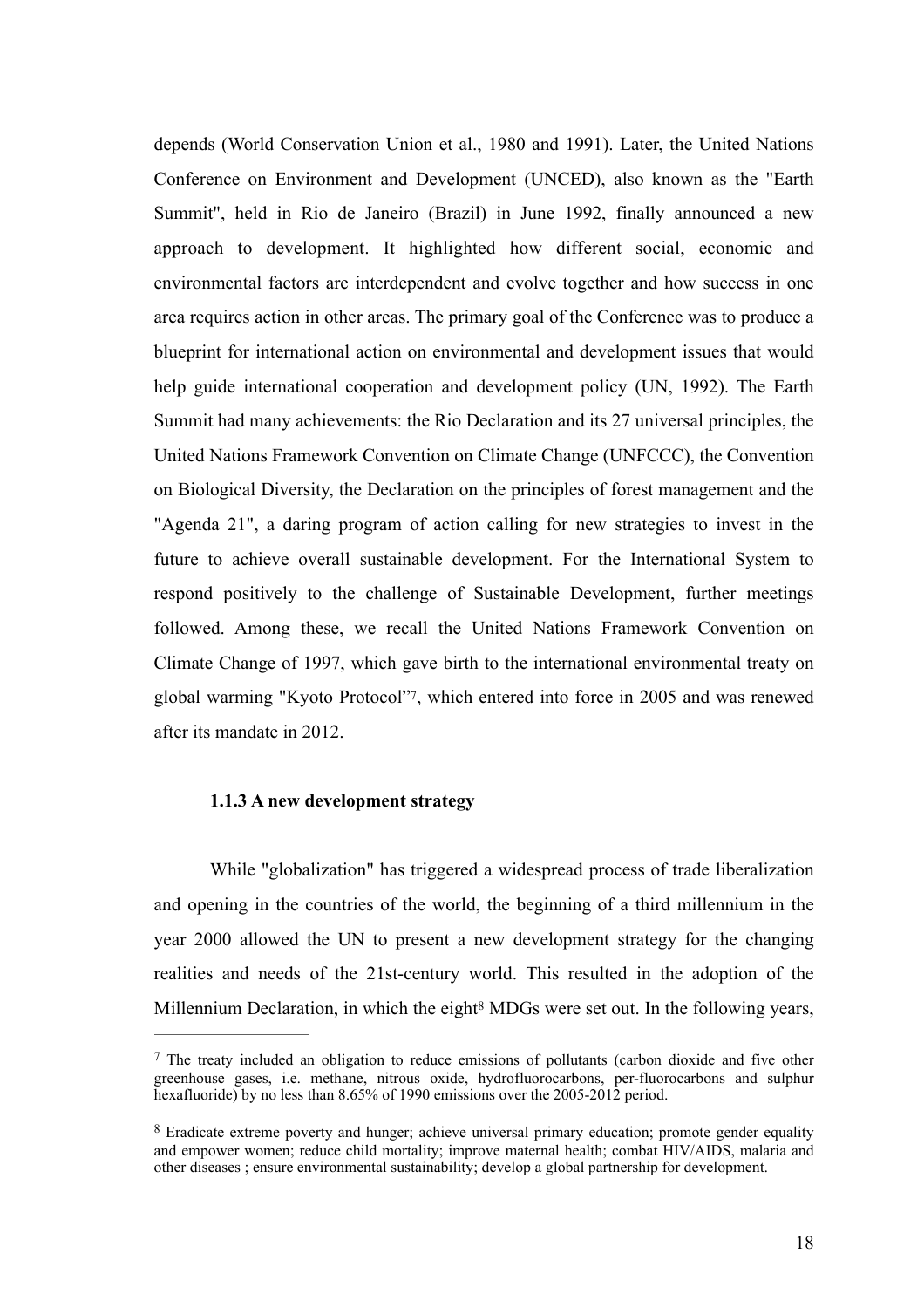depends (World Conservation Union et al., 1980 and 1991). Later, the United Nations Conference on Environment and Development (UNCED), also known as the "Earth Summit", held in Rio de Janeiro (Brazil) in June 1992, finally announced a new approach to development. It highlighted how different social, economic and environmental factors are interdependent and evolve together and how success in one area requires action in other areas. The primary goal of the Conference was to produce a blueprint for international action on environmental and development issues that would help guide international cooperation and development policy (UN, 1992). The Earth Summit had many achievements: the Rio Declaration and its 27 universal principles, the United Nations Framework Convention on Climate Change (UNFCCC), the Convention on Biological Diversity, the Declaration on the principles of forest management and the "Agenda 21", a daring program of action calling for new strategies to invest in the future to achieve overall sustainable development. For the International System to respond positively to the challenge of Sustainable Development, further meetings followed. Among these, we recall the United Nations Framework Convention on Climate Change of 1997, which gave birth to the international environmental treaty on global warming "Kyoto Protocol"[7](#page-18-0), which entered into force in 2005 and was renewed after its mandate in 2012.

#### <span id="page-18-2"></span>**1.1.3 A new development strategy**

While "globalization" has triggered a widespread process of trade liberalization and opening in the countries of the world, the beginning of a third millennium in the year 2000 allowed the UN to present a new development strategy for the changing realities and needs of the 21st-century world. This resulted in the adoption of the MillenniumDeclaration, in which the eight<sup>[8](#page-18-1)</sup> MDGs were set out. In the following years,

<span id="page-18-3"></span><span id="page-18-0"></span><sup>&</sup>lt;sup>[7](#page-18-2)</sup> The treaty included an obligation to reduce emissions of pollutants (carbon dioxide and five other greenhouse gases, i.e. methane, nitrous oxide, hydrofluorocarbons, per-fluorocarbons and sulphur hexafluoride) by no less than 8.65% of 1990 emissions over the 2005-2012 period.

<span id="page-18-1"></span>Eradicate extreme poverty and hunger; achieve universal primary education; promote gender equality [8](#page-18-3) and empower women; reduce child mortality; improve maternal health; combat HIV/AIDS, malaria and other diseases ; ensure environmental sustainability; develop a global partnership for development.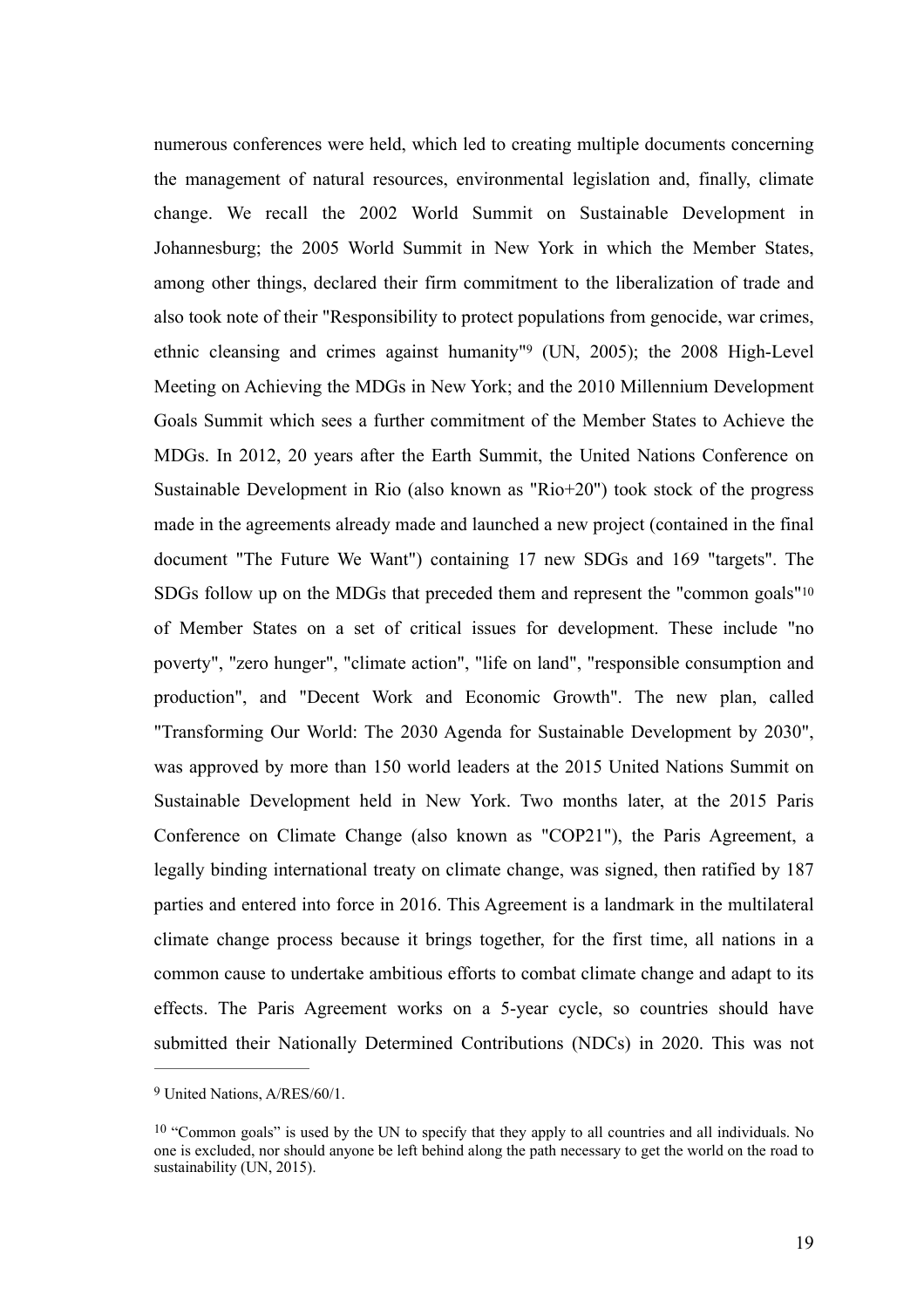<span id="page-19-3"></span><span id="page-19-2"></span>numerous conferences were held, which led to creating multiple documents concerning the management of natural resources, environmental legislation and, finally, climate change. We recall the 2002 World Summit on Sustainable Development in Johannesburg; the 2005 World Summit in New York in which the Member States, among other things, declared their firm commitment to the liberalization of trade and also took note of their "Responsibility to protect populations from genocide, war crimes, ethniccleansing and crimes against humanity"<sup>[9](#page-19-0)</sup> (UN, 2005); the 2008 High-Level Meeting on Achieving the MDGs in New York; and the 2010 Millennium Development Goals Summit which sees a further commitment of the Member States to Achieve the MDGs. In 2012, 20 years after the Earth Summit, the United Nations Conference on Sustainable Development in Rio (also known as "Rio+20") took stock of the progress made in the agreements already made and launched a new project (contained in the final document "The Future We Want") containing 17 new SDGs and 169 "targets". The SDGs follow up on the MDGs that preceded them and represent the "common goals["10](#page-19-1) of Member States on a set of critical issues for development. These include "no poverty", "zero hunger", "climate action", "life on land", "responsible consumption and production", and "Decent Work and Economic Growth". The new plan, called "Transforming Our World: The 2030 Agenda for Sustainable Development by 2030", was approved by more than 150 world leaders at the 2015 United Nations Summit on Sustainable Development held in New York. Two months later, at the 2015 Paris Conference on Climate Change (also known as "COP21"), the Paris Agreement, a legally binding international treaty on climate change, was signed, then ratified by 187 parties and entered into force in 2016. This Agreement is a landmark in the multilateral climate change process because it brings together, for the first time, all nations in a common cause to undertake ambitious efforts to combat climate change and adapt to its effects. The Paris Agreement works on a 5-year cycle, so countries should have submitted their Nationally Determined Contributions (NDCs) in 2020. This was not

<span id="page-19-0"></span><sup>&</sup>lt;sup>[9](#page-19-2)</sup> United Nations, A/RES/60/1.

<span id="page-19-1"></span><sup>&</sup>lt;sup>[10](#page-19-3)</sup> "Common goals" is used by the UN to specify that they apply to all countries and all individuals. No one is excluded, nor should anyone be left behind along the path necessary to get the world on the road to sustainability (UN, 2015).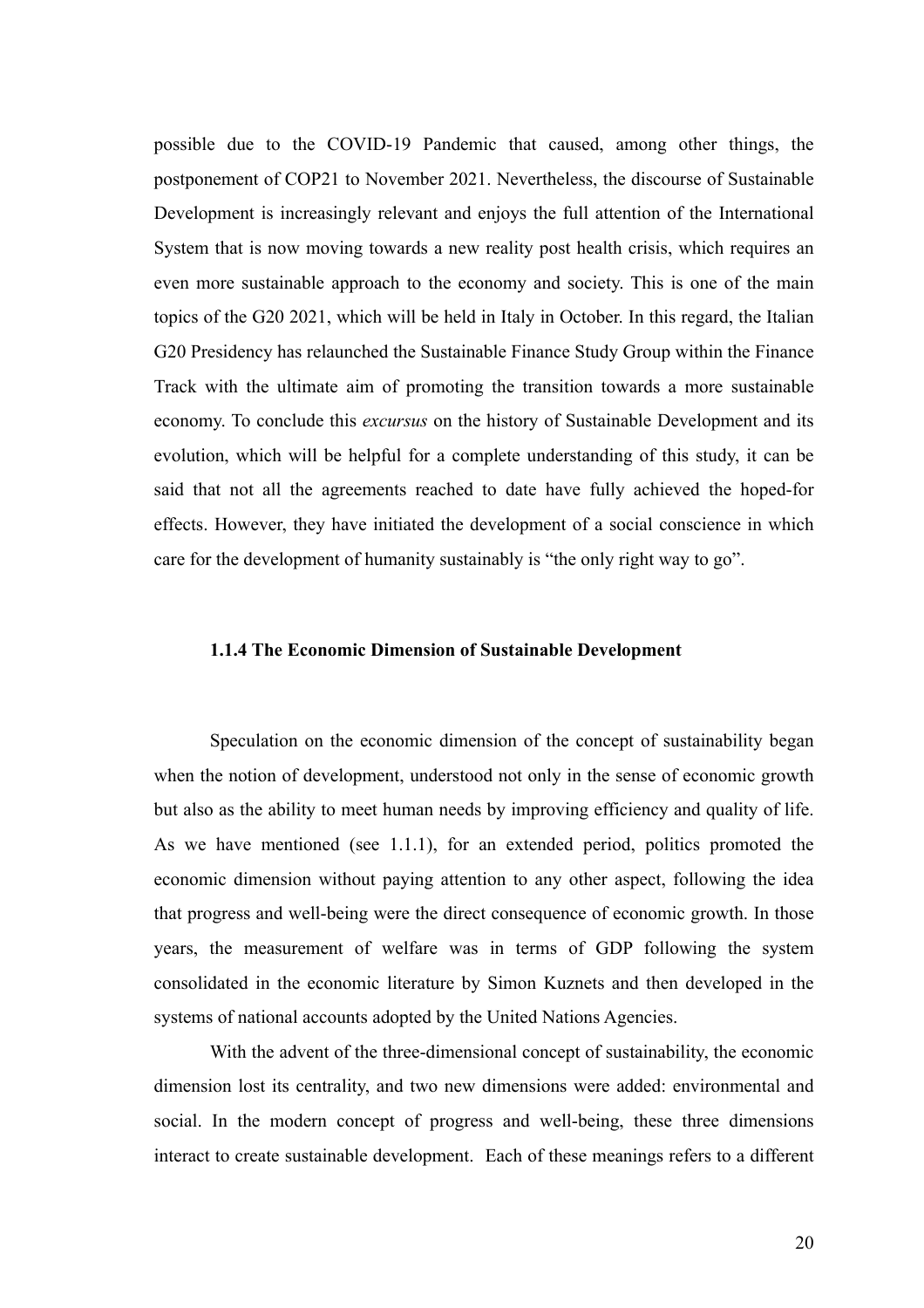possible due to the COVID-19 Pandemic that caused, among other things, the postponement of COP21 to November 2021. Nevertheless, the discourse of Sustainable Development is increasingly relevant and enjoys the full attention of the International System that is now moving towards a new reality post health crisis, which requires an even more sustainable approach to the economy and society. This is one of the main topics of the G20 2021, which will be held in Italy in October. In this regard, the Italian G20 Presidency has relaunched the Sustainable Finance Study Group within the Finance Track with the ultimate aim of promoting the transition towards a more sustainable economy. To conclude this *excursus* on the history of Sustainable Development and its evolution, which will be helpful for a complete understanding of this study, it can be said that not all the agreements reached to date have fully achieved the hoped-for effects. However, they have initiated the development of a social conscience in which care for the development of humanity sustainably is "the only right way to go".

#### **1.1.4 The Economic Dimension of Sustainable Development**

Speculation on the economic dimension of the concept of sustainability began when the notion of development, understood not only in the sense of economic growth but also as the ability to meet human needs by improving efficiency and quality of life. As we have mentioned (see 1.1.1), for an extended period, politics promoted the economic dimension without paying attention to any other aspect, following the idea that progress and well-being were the direct consequence of economic growth. In those years, the measurement of welfare was in terms of GDP following the system consolidated in the economic literature by Simon Kuznets and then developed in the systems of national accounts adopted by the United Nations Agencies.

With the advent of the three-dimensional concept of sustainability, the economic dimension lost its centrality, and two new dimensions were added: environmental and social. In the modern concept of progress and well-being, these three dimensions interact to create sustainable development. Each of these meanings refers to a different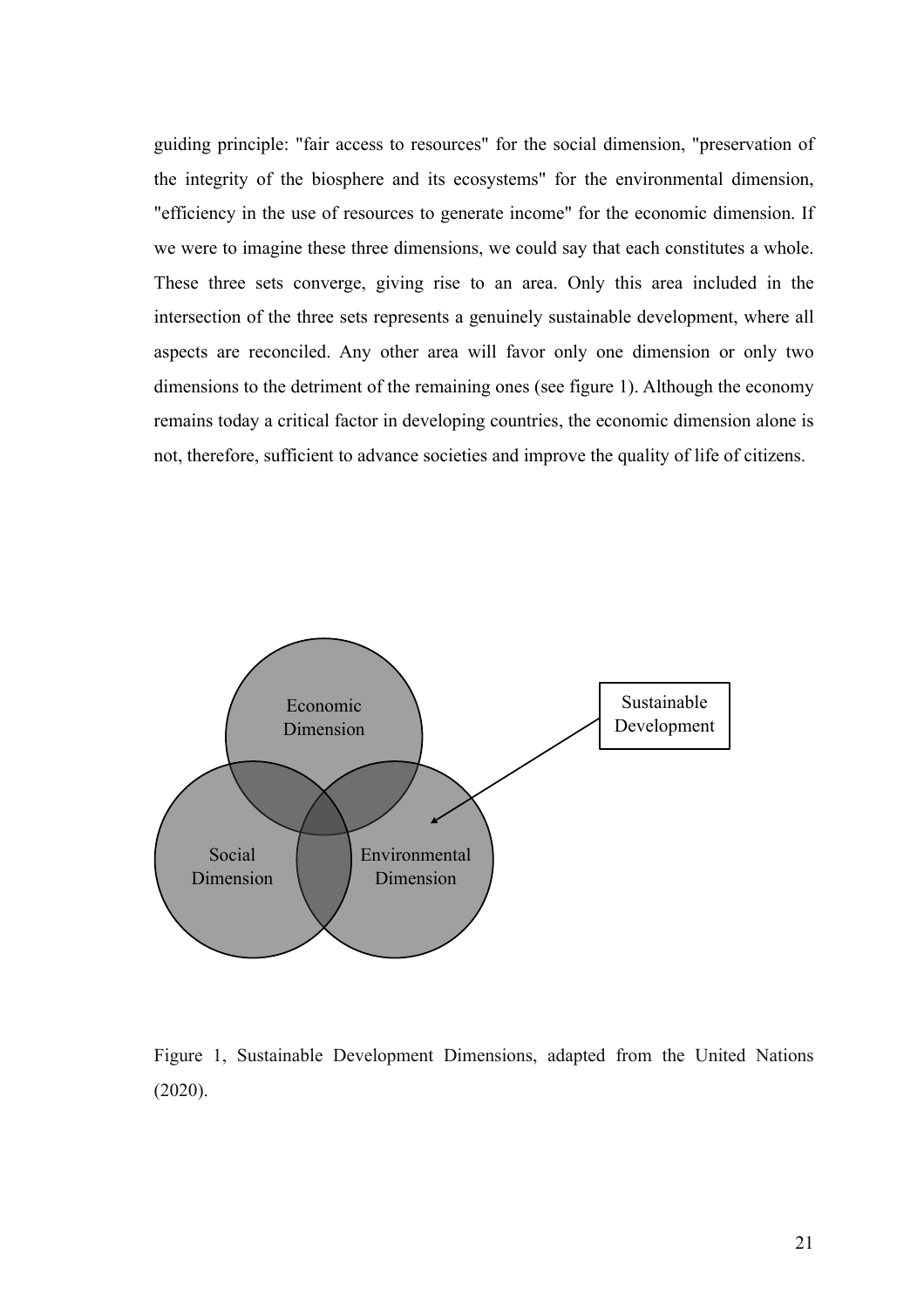guiding principle: "fair access to resources" for the social dimension, "preservation of the integrity of the biosphere and its ecosystems" for the environmental dimension, "efficiency in the use of resources to generate income" for the economic dimension. If we were to imagine these three dimensions, we could say that each constitutes a whole. These three sets converge, giving rise to an area. Only this area included in the intersection of the three sets represents a genuinely sustainable development, where all aspects are reconciled. Any other area will favor only one dimension or only two dimensions to the detriment of the remaining ones (see figure 1). Although the economy remains today a critical factor in developing countries, the economic dimension alone is not, therefore, sufficient to advance societies and improve the quality of life of citizens.



Figure 1, Sustainable Development Dimensions, adapted from the United Nations (2020).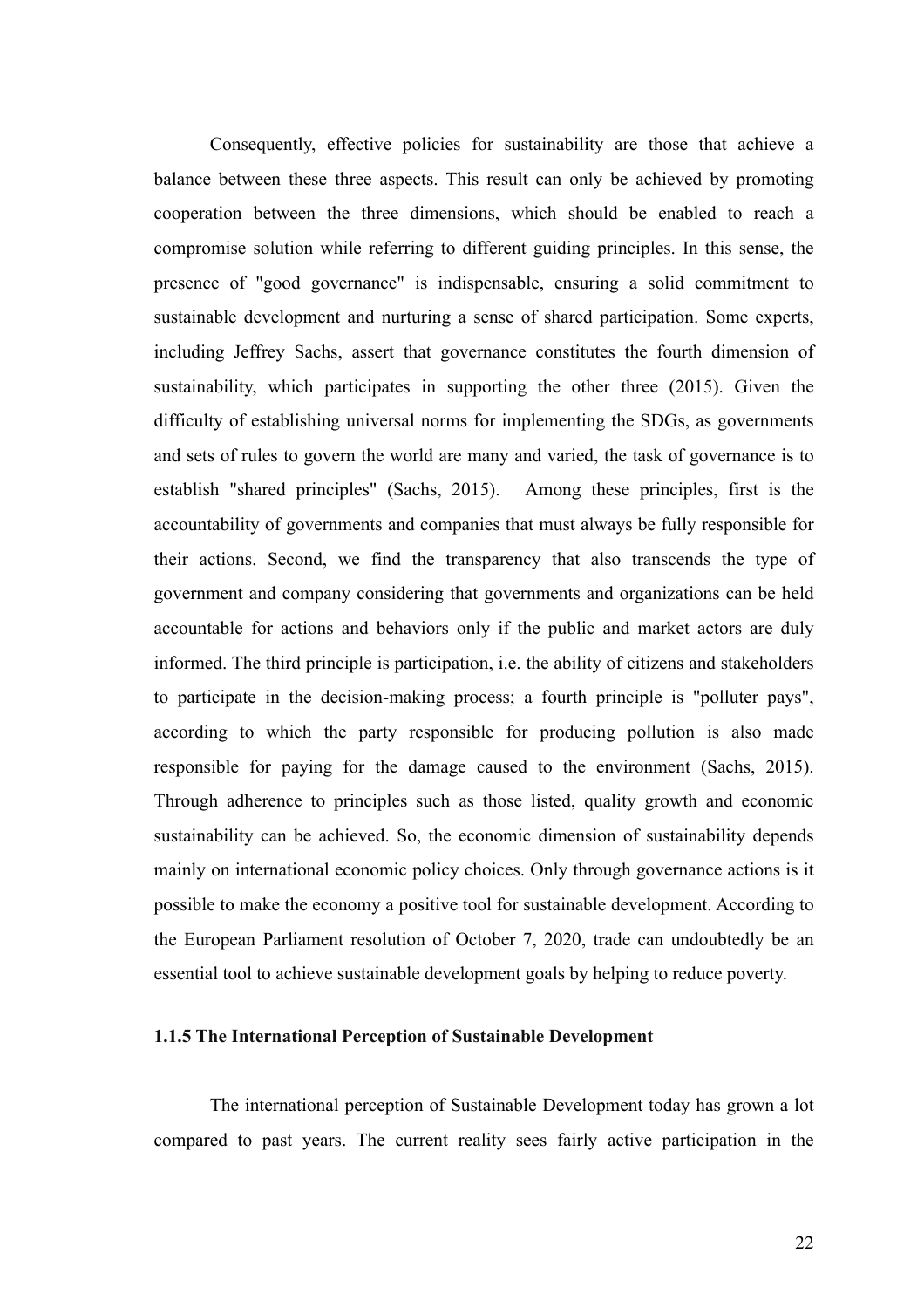Consequently, effective policies for sustainability are those that achieve a balance between these three aspects. This result can only be achieved by promoting cooperation between the three dimensions, which should be enabled to reach a compromise solution while referring to different guiding principles. In this sense, the presence of "good governance" is indispensable, ensuring a solid commitment to sustainable development and nurturing a sense of shared participation. Some experts, including Jeffrey Sachs, assert that governance constitutes the fourth dimension of sustainability, which participates in supporting the other three (2015). Given the difficulty of establishing universal norms for implementing the SDGs, as governments and sets of rules to govern the world are many and varied, the task of governance is to establish "shared principles" (Sachs, 2015). Among these principles, first is the accountability of governments and companies that must always be fully responsible for their actions. Second, we find the transparency that also transcends the type of government and company considering that governments and organizations can be held accountable for actions and behaviors only if the public and market actors are duly informed. The third principle is participation, i.e. the ability of citizens and stakeholders to participate in the decision-making process; a fourth principle is "polluter pays", according to which the party responsible for producing pollution is also made responsible for paying for the damage caused to the environment (Sachs, 2015). Through adherence to principles such as those listed, quality growth and economic sustainability can be achieved. So, the economic dimension of sustainability depends mainly on international economic policy choices. Only through governance actions is it possible to make the economy a positive tool for sustainable development. According to the European Parliament resolution of October 7, 2020, trade can undoubtedly be an essential tool to achieve sustainable development goals by helping to reduce poverty.

# **1.1.5 The International Perception of Sustainable Development**

The international perception of Sustainable Development today has grown a lot compared to past years. The current reality sees fairly active participation in the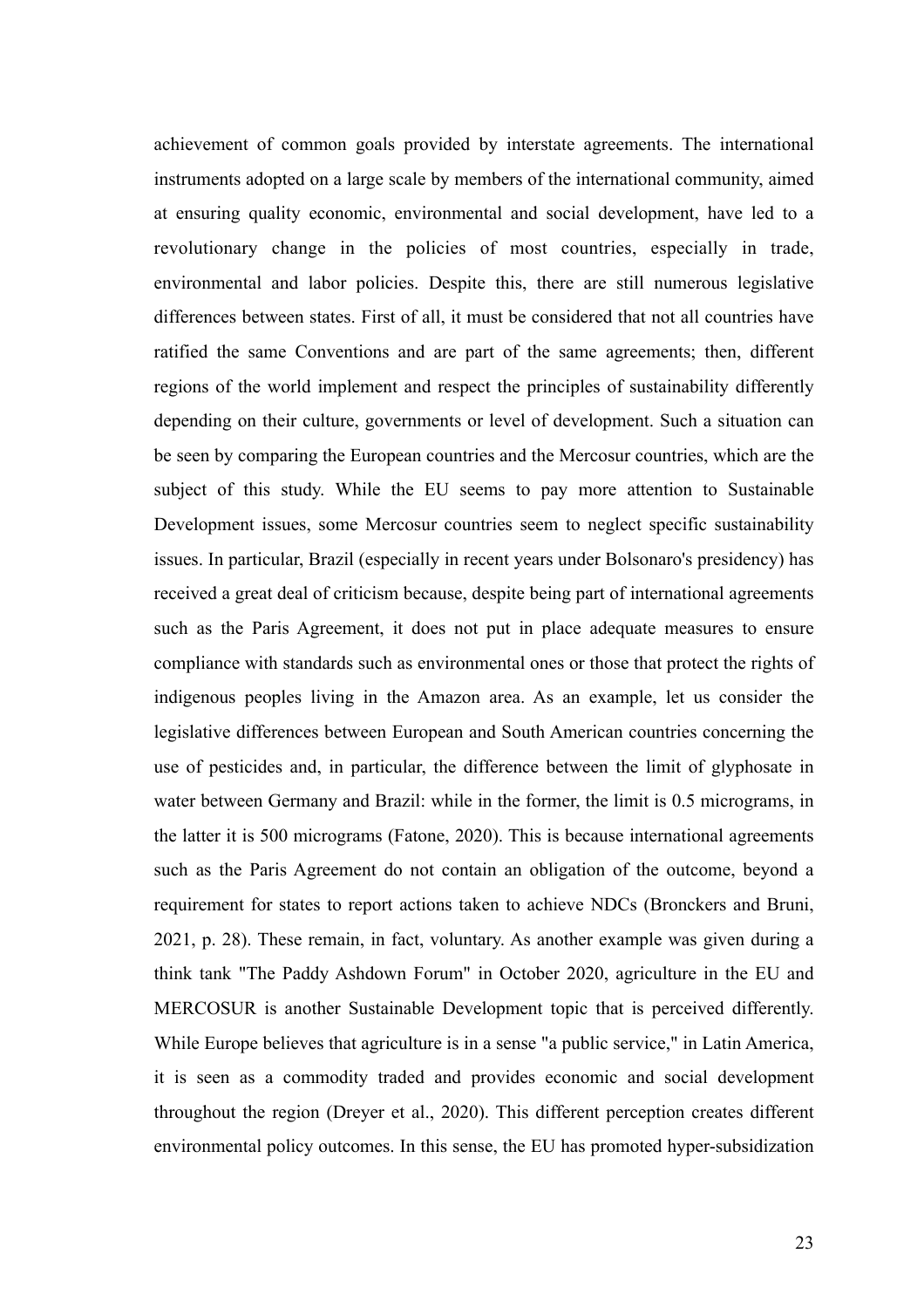achievement of common goals provided by interstate agreements. The international instruments adopted on a large scale by members of the international community, aimed at ensuring quality economic, environmental and social development, have led to a revolutionary change in the policies of most countries, especially in trade, environmental and labor policies. Despite this, there are still numerous legislative differences between states. First of all, it must be considered that not all countries have ratified the same Conventions and are part of the same agreements; then, different regions of the world implement and respect the principles of sustainability differently depending on their culture, governments or level of development. Such a situation can be seen by comparing the European countries and the Mercosur countries, which are the subject of this study. While the EU seems to pay more attention to Sustainable Development issues, some Mercosur countries seem to neglect specific sustainability issues. In particular, Brazil (especially in recent years under Bolsonaro's presidency) has received a great deal of criticism because, despite being part of international agreements such as the Paris Agreement, it does not put in place adequate measures to ensure compliance with standards such as environmental ones or those that protect the rights of indigenous peoples living in the Amazon area. As an example, let us consider the legislative differences between European and South American countries concerning the use of pesticides and, in particular, the difference between the limit of glyphosate in water between Germany and Brazil: while in the former, the limit is 0.5 micrograms, in the latter it is 500 micrograms (Fatone, 2020). This is because international agreements such as the Paris Agreement do not contain an obligation of the outcome, beyond a requirement for states to report actions taken to achieve NDCs (Bronckers and Bruni, 2021, p. 28). These remain, in fact, voluntary. As another example was given during a think tank "The Paddy Ashdown Forum" in October 2020, agriculture in the EU and MERCOSUR is another Sustainable Development topic that is perceived differently. While Europe believes that agriculture is in a sense "a public service," in Latin America, it is seen as a commodity traded and provides economic and social development throughout the region (Dreyer et al., 2020). This different perception creates different environmental policy outcomes. In this sense, the EU has promoted hyper-subsidization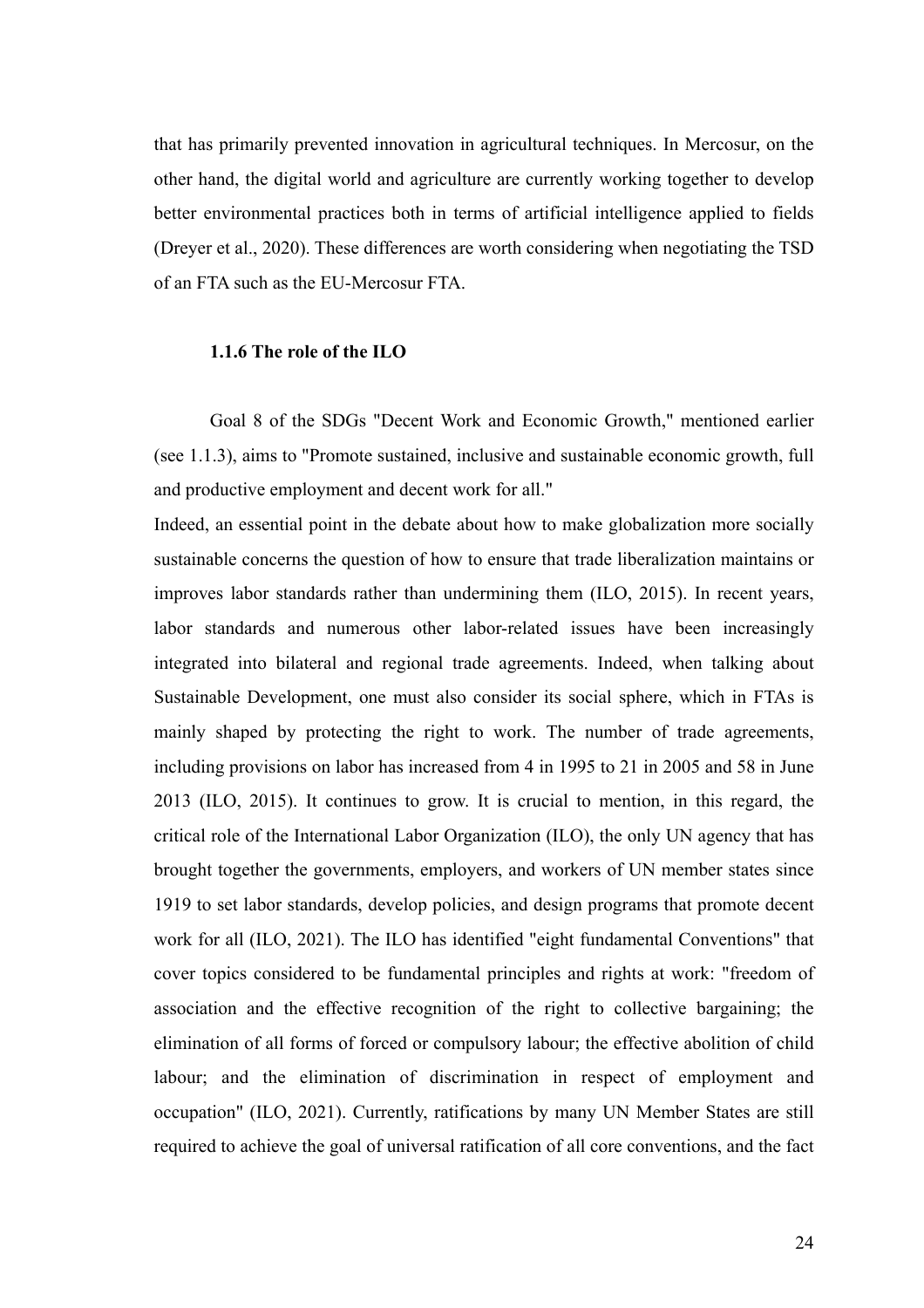that has primarily prevented innovation in agricultural techniques. In Mercosur, on the other hand, the digital world and agriculture are currently working together to develop better environmental practices both in terms of artificial intelligence applied to fields (Dreyer et al., 2020). These differences are worth considering when negotiating the TSD of an FTA such as the EU-Mercosur FTA.

# **1.1.6 The role of the ILO**

Goal 8 of the SDGs "Decent Work and Economic Growth," mentioned earlier (see 1.1.3), aims to "Promote sustained, inclusive and sustainable economic growth, full and productive employment and decent work for all."

Indeed, an essential point in the debate about how to make globalization more socially sustainable concerns the question of how to ensure that trade liberalization maintains or improves labor standards rather than undermining them (ILO, 2015). In recent years, labor standards and numerous other labor-related issues have been increasingly integrated into bilateral and regional trade agreements. Indeed, when talking about Sustainable Development, one must also consider its social sphere, which in FTAs is mainly shaped by protecting the right to work. The number of trade agreements, including provisions on labor has increased from 4 in 1995 to 21 in 2005 and 58 in June 2013 (ILO, 2015). It continues to grow. It is crucial to mention, in this regard, the critical role of the International Labor Organization (ILO), the only UN agency that has brought together the governments, employers, and workers of UN member states since 1919 to set labor standards, develop policies, and design programs that promote decent work for all (ILO, 2021). The ILO has identified "eight fundamental Conventions" that cover topics considered to be fundamental principles and rights at work: "freedom of association and the effective recognition of the right to collective bargaining; the elimination of all forms of forced or compulsory labour; the effective abolition of child labour; and the elimination of discrimination in respect of employment and occupation" (ILO, 2021). Currently, ratifications by many UN Member States are still required to achieve the goal of universal ratification of all core conventions, and the fact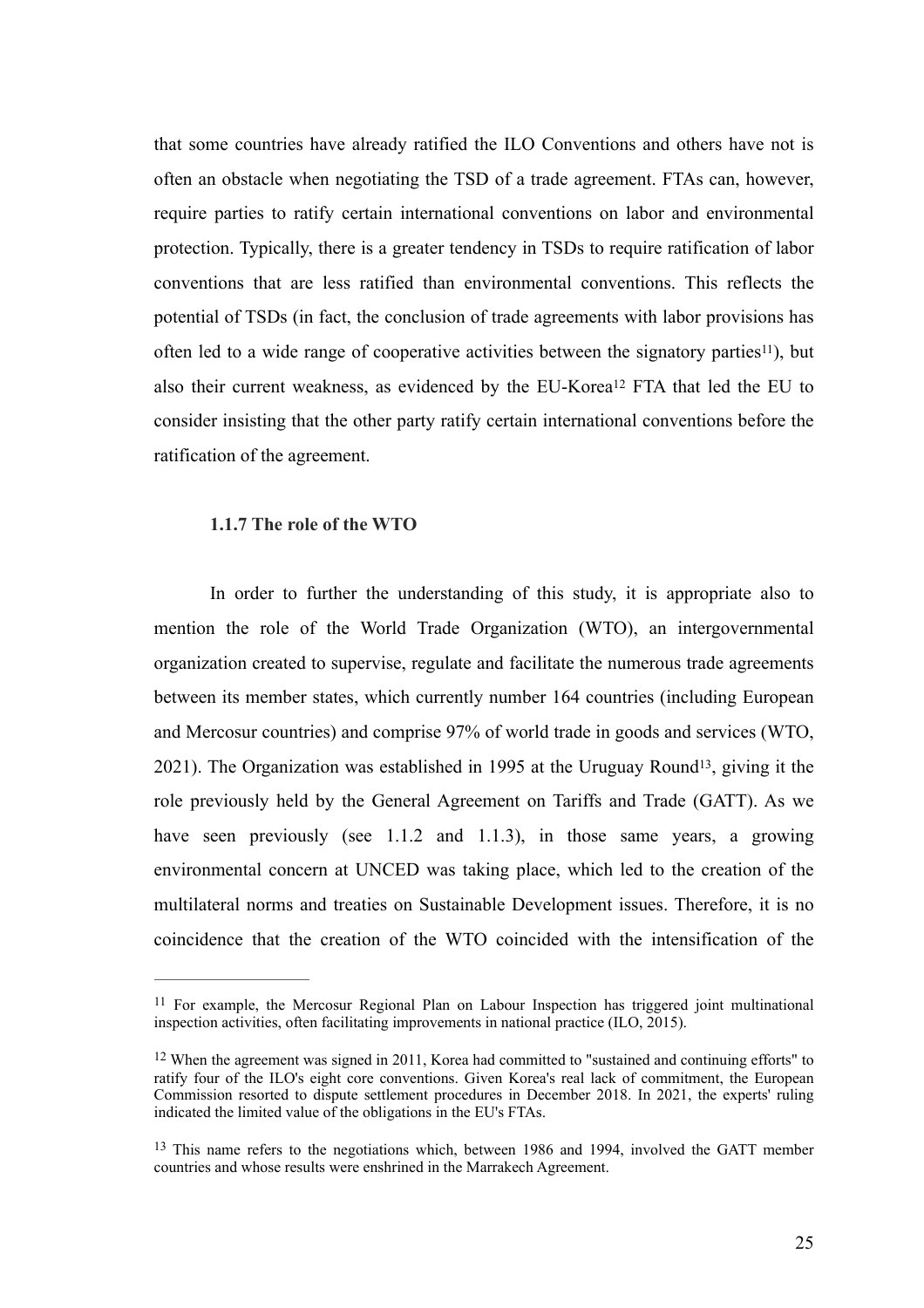that some countries have already ratified the ILO Conventions and others have not is often an obstacle when negotiating the TSD of a trade agreement. FTAs can, however, require parties to ratify certain international conventions on labor and environmental protection. Typically, there is a greater tendency in TSDs to require ratification of labor conventions that are less ratified than environmental conventions. This reflects the potential of TSDs (in fact, the conclusion of trade agreements with labor provisions has often led to a wide range of cooperative activities between the signatory parties<sup> $11$ </sup>[\)](#page-25-0), but alsotheir current weakness, as evidenced by the EU-Korea<sup>[12](#page-25-1)</sup> FTA that led the EU to consider insisting that the other party ratify certain international conventions before the ratification of the agreement.

# <span id="page-25-5"></span><span id="page-25-4"></span><span id="page-25-3"></span>**1.1.7 The role of the WTO**

In order to further the understanding of this study, it is appropriate also to mention the role of the World Trade Organization (WTO), an intergovernmental organization created to supervise, regulate and facilitate the numerous trade agreements between its member states, which currently number 164 countries (including European and Mercosur countries) and comprise 97% of world trade in goods and services (WTO,  $2021$ ). The Organization was established in 1995 at the Uruguay Round<sup>[13](#page-25-2)</sup>, giving it the role previously held by the General Agreement on Tariffs and Trade (GATT). As we have seen previously (see 1.1.2 and 1.1.3), in those same years, a growing environmental concern at UNCED was taking place, which led to the creation of the multilateral norms and treaties on Sustainable Development issues. Therefore, it is no coincidence that the creation of the WTO coincided with the intensification of the

<span id="page-25-0"></span><sup>&</sup>lt;sup>[11](#page-25-3)</sup> For example, the Mercosur Regional Plan on Labour Inspection has triggered joint multinational inspection activities, often facilitating improvements in national practice (ILO, 2015).

<span id="page-25-1"></span> $12$  When the agreement was signed in 2011, Korea had committed to "sustained and continuing efforts" to ratify four of the ILO's eight core conventions. Given Korea's real lack of commitment, the European Commission resorted to dispute settlement procedures in December 2018. In 2021, the experts' ruling indicated the limited value of the obligations in the EU's FTAs.

<span id="page-25-2"></span><sup>&</sup>lt;sup>[13](#page-25-5)</sup> This name refers to the negotiations which, between 1986 and 1994, involved the GATT member countries and whose results were enshrined in the Marrakech Agreement.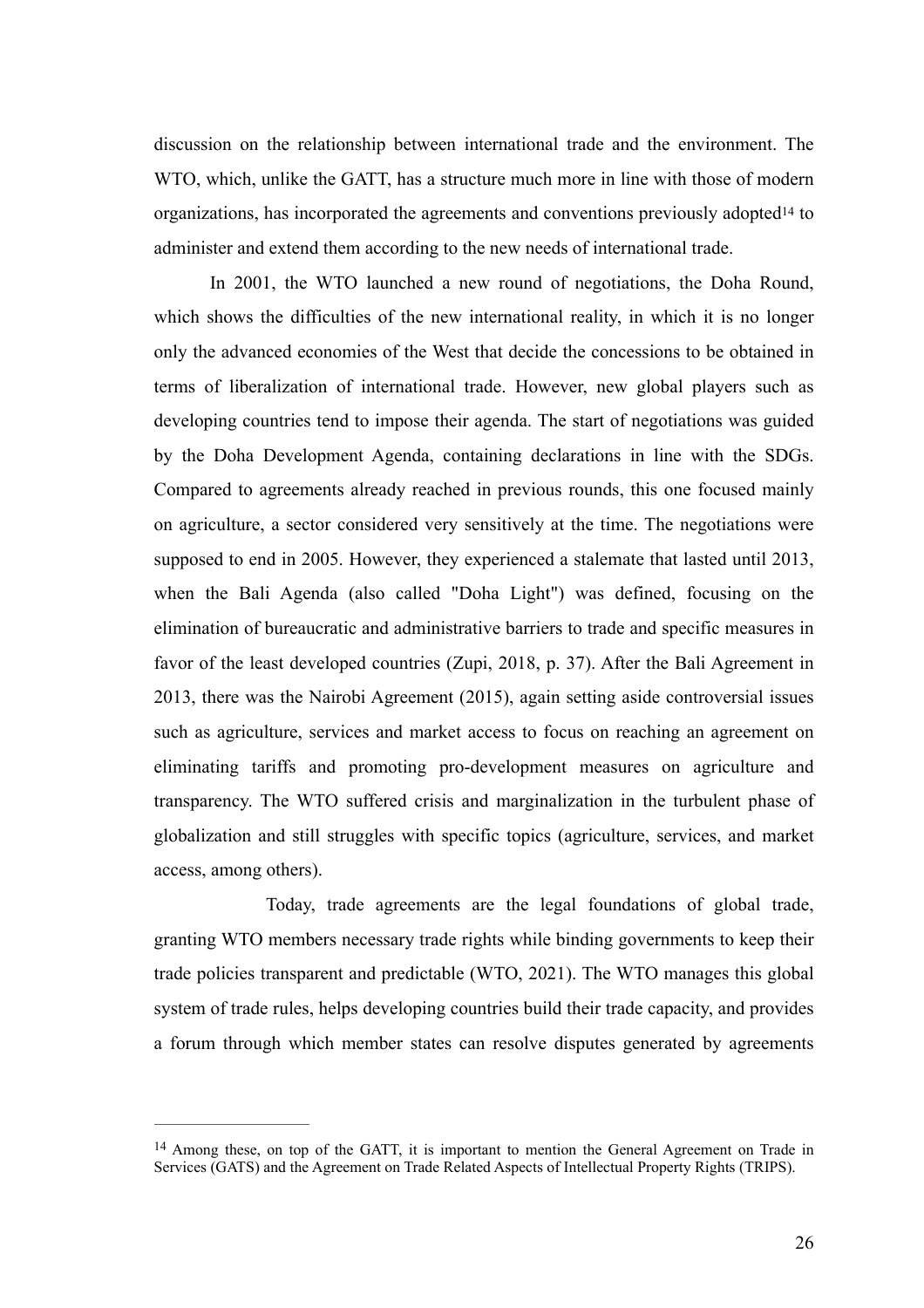<span id="page-26-1"></span>discussion on the relationship between international trade and the environment. The WTO, which, unlike the GATT, has a structure much more in line with those of modern organizations, has incorporate[d](#page-26-0) the agreements and conventions previously adopted<sup>[14](#page-26-0)</sup> to administer and extend them according to the new needs of international trade.

In 2001, the WTO launched a new round of negotiations, the Doha Round, which shows the difficulties of the new international reality, in which it is no longer only the advanced economies of the West that decide the concessions to be obtained in terms of liberalization of international trade. However, new global players such as developing countries tend to impose their agenda. The start of negotiations was guided by the Doha Development Agenda, containing declarations in line with the SDGs. Compared to agreements already reached in previous rounds, this one focused mainly on agriculture, a sector considered very sensitively at the time. The negotiations were supposed to end in 2005. However, they experienced a stalemate that lasted until 2013, when the Bali Agenda (also called "Doha Light") was defined, focusing on the elimination of bureaucratic and administrative barriers to trade and specific measures in favor of the least developed countries (Zupi, 2018, p. 37). After the Bali Agreement in 2013, there was the Nairobi Agreement (2015), again setting aside controversial issues such as agriculture, services and market access to focus on reaching an agreement on eliminating tariffs and promoting pro-development measures on agriculture and transparency. The WTO suffered crisis and marginalization in the turbulent phase of globalization and still struggles with specific topics (agriculture, services, and market access, among others).

Today, trade agreements are the legal foundations of global trade, granting WTO members necessary trade rights while binding governments to keep their trade policies transparent and predictable (WTO, 2021). The WTO manages this global system of trade rules, helps developing countries build their trade capacity, and provides a forum through which member states can resolve disputes generated by agreements

<span id="page-26-0"></span> $14$  Among these, on top of the GATT, it is important to mention the General Agreement on Trade in Services (GATS) and the Agreement on Trade Related Aspects of Intellectual Property Rights (TRIPS).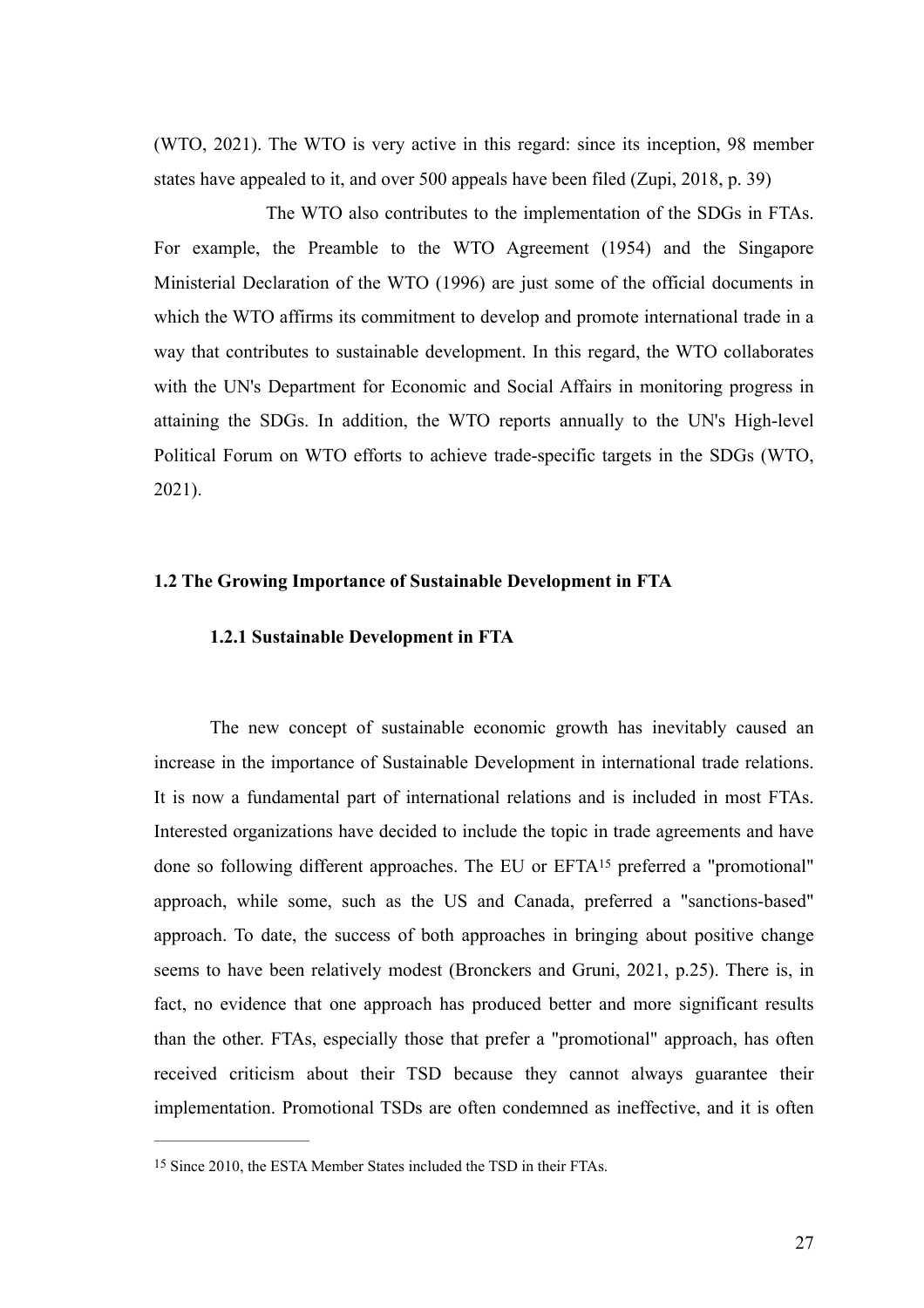(WTO, 2021). The WTO is very active in this regard: since its inception, 98 member states have appealed to it, and over 500 appeals have been filed (Zupi, 2018, p. 39)

The WTO also contributes to the implementation of the SDGs in FTAs. For example, the Preamble to the WTO Agreement (1954) and the Singapore Ministerial Declaration of the WTO (1996) are just some of the official documents in which the WTO affirms its commitment to develop and promote international trade in a way that contributes to sustainable development. In this regard, the WTO collaborates with the UN's Department for Economic and Social Affairs in monitoring progress in attaining the SDGs. In addition, the WTO reports annually to the UN's High-level Political Forum on WTO efforts to achieve trade-specific targets in the SDGs (WTO, 2021).

### **1.2 The Growing Importance of Sustainable Development in FTA**

# <span id="page-27-1"></span>**1.2.1 Sustainable Development in FTA**

The new concept of sustainable economic growth has inevitably caused an increase in the importance of Sustainable Development in international trade relations. It is now a fundamental part of international relations and is included in most FTAs. Interested organizations have decided to include the topic in trade agreements and have doneso following different approaches. The EU or EFTA<sup>[15](#page-27-0)</sup> preferred a "promotional" approach, while some, such as the US and Canada, preferred a "sanctions-based" approach. To date, the success of both approaches in bringing about positive change seems to have been relatively modest (Bronckers and Gruni, 2021, p.25). There is, in fact, no evidence that one approach has produced better and more significant results than the other. FTAs, especially those that prefer a "promotional" approach, has often received criticism about their TSD because they cannot always guarantee their implementation. Promotional TSDs are often condemned as ineffective, and it is often

<span id="page-27-0"></span><sup>&</sup>lt;sup>[15](#page-27-1)</sup> Since 2010, the ESTA Member States included the TSD in their FTAs.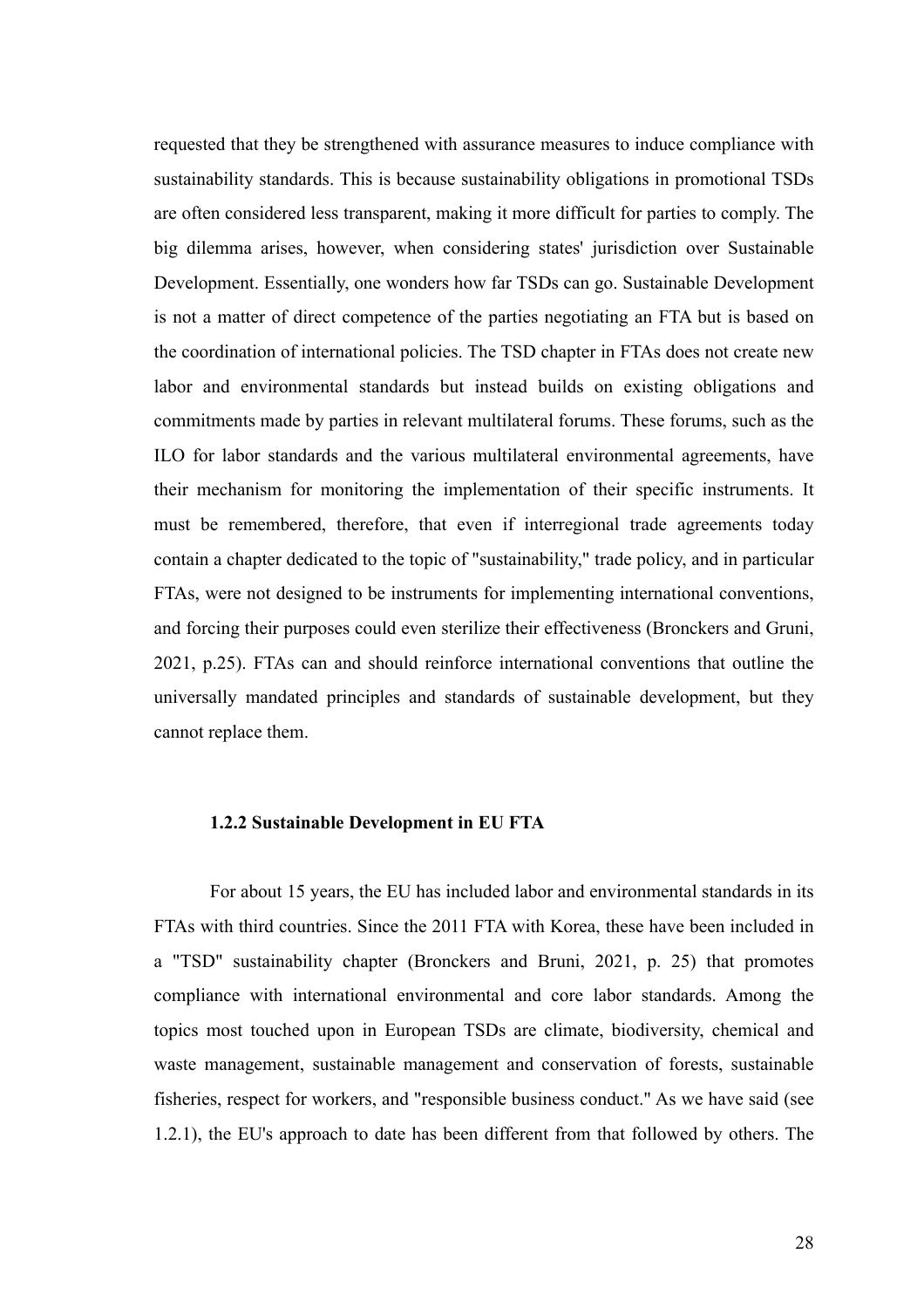requested that they be strengthened with assurance measures to induce compliance with sustainability standards. This is because sustainability obligations in promotional TSDs are often considered less transparent, making it more difficult for parties to comply. The big dilemma arises, however, when considering states' jurisdiction over Sustainable Development. Essentially, one wonders how far TSDs can go. Sustainable Development is not a matter of direct competence of the parties negotiating an FTA but is based on the coordination of international policies. The TSD chapter in FTAs does not create new labor and environmental standards but instead builds on existing obligations and commitments made by parties in relevant multilateral forums. These forums, such as the ILO for labor standards and the various multilateral environmental agreements, have their mechanism for monitoring the implementation of their specific instruments. It must be remembered, therefore, that even if interregional trade agreements today contain a chapter dedicated to the topic of "sustainability," trade policy, and in particular FTAs, were not designed to be instruments for implementing international conventions, and forcing their purposes could even sterilize their effectiveness (Bronckers and Gruni, 2021, p.25). FTAs can and should reinforce international conventions that outline the universally mandated principles and standards of sustainable development, but they cannot replace them.

#### **1.2.2 Sustainable Development in EU FTA**

For about 15 years, the EU has included labor and environmental standards in its FTAs with third countries. Since the 2011 FTA with Korea, these have been included in a "TSD" sustainability chapter (Bronckers and Bruni, 2021, p. 25) that promotes compliance with international environmental and core labor standards. Among the topics most touched upon in European TSDs are climate, biodiversity, chemical and waste management, sustainable management and conservation of forests, sustainable fisheries, respect for workers, and "responsible business conduct." As we have said (see 1.2.1), the EU's approach to date has been different from that followed by others. The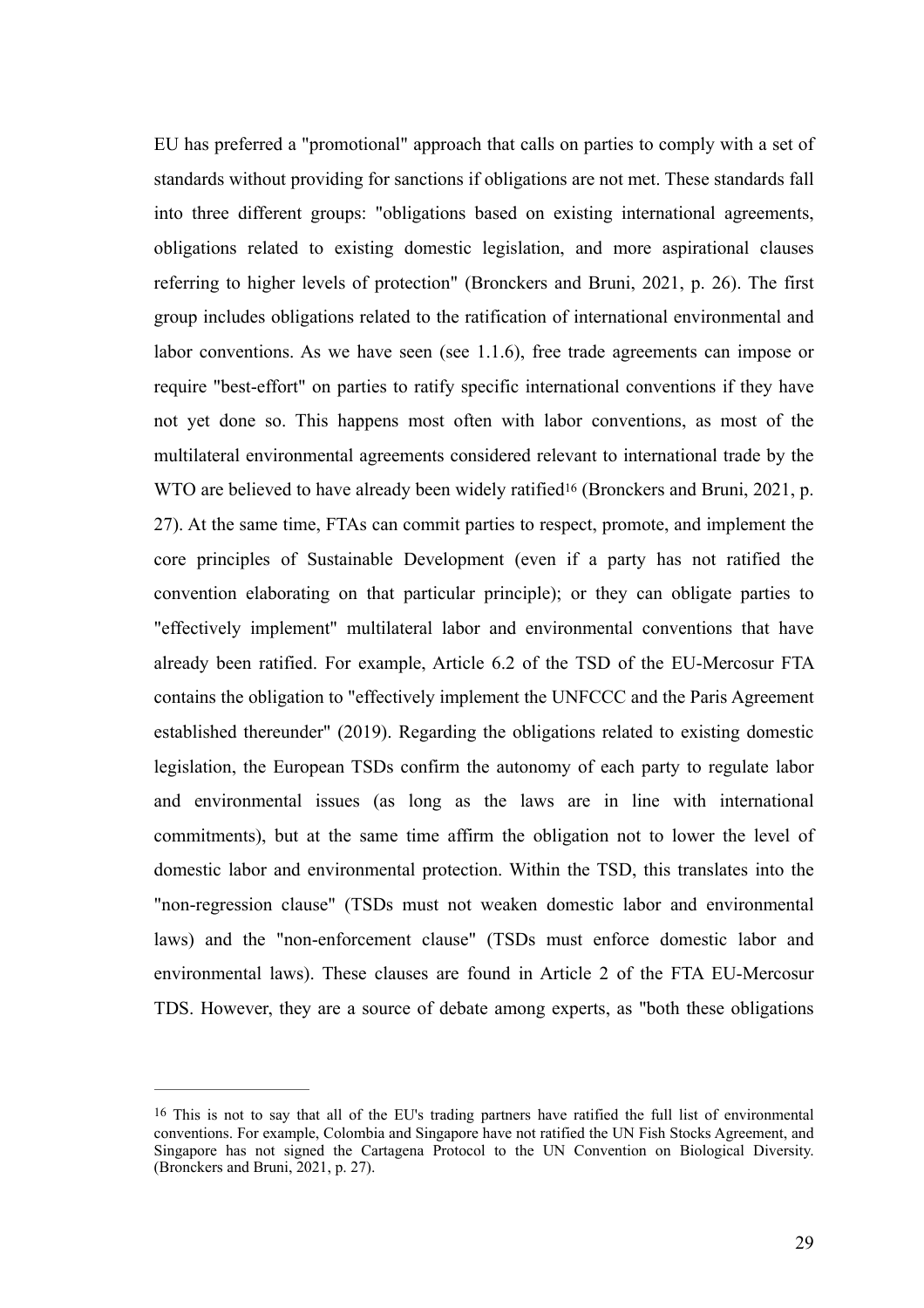<span id="page-29-1"></span>EU has preferred a "promotional" approach that calls on parties to comply with a set of standards without providing for sanctions if obligations are not met. These standards fall into three different groups: "obligations based on existing international agreements, obligations related to existing domestic legislation, and more aspirational clauses referring to higher levels of protection" (Bronckers and Bruni, 2021, p. 26). The first group includes obligations related to the ratification of international environmental and labor conventions. As we have seen (see 1.1.6), free trade agreements can impose or require "best-effort" on parties to ratify specific international conventions if they have not yet done so. This happens most often with labor conventions, as most of the multilateral environmental agreements considered relevant to international trade by the WTOare believed to have already been widely ratified<sup>[16](#page-29-0)</sup> (Bronckers and Bruni, 2021, p. 27). At the same time, FTAs can commit parties to respect, promote, and implement the core principles of Sustainable Development (even if a party has not ratified the convention elaborating on that particular principle); or they can obligate parties to "effectively implement" multilateral labor and environmental conventions that have already been ratified. For example, Article 6.2 of the TSD of the EU-Mercosur FTA contains the obligation to "effectively implement the UNFCCC and the Paris Agreement established thereunder" (2019). Regarding the obligations related to existing domestic legislation, the European TSDs confirm the autonomy of each party to regulate labor and environmental issues (as long as the laws are in line with international commitments), but at the same time affirm the obligation not to lower the level of domestic labor and environmental protection. Within the TSD, this translates into the "non-regression clause" (TSDs must not weaken domestic labor and environmental laws) and the "non-enforcement clause" (TSDs must enforce domestic labor and environmental laws). These clauses are found in Article 2 of the FTA EU-Mercosur TDS. However, they are a source of debate among experts, as "both these obligations

<span id="page-29-0"></span> $16$  This is not to say that all of the EU's trading partners have ratified the full list of environmental conventions. For example, Colombia and Singapore have not ratified the UN Fish Stocks Agreement, and Singapore has not signed the Cartagena Protocol to the UN Convention on Biological Diversity. (Bronckers and Bruni, 2021, p. 27).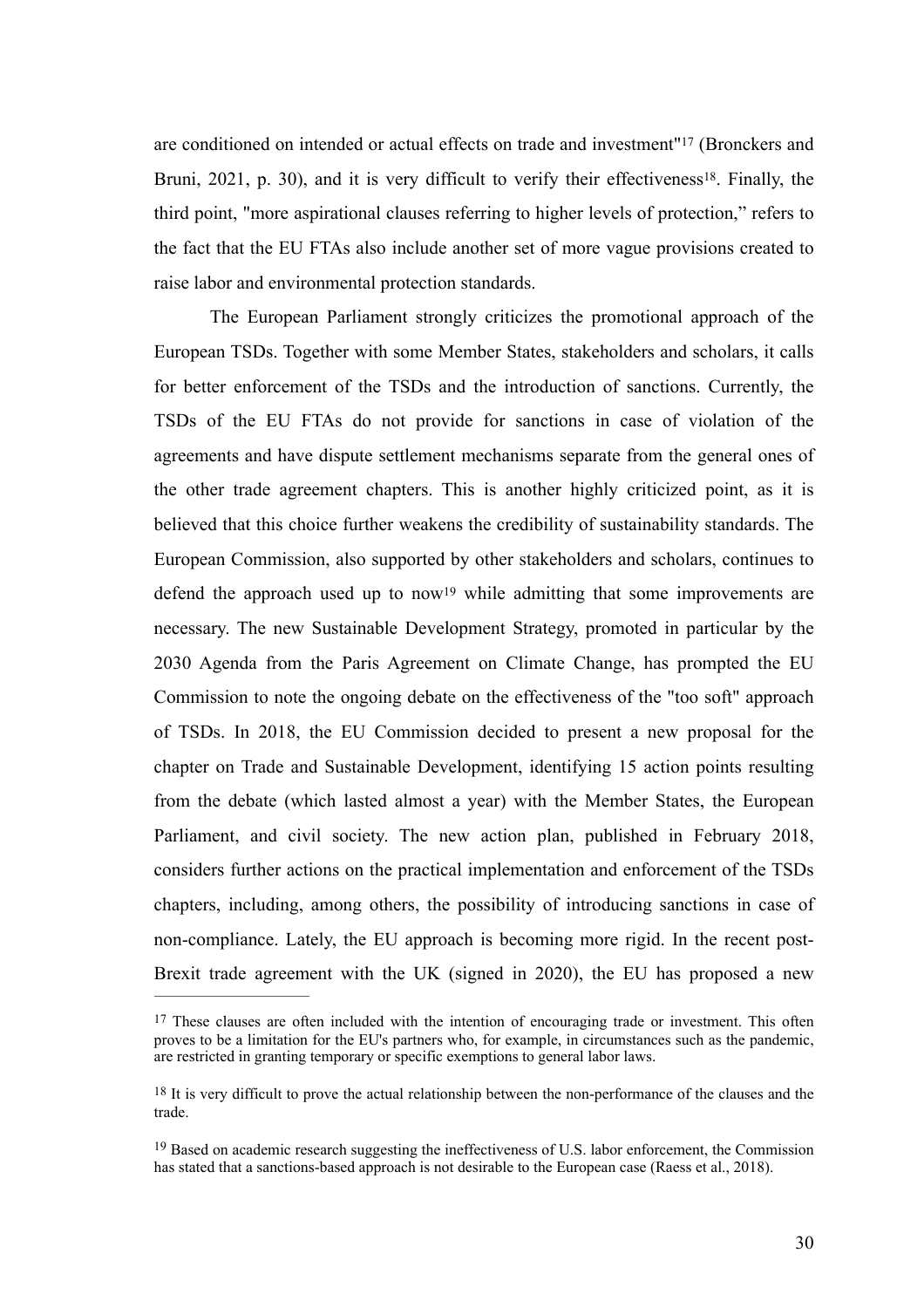<span id="page-30-4"></span><span id="page-30-3"></span>areconditioned on intended or actual effects on trade and investment"<sup>[17](#page-30-0)</sup> (Bronckers and Bruni,  $2021$ , p. 30), and it is very difficult to verify their effectiveness<sup>[18](#page-30-1)</sup>. Finally, the third point, "more aspirational clauses referring to higher levels of protection," refers to the fact that the EU FTAs also include another set of more vague provisions created to raise labor and environmental protection standards.

<span id="page-30-5"></span>The European Parliament strongly criticizes the promotional approach of the European TSDs. Together with some Member States, stakeholders and scholars, it calls for better enforcement of the TSDs and the introduction of sanctions. Currently, the TSDs of the EU FTAs do not provide for sanctions in case of violation of the agreements and have dispute settlement mechanisms separate from the general ones of the other trade agreement chapters. This is another highly criticized point, as it is believed that this choice further weakens the credibility of sustainability standards. The European Commission, also supported by other stakeholders and scholars, continues to defendthe approach used up to now<sup>[19](#page-30-2)</sup> while admitting that some improvements are necessary. The new Sustainable Development Strategy, promoted in particular by the 2030 Agenda from the Paris Agreement on Climate Change, has prompted the EU Commission to note the ongoing debate on the effectiveness of the "too soft" approach of TSDs. In 2018, the EU Commission decided to present a new proposal for the chapter on Trade and Sustainable Development, identifying 15 action points resulting from the debate (which lasted almost a year) with the Member States, the European Parliament, and civil society. The new action plan, published in February 2018, considers further actions on the practical implementation and enforcement of the TSDs chapters, including, among others, the possibility of introducing sanctions in case of non-compliance. Lately, the EU approach is becoming more rigid. In the recent post-Brexit trade agreement with the UK (signed in 2020), the EU has proposed a new

<span id="page-30-0"></span><sup>&</sup>lt;sup>[17](#page-30-3)</sup> These clauses are often included with the intention of encouraging trade or investment. This often proves to be a limitation for the EU's partners who, for example, in circumstances such as the pandemic, are restricted in granting temporary or specific exemptions to general labor laws.

<span id="page-30-1"></span> $18$  It is very difficult to prove the actual relationship between the non-performance of the clauses and the trade.

<span id="page-30-2"></span> $19$  Based on academic research suggesting the ineffectiveness of U.S. labor enforcement, the Commission has stated that a sanctions-based approach is not desirable to the European case (Raess et al., 2018).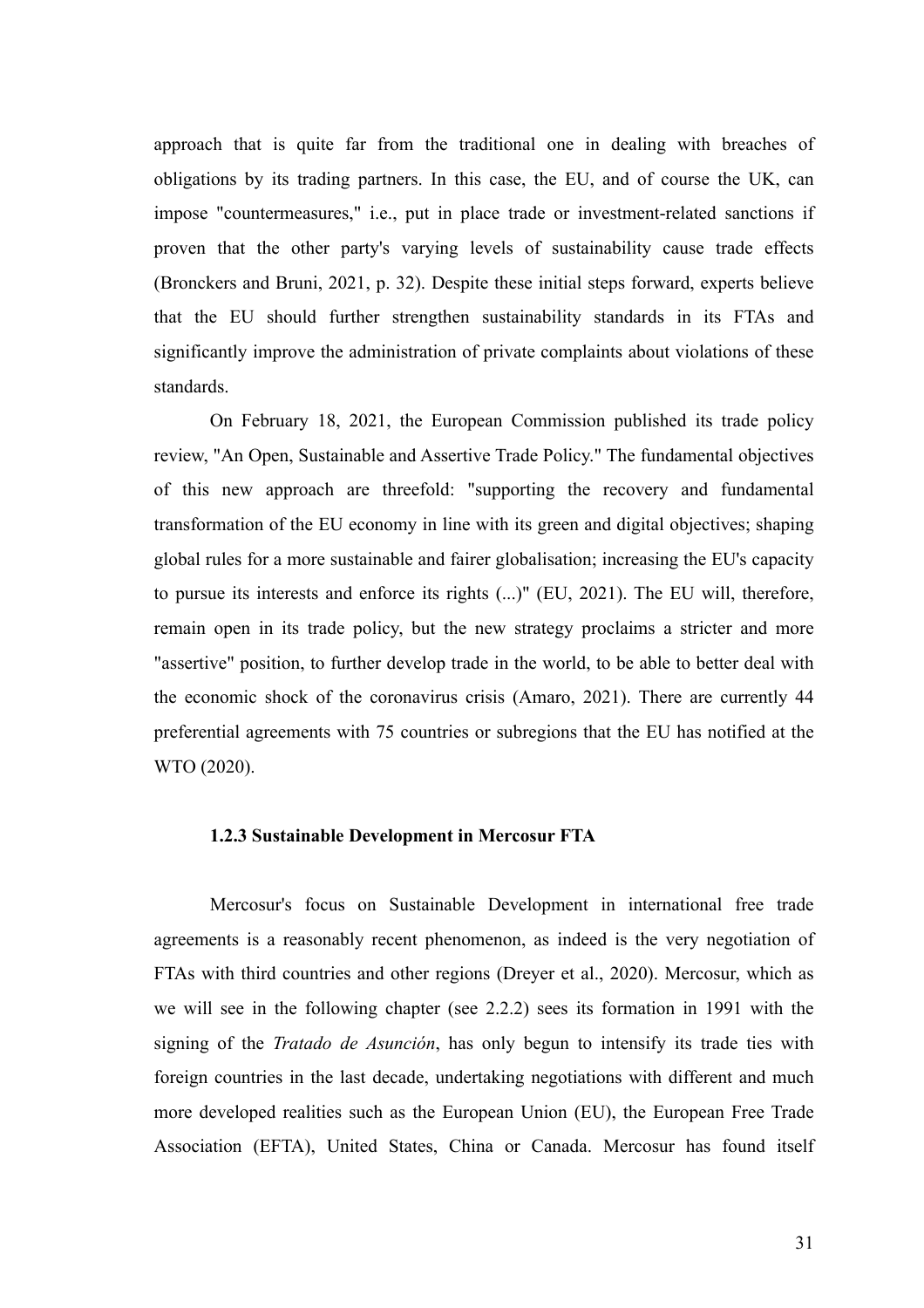approach that is quite far from the traditional one in dealing with breaches of obligations by its trading partners. In this case, the EU, and of course the UK, can impose "countermeasures," i.e., put in place trade or investment-related sanctions if proven that the other party's varying levels of sustainability cause trade effects (Bronckers and Bruni, 2021, p. 32). Despite these initial steps forward, experts believe that the EU should further strengthen sustainability standards in its FTAs and significantly improve the administration of private complaints about violations of these standards.

On February 18, 2021, the European Commission published its trade policy review, "An Open, Sustainable and Assertive Trade Policy." The fundamental objectives of this new approach are threefold: "supporting the recovery and fundamental transformation of the EU economy in line with its green and digital objectives; shaping global rules for a more sustainable and fairer globalisation; increasing the EU's capacity to pursue its interests and enforce its rights (...)" (EU, 2021). The EU will, therefore, remain open in its trade policy, but the new strategy proclaims a stricter and more "assertive" position, to further develop trade in the world, to be able to better deal with the economic shock of the coronavirus crisis (Amaro, 2021). There are currently 44 preferential agreements with 75 countries or subregions that the EU has notified at the WTO (2020).

# **1.2.3 Sustainable Development in Mercosur FTA**

Mercosur's focus on Sustainable Development in international free trade agreements is a reasonably recent phenomenon, as indeed is the very negotiation of FTAs with third countries and other regions (Dreyer et al., 2020). Mercosur, which as we will see in the following chapter (see 2.2.2) sees its formation in 1991 with the signing of the *Tratado de Asunción*, has only begun to intensify its trade ties with foreign countries in the last decade, undertaking negotiations with different and much more developed realities such as the European Union (EU), the European Free Trade Association (EFTA), United States, China or Canada. Mercosur has found itself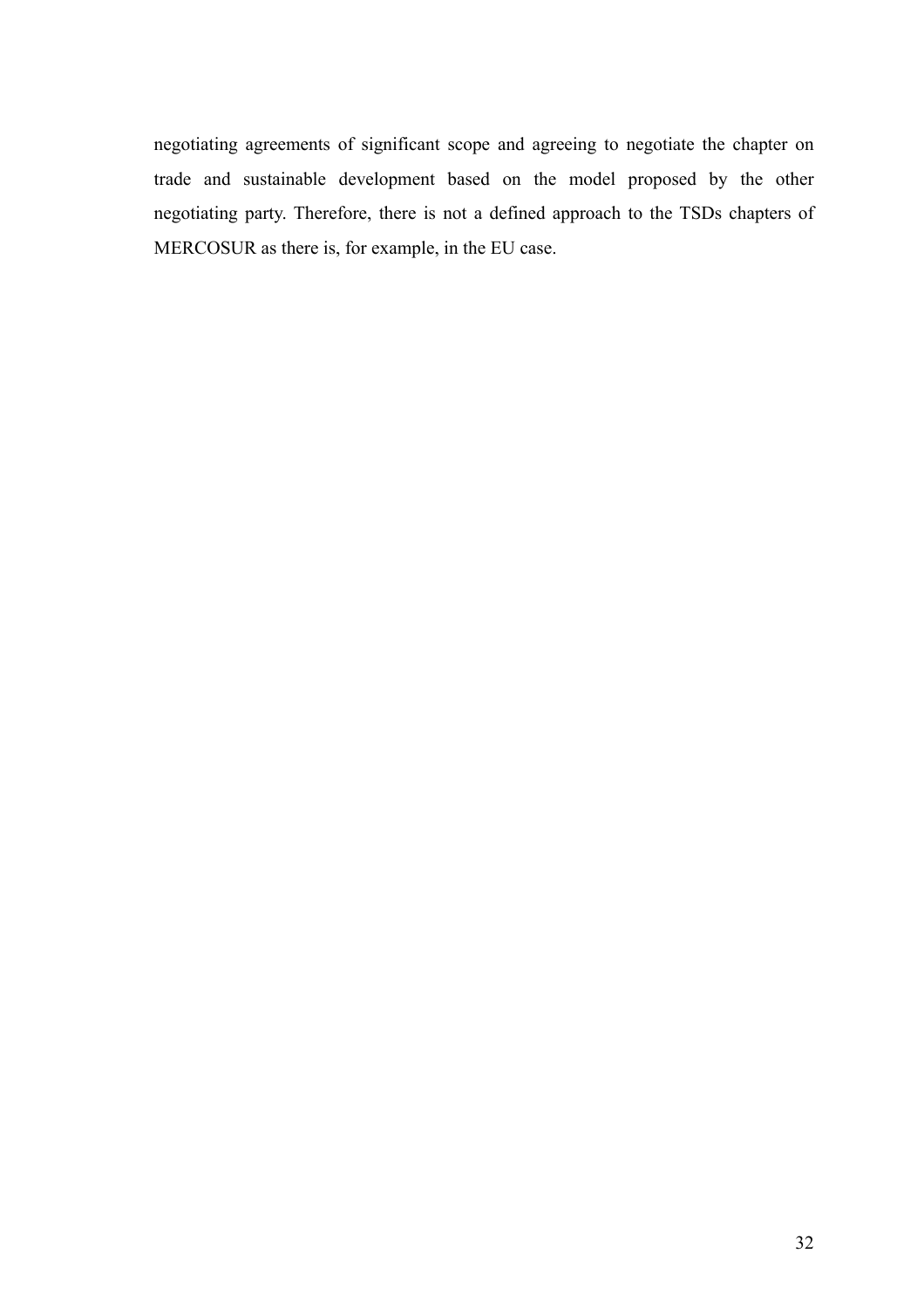negotiating agreements of significant scope and agreeing to negotiate the chapter on trade and sustainable development based on the model proposed by the other negotiating party. Therefore, there is not a defined approach to the TSDs chapters of MERCOSUR as there is, for example, in the EU case.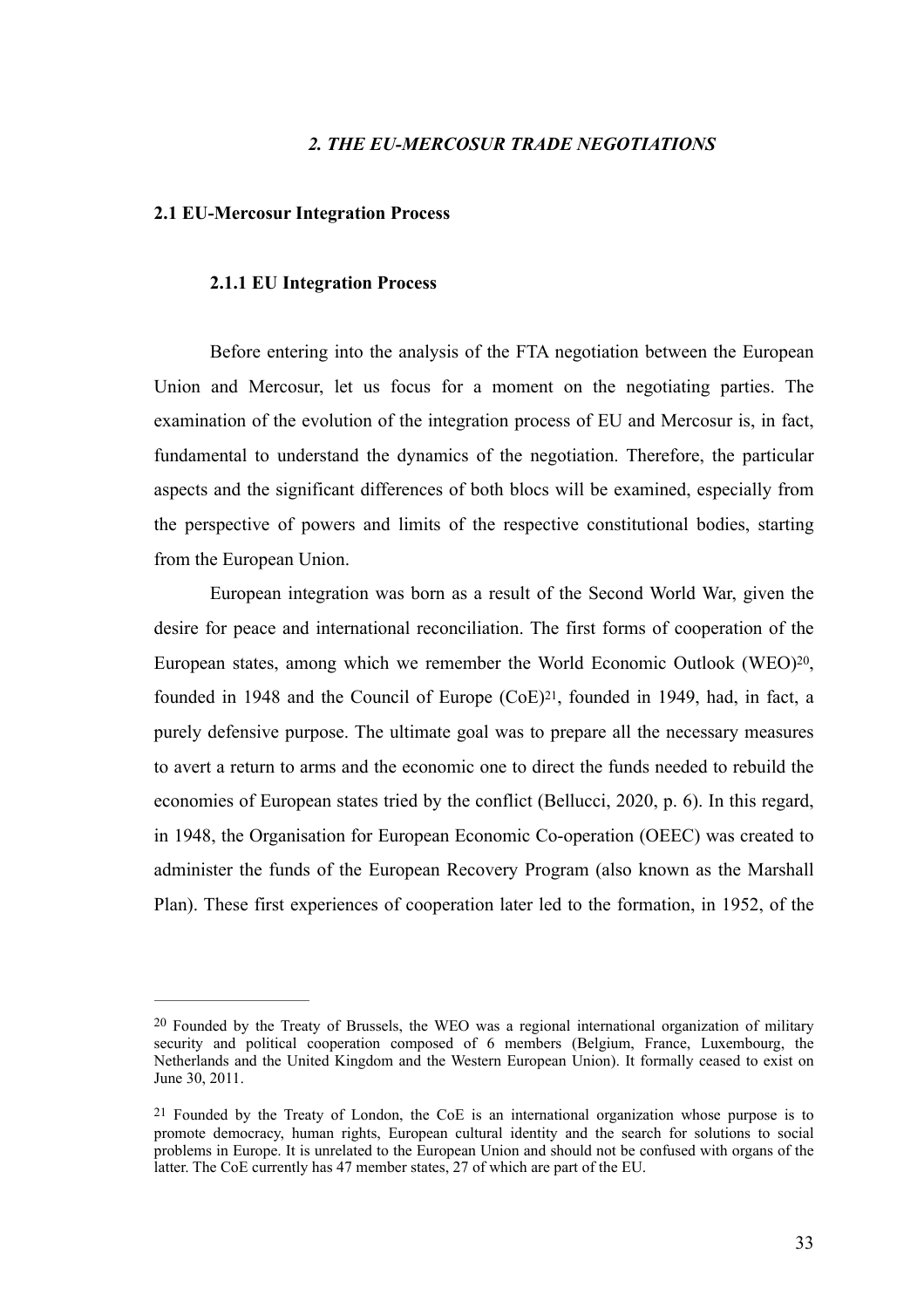## *2. THE EU-MERCOSUR TRADE NEGOTIATIONS*

#### **2.1 EU-Mercosur Integration Process**

#### **2.1.1 EU Integration Process**

Before entering into the analysis of the FTA negotiation between the European Union and Mercosur, let us focus for a moment on the negotiating parties. The examination of the evolution of the integration process of EU and Mercosur is, in fact, fundamental to understand the dynamics of the negotiation. Therefore, the particular aspects and the significant differences of both blocs will be examined, especially from the perspective of powers and limits of the respective constitutional bodies, starting from the European Union.

<span id="page-33-3"></span><span id="page-33-2"></span>European integration was born as a result of the Second World War, given the desire for peace and international reconciliation. The first forms of cooperation of the European states, among which we remember the World Economic Outlook (WEO)<sup>[20](#page-33-0)</sup>, founded in 1948 and the Council of Europe  $(CoE)^{21}$  $(CoE)^{21}$  $(CoE)^{21}$ [,](#page-33-1) founded in 1949, had, in fact, a purely defensive purpose. The ultimate goal was to prepare all the necessary measures to avert a return to arms and the economic one to direct the funds needed to rebuild the economies of European states tried by the conflict (Bellucci, 2020, p. 6). In this regard, in 1948, the Organisation for European Economic Co-operation (OEEC) was created to administer the funds of the European Recovery Program (also known as the Marshall Plan). These first experiences of cooperation later led to the formation, in 1952, of the

<span id="page-33-0"></span> $20$  Founded by the Treaty of Brussels, the WEO was a regional international organization of military security and political cooperation composed of 6 members (Belgium, France, Luxembourg, the Netherlands and the United Kingdom and the Western European Union). It formally ceased to exist on June 30, 2011.

<span id="page-33-1"></span> $21$  Founded by the Treaty of London, the CoE is an international organization whose purpose is to promote democracy, human rights, European cultural identity and the search for solutions to social problems in Europe. It is unrelated to the European Union and should not be confused with organs of the latter. The CoE currently has 47 member states, 27 of which are part of the EU.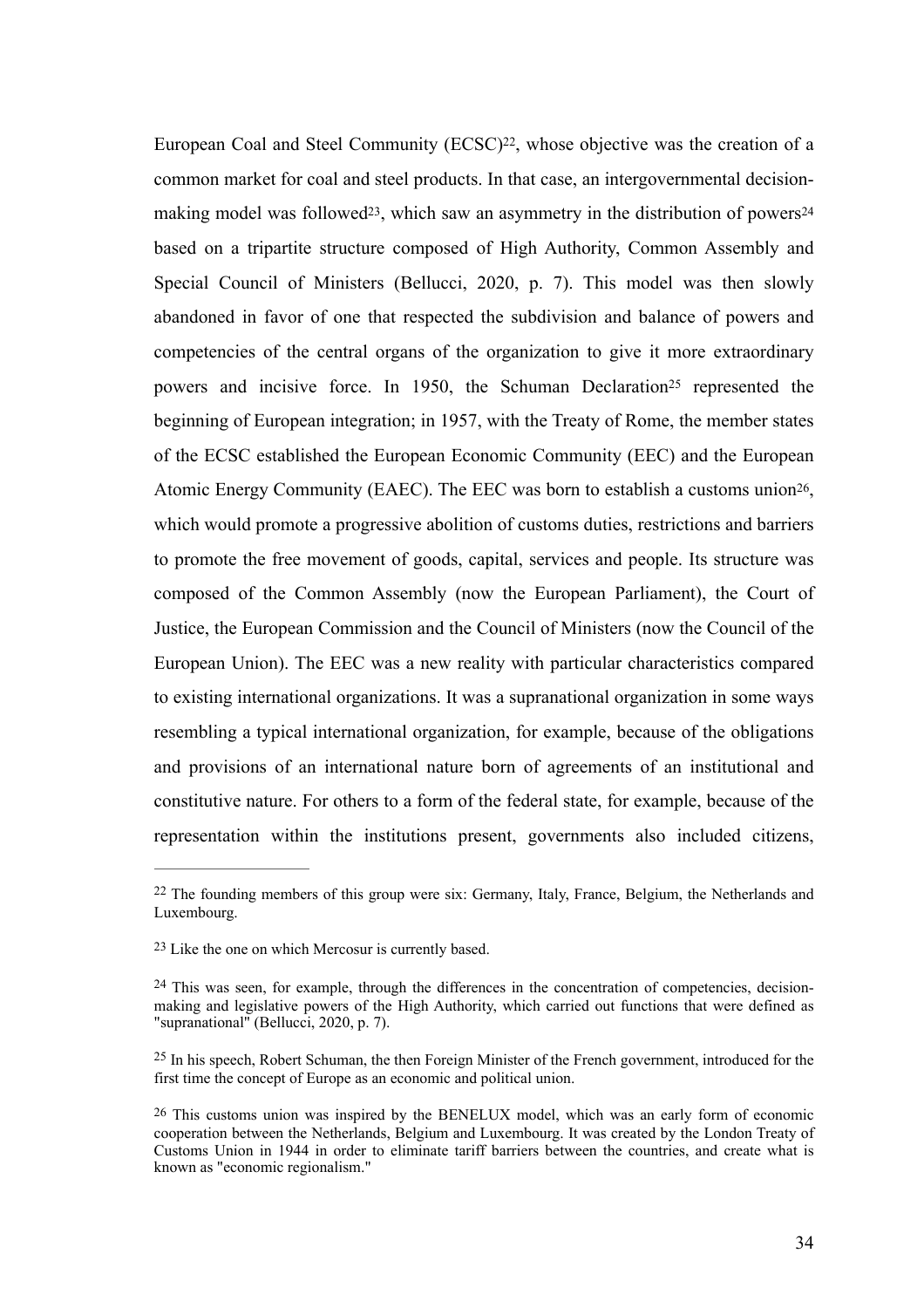<span id="page-34-9"></span><span id="page-34-8"></span><span id="page-34-7"></span><span id="page-34-6"></span><span id="page-34-5"></span>European Coal and Steel Community  $(ECSC)^{22}$  $(ECSC)^{22}$  $(ECSC)^{22}$ [,](#page-34-0) whose objective was the creation of a common market for coal and steel products. In that case, an intergovernmental decision-making model was followed<sup>[23](#page-34-1)</sup>, which saw an asymmetry in the distribution of powers<sup>[24](#page-34-2)</sup> based on a tripartite structure composed of High Authority, Common Assembly and Special Council of Ministers (Bellucci, 2020, p. 7). This model was then slowly abandoned in favor of one that respected the subdivision and balance of powers and competencies of the central organs of the organization to give it more extraordinary powersand incisive force. In 1950, the Schuman Declaration<sup>[25](#page-34-3)</sup> represented the beginning of European integration; in 1957, with the Treaty of Rome, the member states of the ECSC established the European Economic Community (EEC) and the European Atomic Energy Community (EAEC). The EEC was born to establish a customs union<sup>[26](#page-34-4)</sup>, which would promote a progressive abolition of customs duties, restrictions and barriers to promote the free movement of goods, capital, services and people. Its structure was composed of the Common Assembly (now the European Parliament), the Court of Justice, the European Commission and the Council of Ministers (now the Council of the European Union). The EEC was a new reality with particular characteristics compared to existing international organizations. It was a supranational organization in some ways resembling a typical international organization, for example, because of the obligations and provisions of an international nature born of agreements of an institutional and constitutive nature. For others to a form of the federal state, for example, because of the representation within the institutions present, governments also included citizens,

<span id="page-34-0"></span> $22$  The founding members of this group were six: Germany, Italy, France, Belgium, the Netherlands and Luxembourg.

<span id="page-34-1"></span> $23$  Like the one on which Mercosur is currently based.

<span id="page-34-2"></span> $24$  This was seen, for example, through the differences in the concentration of competencies, decisionmaking and legislative powers of the High Authority, which carried out functions that were defined as "supranational" (Bellucci, 2020, p. 7).

<span id="page-34-3"></span><sup>&</sup>lt;sup>[25](#page-34-8)</sup> In his speech, Robert Schuman, the then Foreign Minister of the French government, introduced for the first time the concept of Europe as an economic and political union.

<span id="page-34-4"></span> $26$  This customs union was inspired by the BENELUX model, which was an early form of economic cooperation between the Netherlands, Belgium and Luxembourg. It was created by the London Treaty of Customs Union in 1944 in order to eliminate tariff barriers between the countries, and create what is known as "economic regionalism."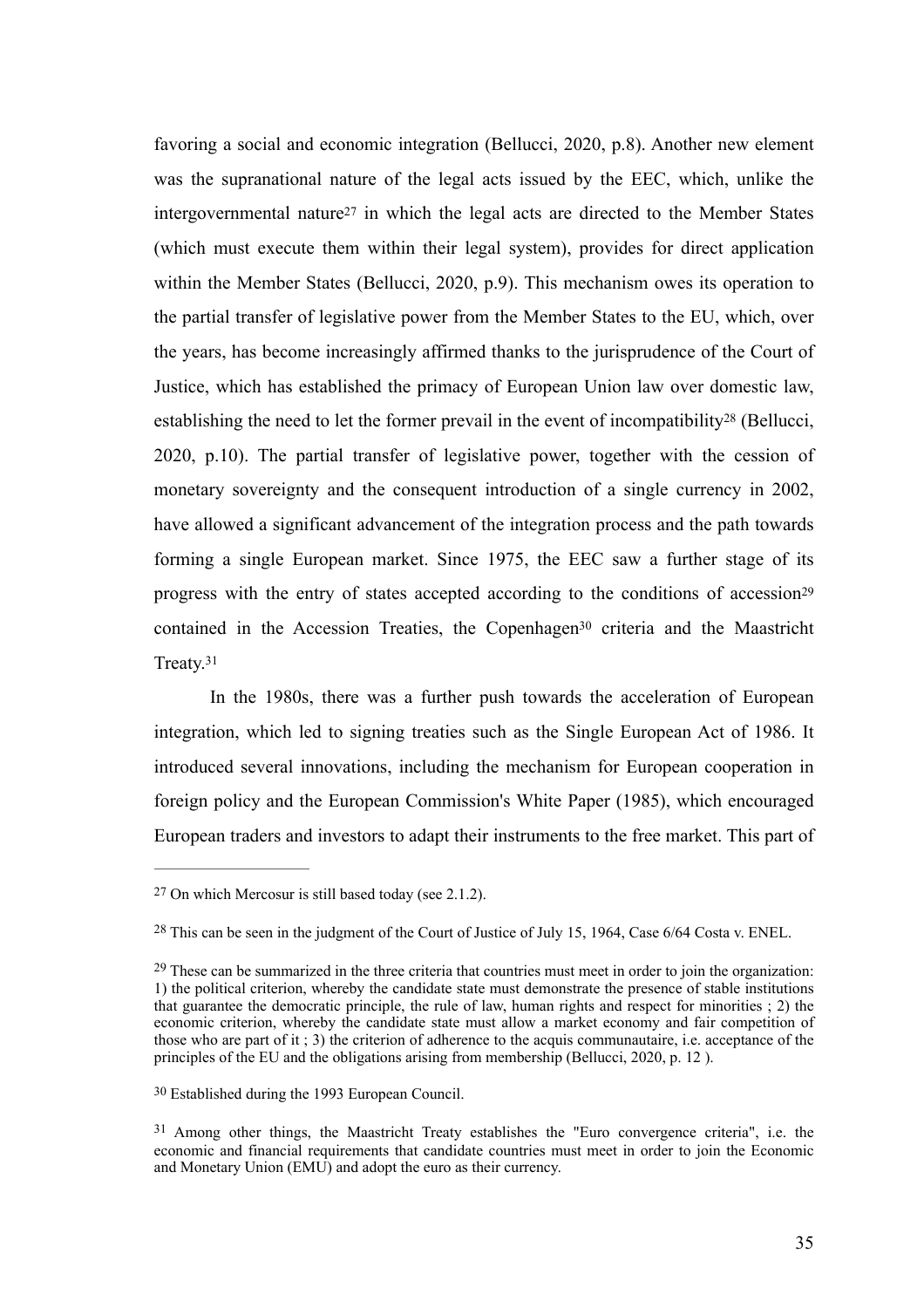<span id="page-35-6"></span><span id="page-35-5"></span>favoring a social and economic integration (Bellucci, 2020, p.8). Another new element was the supranational nature of the legal acts issued by the EEC, which, unlike the intergovernmentalnature<sup>[27](#page-35-0)</sup> in which the legal acts are directed to the Member States (which must execute them within their legal system), provides for direct application within the Member States (Bellucci, 2020, p.9). This mechanism owes its operation to the partial transfer of legislative power from the Member States to the EU, which, over the years, has become increasingly affirmed thanks to the jurisprudence of the Court of Justice, which has established the primacy of European Union law over domestic law, establishing the need to let the former prevail in the event of incompatibilit[y](#page-35-1)<sup>[28](#page-35-1)</sup> (Bellucci, 2020, p.10). The partial transfer of legislative power, together with the cession of monetary sovereignty and the consequent introduction of a single currency in 2002, have allowed a significant advancement of the integration process and the path towards forming a single European market. Since 1975, the EEC saw a further stage of its progress with the entry of states accepted according to the conditions of accessio[n29](#page-35-2) containedin the Accession Treaties, the Copenhagen<sup>[30](#page-35-3)</sup> criteria and the Maastricht Treaty[.31](#page-35-4)

<span id="page-35-9"></span><span id="page-35-8"></span><span id="page-35-7"></span>In the 1980s, there was a further push towards the acceleration of European integration, which led to signing treaties such as the Single European Act of 1986. It introduced several innovations, including the mechanism for European cooperation in foreign policy and the European Commission's White Paper (1985), which encouraged European traders and investors to adapt their instruments to the free market. This part of

<span id="page-35-0"></span> $27$  On which Mercosur is still based today (see 2.1.2).

<span id="page-35-1"></span><sup>&</sup>lt;sup>[28](#page-35-6)</sup> This can be seen in the judgment of the Court of Justice of July 15, 1964, Case 6/64 Costa v. ENEL.

<span id="page-35-2"></span> $29$  These can be summarized in the three criteria that countries must meet in order to join the organization: 1) the political criterion, whereby the candidate state must demonstrate the presence of stable institutions that guarantee the democratic principle, the rule of law, human rights and respect for minorities ; 2) the economic criterion, whereby the candidate state must allow a market economy and fair competition of those who are part of it ; 3) the criterion of adherence to the acquis communautaire, i.e. acceptance of the principles of the EU and the obligations arising from membership (Bellucci, 2020, p. 12 ).

<span id="page-35-3"></span>Established during the 1993 European Council. [30](#page-35-8)

<span id="page-35-4"></span><sup>&</sup>lt;sup>[31](#page-35-9)</sup> Among other things, the Maastricht Treaty establishes the "Euro convergence criteria", i.e. the economic and financial requirements that candidate countries must meet in order to join the Economic and Monetary Union (EMU) and adopt the euro as their currency.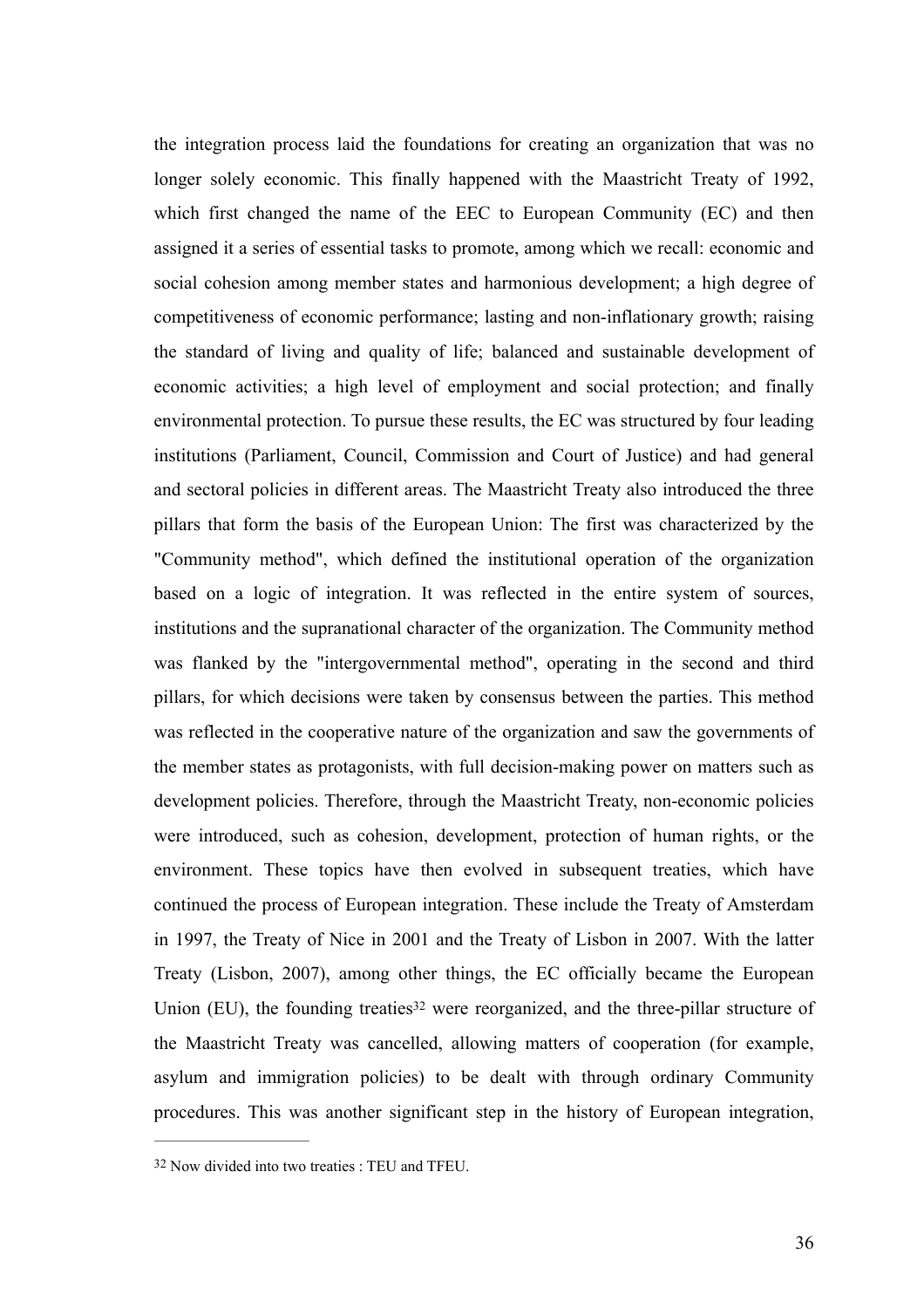the integration process laid the foundations for creating an organization that was no longer solely economic. This finally happened with the Maastricht Treaty of 1992, which first changed the name of the EEC to European Community (EC) and then assigned it a series of essential tasks to promote, among which we recall: economic and social cohesion among member states and harmonious development; a high degree of competitiveness of economic performance; lasting and non-inflationary growth; raising the standard of living and quality of life; balanced and sustainable development of economic activities; a high level of employment and social protection; and finally environmental protection. To pursue these results, the EC was structured by four leading institutions (Parliament, Council, Commission and Court of Justice) and had general and sectoral policies in different areas. The Maastricht Treaty also introduced the three pillars that form the basis of the European Union: The first was characterized by the "Community method", which defined the institutional operation of the organization based on a logic of integration. It was reflected in the entire system of sources, institutions and the supranational character of the organization. The Community method was flanked by the "intergovernmental method", operating in the second and third pillars, for which decisions were taken by consensus between the parties. This method was reflected in the cooperative nature of the organization and saw the governments of the member states as protagonists, with full decision-making power on matters such as development policies. Therefore, through the Maastricht Treaty, non-economic policies were introduced, such as cohesion, development, protection of human rights, or the environment. These topics have then evolved in subsequent treaties, which have continued the process of European integration. These include the Treaty of Amsterdam in 1997, the Treaty of Nice in 2001 and the Treaty of Lisbon in 2007. With the latter Treaty (Lisbon, 2007), among other things, the EC officially became the European Union (EU), the founding treatie[s](#page-36-0)<sup>[32](#page-36-0)</sup> were reorganized, and the three-pillar structure of the Maastricht Treaty was cancelled, allowing matters of cooperation (for example, asylum and immigration policies) to be dealt with through ordinary Community procedures. This was another significant step in the history of European integration,

<span id="page-36-1"></span><span id="page-36-0"></span><sup>&</sup>lt;sup>[32](#page-36-1)</sup> Now divided into two treaties : TEU and TFEU.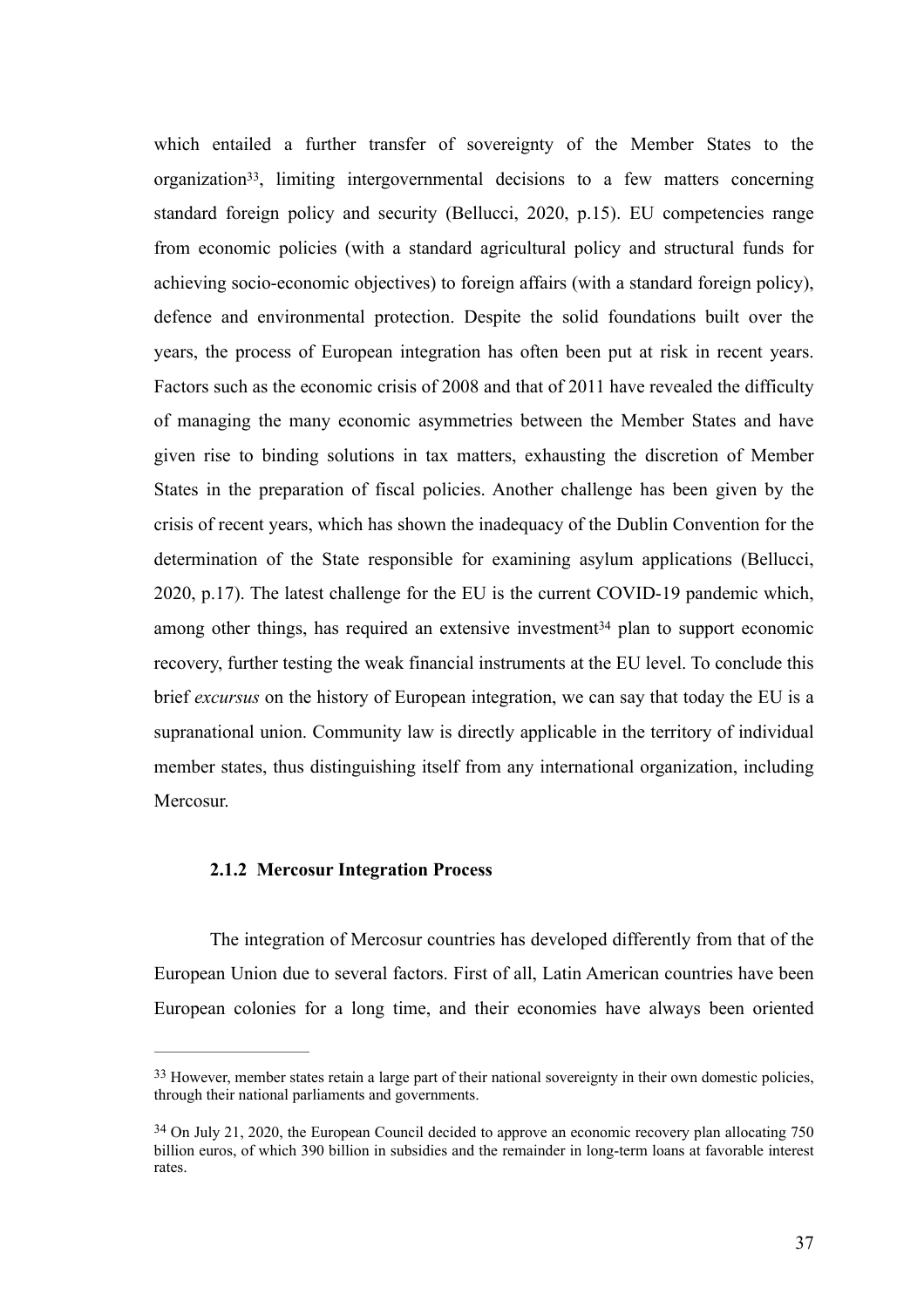<span id="page-37-2"></span>which entailed a further transfer of sovereignty of the Member States to the organization<sup>33</sup>[,](#page-37-0) limiting intergovernmental decisions to a few matters concerning standard foreign policy and security (Bellucci, 2020, p.15). EU competencies range from economic policies (with a standard agricultural policy and structural funds for achieving socio-economic objectives) to foreign affairs (with a standard foreign policy), defence and environmental protection. Despite the solid foundations built over the years, the process of European integration has often been put at risk in recent years. Factors such as the economic crisis of 2008 and that of 2011 have revealed the difficulty of managing the many economic asymmetries between the Member States and have given rise to binding solutions in tax matters, exhausting the discretion of Member States in the preparation of fiscal policies. Another challenge has been given by the crisis of recent years, which has shown the inadequacy of the Dublin Convention for the determination of the State responsible for examining asylum applications (Bellucci, 2020, p.17). The latest challenge for the EU is the current COVID-19 pandemic which, amongother things, has required an extensive investment<sup>[34](#page-37-1)</sup> plan to support economic recovery, further testing the weak financial instruments at the EU level. To conclude this brief *excursus* on the history of European integration, we can say that today the EU is a supranational union. Community law is directly applicable in the territory of individual member states, thus distinguishing itself from any international organization, including Mercosur.

#### <span id="page-37-3"></span>**2.1.2 Mercosur Integration Process**

The integration of Mercosur countries has developed differently from that of the European Union due to several factors. First of all, Latin American countries have been European colonies for a long time, and their economies have always been oriented

<span id="page-37-0"></span><sup>&</sup>lt;sup>[33](#page-37-2)</sup> However, member states retain a large part of their national sovereignty in their own domestic policies, through their national parliaments and governments.

<span id="page-37-1"></span> $34$  On July 21, 2020, the European Council decided to approve an economic recovery plan allocating 750 billion euros, of which 390 billion in subsidies and the remainder in long-term loans at favorable interest rates.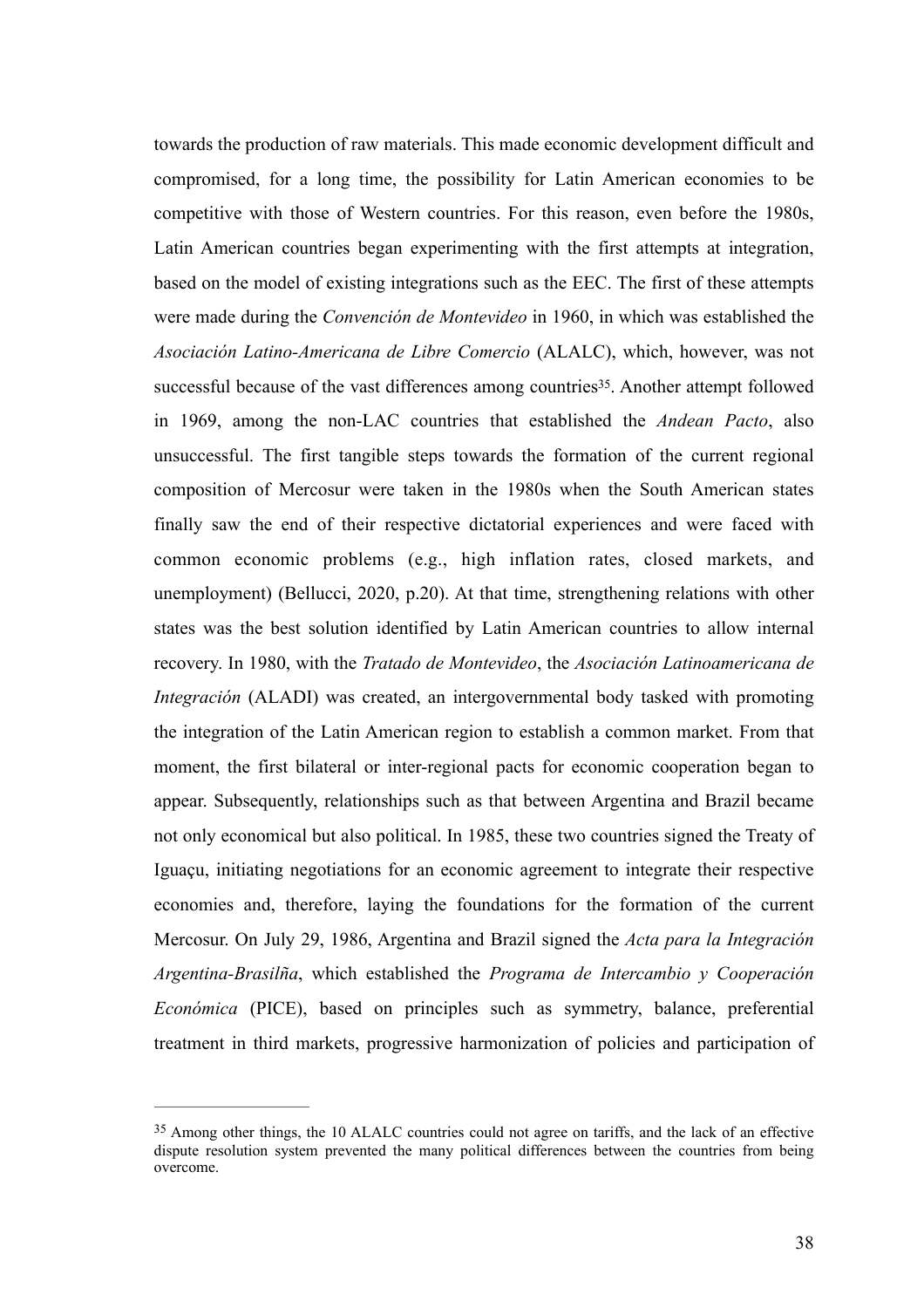<span id="page-38-1"></span>towards the production of raw materials. This made economic development difficult and compromised, for a long time, the possibility for Latin American economies to be competitive with those of Western countries. For this reason, even before the 1980s, Latin American countries began experimenting with the first attempts at integration, based on the model of existing integrations such as the EEC. The first of these attempts were made during the *Convención de Montevideo* in 1960, in which was established the *Asociación Latino-Americana de Libre Comercio* (ALALC), which, however, was not successful because of the vast differences among countries<sup>[35](#page-38-0)</sup>. Another attempt followed in 1969, among the non-LAC countries that established the *Andean Pacto*, also unsuccessful. The first tangible steps towards the formation of the current regional composition of Mercosur were taken in the 1980s when the South American states finally saw the end of their respective dictatorial experiences and were faced with common economic problems (e.g., high inflation rates, closed markets, and unemployment) (Bellucci, 2020, p.20). At that time, strengthening relations with other states was the best solution identified by Latin American countries to allow internal recovery. In 1980, with the *Tratado de Montevideo*, the *Asociación Latinoamericana de Integración* (ALADI) was created, an intergovernmental body tasked with promoting the integration of the Latin American region to establish a common market. From that moment, the first bilateral or inter-regional pacts for economic cooperation began to appear. Subsequently, relationships such as that between Argentina and Brazil became not only economical but also political. In 1985, these two countries signed the Treaty of Iguaçu, initiating negotiations for an economic agreement to integrate their respective economies and, therefore, laying the foundations for the formation of the current Mercosur. On July 29, 1986, Argentina and Brazil signed the *Acta para la Integración Argentina-Brasilña*, which established the *Programa de Intercambio y Cooperación Económica* (PICE), based on principles such as symmetry, balance, preferential treatment in third markets, progressive harmonization of policies and participation of

<span id="page-38-0"></span><sup>&</sup>lt;sup>[35](#page-38-1)</sup> Among other things, the 10 ALALC countries could not agree on tariffs, and the lack of an effective dispute resolution system prevented the many political differences between the countries from being overcome.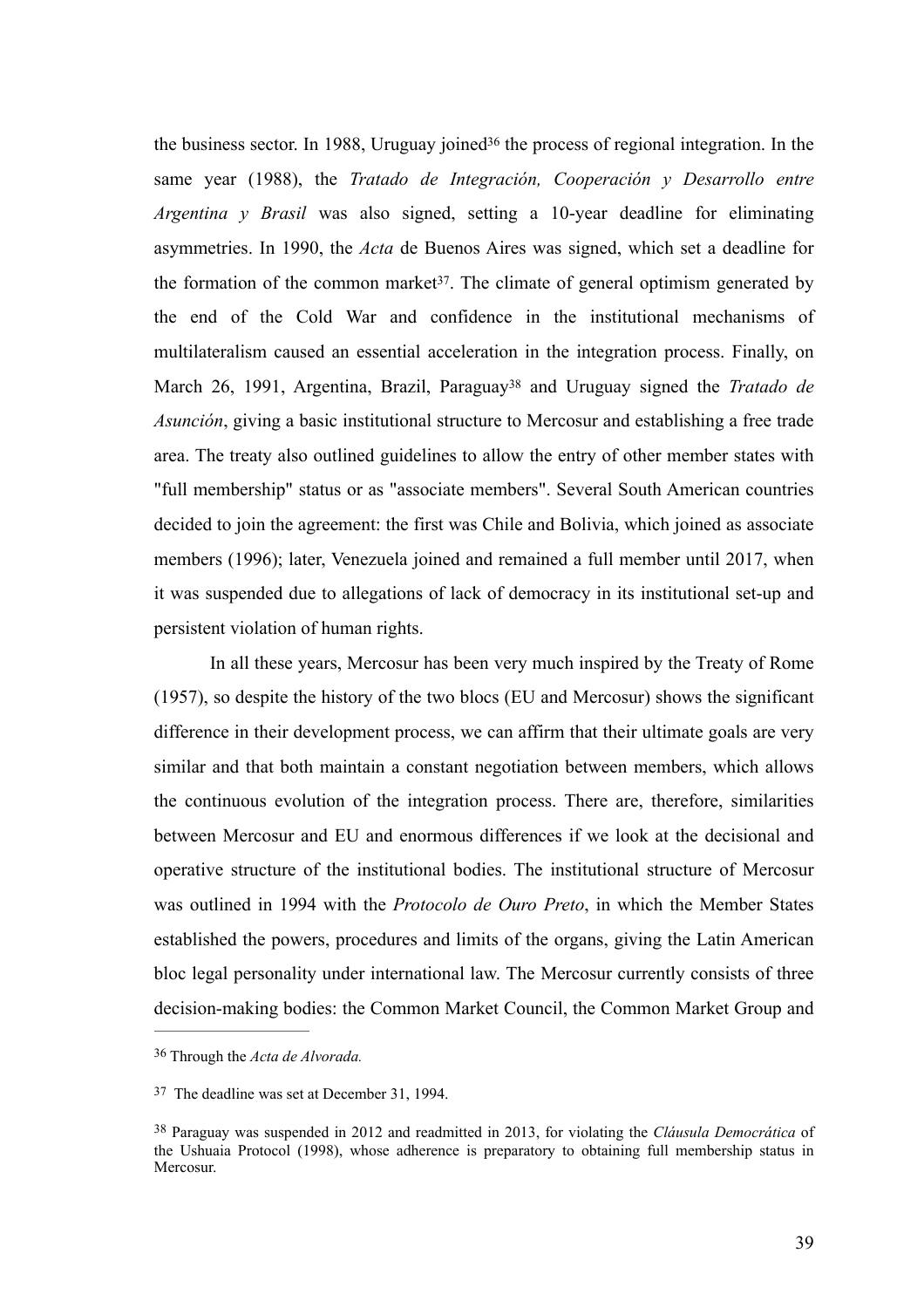<span id="page-39-5"></span><span id="page-39-4"></span><span id="page-39-3"></span>thebusiness sector. In 1988, Uruguay joined<sup>[36](#page-39-0)</sup> the process of regional integration. In the same year (1988), the *Tratado de Integración, Cooperación y Desarrollo entre Argentina y Brasil* was also signed, setting a 10-year deadline for eliminating asymmetries. In 1990, the *Acta* de Buenos Aires was signed, which set a deadline for the formation of the common market<sup>37</sup>[.](#page-39-1) The climate of general optimism generated by the end of the Cold War and confidence in the institutional mechanisms of multilateralism caused an essential acceleration in the integration process. Finally, on March26, 1991, Argentina, Brazil, Paraguay<sup>38</sup> and Uruguay signed the *Tratado de Asunción*, giving a basic institutional structure to Mercosur and establishing a free trade area. The treaty also outlined guidelines to allow the entry of other member states with "full membership" status or as "associate members". Several South American countries decided to join the agreement: the first was Chile and Bolivia, which joined as associate members (1996); later, Venezuela joined and remained a full member until 2017, when it was suspended due to allegations of lack of democracy in its institutional set-up and persistent violation of human rights.

In all these years, Mercosur has been very much inspired by the Treaty of Rome (1957), so despite the history of the two blocs (EU and Mercosur) shows the significant difference in their development process, we can affirm that their ultimate goals are very similar and that both maintain a constant negotiation between members, which allows the continuous evolution of the integration process. There are, therefore, similarities between Mercosur and EU and enormous differences if we look at the decisional and operative structure of the institutional bodies. The institutional structure of Mercosur was outlined in 1994 with the *Protocolo de Ouro Preto*, in which the Member States established the powers, procedures and limits of the organs, giving the Latin American bloc legal personality under international law. The Mercosur currently consists of three decision-making bodies: the Common Market Council, the Common Market Group and

<span id="page-39-0"></span>Through the *Acta de Alvorada.* [36](#page-39-3)

<span id="page-39-1"></span><sup>&</sup>lt;sup>[37](#page-39-4)</sup> The deadline was set at December 31, 1994.

<span id="page-39-2"></span>Paraguay was suspended in 2012 and readmitted in 2013, for violating the *Cláusula Democrática* of [38](#page-39-5) the Ushuaia Protocol (1998), whose adherence is preparatory to obtaining full membership status in Mercosur.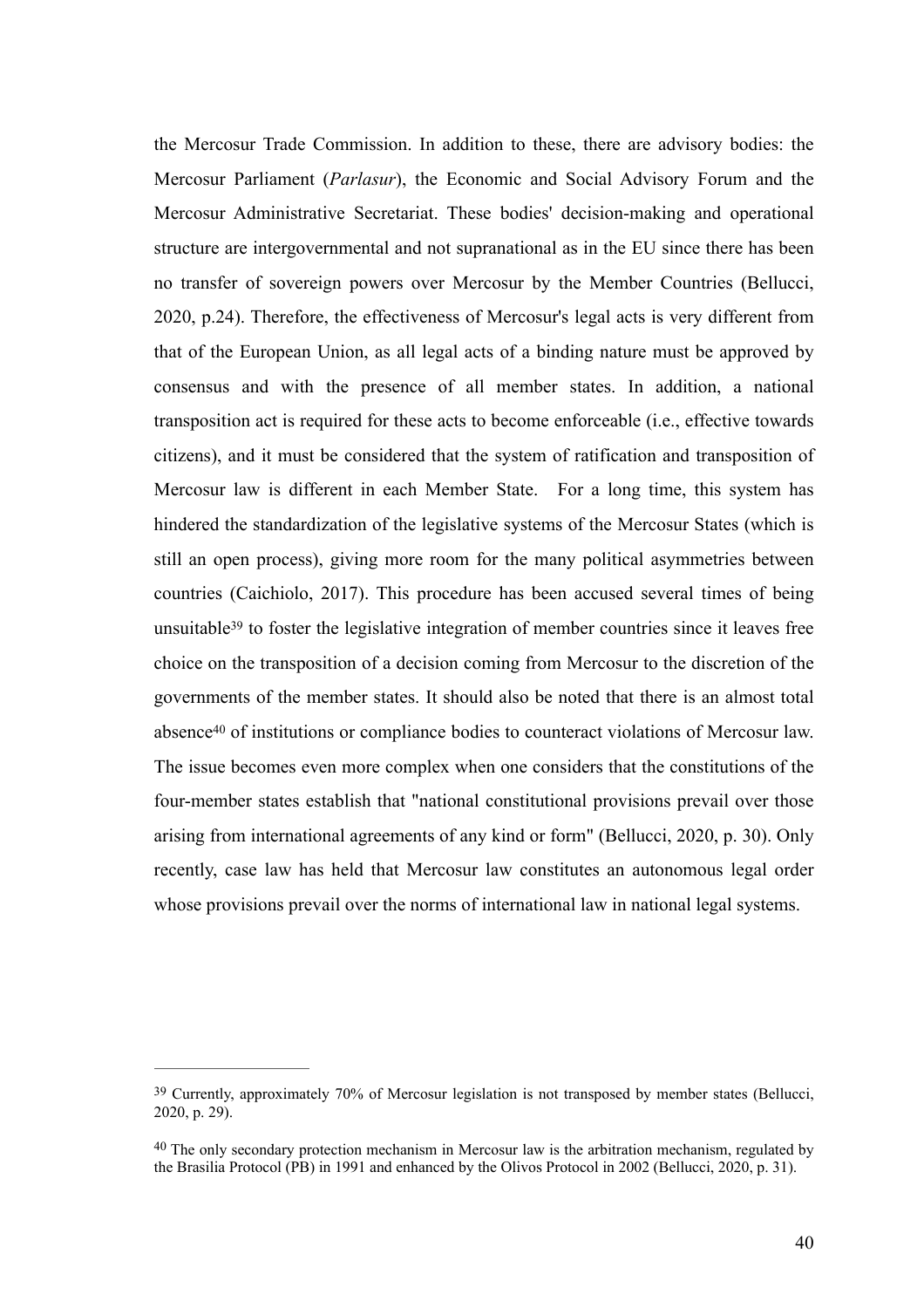the Mercosur Trade Commission. In addition to these, there are advisory bodies: the Mercosur Parliament (*Parlasur*), the Economic and Social Advisory Forum and the Mercosur Administrative Secretariat. These bodies' decision-making and operational structure are intergovernmental and not supranational as in the EU since there has been no transfer of sovereign powers over Mercosur by the Member Countries (Bellucci, 2020, p.24). Therefore, the effectiveness of Mercosur's legal acts is very different from that of the European Union, as all legal acts of a binding nature must be approved by consensus and with the presence of all member states. In addition, a national transposition act is required for these acts to become enforceable (i.e., effective towards citizens), and it must be considered that the system of ratification and transposition of Mercosur law is different in each Member State. For a long time, this system has hindered the standardization of the legislative systems of the Mercosur States (which is still an open process), giving more room for the many political asymmetries between countries (Caichiolo, 2017). This procedure has been accused several times of being unsuitable<sup>39</sup>to foster the legislative integration of member countries since it leaves free choice on the transposition of a decision coming from Mercosur to the discretion of the governments of the member states. It should also be noted that there is an almost total abs[e](#page-40-1)nce<sup>[40](#page-40-1)</sup> of institutions or compliance bodies to counteract violations of Mercosur law. The issue becomes even more complex when one considers that the constitutions of the four-member states establish that "national constitutional provisions prevail over those arising from international agreements of any kind or form" (Bellucci, 2020, p. 30). Only recently, case law has held that Mercosur law constitutes an autonomous legal order whose provisions prevail over the norms of international law in national legal systems.

<span id="page-40-3"></span><span id="page-40-2"></span><span id="page-40-0"></span><sup>&</sup>lt;sup>[39](#page-40-2)</sup> Currently, approximately 70% of Mercosur legislation is not transposed by member states (Bellucci, 2020, p. 29).

<span id="page-40-1"></span><sup>&</sup>lt;sup>[40](#page-40-3)</sup> The only secondary protection mechanism in Mercosur law is the arbitration mechanism, regulated by the Brasilia Protocol (PB) in 1991 and enhanced by the Olivos Protocol in 2002 (Bellucci, 2020, p. 31).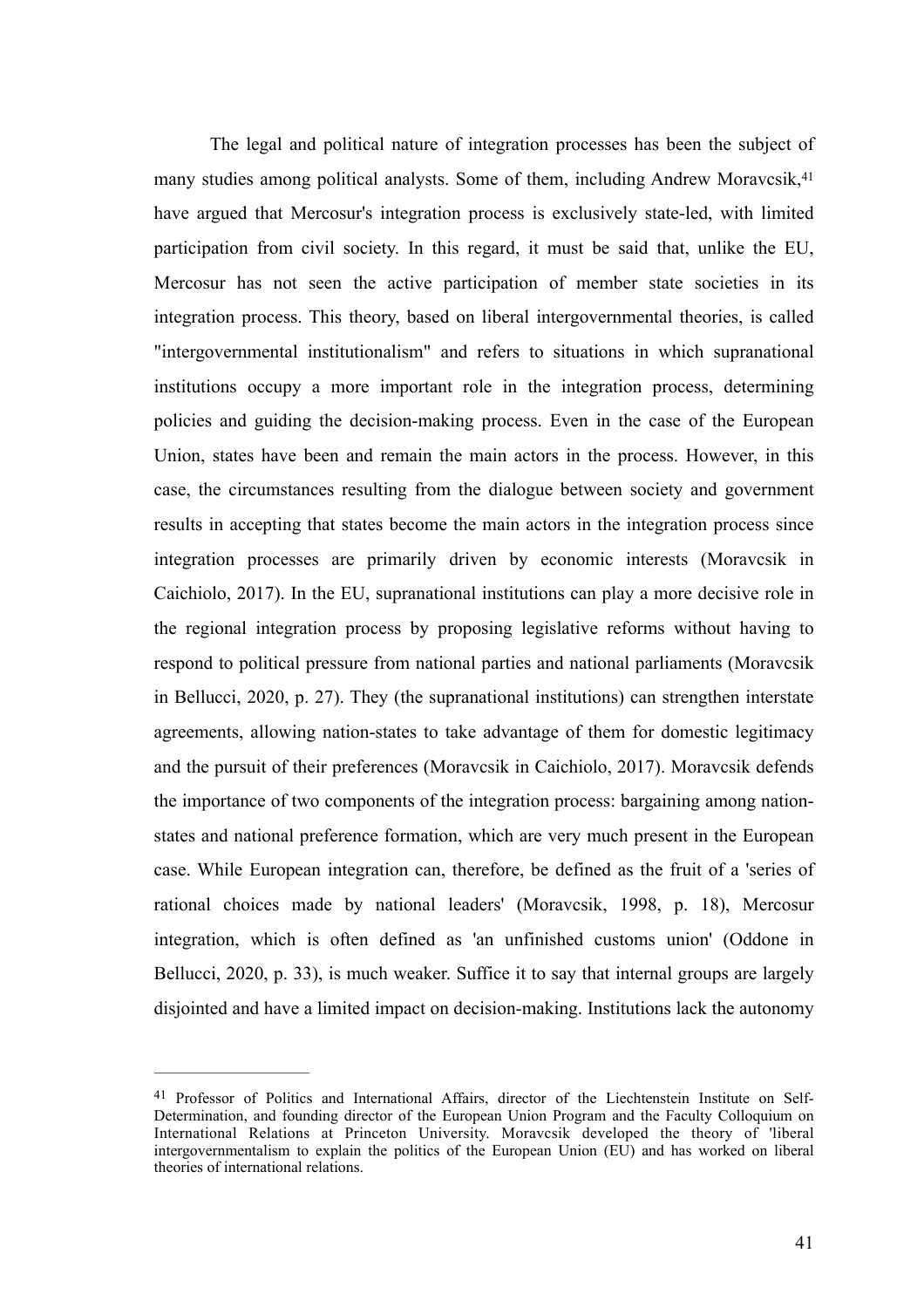<span id="page-41-1"></span>The legal and political nature of integration processes has been the subject of many studies among political analysts. Some of them, including Andrew Moravcsik, <sup>41</sup> have argued that Mercosur's integration process is exclusively state-led, with limited participation from civil society. In this regard, it must be said that, unlike the EU, Mercosur has not seen the active participation of member state societies in its integration process. This theory, based on liberal intergovernmental theories, is called "intergovernmental institutionalism" and refers to situations in which supranational institutions occupy a more important role in the integration process, determining policies and guiding the decision-making process. Even in the case of the European Union, states have been and remain the main actors in the process. However, in this case, the circumstances resulting from the dialogue between society and government results in accepting that states become the main actors in the integration process since integration processes are primarily driven by economic interests (Moravcsik in Caichiolo, 2017). In the EU, supranational institutions can play a more decisive role in the regional integration process by proposing legislative reforms without having to respond to political pressure from national parties and national parliaments (Moravcsik in Bellucci, 2020, p. 27). They (the supranational institutions) can strengthen interstate agreements, allowing nation-states to take advantage of them for domestic legitimacy and the pursuit of their preferences (Moravcsik in Caichiolo, 2017). Moravcsik defends the importance of two components of the integration process: bargaining among nationstates and national preference formation, which are very much present in the European case. While European integration can, therefore, be defined as the fruit of a 'series of rational choices made by national leaders' (Moravcsik, 1998, p. 18), Mercosur integration, which is often defined as 'an unfinished customs union' (Oddone in Bellucci, 2020, p. 33), is much weaker. Suffice it to say that internal groups are largely disjointed and have a limited impact on decision-making. Institutions lack the autonomy

<span id="page-41-0"></span><sup>&</sup>lt;sup>[41](#page-41-1)</sup> Professor of Politics and International Affairs, director of the Liechtenstein Institute on Self-Determination, and founding director of the European Union Program and the Faculty Colloquium on International Relations at Princeton University. Moravcsik developed the theory of 'liberal intergovernmentalism to explain the politics of the European Union (EU) and has worked on liberal theories of international relations.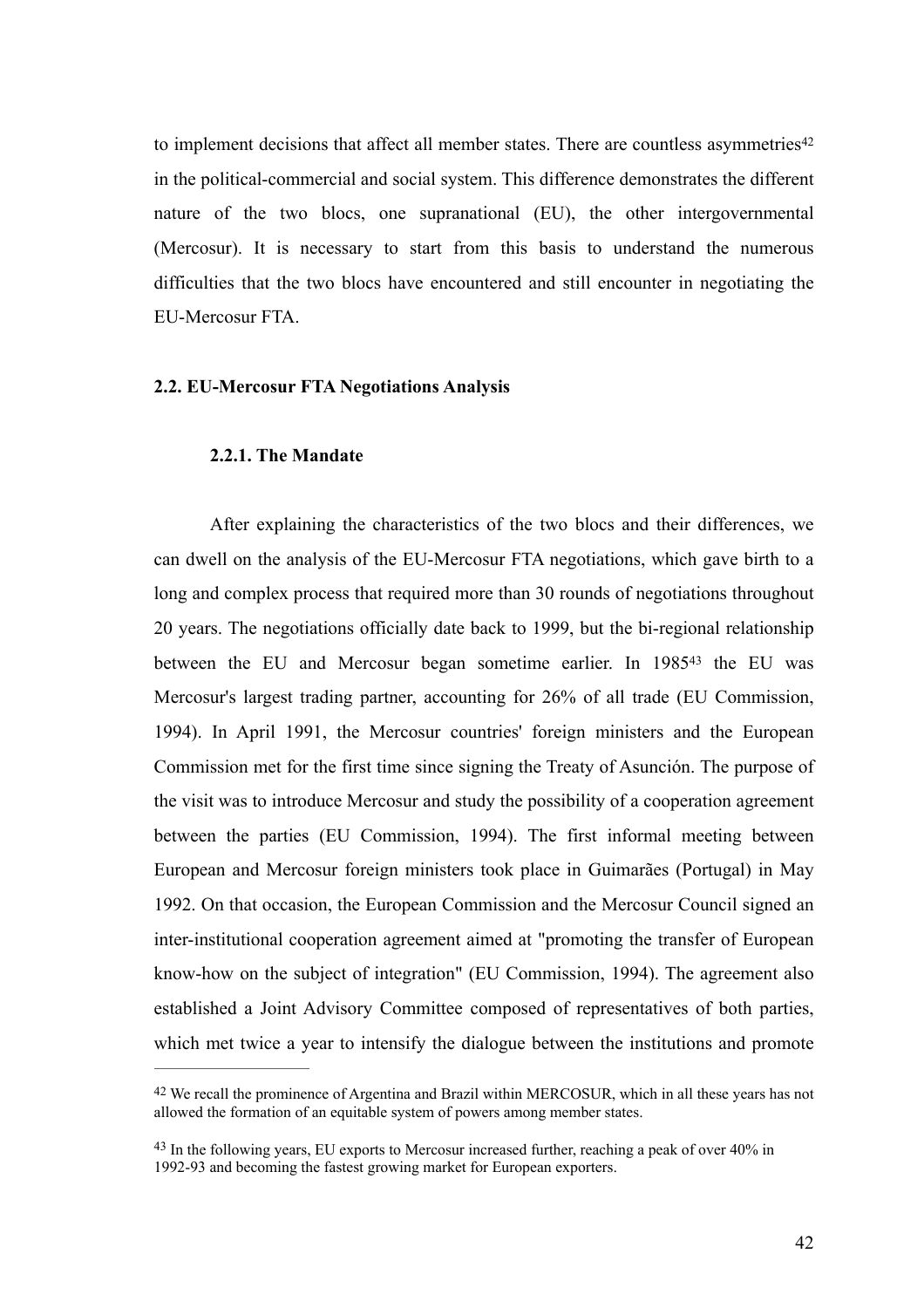<span id="page-42-2"></span>to implement decisions that affect all member states. There are countless asymmetries<sup>42</sup> in the political-commercial and social system. This difference demonstrates the different nature of the two blocs, one supranational (EU), the other intergovernmental (Mercosur). It is necessary to start from this basis to understand the numerous difficulties that the two blocs have encountered and still encounter in negotiating the EU-Mercosur FTA.

#### **2.2. EU-Mercosur FTA Negotiations Analysis**

# <span id="page-42-3"></span>**2.2.1. The Mandate**

After explaining the characteristics of the two blocs and their differences, we can dwell on the analysis of the EU-Mercosur FTA negotiations, which gave birth to a long and complex process that required more than 30 rounds of negotiations throughout 20 years. The negotiations officially date back to 1999, but the bi-regional relationship betweenthe EU and Mercosur began sometime earlier. In 1985<sup>[43](#page-42-1)</sup> the EU was Mercosur's largest trading partner, accounting for 26% of all trade (EU Commission, 1994). In April 1991, the Mercosur countries' foreign ministers and the European Commission met for the first time since signing the Treaty of Asunción. The purpose of the visit was to introduce Mercosur and study the possibility of a cooperation agreement between the parties (EU Commission, 1994). The first informal meeting between European and Mercosur foreign ministers took place in Guimarães (Portugal) in May 1992. On that occasion, the European Commission and the Mercosur Council signed an inter-institutional cooperation agreement aimed at "promoting the transfer of European know-how on the subject of integration" (EU Commission, 1994). The agreement also established a Joint Advisory Committee composed of representatives of both parties, which met twice a year to intensify the dialogue between the institutions and promote

<span id="page-42-0"></span><sup>&</sup>lt;sup>[42](#page-42-2)</sup> We recall the prominence of Argentina and Brazil within MERCOSUR, which in all these years has not allowed the formation of an equitable system of powers among member states.

<span id="page-42-1"></span> $^{43}$  $^{43}$  $^{43}$  In the following years, EU exports to Mercosur increased further, reaching a peak of over  $40\%$  in 1992-93 and becoming the fastest growing market for European exporters.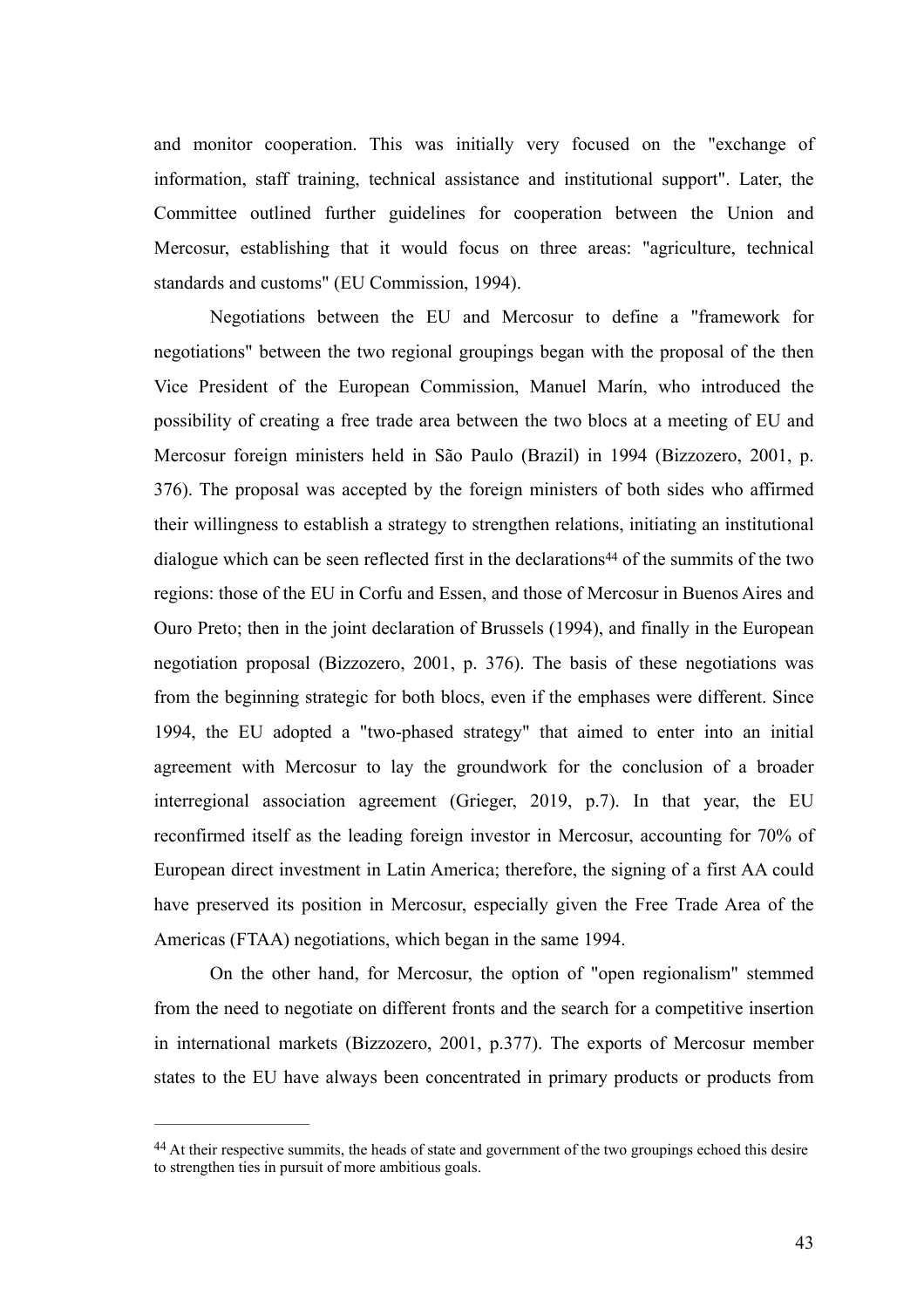and monitor cooperation. This was initially very focused on the "exchange of information, staff training, technical assistance and institutional support". Later, the Committee outlined further guidelines for cooperation between the Union and Mercosur, establishing that it would focus on three areas: "agriculture, technical standards and customs" (EU Commission, 1994).

<span id="page-43-1"></span>Negotiations between the EU and Mercosur to define a "framework for negotiations" between the two regional groupings began with the proposal of the then Vice President of the European Commission, Manuel Marín, who introduced the possibility of creating a free trade area between the two blocs at a meeting of EU and Mercosur foreign ministers held in São Paulo (Brazil) in 1994 (Bizzozero, 2001, p. 376). The proposal was accepted by the foreign ministers of both sides who affirmed their willingness to establish a strategy to strengthen relations, initiating an institutional dialoguewhich can be seen reflected first in the declarations<sup> $44$ </sup> of the summits of the two regions: those of the EU in Corfu and Essen, and those of Mercosur in Buenos Aires and Ouro Preto; then in the joint declaration of Brussels (1994), and finally in the European negotiation proposal (Bizzozero, 2001, p. 376). The basis of these negotiations was from the beginning strategic for both blocs, even if the emphases were different. Since 1994, the EU adopted a "two-phased strategy" that aimed to enter into an initial agreement with Mercosur to lay the groundwork for the conclusion of a broader interregional association agreement (Grieger, 2019, p.7). In that year, the EU reconfirmed itself as the leading foreign investor in Mercosur, accounting for 70% of European direct investment in Latin America; therefore, the signing of a first AA could have preserved its position in Mercosur, especially given the Free Trade Area of the Americas (FTAA) negotiations, which began in the same 1994.

On the other hand, for Mercosur, the option of "open regionalism" stemmed from the need to negotiate on different fronts and the search for a competitive insertion in international markets (Bizzozero, 2001, p.377). The exports of Mercosur member states to the EU have always been concentrated in primary products or products from

<span id="page-43-0"></span><sup>&</sup>lt;sup>[44](#page-43-1)</sup> At their respective summits, the heads of state and government of the two groupings echoed this desire to strengthen ties in pursuit of more ambitious goals.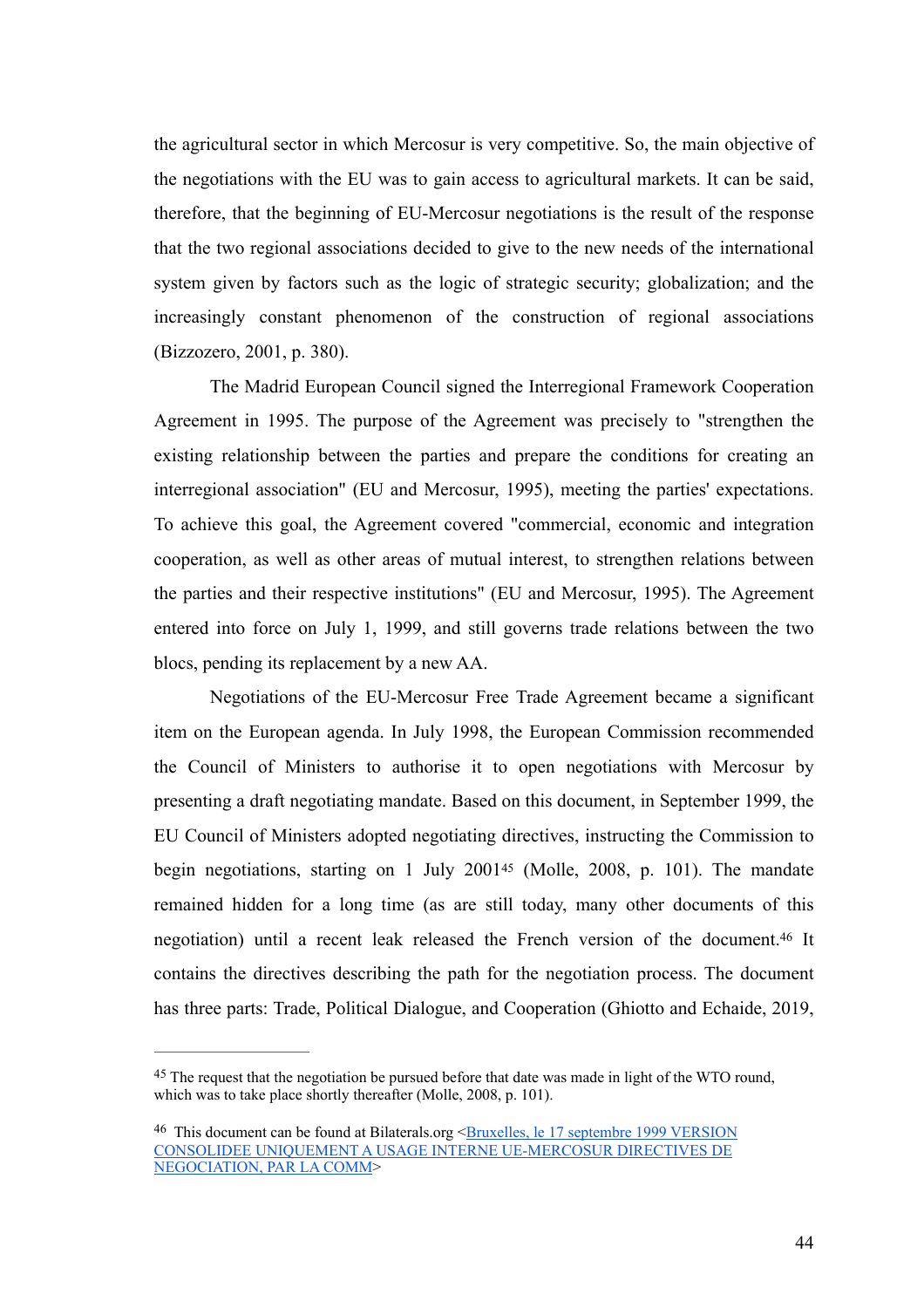the agricultural sector in which Mercosur is very competitive. So, the main objective of the negotiations with the EU was to gain access to agricultural markets. It can be said, therefore, that the beginning of EU-Mercosur negotiations is the result of the response that the two regional associations decided to give to the new needs of the international system given by factors such as the logic of strategic security; globalization; and the increasingly constant phenomenon of the construction of regional associations (Bizzozero, 2001, p. 380).

The Madrid European Council signed the Interregional Framework Cooperation Agreement in 1995. The purpose of the Agreement was precisely to "strengthen the existing relationship between the parties and prepare the conditions for creating an interregional association" (EU and Mercosur, 1995), meeting the parties' expectations. To achieve this goal, the Agreement covered "commercial, economic and integration cooperation, as well as other areas of mutual interest, to strengthen relations between the parties and their respective institutions" (EU and Mercosur, 1995). The Agreement entered into force on July 1, 1999, and still governs trade relations between the two blocs, pending its replacement by a new AA.

<span id="page-44-2"></span>Negotiations of the EU-Mercosur Free Trade Agreement became a significant item on the European agenda. In July 1998, the European Commission recommended the Council of Ministers to authorise it to open negotiations with Mercosur by presenting a draft negotiating mandate. Based on this document, in September 1999, the EU Council of Ministers adopted negotiating directives, instructing the Commission to beginnegotiations, starting on 1 July  $2001^{45}$  $2001^{45}$  $2001^{45}$  (Molle,  $2008$ , p. 101). The mandate remained hidden for a long time (as are still today, many other documents of this negotiation) until a recent leak released the French version of the document[.](#page-44-1)<sup>[46](#page-44-1)</sup> It contains the directives describing the path for the negotiation process. The document has three parts: Trade, Political Dialogue, and Cooperation (Ghiotto and Echaide, 2019,

<span id="page-44-3"></span><span id="page-44-0"></span><sup>&</sup>lt;sup>[45](#page-44-2)</sup> The request that the negotiation be pursued before that date was made in light of the WTO round, which was to take place shortly thereafter (Molle, 2008, p. 101).

<span id="page-44-1"></span><sup>&</sup>lt;sup>[46](#page-44-3)</sup> This document can be found at Bilaterals.org <Bruxelles, le 17 septembre 1999 VERSION [CONSOLIDEE UNIQUEMENT A USAGE INTERNE UE-MERCOSUR DIRECTIVES DE](https://www.bilaterals.org/IMG/pdf/ue-mercosur-mandat-sep-1999.pdf)  [NEGOCIATION, PAR LA COMM>](https://www.bilaterals.org/IMG/pdf/ue-mercosur-mandat-sep-1999.pdf)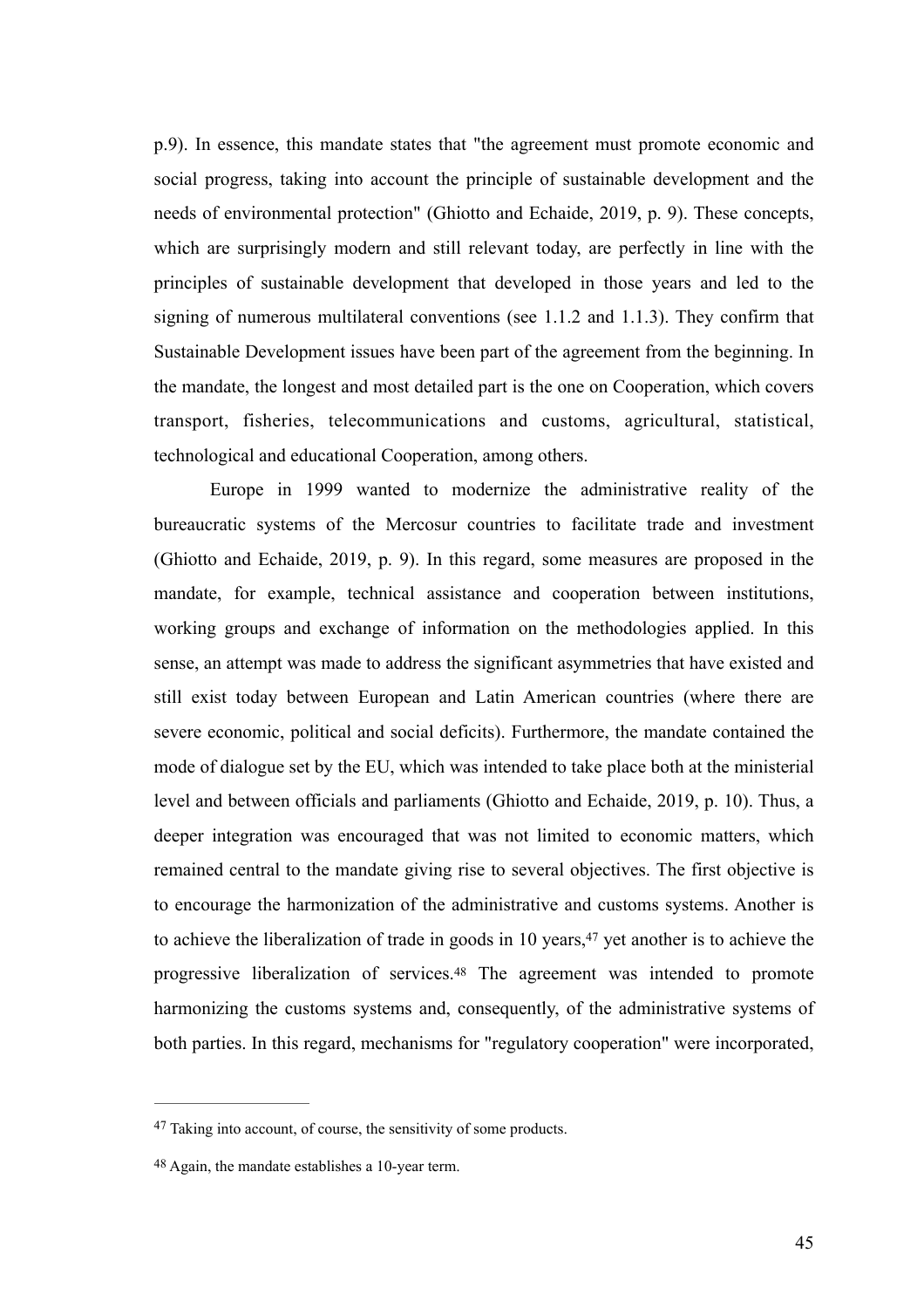p.9). In essence, this mandate states that "the agreement must promote economic and social progress, taking into account the principle of sustainable development and the needs of environmental protection" (Ghiotto and Echaide, 2019, p. 9). These concepts, which are surprisingly modern and still relevant today, are perfectly in line with the principles of sustainable development that developed in those years and led to the signing of numerous multilateral conventions (see 1.1.2 and 1.1.3). They confirm that Sustainable Development issues have been part of the agreement from the beginning. In the mandate, the longest and most detailed part is the one on Cooperation, which covers transport, fisheries, telecommunications and customs, agricultural, statistical, technological and educational Cooperation, among others.

Europe in 1999 wanted to modernize the administrative reality of the bureaucratic systems of the Mercosur countries to facilitate trade and investment (Ghiotto and Echaide, 2019, p. 9). In this regard, some measures are proposed in the mandate, for example, technical assistance and cooperation between institutions, working groups and exchange of information on the methodologies applied. In this sense, an attempt was made to address the significant asymmetries that have existed and still exist today between European and Latin American countries (where there are severe economic, political and social deficits). Furthermore, the mandate contained the mode of dialogue set by the EU, which was intended to take place both at the ministerial level and between officials and parliaments (Ghiotto and Echaide, 2019, p. 10). Thus, a deeper integration was encouraged that was not limited to economic matters, which remained central to the mandate giving rise to several objectives. The first objective is to encourage the harmonization of the administrative and customs systems. Another is to achieve the liberalization of trade in goods in 10 years[,](#page-45-0) $47$  yet another is to achieve the progressive liberalization of services[.](#page-45-1)<sup>[48](#page-45-1)</sup> The agreement was intended to promote harmonizing the customs systems and, consequently, of the administrative systems of both parties. In this regard, mechanisms for "regulatory cooperation" were incorporated,

<span id="page-45-3"></span><span id="page-45-2"></span><span id="page-45-0"></span><sup>&</sup>lt;sup>[47](#page-45-2)</sup> Taking into account, of course, the sensitivity of some products.

<span id="page-45-1"></span>Again, the mandate establishes a 10-year term. [48](#page-45-3)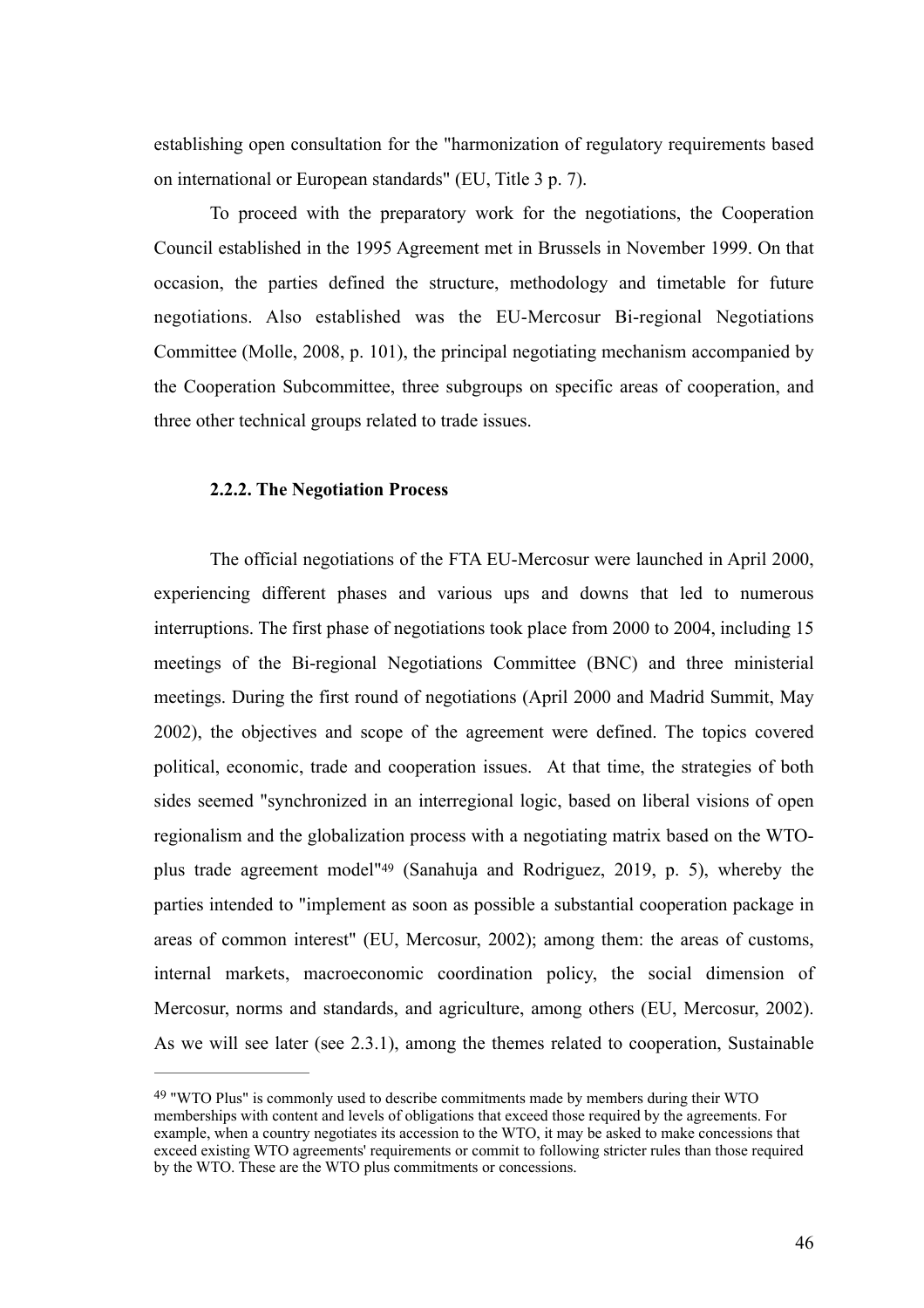establishing open consultation for the "harmonization of regulatory requirements based on international or European standards" (EU, Title 3 p. 7).

To proceed with the preparatory work for the negotiations, the Cooperation Council established in the 1995 Agreement met in Brussels in November 1999. On that occasion, the parties defined the structure, methodology and timetable for future negotiations. Also established was the EU-Mercosur Bi-regional Negotiations Committee (Molle, 2008, p. 101), the principal negotiating mechanism accompanied by the Cooperation Subcommittee, three subgroups on specific areas of cooperation, and three other technical groups related to trade issues.

### **2.2.2. The Negotiation Process**

The official negotiations of the FTA EU-Mercosur were launched in April 2000, experiencing different phases and various ups and downs that led to numerous interruptions. The first phase of negotiations took place from 2000 to 2004, including 15 meetings of the Bi-regional Negotiations Committee (BNC) and three ministerial meetings. During the first round of negotiations (April 2000 and Madrid Summit, May 2002), the objectives and scope of the agreement were defined. The topics covered political, economic, trade and cooperation issues. At that time, the strategies of both sides seemed "synchronized in an interregional logic, based on liberal visions of open regionalism and the globalization process with a negotiating matrix based on the WTO-plustrade agreement model"<sup>[49](#page-46-0)</sup> (Sanahuja and Rodriguez, 2019, p. 5), whereby the parties intended to "implement as soon as possible a substantial cooperation package in areas of common interest" (EU, Mercosur, 2002); among them: the areas of customs, internal markets, macroeconomic coordination policy, the social dimension of Mercosur, norms and standards, and agriculture, among others (EU, Mercosur, 2002). As we will see later (see 2.3.1), among the themes related to cooperation, Sustainable

<span id="page-46-1"></span><span id="page-46-0"></span><sup>&</sup>lt;sup>[49](#page-46-1)</sup> "WTO Plus" is commonly used to describe commitments made by members during their WTO memberships with content and levels of obligations that exceed those required by the agreements. For example, when a country negotiates its accession to the WTO, it may be asked to make concessions that exceed existing WTO agreements' requirements or commit to following stricter rules than those required by the WTO. These are the WTO plus commitments or concessions.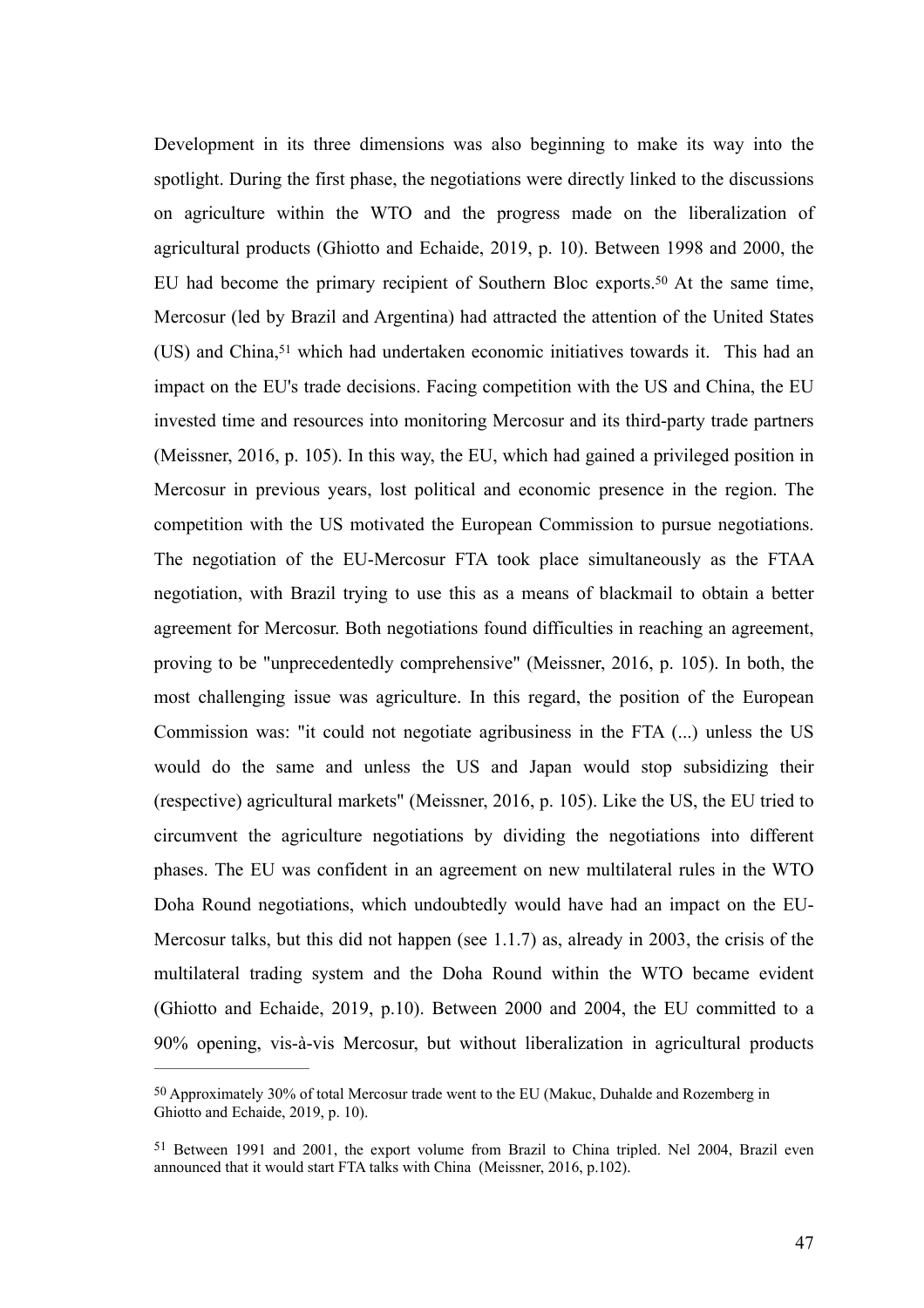<span id="page-47-3"></span><span id="page-47-2"></span>Development in its three dimensions was also beginning to make its way into the spotlight. During the first phase, the negotiations were directly linked to the discussions on agriculture within the WTO and the progress made on the liberalization of agricultural products (Ghiotto and Echaide, 2019, p. 10). Between 1998 and 2000, the EUhad become the primary recipient of Southern Bloc exports.<sup>[50](#page-47-0)</sup> At the same time, Mercosur (led by Brazil and Argentina) had attracted the attention of the United States (US)and China, $51$  which had undertaken economic initiatives towards it. This had an impact on the EU's trade decisions. Facing competition with the US and China, the EU invested time and resources into monitoring Mercosur and its third-party trade partners (Meissner, 2016, p. 105). In this way, the EU, which had gained a privileged position in Mercosur in previous years, lost political and economic presence in the region. The competition with the US motivated the European Commission to pursue negotiations. The negotiation of the EU-Mercosur FTA took place simultaneously as the FTAA negotiation, with Brazil trying to use this as a means of blackmail to obtain a better agreement for Mercosur. Both negotiations found difficulties in reaching an agreement, proving to be "unprecedentedly comprehensive" (Meissner, 2016, p. 105). In both, the most challenging issue was agriculture. In this regard, the position of the European Commission was: "it could not negotiate agribusiness in the FTA (...) unless the US would do the same and unless the US and Japan would stop subsidizing their (respective) agricultural markets" (Meissner, 2016, p. 105). Like the US, the EU tried to circumvent the agriculture negotiations by dividing the negotiations into different phases. The EU was confident in an agreement on new multilateral rules in the WTO Doha Round negotiations, which undoubtedly would have had an impact on the EU-Mercosur talks, but this did not happen (see 1.1.7) as, already in 2003, the crisis of the multilateral trading system and the Doha Round within the WTO became evident (Ghiotto and Echaide, 2019, p.10). Between 2000 and 2004, the EU committed to a 90% opening, vis-à-vis Mercosur, but without liberalization in agricultural products

<span id="page-47-0"></span>Approximately 30% of total Mercosur trade went to the EU (Makuc, Duhalde and Rozemberg in [50](#page-47-2) Ghiotto and Echaide, 2019, p. 10).

<span id="page-47-1"></span><sup>&</sup>lt;sup>[51](#page-47-3)</sup> Between 1991 and 2001, the export volume from Brazil to China tripled. Nel 2004, Brazil even announced that it would start FTA talks with China (Meissner, 2016, p.102).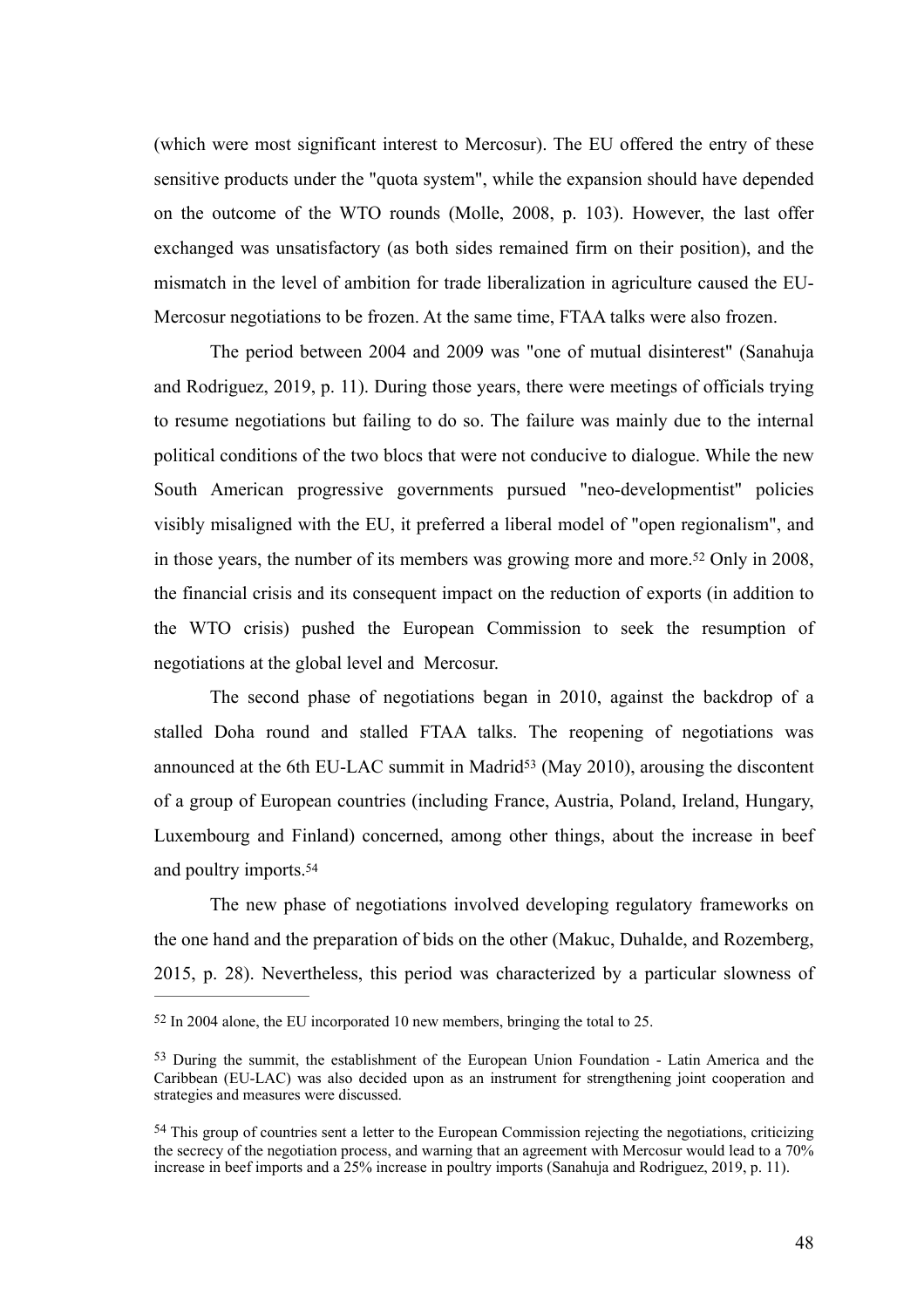(which were most significant interest to Mercosur). The EU offered the entry of these sensitive products under the "quota system", while the expansion should have depended on the outcome of the WTO rounds (Molle, 2008, p. 103). However, the last offer exchanged was unsatisfactory (as both sides remained firm on their position), and the mismatch in the level of ambition for trade liberalization in agriculture caused the EU-Mercosur negotiations to be frozen. At the same time, FTAA talks were also frozen.

The period between 2004 and 2009 was "one of mutual disinterest" (Sanahuja and Rodriguez, 2019, p. 11). During those years, there were meetings of officials trying to resume negotiations but failing to do so. The failure was mainly due to the internal political conditions of the two blocs that were not conducive to dialogue. While the new South American progressive governments pursued "neo-developmentist" policies visibly misaligned with the EU, it preferred a liberal model of "open regionalism", and in those years, the number of its members was growing more and more[.](#page-48-0)<sup>[52](#page-48-0)</sup> Only in 2008, the financial crisis and its consequent impact on the reduction of exports (in addition to the WTO crisis) pushed the European Commission to seek the resumption of negotiations at the global level and Mercosur.

<span id="page-48-4"></span><span id="page-48-3"></span>The second phase of negotiations began in 2010, against the backdrop of a stalled Doha round and stalled FTAA talks. The reopening of negotiations was announce[d](#page-48-1) at the 6th EU-LAC summit in Madrid<sup>[53](#page-48-1)</sup> (May 2010), arousing the discontent of a group of European countries (including France, Austria, Poland, Ireland, Hungary, Luxembourg and Finland) concerned, among other things, about the increase in beef and poultry imports.[54](#page-48-2)

<span id="page-48-5"></span>The new phase of negotiations involved developing regulatory frameworks on the one hand and the preparation of bids on the other (Makuc, Duhalde, and Rozemberg, 2015, p. 28). Nevertheless, this period was characterized by a particular slowness of

<span id="page-48-0"></span> $52$  In 2004 alone, the EU incorporated 10 new members, bringing the total to 25.

<span id="page-48-1"></span><sup>&</sup>lt;sup>[53](#page-48-4)</sup> During the summit, the establishment of the European Union Foundation - Latin America and the Caribbean (EU-LAC) was also decided upon as an instrument for strengthening joint cooperation and strategies and measures were discussed.

<span id="page-48-2"></span><sup>&</sup>lt;sup>[54](#page-48-5)</sup> This group of countries sent a letter to the European Commission rejecting the negotiations, criticizing the secrecy of the negotiation process, and warning that an agreement with Mercosur would lead to a 70% increase in beef imports and a 25% increase in poultry imports (Sanahuja and Rodriguez, 2019, p. 11).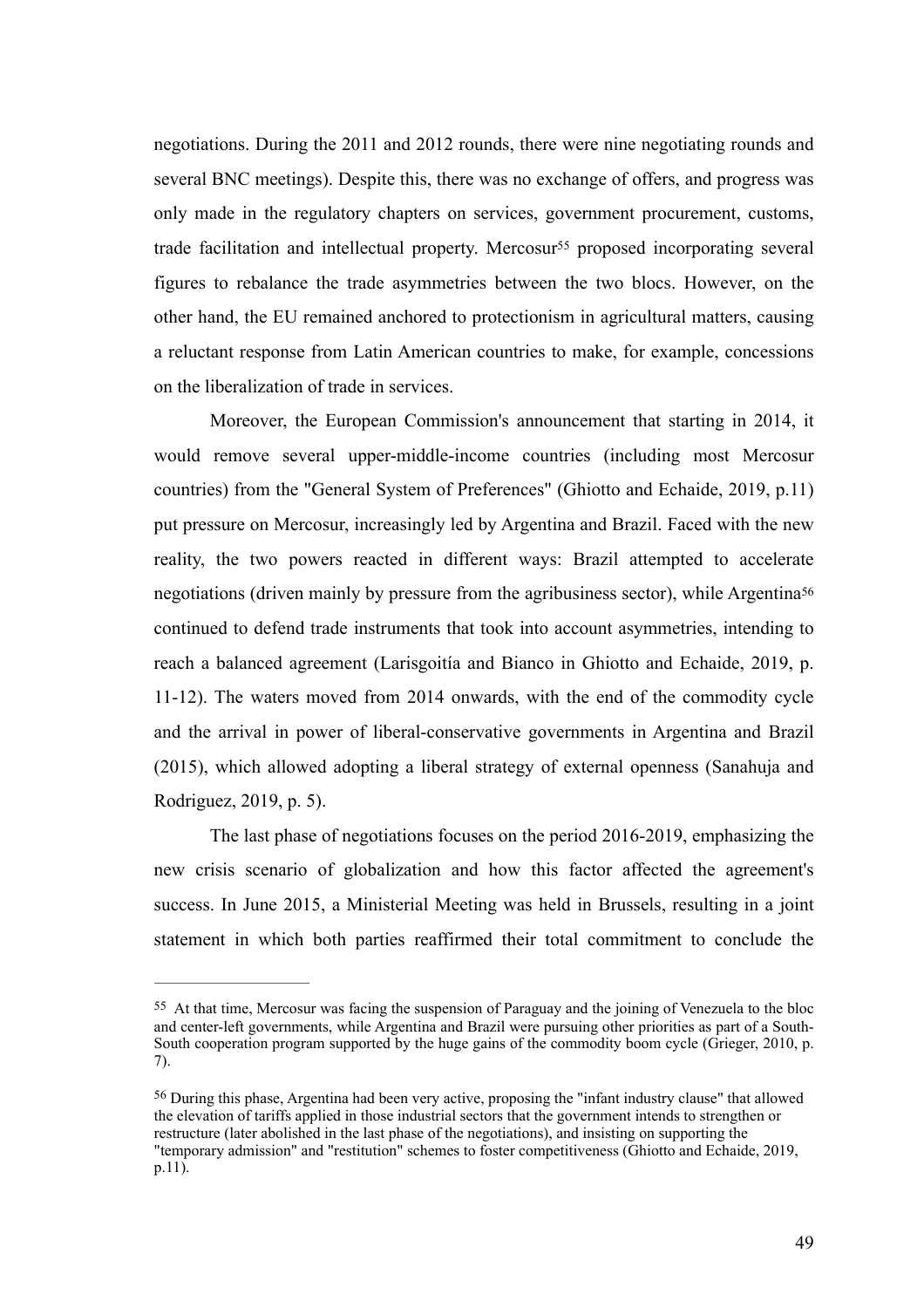<span id="page-49-2"></span>negotiations. During the 2011 and 2012 rounds, there were nine negotiating rounds and several BNC meetings). Despite this, there was no exchange of offers, and progress was only made in the regulatory chapters on services, government procurement, customs, tradefacilitation and intellectual property. Mercosur<sup>[55](#page-49-0)</sup> proposed incorporating several figures to rebalance the trade asymmetries between the two blocs. However, on the other hand, the EU remained anchored to protectionism in agricultural matters, causing a reluctant response from Latin American countries to make, for example, concessions on the liberalization of trade in services.

<span id="page-49-3"></span>Moreover, the European Commission's announcement that starting in 2014, it would remove several upper-middle-income countries (including most Mercosur countries) from the "General System of Preferences" (Ghiotto and Echaide, 2019, p.11) put pressure on Mercosur, increasingly led by Argentina and Brazil. Faced with the new reality, the two powers reacted in different ways: Brazil attempted to accelerate negotiations (driven mainly by pressure from the agribusiness sector), while Argentina<sup>56</sup> continued to defend trade instruments that took into account asymmetries, intending to reach a balanced agreement (Larisgoitía and Bianco in Ghiotto and Echaide, 2019, p. 11-12). The waters moved from 2014 onwards, with the end of the commodity cycle and the arrival in power of liberal-conservative governments in Argentina and Brazil (2015), which allowed adopting a liberal strategy of external openness (Sanahuja and Rodriguez, 2019, p. 5).

The last phase of negotiations focuses on the period 2016-2019, emphasizing the new crisis scenario of globalization and how this factor affected the agreement's success. In June 2015, a Ministerial Meeting was held in Brussels, resulting in a joint statement in which both parties reaffirmed their total commitment to conclude the

<span id="page-49-0"></span><sup>&</sup>lt;sup>[55](#page-49-2)</sup> At that time, Mercosur was facing the suspension of Paraguay and the joining of Venezuela to the bloc and center-left governments, while Argentina and Brazil were pursuing other priorities as part of a South-South cooperation program supported by the huge gains of the commodity boom cycle (Grieger, 2010, p. 7).

<span id="page-49-1"></span> $56$  During this phase, Argentina had been very active, proposing the "infant industry clause" that allowed the elevation of tariffs applied in those industrial sectors that the government intends to strengthen or restructure (later abolished in the last phase of the negotiations), and insisting on supporting the "temporary admission" and "restitution" schemes to foster competitiveness (Ghiotto and Echaide, 2019, p.11).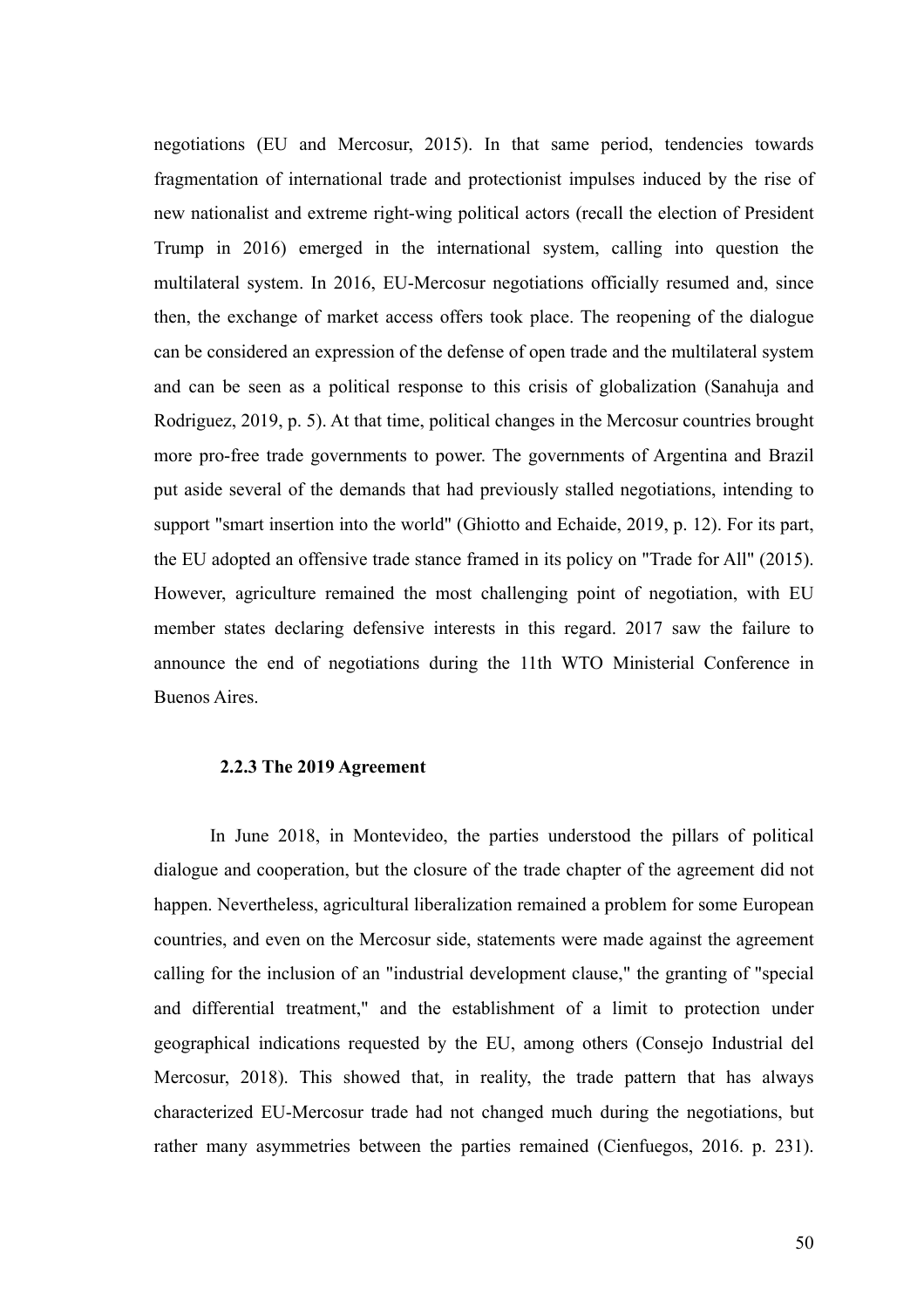negotiations (EU and Mercosur, 2015). In that same period, tendencies towards fragmentation of international trade and protectionist impulses induced by the rise of new nationalist and extreme right-wing political actors (recall the election of President Trump in 2016) emerged in the international system, calling into question the multilateral system. In 2016, EU-Mercosur negotiations officially resumed and, since then, the exchange of market access offers took place. The reopening of the dialogue can be considered an expression of the defense of open trade and the multilateral system and can be seen as a political response to this crisis of globalization (Sanahuja and Rodriguez, 2019, p. 5). At that time, political changes in the Mercosur countries brought more pro-free trade governments to power. The governments of Argentina and Brazil put aside several of the demands that had previously stalled negotiations, intending to support "smart insertion into the world" (Ghiotto and Echaide, 2019, p. 12). For its part, the EU adopted an offensive trade stance framed in its policy on "Trade for All" (2015). However, agriculture remained the most challenging point of negotiation, with EU member states declaring defensive interests in this regard. 2017 saw the failure to announce the end of negotiations during the 11th WTO Ministerial Conference in Buenos Aires.

### **2.2.3 The 2019 Agreement**

In June 2018, in Montevideo, the parties understood the pillars of political dialogue and cooperation, but the closure of the trade chapter of the agreement did not happen. Nevertheless, agricultural liberalization remained a problem for some European countries, and even on the Mercosur side, statements were made against the agreement calling for the inclusion of an "industrial development clause," the granting of "special and differential treatment," and the establishment of a limit to protection under geographical indications requested by the EU, among others (Consejo Industrial del Mercosur, 2018). This showed that, in reality, the trade pattern that has always characterized EU-Mercosur trade had not changed much during the negotiations, but rather many asymmetries between the parties remained (Cienfuegos, 2016. p. 231).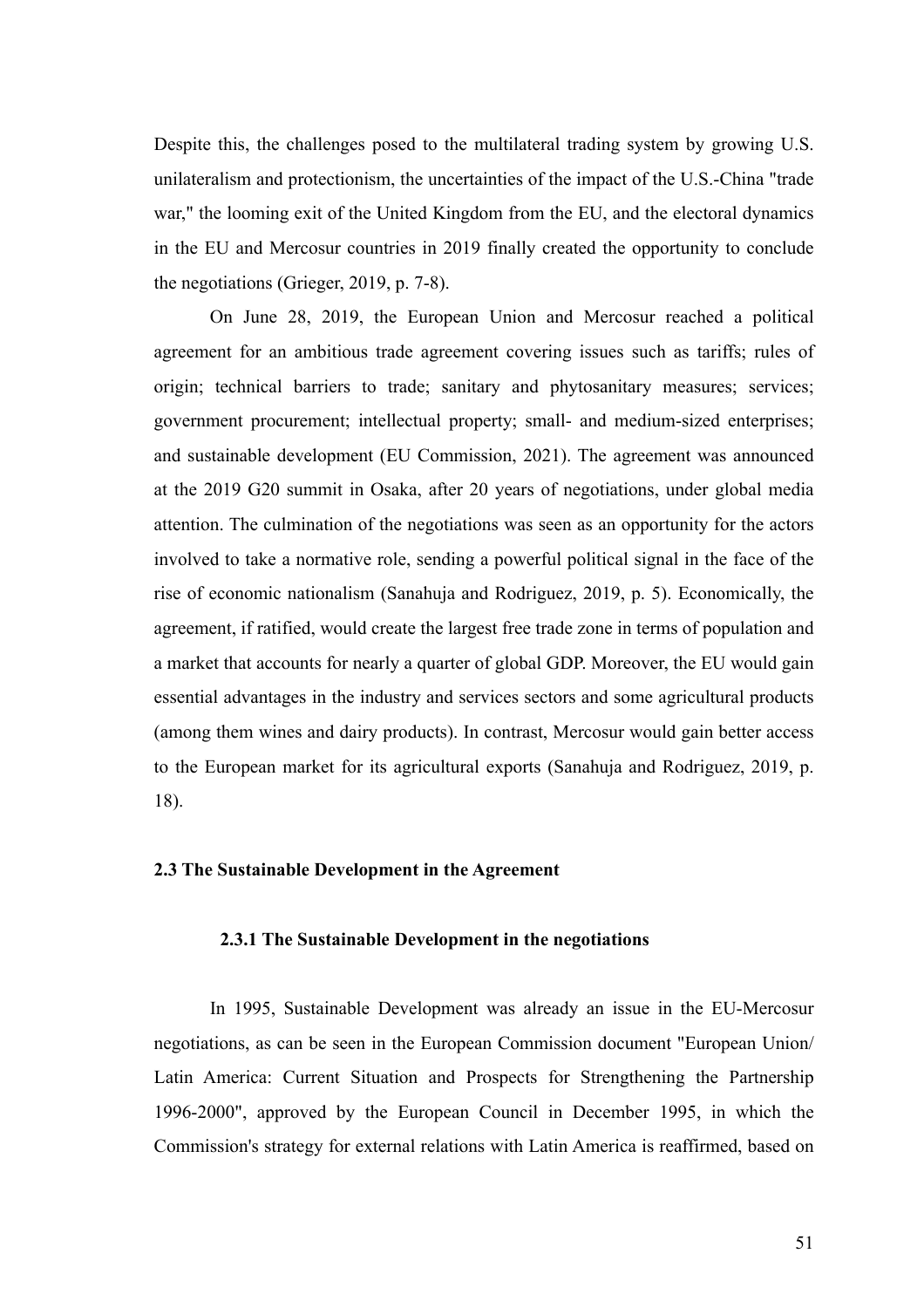Despite this, the challenges posed to the multilateral trading system by growing U.S. unilateralism and protectionism, the uncertainties of the impact of the U.S.-China "trade war," the looming exit of the United Kingdom from the EU, and the electoral dynamics in the EU and Mercosur countries in 2019 finally created the opportunity to conclude the negotiations (Grieger, 2019, p. 7-8).

On June 28, 2019, the European Union and Mercosur reached a political agreement for an ambitious trade agreement covering issues such as tariffs; rules of origin; technical barriers to trade; sanitary and phytosanitary measures; services; government procurement; intellectual property; small- and medium-sized enterprises; and sustainable development (EU Commission, 2021). The agreement was announced at the 2019 G20 summit in Osaka, after 20 years of negotiations, under global media attention. The culmination of the negotiations was seen as an opportunity for the actors involved to take a normative role, sending a powerful political signal in the face of the rise of economic nationalism (Sanahuja and Rodriguez, 2019, p. 5). Economically, the agreement, if ratified, would create the largest free trade zone in terms of population and a market that accounts for nearly a quarter of global GDP. Moreover, the EU would gain essential advantages in the industry and services sectors and some agricultural products (among them wines and dairy products). In contrast, Mercosur would gain better access to the European market for its agricultural exports (Sanahuja and Rodriguez, 2019, p. 18).

## **2.3 The Sustainable Development in the Agreement**

#### **2.3.1 The Sustainable Development in the negotiations**

In 1995, Sustainable Development was already an issue in the EU-Mercosur negotiations, as can be seen in the European Commission document "European Union/ Latin America: Current Situation and Prospects for Strengthening the Partnership 1996-2000", approved by the European Council in December 1995, in which the Commission's strategy for external relations with Latin America is reaffirmed, based on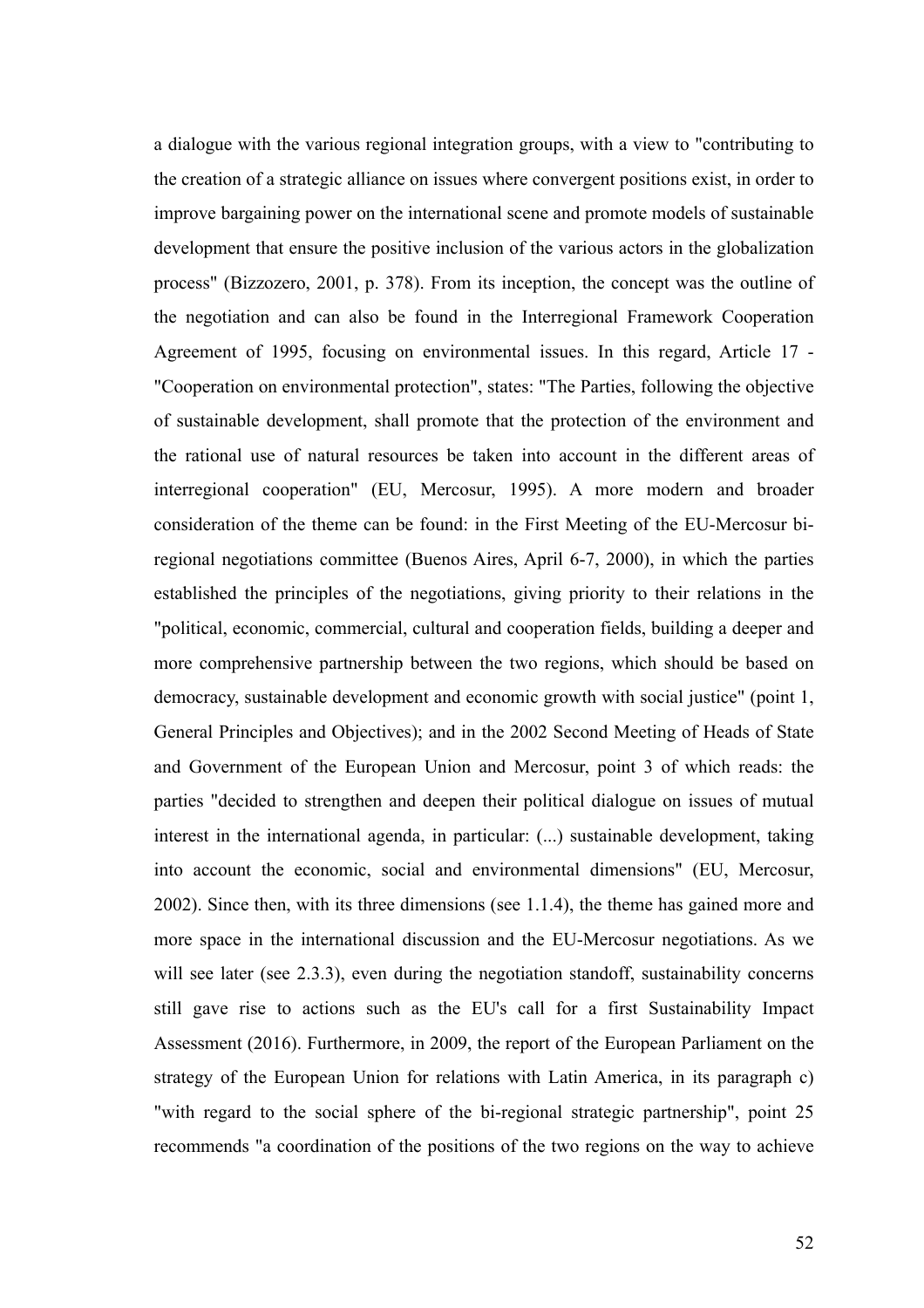a dialogue with the various regional integration groups, with a view to "contributing to the creation of a strategic alliance on issues where convergent positions exist, in order to improve bargaining power on the international scene and promote models of sustainable development that ensure the positive inclusion of the various actors in the globalization process" (Bizzozero, 2001, p. 378). From its inception, the concept was the outline of the negotiation and can also be found in the Interregional Framework Cooperation Agreement of 1995, focusing on environmental issues. In this regard, Article 17 - "Cooperation on environmental protection", states: "The Parties, following the objective of sustainable development, shall promote that the protection of the environment and the rational use of natural resources be taken into account in the different areas of interregional cooperation" (EU, Mercosur, 1995). A more modern and broader consideration of the theme can be found: in the First Meeting of the EU-Mercosur biregional negotiations committee (Buenos Aires, April 6-7, 2000), in which the parties established the principles of the negotiations, giving priority to their relations in the "political, economic, commercial, cultural and cooperation fields, building a deeper and more comprehensive partnership between the two regions, which should be based on democracy, sustainable development and economic growth with social justice" (point 1, General Principles and Objectives); and in the 2002 Second Meeting of Heads of State and Government of the European Union and Mercosur, point 3 of which reads: the parties "decided to strengthen and deepen their political dialogue on issues of mutual interest in the international agenda, in particular: (...) sustainable development, taking into account the economic, social and environmental dimensions" (EU, Mercosur, 2002). Since then, with its three dimensions (see 1.1.4), the theme has gained more and more space in the international discussion and the EU-Mercosur negotiations. As we will see later (see 2.3.3), even during the negotiation standoff, sustainability concerns still gave rise to actions such as the EU's call for a first Sustainability Impact Assessment (2016). Furthermore, in 2009, the report of the European Parliament on the strategy of the European Union for relations with Latin America, in its paragraph c) "with regard to the social sphere of the bi-regional strategic partnership", point 25 recommends "a coordination of the positions of the two regions on the way to achieve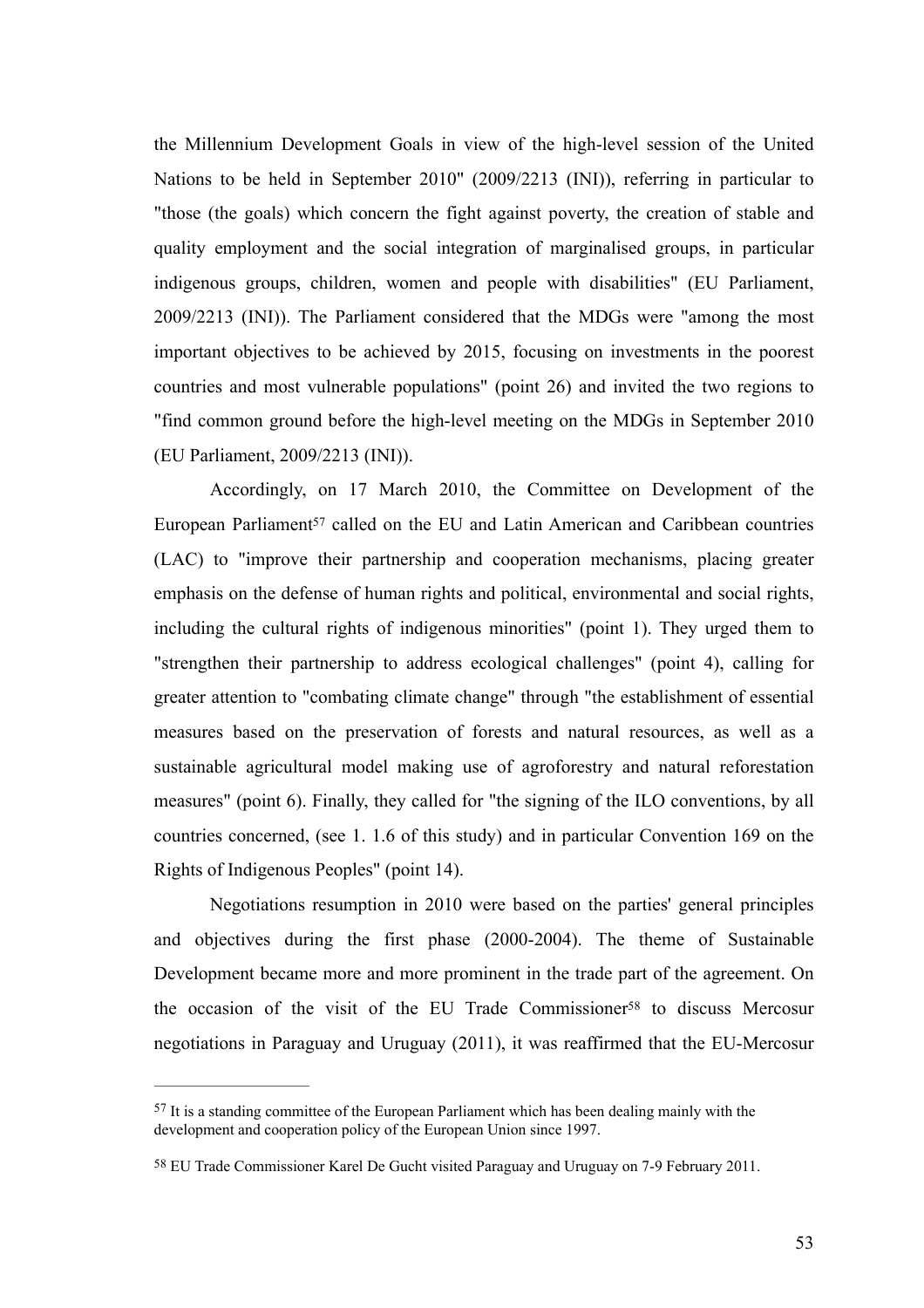the Millennium Development Goals in view of the high-level session of the United Nations to be held in September 2010" (2009/2213 (INI)), referring in particular to "those (the goals) which concern the fight against poverty, the creation of stable and quality employment and the social integration of marginalised groups, in particular indigenous groups, children, women and people with disabilities" (EU Parliament, 2009/2213 (INI)). The Parliament considered that the MDGs were "among the most important objectives to be achieved by 2015, focusing on investments in the poorest countries and most vulnerable populations" (point 26) and invited the two regions to "find common ground before the high-level meeting on the MDGs in September 2010 (EU Parliament, 2009/2213 (INI)).

<span id="page-53-2"></span>Accordingly, on 17 March 2010, the Committee on Development of the EuropeanParliament<sup>[57](#page-53-0)</sup> called on the EU and Latin American and Caribbean countries (LAC) to "improve their partnership and cooperation mechanisms, placing greater emphasis on the defense of human rights and political, environmental and social rights, including the cultural rights of indigenous minorities" (point 1). They urged them to "strengthen their partnership to address ecological challenges" (point 4), calling for greater attention to "combating climate change" through "the establishment of essential measures based on the preservation of forests and natural resources, as well as a sustainable agricultural model making use of agroforestry and natural reforestation measures" (point 6). Finally, they called for "the signing of the ILO conventions, by all countries concerned, (see 1. 1.6 of this study) and in particular Convention 169 on the Rights of Indigenous Peoples" (point 14).

<span id="page-53-3"></span>Negotiations resumption in 2010 were based on the parties' general principles and objectives during the first phase (2000-2004). The theme of Sustainable Development became more and more prominent in the trade part of the agreement. On the occasion of the visit of the EU T[r](#page-53-1)ade Commissioner<sup>[58](#page-53-1)</sup> to discuss Mercosur negotiations in Paraguay and Uruguay (2011), it was reaffirmed that the EU-Mercosur

<span id="page-53-0"></span> $57$  It is a standing committee of the European Parliament which has been dealing mainly with the development and cooperation policy of the European Union since 1997.

<span id="page-53-1"></span><sup>&</sup>lt;sup>[58](#page-53-3)</sup> EU Trade Commissioner Karel De Gucht visited Paraguay and Uruguay on 7-9 February 2011.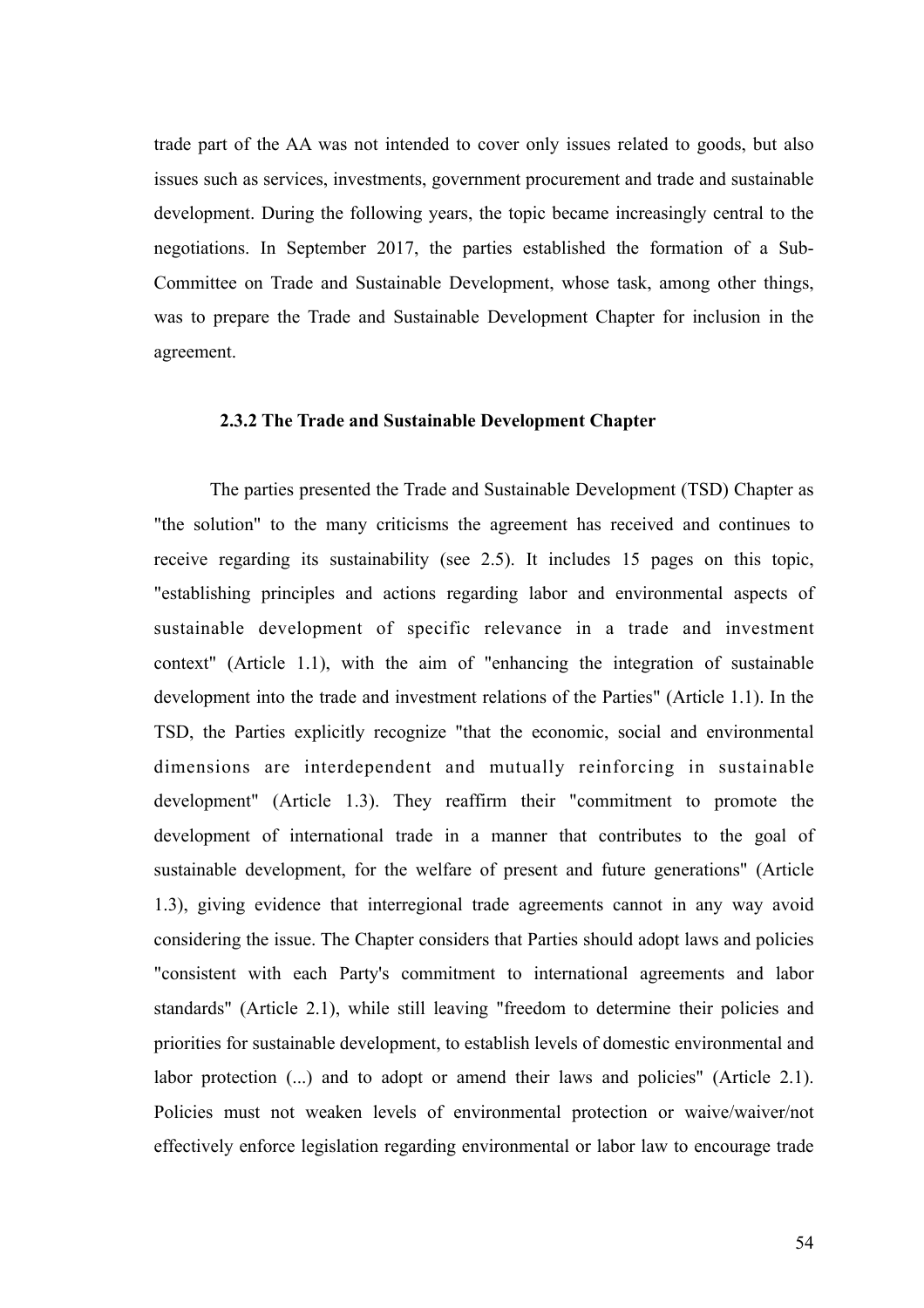trade part of the AA was not intended to cover only issues related to goods, but also issues such as services, investments, government procurement and trade and sustainable development. During the following years, the topic became increasingly central to the negotiations. In September 2017, the parties established the formation of a Sub-Committee on Trade and Sustainable Development, whose task, among other things, was to prepare the Trade and Sustainable Development Chapter for inclusion in the agreement.

# **2.3.2 The Trade and Sustainable Development Chapter**

The parties presented the Trade and Sustainable Development (TSD) Chapter as "the solution" to the many criticisms the agreement has received and continues to receive regarding its sustainability (see 2.5). It includes 15 pages on this topic, "establishing principles and actions regarding labor and environmental aspects of sustainable development of specific relevance in a trade and investment context" (Article 1.1), with the aim of "enhancing the integration of sustainable development into the trade and investment relations of the Parties" (Article 1.1). In the TSD, the Parties explicitly recognize "that the economic, social and environmental dimensions are interdependent and mutually reinforcing in sustainable development" (Article 1.3). They reaffirm their "commitment to promote the development of international trade in a manner that contributes to the goal of sustainable development, for the welfare of present and future generations" (Article 1.3), giving evidence that interregional trade agreements cannot in any way avoid considering the issue. The Chapter considers that Parties should adopt laws and policies "consistent with each Party's commitment to international agreements and labor standards" (Article 2.1), while still leaving "freedom to determine their policies and priorities for sustainable development, to establish levels of domestic environmental and labor protection  $(...)$  and to adopt or amend their laws and policies" (Article 2.1). Policies must not weaken levels of environmental protection or waive/waiver/not effectively enforce legislation regarding environmental or labor law to encourage trade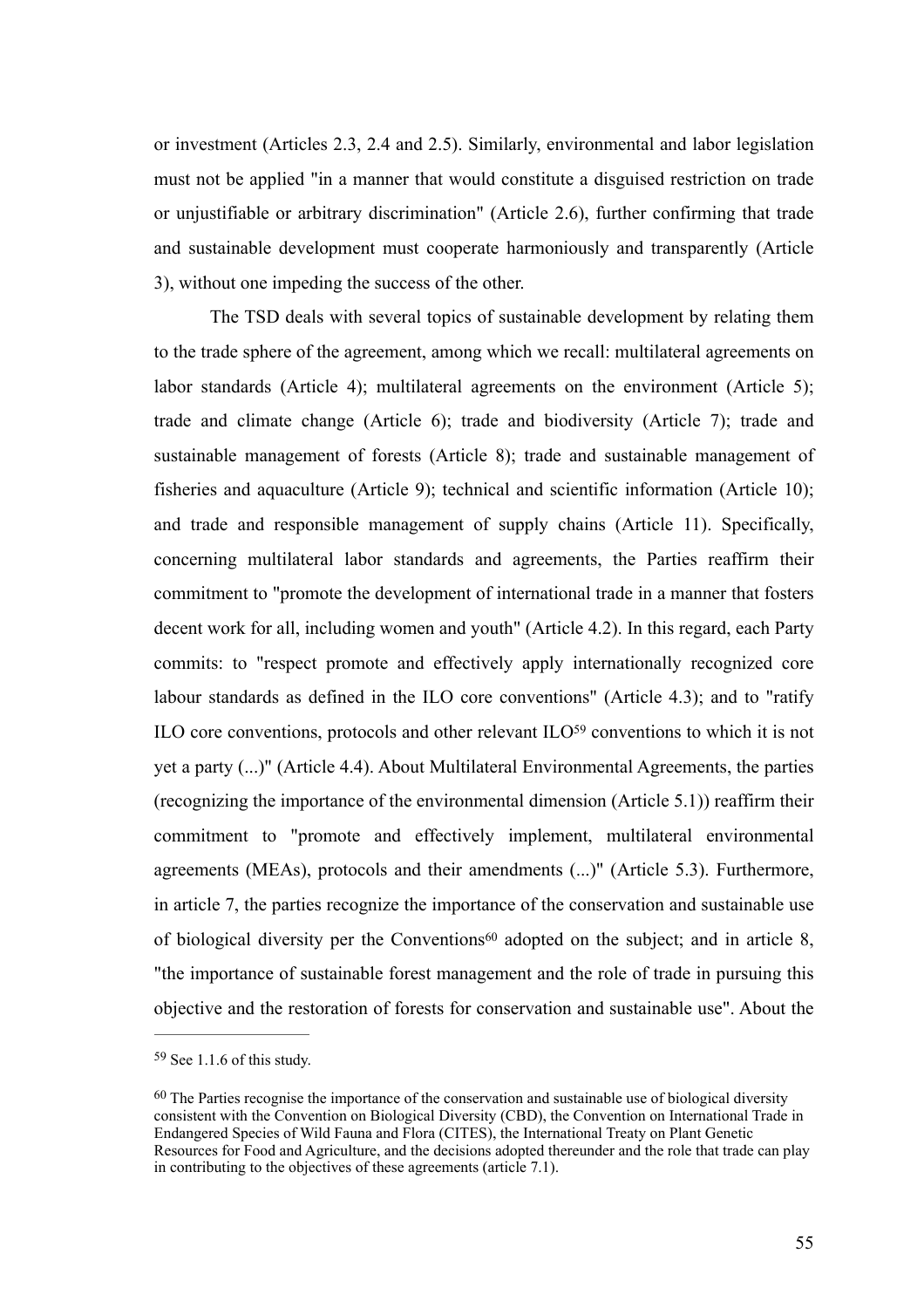or investment (Articles 2.3, 2.4 and 2.5). Similarly, environmental and labor legislation must not be applied "in a manner that would constitute a disguised restriction on trade or unjustifiable or arbitrary discrimination" (Article 2.6), further confirming that trade and sustainable development must cooperate harmoniously and transparently (Article 3), without one impeding the success of the other.

The TSD deals with several topics of sustainable development by relating them to the trade sphere of the agreement, among which we recall: multilateral agreements on labor standards (Article 4); multilateral agreements on the environment (Article 5); trade and climate change (Article 6); trade and biodiversity (Article 7); trade and sustainable management of forests (Article 8); trade and sustainable management of fisheries and aquaculture (Article 9); technical and scientific information (Article 10); and trade and responsible management of supply chains (Article 11). Specifically, concerning multilateral labor standards and agreements, the Parties reaffirm their commitment to "promote the development of international trade in a manner that fosters decent work for all, including women and youth" (Article 4.2). In this regard, each Party commits: to "respect promote and effectively apply internationally recognized core labour standards as defined in the ILO core conventions" (Article 4.3); and to "ratify IL[O](#page-55-0) core conventions, protocols and other relevant ILO $59$  conventions to which it is not yet a party (...)" (Article 4.4). About Multilateral Environmental Agreements, the parties (recognizing the importance of the environmental dimension (Article 5.1)) reaffirm their commitment to "promote and effectively implement, multilateral environmental agreements (MEAs), protocols and their amendments (...)" (Article 5.3). Furthermore, in article 7, the parties recognize the importance of the conservation and sustainable use of biological diver[s](#page-55-1)ity per the Conventions<sup>[60](#page-55-1)</sup> adopted on the subject; and in article  $8$ , "the importance of sustainable forest management and the role of trade in pursuing this objective and the restoration of forests for conservation and sustainable use". About the

<span id="page-55-3"></span><span id="page-55-2"></span><span id="page-55-0"></span> $59$  See 1.1.6 of this study.

<span id="page-55-1"></span> $60$  The Parties recognise the importance of the conservation and sustainable use of biological diversity consistent with the Convention on Biological Diversity (CBD), the Convention on International Trade in Endangered Species of Wild Fauna and Flora (CITES), the International Treaty on Plant Genetic Resources for Food and Agriculture, and the decisions adopted thereunder and the role that trade can play in contributing to the objectives of these agreements (article 7.1).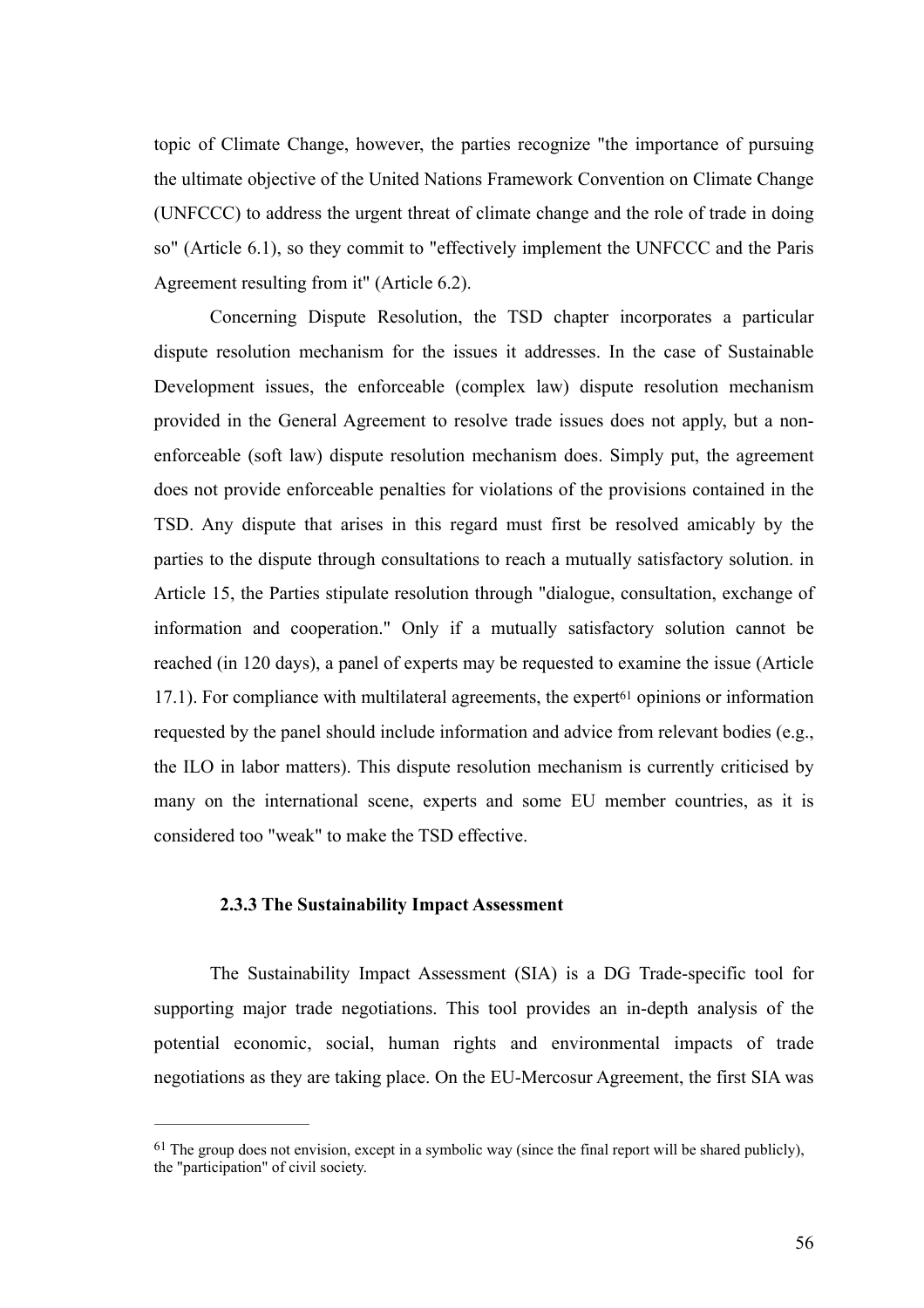topic of Climate Change, however, the parties recognize "the importance of pursuing the ultimate objective of the United Nations Framework Convention on Climate Change (UNFCCC) to address the urgent threat of climate change and the role of trade in doing so" (Article 6.1), so they commit to "effectively implement the UNFCCC and the Paris Agreement resulting from it" (Article 6.2).

Concerning Dispute Resolution, the TSD chapter incorporates a particular dispute resolution mechanism for the issues it addresses. In the case of Sustainable Development issues, the enforceable (complex law) dispute resolution mechanism provided in the General Agreement to resolve trade issues does not apply, but a nonenforceable (soft law) dispute resolution mechanism does. Simply put, the agreement does not provide enforceable penalties for violations of the provisions contained in the TSD. Any dispute that arises in this regard must first be resolved amicably by the parties to the dispute through consultations to reach a mutually satisfactory solution. in Article 15, the Parties stipulate resolution through "dialogue, consultation, exchange of information and cooperation." Only if a mutually satisfactory solution cannot be reached (in 120 days), a panel of experts may be requested to examine the issue (Article 17.1). For compliance wi[t](#page-56-0)h multilateral agreements, the expert<sup> $61$ </sup> opinions or information requested by the panel should include information and advice from relevant bodies (e.g., the ILO in labor matters). This dispute resolution mechanism is currently criticised by many on the international scene, experts and some EU member countries, as it is considered too "weak" to make the TSD effective.

# <span id="page-56-1"></span>**2.3.3 The Sustainability Impact Assessment**

The Sustainability Impact Assessment (SIA) is a DG Trade-specific tool for supporting major trade negotiations. This tool provides an in-depth analysis of the potential economic, social, human rights and environmental impacts of trade negotiations as they are taking place. On the EU-Mercosur Agreement, the first SIA was

<span id="page-56-0"></span> $61$  The group does not envision, except in a symbolic way (since the final report will be shared publicly). the "participation" of civil society.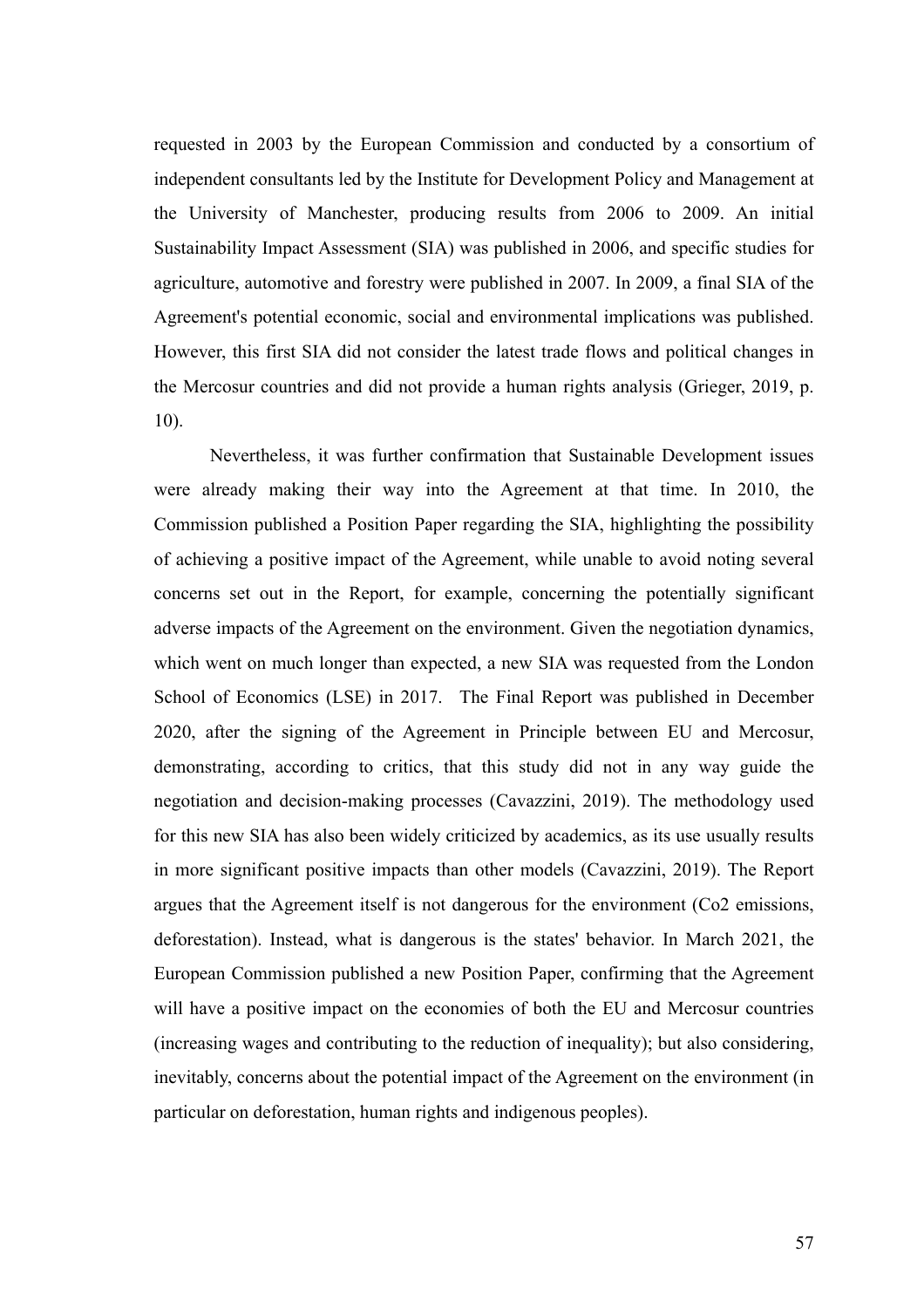requested in 2003 by the European Commission and conducted by a consortium of independent consultants led by the Institute for Development Policy and Management at the University of Manchester, producing results from 2006 to 2009. An initial Sustainability Impact Assessment (SIA) was published in 2006, and specific studies for agriculture, automotive and forestry were published in 2007. In 2009, a final SIA of the Agreement's potential economic, social and environmental implications was published. However, this first SIA did not consider the latest trade flows and political changes in the Mercosur countries and did not provide a human rights analysis (Grieger, 2019, p. 10).

Nevertheless, it was further confirmation that Sustainable Development issues were already making their way into the Agreement at that time. In 2010, the Commission published a Position Paper regarding the SIA, highlighting the possibility of achieving a positive impact of the Agreement, while unable to avoid noting several concerns set out in the Report, for example, concerning the potentially significant adverse impacts of the Agreement on the environment. Given the negotiation dynamics, which went on much longer than expected, a new SIA was requested from the London School of Economics (LSE) in 2017. The Final Report was published in December 2020, after the signing of the Agreement in Principle between EU and Mercosur, demonstrating, according to critics, that this study did not in any way guide the negotiation and decision-making processes (Cavazzini, 2019). The methodology used for this new SIA has also been widely criticized by academics, as its use usually results in more significant positive impacts than other models (Cavazzini, 2019). The Report argues that the Agreement itself is not dangerous for the environment (Co2 emissions, deforestation). Instead, what is dangerous is the states' behavior. In March 2021, the European Commission published a new Position Paper, confirming that the Agreement will have a positive impact on the economies of both the EU and Mercosur countries (increasing wages and contributing to the reduction of inequality); but also considering, inevitably, concerns about the potential impact of the Agreement on the environment (in particular on deforestation, human rights and indigenous peoples).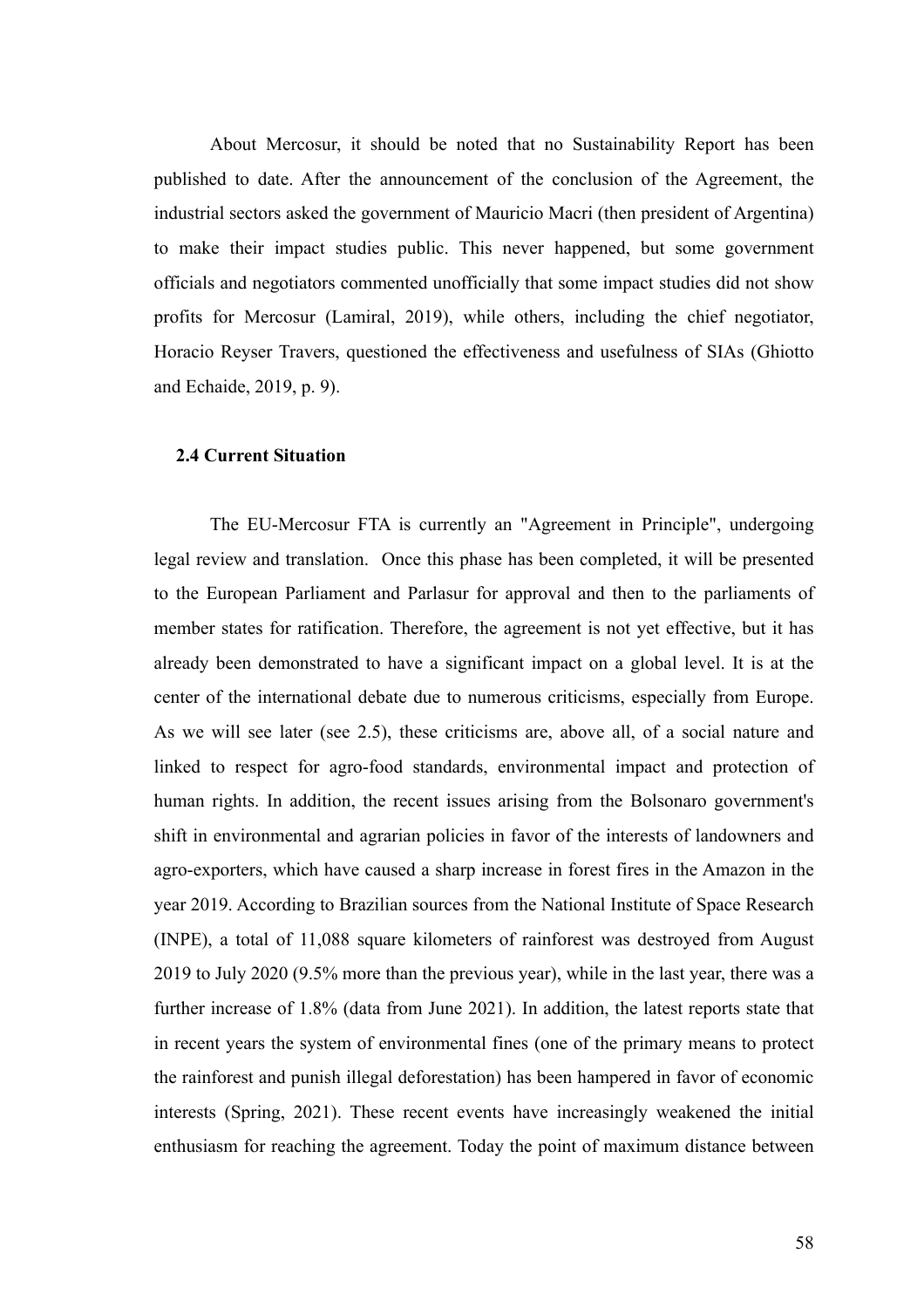About Mercosur, it should be noted that no Sustainability Report has been published to date. After the announcement of the conclusion of the Agreement, the industrial sectors asked the government of Mauricio Macri (then president of Argentina) to make their impact studies public. This never happened, but some government officials and negotiators commented unofficially that some impact studies did not show profits for Mercosur (Lamiral, 2019), while others, including the chief negotiator, Horacio Reyser Travers, questioned the effectiveness and usefulness of SIAs (Ghiotto and Echaide, 2019, p. 9).

# **2.4 Current Situation**

The EU-Mercosur FTA is currently an "Agreement in Principle", undergoing legal review and translation. Once this phase has been completed, it will be presented to the European Parliament and Parlasur for approval and then to the parliaments of member states for ratification. Therefore, the agreement is not yet effective, but it has already been demonstrated to have a significant impact on a global level. It is at the center of the international debate due to numerous criticisms, especially from Europe. As we will see later (see 2.5), these criticisms are, above all, of a social nature and linked to respect for agro-food standards, environmental impact and protection of human rights. In addition, the recent issues arising from the Bolsonaro government's shift in environmental and agrarian policies in favor of the interests of landowners and agro-exporters, which have caused a sharp increase in forest fires in the Amazon in the year 2019. According to Brazilian sources from the National Institute of Space Research (INPE), a total of 11,088 square kilometers of rainforest was destroyed from August 2019 to July 2020 (9.5% more than the previous year), while in the last year, there was a further increase of 1.8% (data from June 2021). In addition, the latest reports state that in recent years the system of environmental fines (one of the primary means to protect the rainforest and punish illegal deforestation) has been hampered in favor of economic interests (Spring, 2021). These recent events have increasingly weakened the initial enthusiasm for reaching the agreement. Today the point of maximum distance between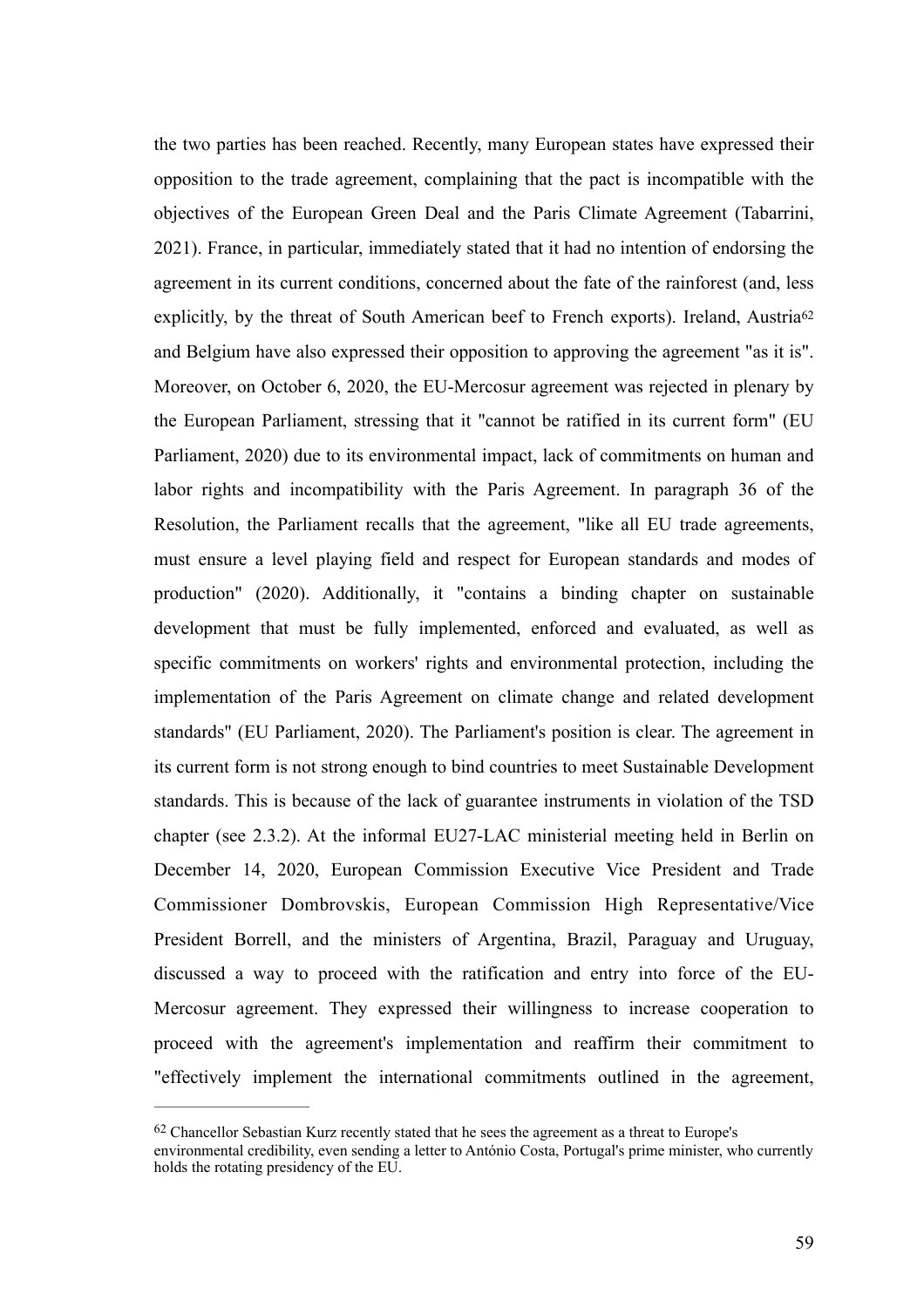<span id="page-59-1"></span>the two parties has been reached. Recently, many European states have expressed their opposition to the trade agreement, complaining that the pact is incompatible with the objectives of the European Green Deal and the Paris Climate Agreement (Tabarrini, 2021). France, in particular, immediately stated that it had no intention of endorsing the agreement in its current conditions, concerned about the fate of the rainforest (and, less explicitly, by the threat of South American beef to French exports). Ireland, Austria<sup>62</sup> and Belgium have also expressed their opposition to approving the agreement "as it is". Moreover, on October 6, 2020, the EU-Mercosur agreement was rejected in plenary by the European Parliament, stressing that it "cannot be ratified in its current form" (EU Parliament, 2020) due to its environmental impact, lack of commitments on human and labor rights and incompatibility with the Paris Agreement. In paragraph 36 of the Resolution, the Parliament recalls that the agreement, "like all EU trade agreements, must ensure a level playing field and respect for European standards and modes of production" (2020). Additionally, it "contains a binding chapter on sustainable development that must be fully implemented, enforced and evaluated, as well as specific commitments on workers' rights and environmental protection, including the implementation of the Paris Agreement on climate change and related development standards" (EU Parliament, 2020). The Parliament's position is clear. The agreement in its current form is not strong enough to bind countries to meet Sustainable Development standards. This is because of the lack of guarantee instruments in violation of the TSD chapter (see 2.3.2). At the informal EU27-LAC ministerial meeting held in Berlin on December 14, 2020, European Commission Executive Vice President and Trade Commissioner Dombrovskis, European Commission High Representative/Vice President Borrell, and the ministers of Argentina, Brazil, Paraguay and Uruguay, discussed a way to proceed with the ratification and entry into force of the EU-Mercosur agreement. They expressed their willingness to increase cooperation to proceed with the agreement's implementation and reaffirm their commitment to "effectively implement the international commitments outlined in the agreement,

<span id="page-59-0"></span><sup>&</sup>lt;sup>[62](#page-59-1)</sup> Chancellor Sebastian Kurz recently stated that he sees the agreement as a threat to Europe's environmental credibility, even sending a letter to António Costa, Portugal's prime minister, who currently holds the rotating presidency of the EU.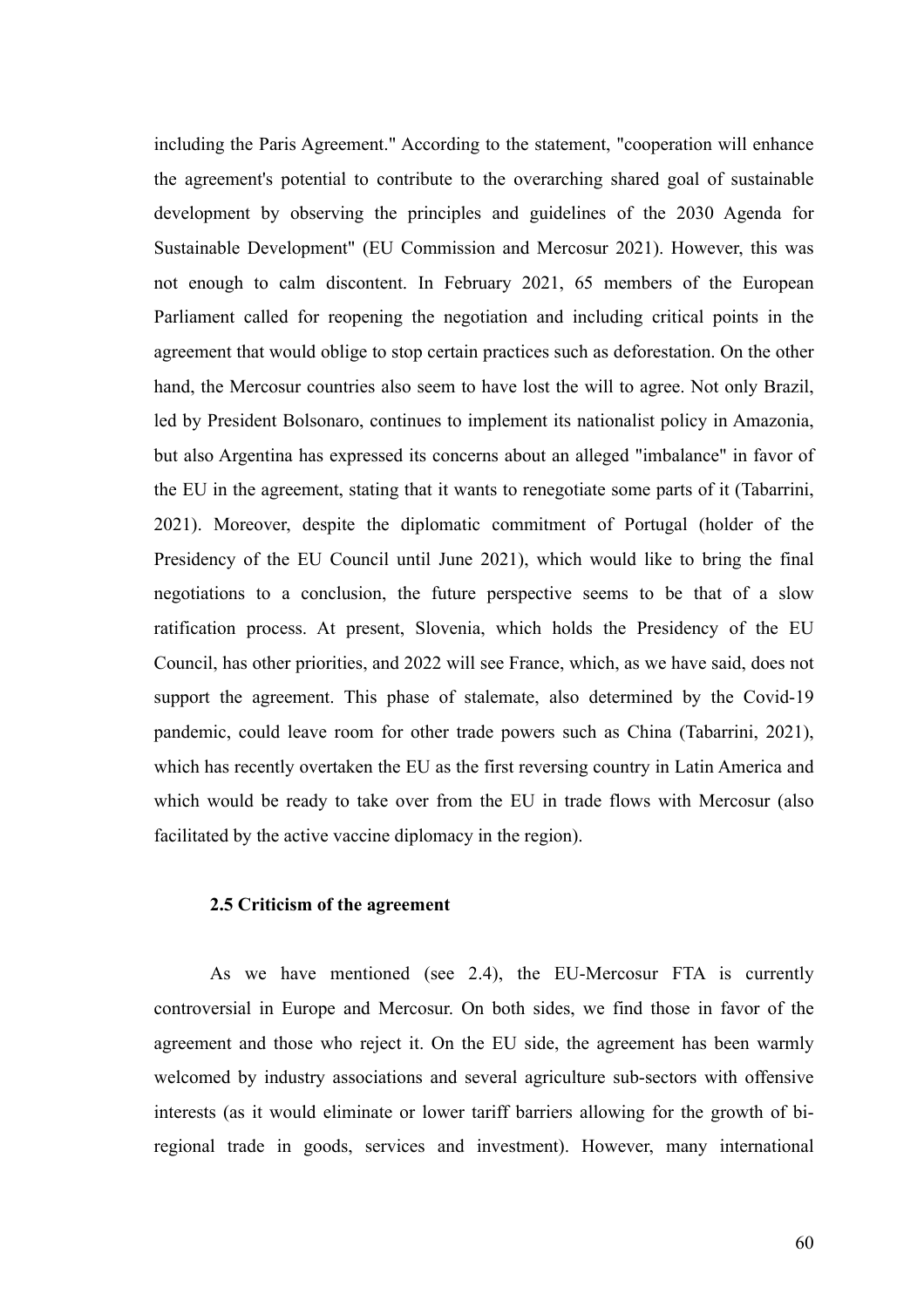including the Paris Agreement." According to the statement, "cooperation will enhance the agreement's potential to contribute to the overarching shared goal of sustainable development by observing the principles and guidelines of the 2030 Agenda for Sustainable Development" (EU Commission and Mercosur 2021). However, this was not enough to calm discontent. In February 2021, 65 members of the European Parliament called for reopening the negotiation and including critical points in the agreement that would oblige to stop certain practices such as deforestation. On the other hand, the Mercosur countries also seem to have lost the will to agree. Not only Brazil, led by President Bolsonaro, continues to implement its nationalist policy in Amazonia, but also Argentina has expressed its concerns about an alleged "imbalance" in favor of the EU in the agreement, stating that it wants to renegotiate some parts of it (Tabarrini, 2021). Moreover, despite the diplomatic commitment of Portugal (holder of the Presidency of the EU Council until June 2021), which would like to bring the final negotiations to a conclusion, the future perspective seems to be that of a slow ratification process. At present, Slovenia, which holds the Presidency of the EU Council, has other priorities, and 2022 will see France, which, as we have said, does not support the agreement. This phase of stalemate, also determined by the Covid-19 pandemic, could leave room for other trade powers such as China (Tabarrini, 2021), which has recently overtaken the EU as the first reversing country in Latin America and which would be ready to take over from the EU in trade flows with Mercosur (also facilitated by the active vaccine diplomacy in the region).

### **2.5 Criticism of the agreement**

As we have mentioned (see 2.4), the EU-Mercosur FTA is currently controversial in Europe and Mercosur. On both sides, we find those in favor of the agreement and those who reject it. On the EU side, the agreement has been warmly welcomed by industry associations and several agriculture sub-sectors with offensive interests (as it would eliminate or lower tariff barriers allowing for the growth of biregional trade in goods, services and investment). However, many international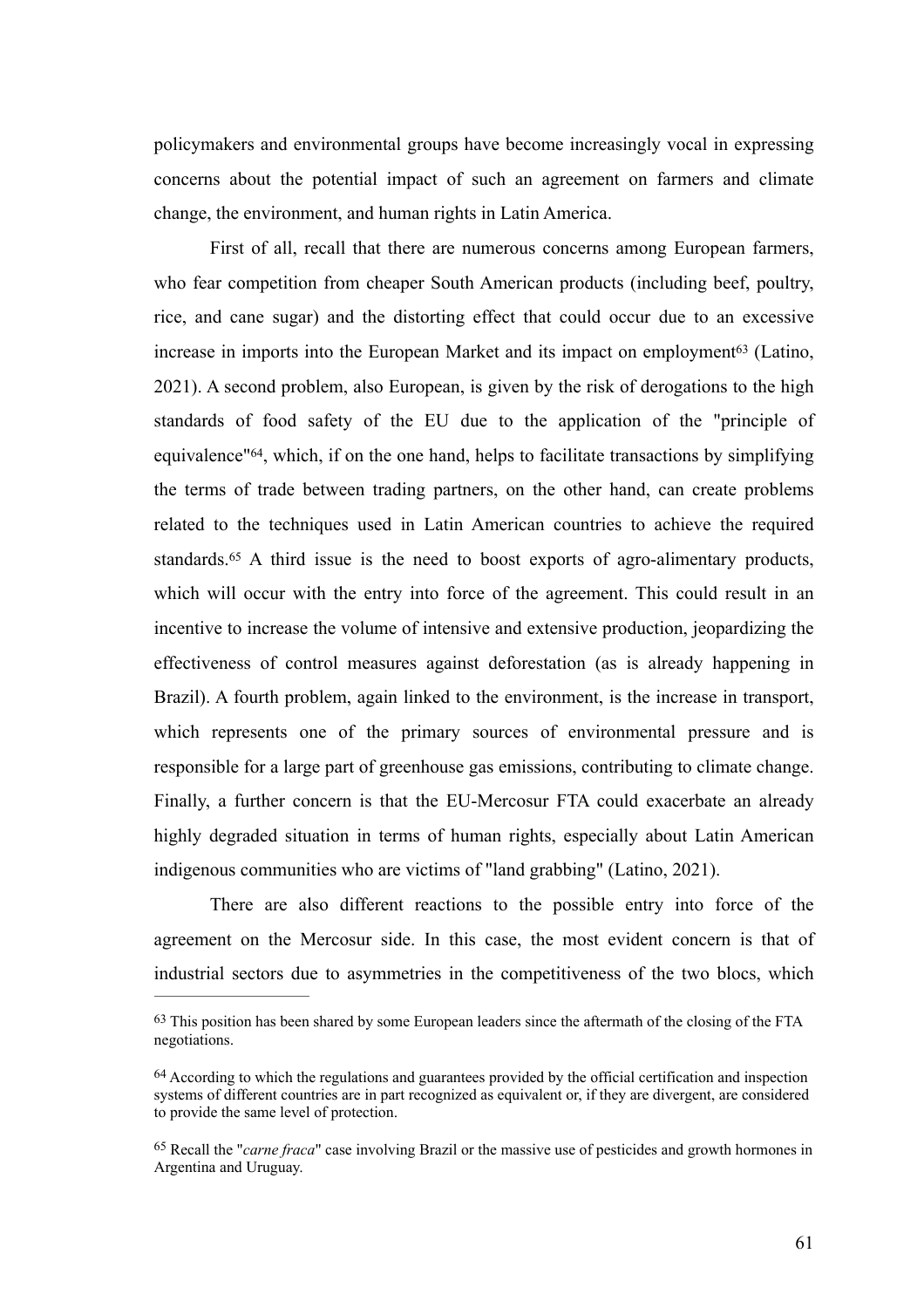policymakers and environmental groups have become increasingly vocal in expressing concerns about the potential impact of such an agreement on farmers and climate change, the environment, and human rights in Latin America.

<span id="page-61-5"></span><span id="page-61-4"></span><span id="page-61-3"></span>First of all, recall that there are numerous concerns among European farmers, who fear competition from cheaper South American products (including beef, poultry, rice, and cane sugar) and the distorting effect that could occur due to an excessive increasein imports into the European Market and its impact on employment<sup>[63](#page-61-0)</sup> (Latino, 2021). A second problem, also European, is given by the risk of derogations to the high standards of food safety of the EU due to the application of the "principle of equivalence" $64$ , which, if on the one hand, helps to facilitate transactions by simplifying the terms of trade between trading partners, on the other hand, can create problems related to the techniques used in Latin American countries to achieve the required standards.<sup>65</sup>A third issue is the need to boost exports of agro-alimentary products, which will occur with the entry into force of the agreement. This could result in an incentive to increase the volume of intensive and extensive production, jeopardizing the effectiveness of control measures against deforestation (as is already happening in Brazil). A fourth problem, again linked to the environment, is the increase in transport, which represents one of the primary sources of environmental pressure and is responsible for a large part of greenhouse gas emissions, contributing to climate change. Finally, a further concern is that the EU-Mercosur FTA could exacerbate an already highly degraded situation in terms of human rights, especially about Latin American indigenous communities who are victims of "land grabbing" (Latino, 2021).

There are also different reactions to the possible entry into force of the agreement on the Mercosur side. In this case, the most evident concern is that of industrial sectors due to asymmetries in the competitiveness of the two blocs, which

<span id="page-61-0"></span><sup>&</sup>lt;sup>[63](#page-61-3)</sup> This position has been shared by some European leaders since the aftermath of the closing of the FTA negotiations.

<span id="page-61-1"></span><sup>&</sup>lt;sup>[64](#page-61-4)</sup> According to which the regulations and guarantees provided by the official certification and inspection systems of different countries are in part recognized as equivalent or, if they are divergent, are considered to provide the same level of protection.

<span id="page-61-2"></span><sup>&</sup>lt;sup>[65](#page-61-5)</sup> Recall the "*carne fraca*" case involving Brazil or the massive use of pesticides and growth hormones in Argentina and Uruguay.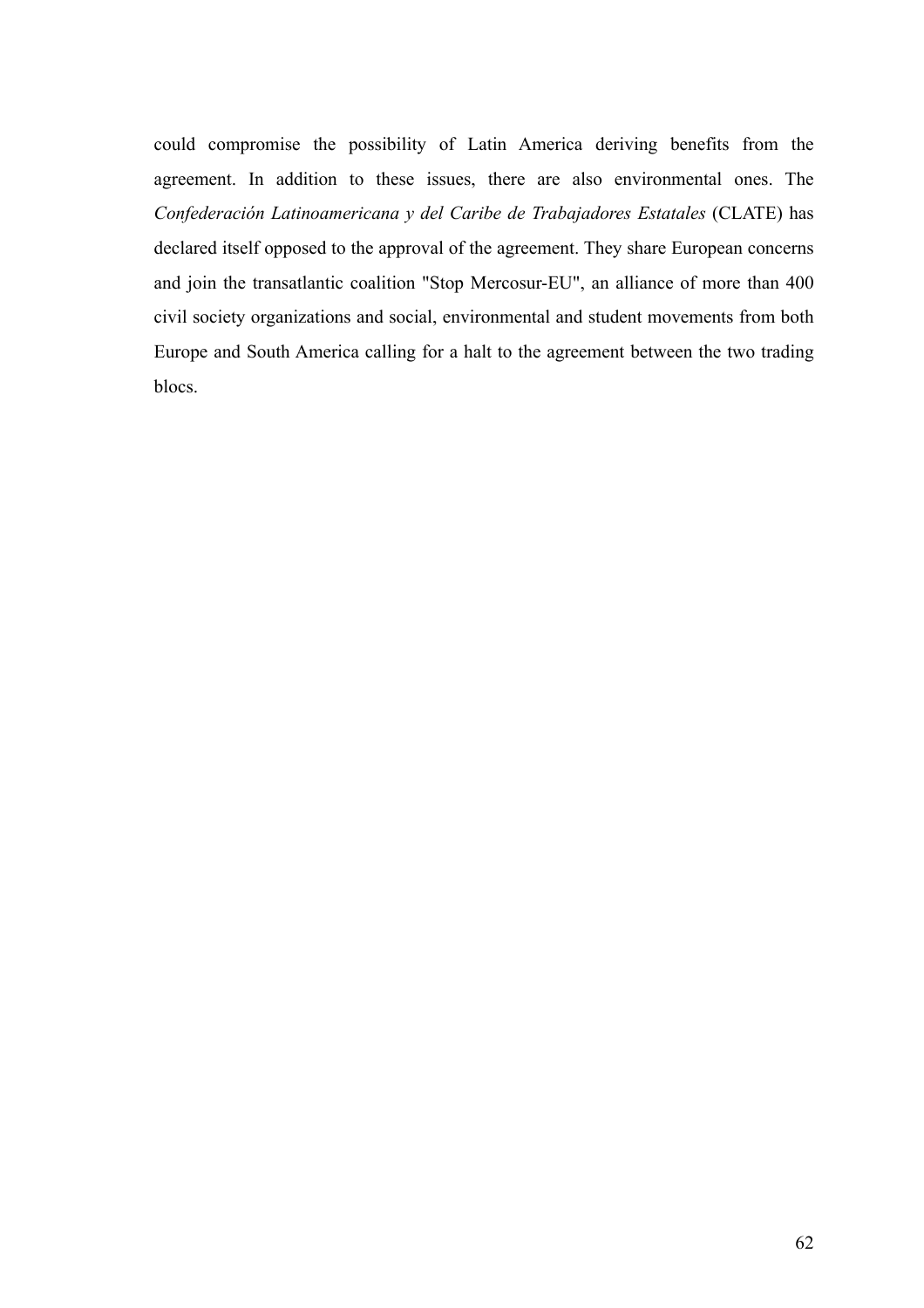could compromise the possibility of Latin America deriving benefits from the agreement. In addition to these issues, there are also environmental ones. The *Confederación Latinoamericana y del Caribe de Trabajadores Estatales* (CLATE) has declared itself opposed to the approval of the agreement. They share European concerns and join the transatlantic coalition "Stop Mercosur-EU", an alliance of more than 400 civil society organizations and social, environmental and student movements from both Europe and South America calling for a halt to the agreement between the two trading blocs.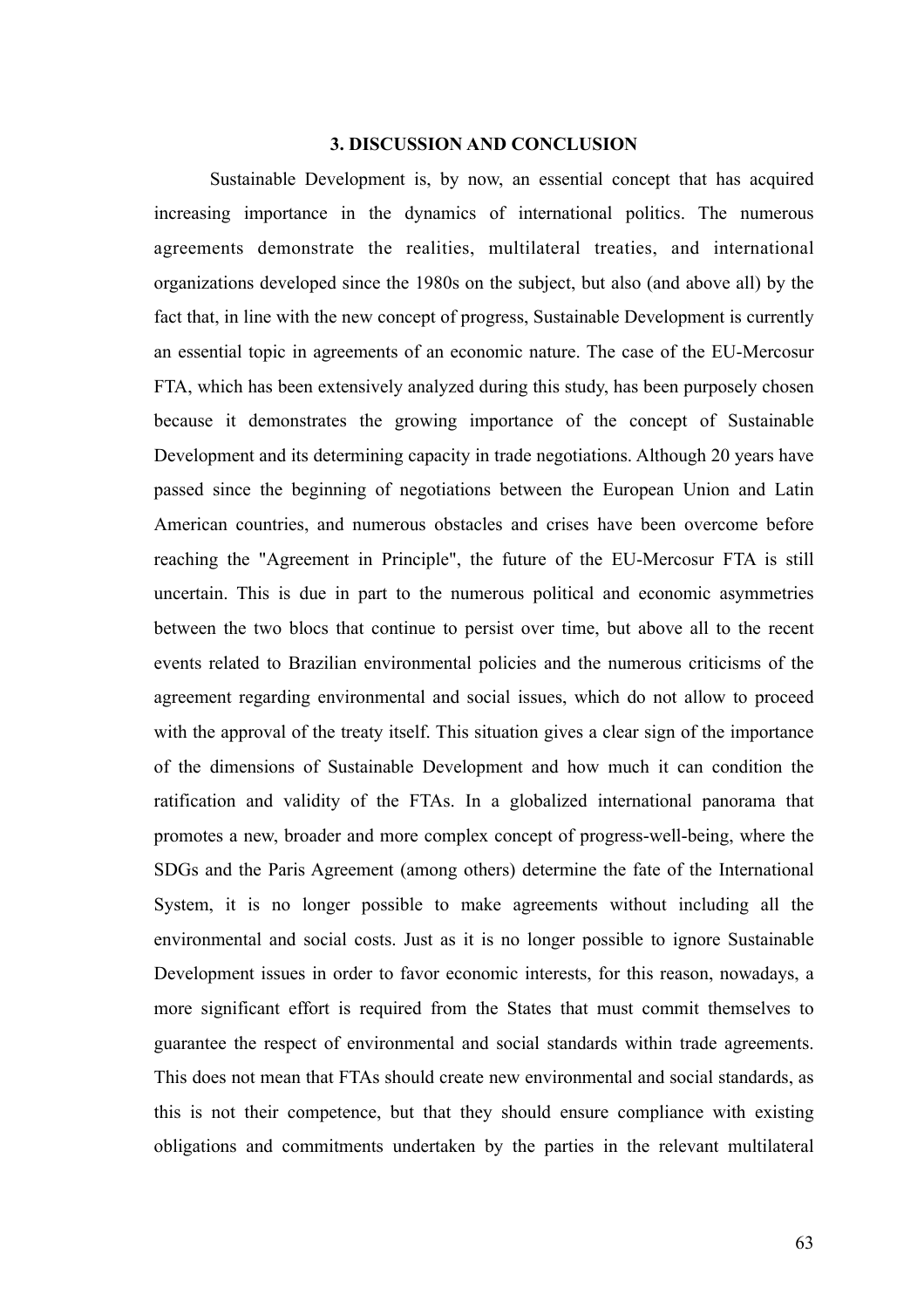### **3. DISCUSSION AND CONCLUSION**

Sustainable Development is, by now, an essential concept that has acquired increasing importance in the dynamics of international politics. The numerous agreements demonstrate the realities, multilateral treaties, and international organizations developed since the 1980s on the subject, but also (and above all) by the fact that, in line with the new concept of progress, Sustainable Development is currently an essential topic in agreements of an economic nature. The case of the EU-Mercosur FTA, which has been extensively analyzed during this study, has been purposely chosen because it demonstrates the growing importance of the concept of Sustainable Development and its determining capacity in trade negotiations. Although 20 years have passed since the beginning of negotiations between the European Union and Latin American countries, and numerous obstacles and crises have been overcome before reaching the "Agreement in Principle", the future of the EU-Mercosur FTA is still uncertain. This is due in part to the numerous political and economic asymmetries between the two blocs that continue to persist over time, but above all to the recent events related to Brazilian environmental policies and the numerous criticisms of the agreement regarding environmental and social issues, which do not allow to proceed with the approval of the treaty itself. This situation gives a clear sign of the importance of the dimensions of Sustainable Development and how much it can condition the ratification and validity of the FTAs. In a globalized international panorama that promotes a new, broader and more complex concept of progress-well-being, where the SDGs and the Paris Agreement (among others) determine the fate of the International System, it is no longer possible to make agreements without including all the environmental and social costs. Just as it is no longer possible to ignore Sustainable Development issues in order to favor economic interests, for this reason, nowadays, a more significant effort is required from the States that must commit themselves to guarantee the respect of environmental and social standards within trade agreements. This does not mean that FTAs should create new environmental and social standards, as this is not their competence, but that they should ensure compliance with existing obligations and commitments undertaken by the parties in the relevant multilateral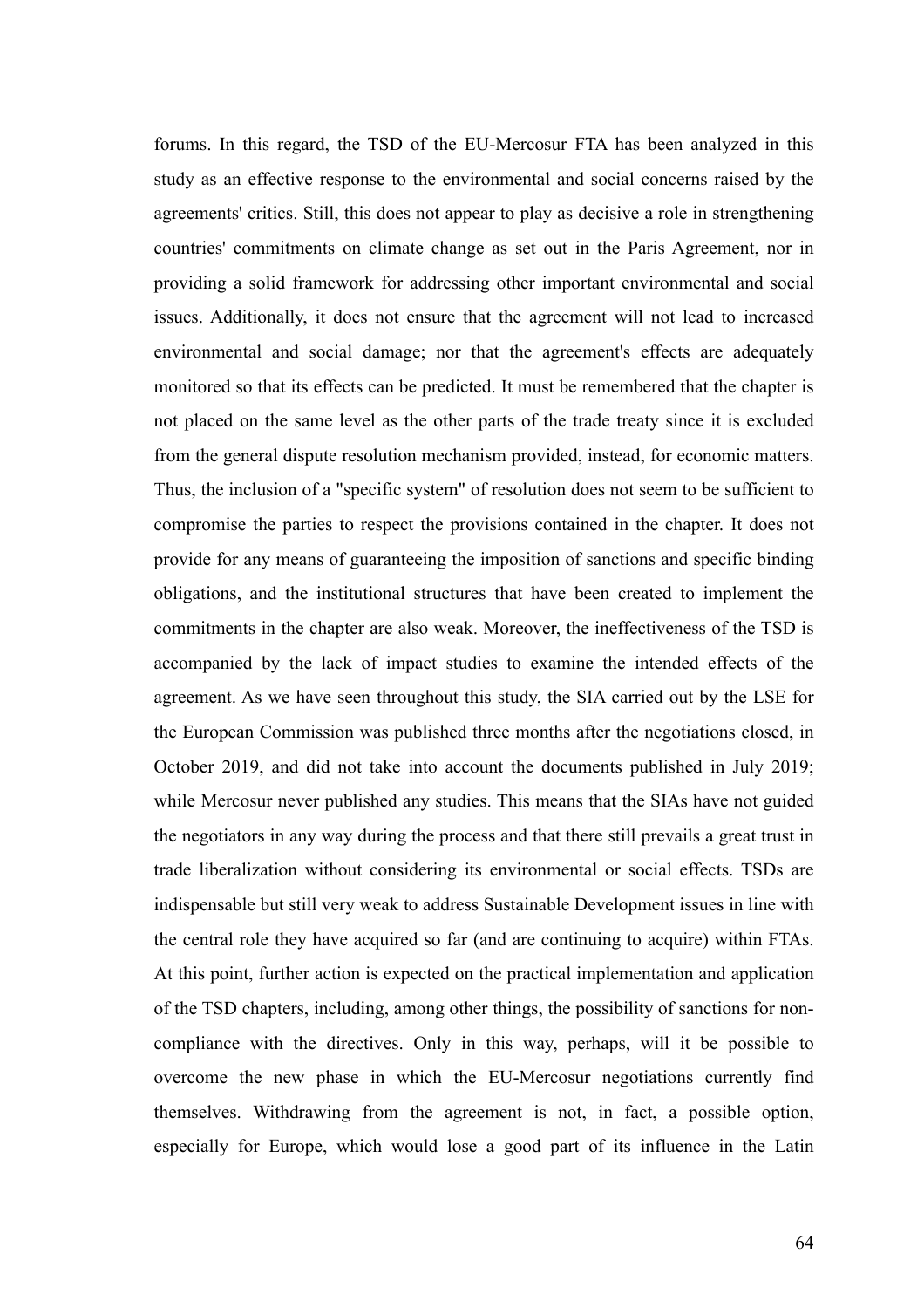forums. In this regard, the TSD of the EU-Mercosur FTA has been analyzed in this study as an effective response to the environmental and social concerns raised by the agreements' critics. Still, this does not appear to play as decisive a role in strengthening countries' commitments on climate change as set out in the Paris Agreement, nor in providing a solid framework for addressing other important environmental and social issues. Additionally, it does not ensure that the agreement will not lead to increased environmental and social damage; nor that the agreement's effects are adequately monitored so that its effects can be predicted. It must be remembered that the chapter is not placed on the same level as the other parts of the trade treaty since it is excluded from the general dispute resolution mechanism provided, instead, for economic matters. Thus, the inclusion of a "specific system" of resolution does not seem to be sufficient to compromise the parties to respect the provisions contained in the chapter. It does not provide for any means of guaranteeing the imposition of sanctions and specific binding obligations, and the institutional structures that have been created to implement the commitments in the chapter are also weak. Moreover, the ineffectiveness of the TSD is accompanied by the lack of impact studies to examine the intended effects of the agreement. As we have seen throughout this study, the SIA carried out by the LSE for the European Commission was published three months after the negotiations closed, in October 2019, and did not take into account the documents published in July 2019; while Mercosur never published any studies. This means that the SIAs have not guided the negotiators in any way during the process and that there still prevails a great trust in trade liberalization without considering its environmental or social effects. TSDs are indispensable but still very weak to address Sustainable Development issues in line with the central role they have acquired so far (and are continuing to acquire) within FTAs. At this point, further action is expected on the practical implementation and application of the TSD chapters, including, among other things, the possibility of sanctions for noncompliance with the directives. Only in this way, perhaps, will it be possible to overcome the new phase in which the EU-Mercosur negotiations currently find themselves. Withdrawing from the agreement is not, in fact, a possible option, especially for Europe, which would lose a good part of its influence in the Latin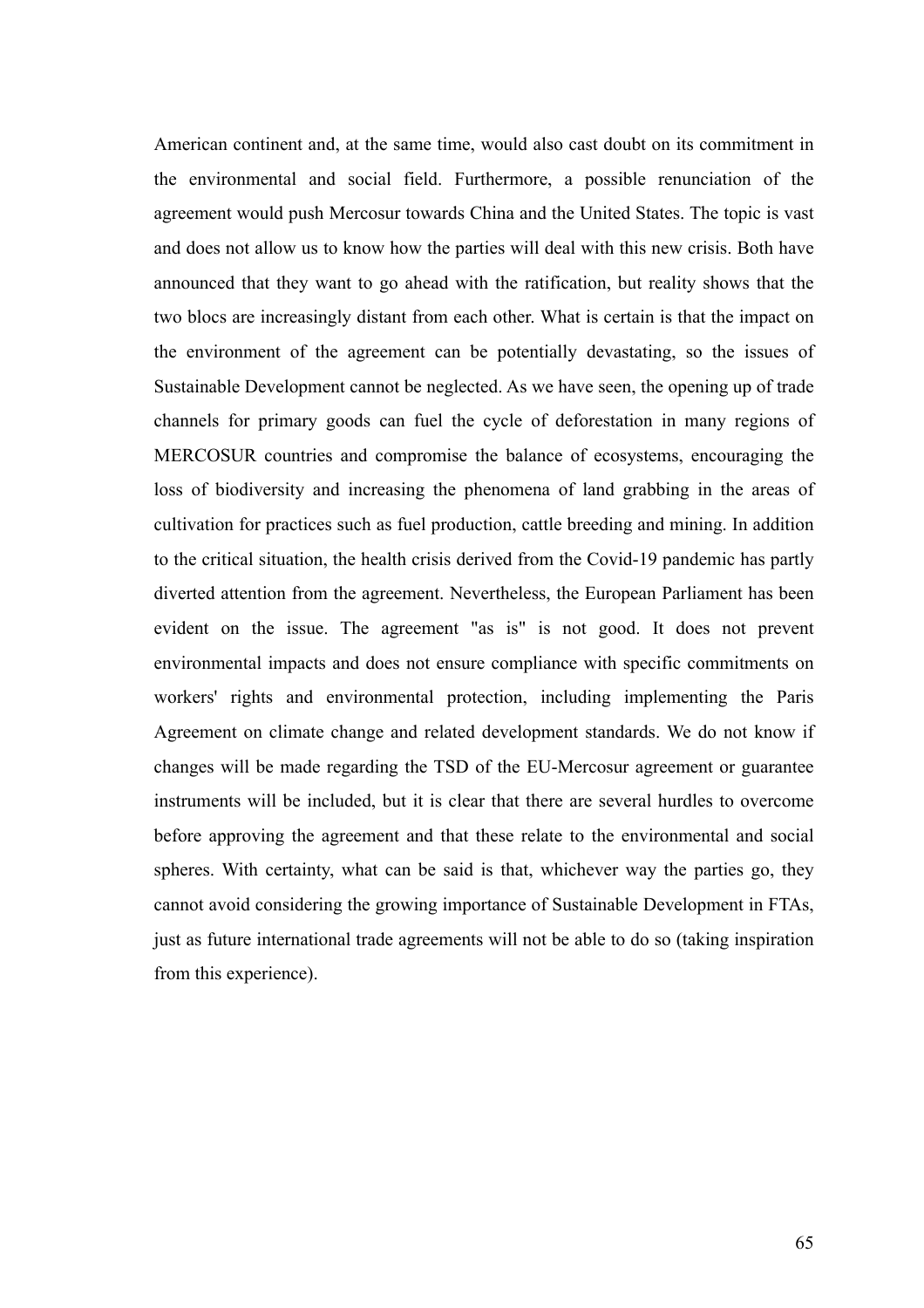American continent and, at the same time, would also cast doubt on its commitment in the environmental and social field. Furthermore, a possible renunciation of the agreement would push Mercosur towards China and the United States. The topic is vast and does not allow us to know how the parties will deal with this new crisis. Both have announced that they want to go ahead with the ratification, but reality shows that the two blocs are increasingly distant from each other. What is certain is that the impact on the environment of the agreement can be potentially devastating, so the issues of Sustainable Development cannot be neglected. As we have seen, the opening up of trade channels for primary goods can fuel the cycle of deforestation in many regions of MERCOSUR countries and compromise the balance of ecosystems, encouraging the loss of biodiversity and increasing the phenomena of land grabbing in the areas of cultivation for practices such as fuel production, cattle breeding and mining. In addition to the critical situation, the health crisis derived from the Covid-19 pandemic has partly diverted attention from the agreement. Nevertheless, the European Parliament has been evident on the issue. The agreement "as is" is not good. It does not prevent environmental impacts and does not ensure compliance with specific commitments on workers' rights and environmental protection, including implementing the Paris Agreement on climate change and related development standards. We do not know if changes will be made regarding the TSD of the EU-Mercosur agreement or guarantee instruments will be included, but it is clear that there are several hurdles to overcome before approving the agreement and that these relate to the environmental and social spheres. With certainty, what can be said is that, whichever way the parties go, they cannot avoid considering the growing importance of Sustainable Development in FTAs, just as future international trade agreements will not be able to do so (taking inspiration from this experience).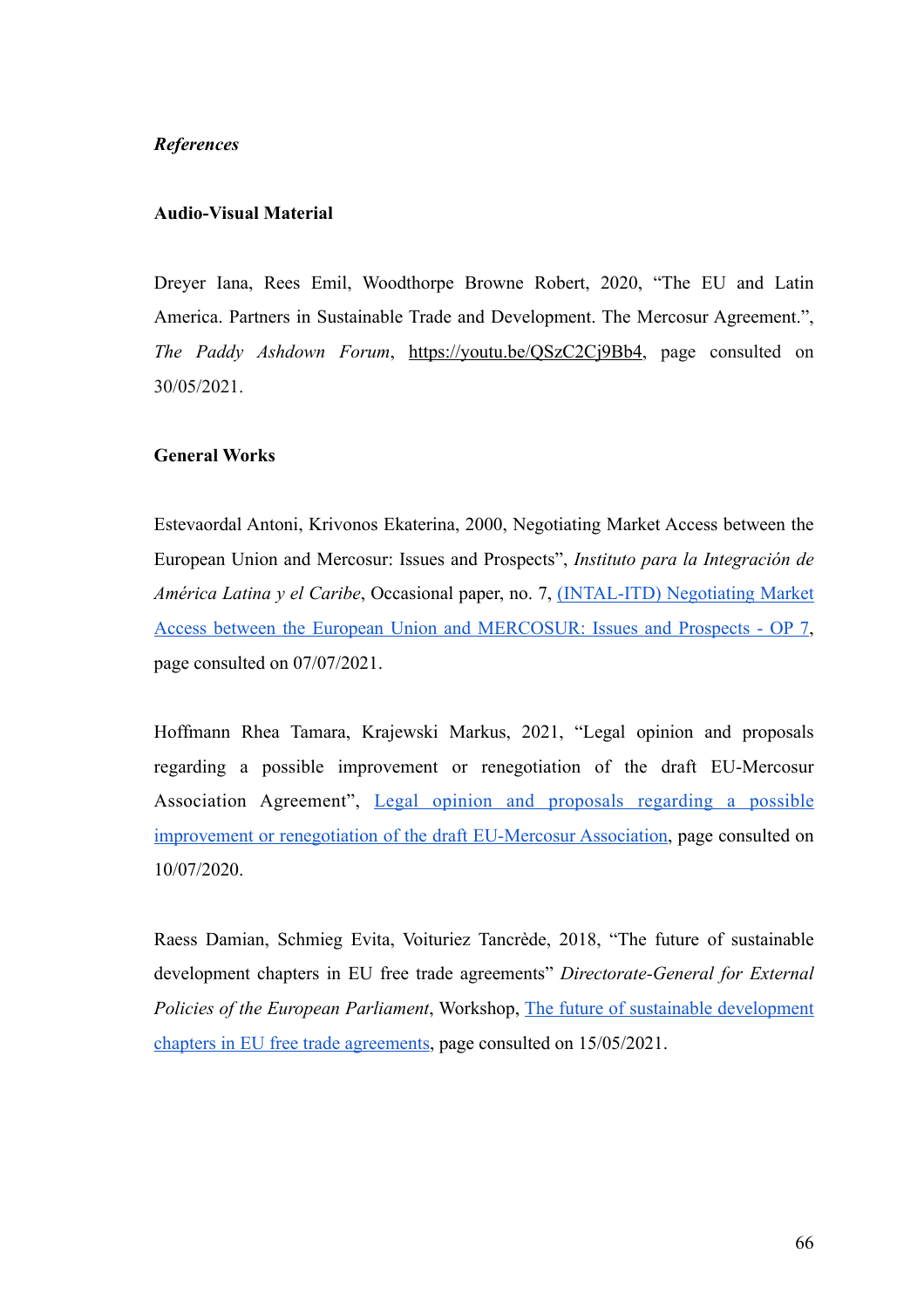# *References*

### **Audio-Visual Material**

Dreyer Iana, Rees Emil, Woodthorpe Browne Robert, 2020, "The EU and Latin America. Partners in Sustainable Trade and Development. The Mercosur Agreement.", *The Paddy Ashdown Forum*, [https://youtu.be/QSzC2Cj9Bb4,](https://youtu.be/QSzC2Cj9Bb4) page consulted on 30/05/2021.

# **General Works**

Estevaordal Antoni, Krivonos Ekaterina, 2000, Negotiating Market Access between the European Union and Mercosur: Issues and Prospects", *Instituto para la Integración de América Latina y el Caribe*, Occasional paper, no. 7, [\(INTAL-ITD\) Negotiating Market](https://publications.iadb.org/publications/english/document/Negotiating-Market-Access-between-the-European-Union-and-MERCOSUR-Issues-and-Prospects.pdf) [Access between the European Union and MERCOSUR: Issues and Prospects - OP 7,](https://publications.iadb.org/publications/english/document/Negotiating-Market-Access-between-the-European-Union-and-MERCOSUR-Issues-and-Prospects.pdf) page consulted on 07/07/2021.

Hoffmann Rhea Tamara, Krajewski Markus, 2021, "Legal opinion and proposals regarding a possible improvement or renegotiation of the draft EU-Mercosur Association Agreement", [Legal opinion and proposals regarding a possible](https://www.focsiv.it/wp-content/uploads/2021/05/Legal-Opinion-EU-Mercosur_EN_final.pdf) [improvement or renegotiation of the draft EU-Mercosur Association, page consulted on](https://www.focsiv.it/wp-content/uploads/2021/05/Legal-Opinion-EU-Mercosur_EN_final.pdf) 10/07/2020.

Raess Damian, Schmieg Evita, Voituriez Tancrède, 2018, "The future of sustainable development chapters in EU free trade agreements" *Directorate-General for External Policies of the European Parliament*, Workshop, [The future of sustainable development](https://www.europarl.europa.eu/RegData/etudes/IDAN/2018/603877/EXPO_IDA(2018)603877_EN.pdf) [chapters in EU free trade agreements,](https://www.europarl.europa.eu/RegData/etudes/IDAN/2018/603877/EXPO_IDA(2018)603877_EN.pdf) page consulted on 15/05/2021.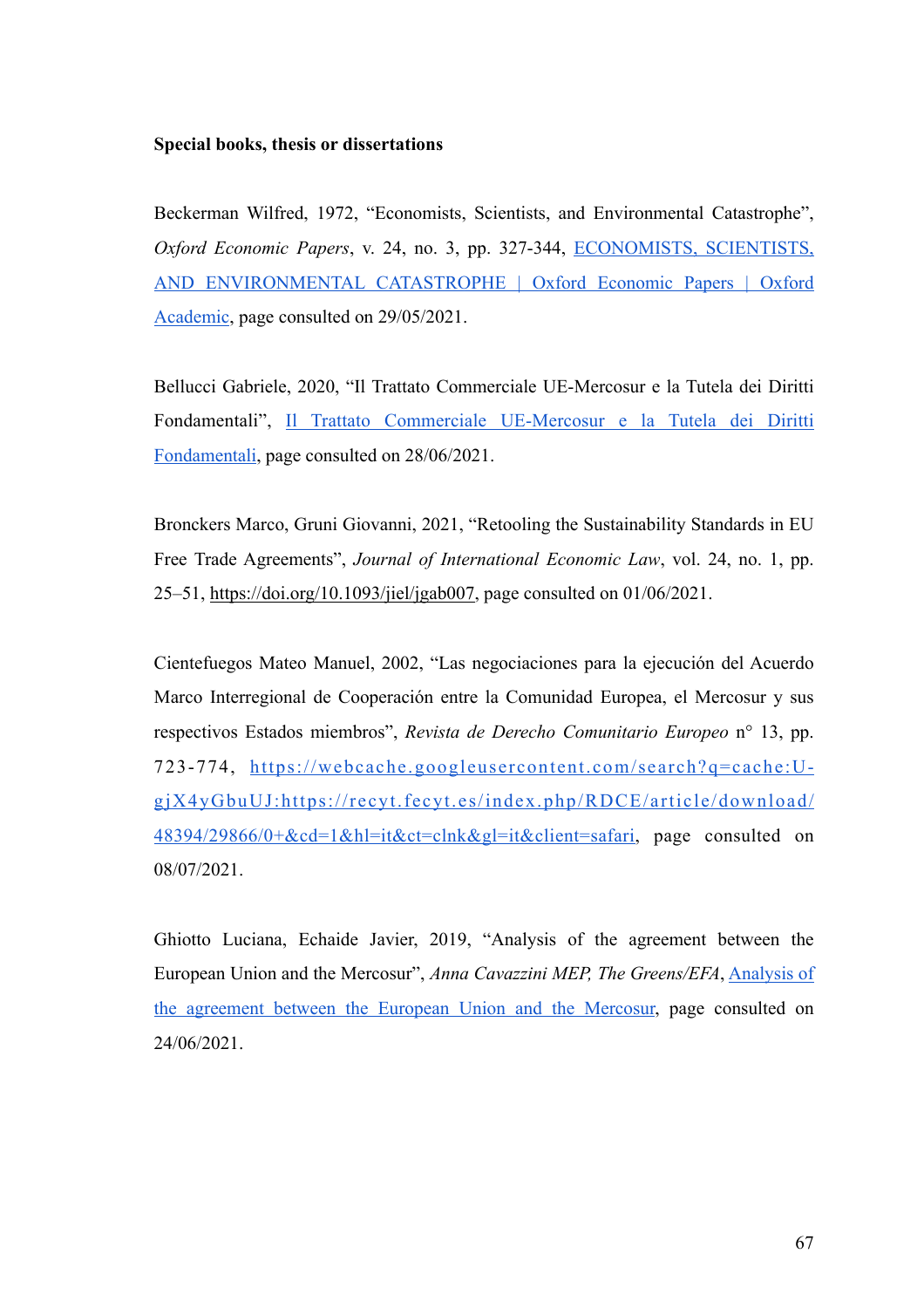### **Special books, thesis or dissertations**

Beckerman Wilfred, 1972, "Economists, Scientists, and Environmental Catastrophe", *Oxford Economic Papers*, v. 24, no. 3, pp. 327-344, [ECONOMISTS, SCIENTISTS,](https://academic.oup.com/oep/article-abstract/24/3/327/2360577) [AND ENVIRONMENTAL CATASTROPHE | Oxford Economic Papers | Oxford](https://academic.oup.com/oep/article-abstract/24/3/327/2360577) [Academic,](https://academic.oup.com/oep/article-abstract/24/3/327/2360577) page consulted on 29/05/2021.

Bellucci Gabriele, 2020, "Il Trattato Commerciale UE-Mercosur e la Tutela dei Diritti Fondamentali", [Il Trattato Commerciale UE-Mercosur e la Tutela dei Diritti](http://tesi.luiss.it/28552/1/637462_BELLUCCI_GABRIELE.pdf) [Fondamentali](http://tesi.luiss.it/28552/1/637462_BELLUCCI_GABRIELE.pdf), page consulted on 28/06/2021.

Bronckers Marco, Gruni Giovanni, 2021, "Retooling the Sustainability Standards in EU Free Trade Agreements", *Journal of International Economic Law*, vol. 24, no. 1, pp. 25–51, [https://doi.org/10.1093/jiel/jgab007,](https://doi.org/10.1093/jiel/jgab007) page consulted on 01/06/2021.

Cientefuegos Mateo Manuel, 2002, "Las negociaciones para la ejecución del Acuerdo Marco Interregional de Cooperación entre la Comunidad Europea, el Mercosur y sus respectivos Estados miembros", *Revista de Derecho Comunitario Europeo* n° 13, pp. 723-774, [https://webcache.googleusercontent.com/search?q=cache:U](https://webcache.googleusercontent.com/search?q=cache:U-gjX4yGbuUJ:https://recyt.fecyt.es/index.php/RDCE/article/download/48394/29866/0+&cd=1&hl=it&ct=clnk&gl=it&client=safari)[gjX4yGbuUJ:https://recyt.fecyt.es/index.php/RDCE/article/download/](https://webcache.googleusercontent.com/search?q=cache:U-gjX4yGbuUJ:https://recyt.fecyt.es/index.php/RDCE/article/download/48394/29866/0+&cd=1&hl=it&ct=clnk&gl=it&client=safari) [48394/29866/0+&cd=1&hl=it&ct=clnk&gl=it&client=safari,](https://webcache.googleusercontent.com/search?q=cache:U-gjX4yGbuUJ:https://recyt.fecyt.es/index.php/RDCE/article/download/48394/29866/0+&cd=1&hl=it&ct=clnk&gl=it&client=safari) page consulted on 08/07/2021.

Ghiotto Luciana, Echaide Javier, 2019, "Analysis of the agreement between the European Union and the Mercosur", *Anna Cavazzini MEP, The Greens/EFA*, [Analysis of](https://www.annacavazzini.eu/wp-content/uploads/2020/01/Study-on-the-EU-Mercosur-agreement-09.01.2020-1.pdf) [the agreement between the European Union and the Mercosur,](https://www.annacavazzini.eu/wp-content/uploads/2020/01/Study-on-the-EU-Mercosur-agreement-09.01.2020-1.pdf) page consulted on 24/06/2021.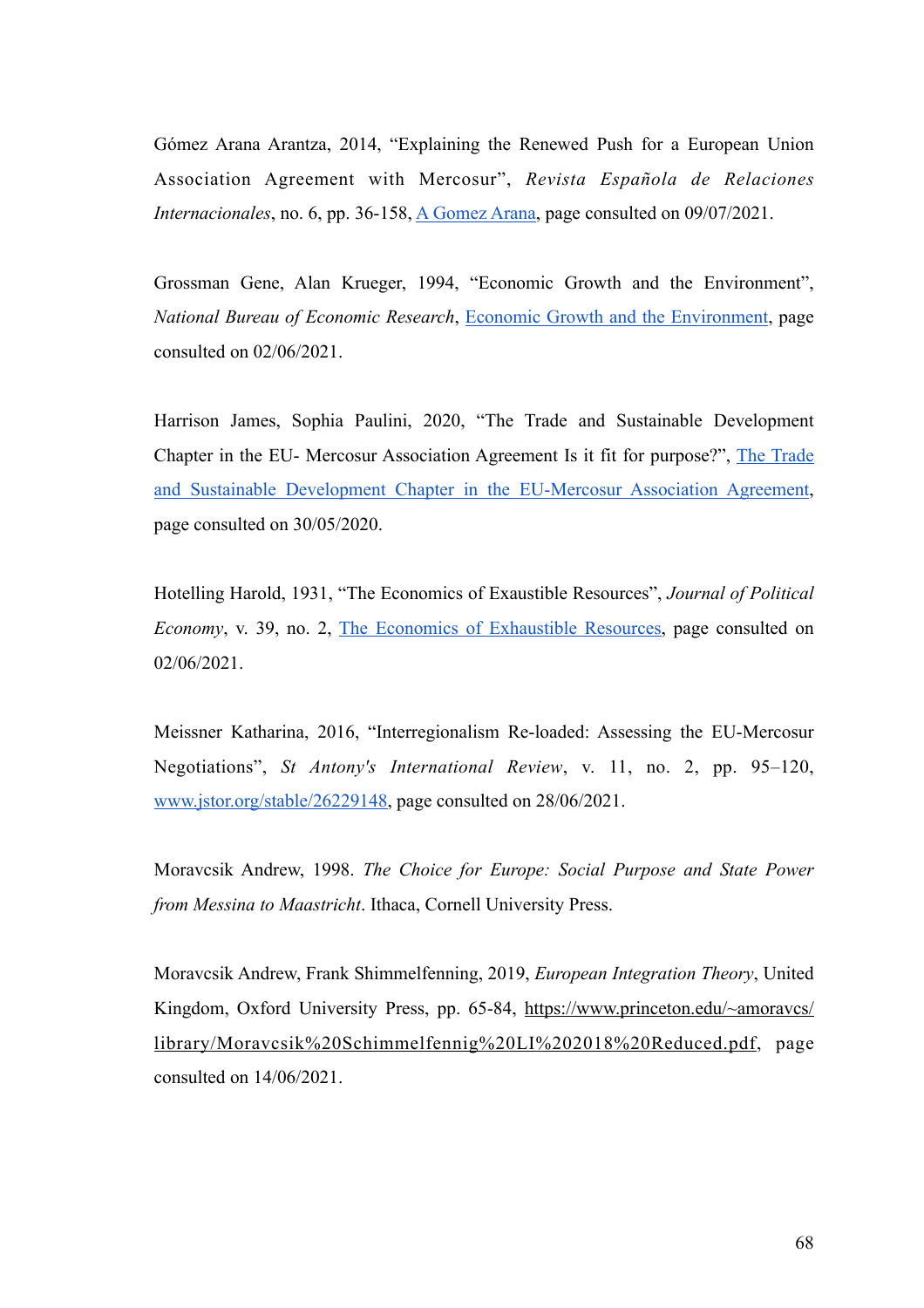Gómez Arana Arantza, 2014, "Explaining the Renewed Push for a European Union Association Agreement with Mercosur", *Revista Española de Relaciones Internacionales*, no. 6, pp. 36-158, [A Gomez Arana](https://intranet.eulacfoundation.org/en/system/files/Explaining%2520the%2520renewed%2520push%2520for%2520an%2520European%2520Union%2520Association%2520Agreement%2520with%2520Mercosur.pdf), page consulted on 09/07/2021.

Grossman Gene, Alan Krueger, 1994, "Economic Growth and the Environment", *National Bureau of Economic Research*, [Economic Growth and the Environment,](https://ideas.repec.org/p/nbr/nberwo/4634.html) page consulted on 02/06/2021.

Harrison James, Sophia Paulini, 2020, "The Trade and Sustainable Development Chapter in the EU- Mercosur Association Agreement Is it fit for purpose?", [The Trade](https://www.documents.clientearth.org/wp-content/uploads/library/2020-07-15-the-trade-and-sustainable-development-chapter-in-the-eu-mercosur-association-agreement-ext-en.pdf) [and Sustainable Development Chapter in the EU-Mercosur Association Agreement,](https://www.documents.clientearth.org/wp-content/uploads/library/2020-07-15-the-trade-and-sustainable-development-chapter-in-the-eu-mercosur-association-agreement-ext-en.pdf) page consulted on 30/05/2020.

Hotelling Harold, 1931, "The Economics of Exaustible Resources", *Journal of Political Economy*, v. 39, no. 2, [The Economics of Exhaustible Resources,](http://www.jstor.org/stable/1822328) page consulted on 02/06/2021.

Meissner Katharina, 2016, "Interregionalism Re-loaded: Assessing the EU-Mercosur Negotiations", *St Antony's International Review*, v. 11, no. 2, pp. 95–120, [www.jstor.org/stable/26229148,](http://www.jstor.org/stable/26229148) page consulted on 28/06/2021.

Moravcsik Andrew, 1998. *The Choice for Europe: Social Purpose and State Power from Messina to Maastricht*. Ithaca, Cornell University Press.

Moravcsik Andrew, Frank Shimmelfenning, 2019, *European Integration Theory*, United Kingdom, Oxford University Press, pp. 65-84, [https://www.princeton.edu/~amoravcs/](https://www.princeton.edu/~amoravcs/library/Moravcsik%2520Schimmelfennig%2520LI%25202018%2520Reduced.pdf) [library/Moravcsik%20Schimmelfennig%20LI%202018%20Reduced.pdf, page](https://www.princeton.edu/~amoravcs/library/Moravcsik%2520Schimmelfennig%2520LI%25202018%2520Reduced.pdf) consulted on 14/06/2021.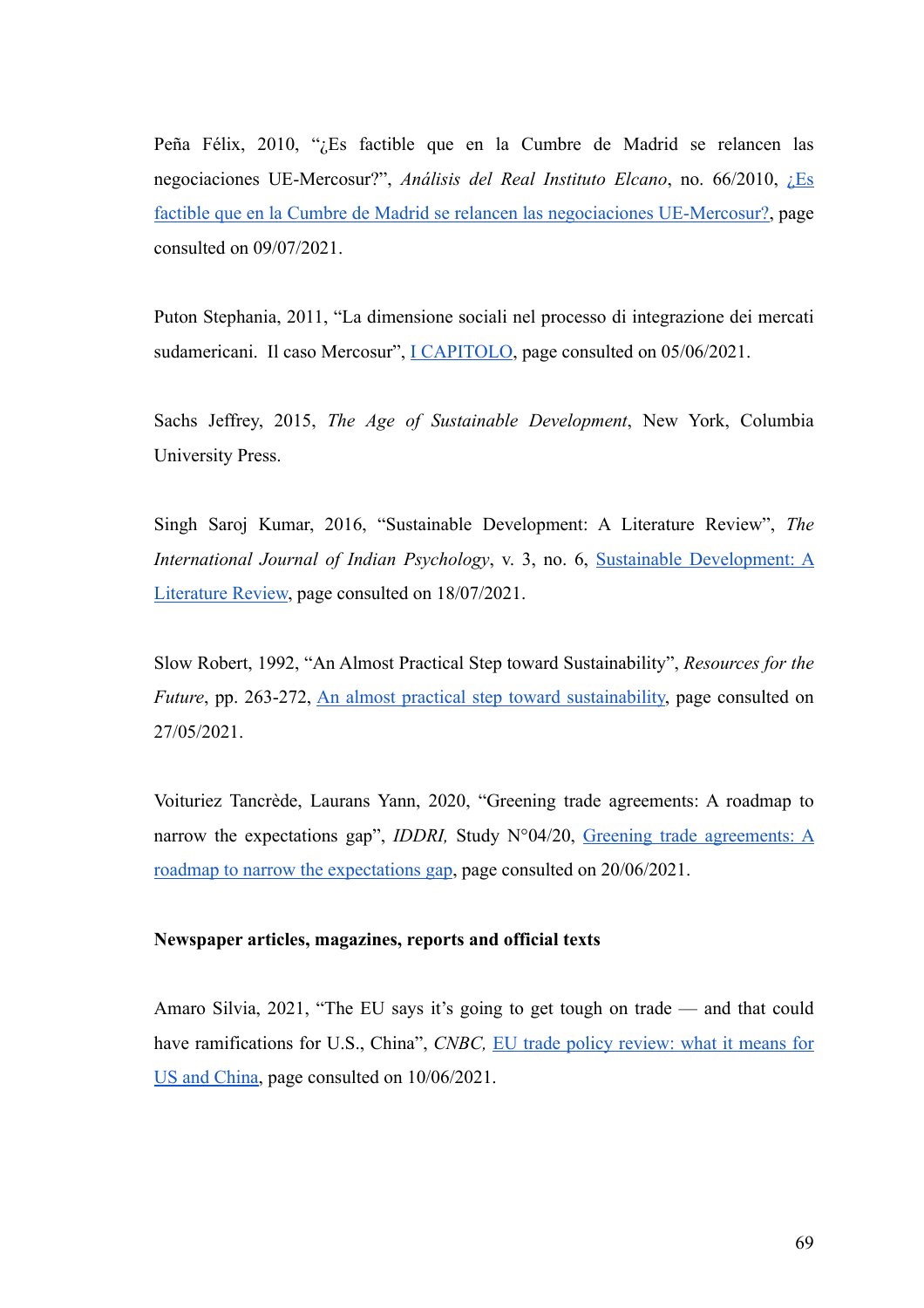Peña Félix, 2010, "¿Es factible que en la Cumbre de Madrid se relancen las negociaciones UE-Mercosur?", *Análisis del Real Instituto Elcano*, no. 66/2010, [¿Es](https://intranet.eulacfoundation.org/es/system/files/Es%2520factible%2520que%2520en%2520la%2520Cumbre%2520de%2520Madrid%2520se%2520relancen%2520las%2520negociaciones%2520UE-Mercosur.pdf) [factible que en la Cumbre de Madrid se relancen las negociaciones UE-Mercosur?](https://intranet.eulacfoundation.org/es/system/files/Es%2520factible%2520que%2520en%2520la%2520Cumbre%2520de%2520Madrid%2520se%2520relancen%2520las%2520negociaciones%2520UE-Mercosur.pdf), page consulted on 09/07/2021.

Puton Stephania, 2011, "La dimensione sociali nel processo di integrazione dei mercati sudamericani. Il caso Mercosur", <u>I CAPITOLO</u>, page consulted on 05/06/2021.

Sachs Jeffrey, 2015, *The Age of Sustainable Development*, New York, Columbia University Press.

Singh Saroj Kumar, 2016, "Sustainable Development: A Literature Review", *The International Journal of Indian Psychology*, v. 3, no. 6, [Sustainable Development: A](http://oaji.net/articles/2016/1170-1463510666.pdf) [Literature Review,](http://oaji.net/articles/2016/1170-1463510666.pdf) page consulted on 18/07/2021.

Slow Robert, 1992, "An Almost Practical Step toward Sustainability", *Resources for the Future*, pp. 263-272, [An almost practical step toward sustainability,](http://pinguet.free.fr/solow1992.pdf) page consulted on 27/05/2021.

Voituriez Tancrède, Laurans Yann, 2020, "Greening trade agreements: A roadmap to narrow the expectations gap", *IDDRI*, Study N°04/20, [Greening trade agreements: A](https://www.iddri.org/sites/default/files/PDF/Publications/Catalogue%2520Iddri/Etude/ST0420-trade%2520agreements.pdf) [roadmap to narrow the expectations gap](https://www.iddri.org/sites/default/files/PDF/Publications/Catalogue%2520Iddri/Etude/ST0420-trade%2520agreements.pdf), page consulted on 20/06/2021.

### **Newspaper articles, magazines, reports and official texts**

Amaro Silvia, 2021, "The EU says it's going to get tough on trade — and that could have ramifications for U.S., China", *CNBC*, [EU trade policy review: what it means for](https://www.cnbc.com/2021/02/18/eu-trade-policy-review-what-it-means-for-us-and-china.html) [US and China,](https://www.cnbc.com/2021/02/18/eu-trade-policy-review-what-it-means-for-us-and-china.html) page consulted on 10/06/2021.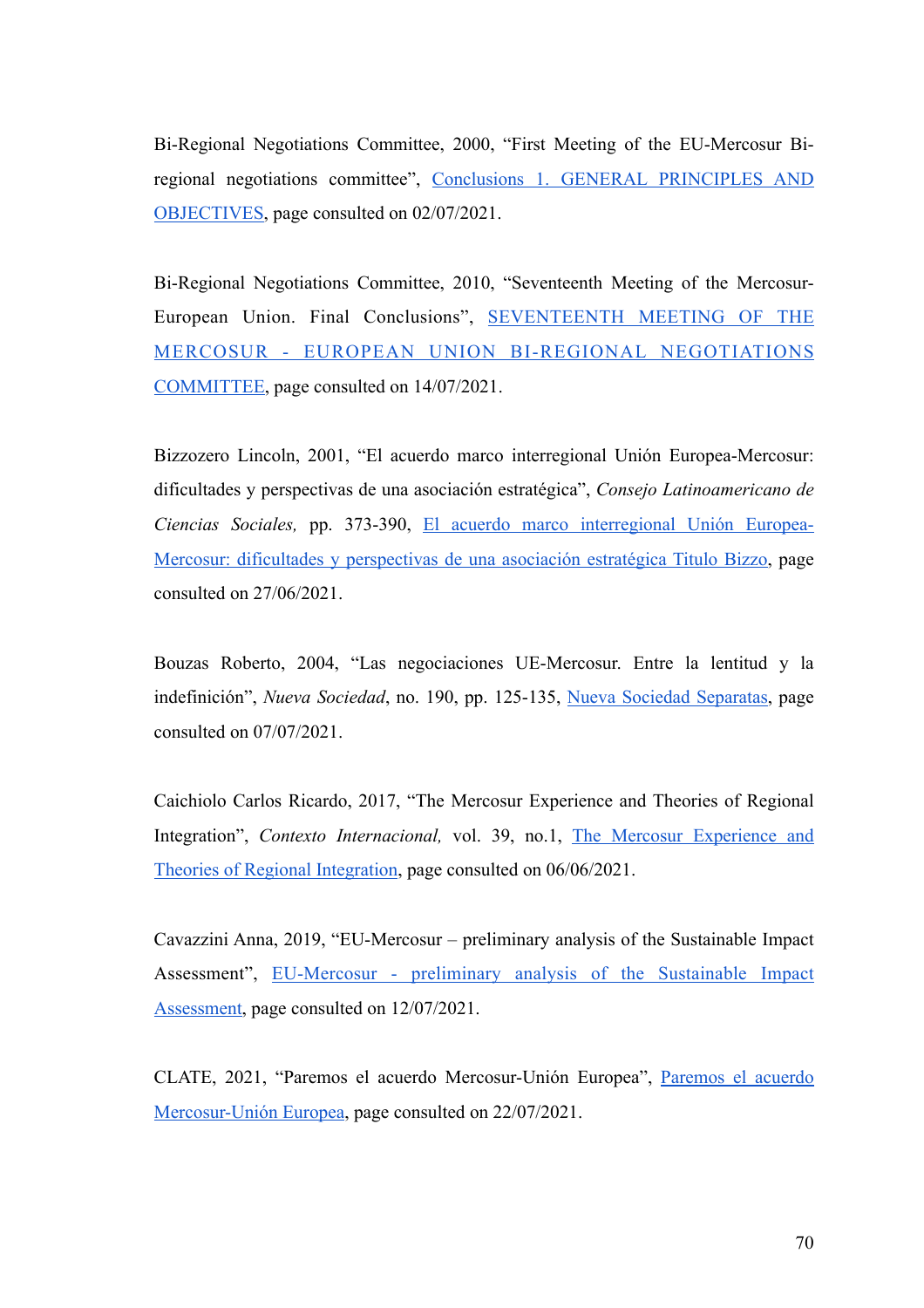Bi-Regional Negotiations Committee, 2000, "First Meeting of the EU-Mercosur Biregional negotiations committee", [Conclusions 1. GENERAL PRINCIPLES AND](http://www.sice.oas.org/tpd/mer_eu/negotiations/CNB_1_e.pdf) [OBJECTIVES,](http://www.sice.oas.org/tpd/mer_eu/negotiations/CNB_1_e.pdf) page consulted on 02/07/2021.

Bi-Regional Negotiations Committee, 2010, "Seventeenth Meeting of the Mercosur-European Union. Final Conclusions", [SEVENTEENTH MEETING OF THE](http://www.sice.oas.org/tpd/mer_eu/negotiations/BuenosAires2010_e.pdf) [MERCOSUR - EUROPEAN UNION BI-REGIONAL NEGOTIATIONS](http://www.sice.oas.org/tpd/mer_eu/negotiations/BuenosAires2010_e.pdf) [COMMITTEE,](http://www.sice.oas.org/tpd/mer_eu/negotiations/BuenosAires2010_e.pdf) page consulted on 14/07/2021.

Bizzozero Lincoln, 2001, "El acuerdo marco interregional Unión Europea-Mercosur: dificultades y perspectivas de una asociación estratégica", *Consejo Latinoamericano de Ciencias Sociales,* pp. 373-390, [El acuerdo marco interregional Unión Europea-](http://bibliotecavirtual.clacso.org.ar/clacso/gt/20101026070445/16bizzozero.pdf)[Mercosur: dificultades y perspectivas de una asociación estratégica Titulo Bizzo, page](http://bibliotecavirtual.clacso.org.ar/clacso/gt/20101026070445/16bizzozero.pdf) consulted on 27/06/2021.

Bouzas Roberto, 2004, "Las negociaciones UE-Mercosur. Entre la lentitud y la indefinición", *Nueva Sociedad*, no. 190, pp. 125-135, [Nueva Sociedad Separatas](http://ieie.itam.mx/docs05/Sanahuja/Bouzas.pdf), page consulted on 07/07/2021.

Caichiolo Carlos Ricardo, 2017, "The Mercosur Experience and Theories of Regional Integration", *Contexto Internacional,* vol. 39, no.1, [The Mercosur Experience and](http://dx.doi.org/10.1590/S0102-8529.2017390100006) [Theories of Regional Integration](http://dx.doi.org/10.1590/S0102-8529.2017390100006), page consulted on 06/06/2021.

Cavazzini Anna, 2019, "EU-Mercosur – preliminary analysis of the Sustainable Impact Assessment", [EU-Mercosur - preliminary analysis of the Sustainable Impact](https://www.annacavazzini.eu/eu-mercosur-preliminary-analysis-of-the-sustainable-impact-assessment/) [Assessment,](https://www.annacavazzini.eu/eu-mercosur-preliminary-analysis-of-the-sustainable-impact-assessment/) page consulted on 12/07/2021.

CLATE, 2021, "Paremos el acuerdo Mercosur-Unión Europea", [Paremos el acuerdo](https://clate.net/noticias/regconosur/paremos-el-acuerdo-mercosur-union-europea/) [Mercosur-Unión Europea,](https://clate.net/noticias/regconosur/paremos-el-acuerdo-mercosur-union-europea/) page consulted on 22/07/2021.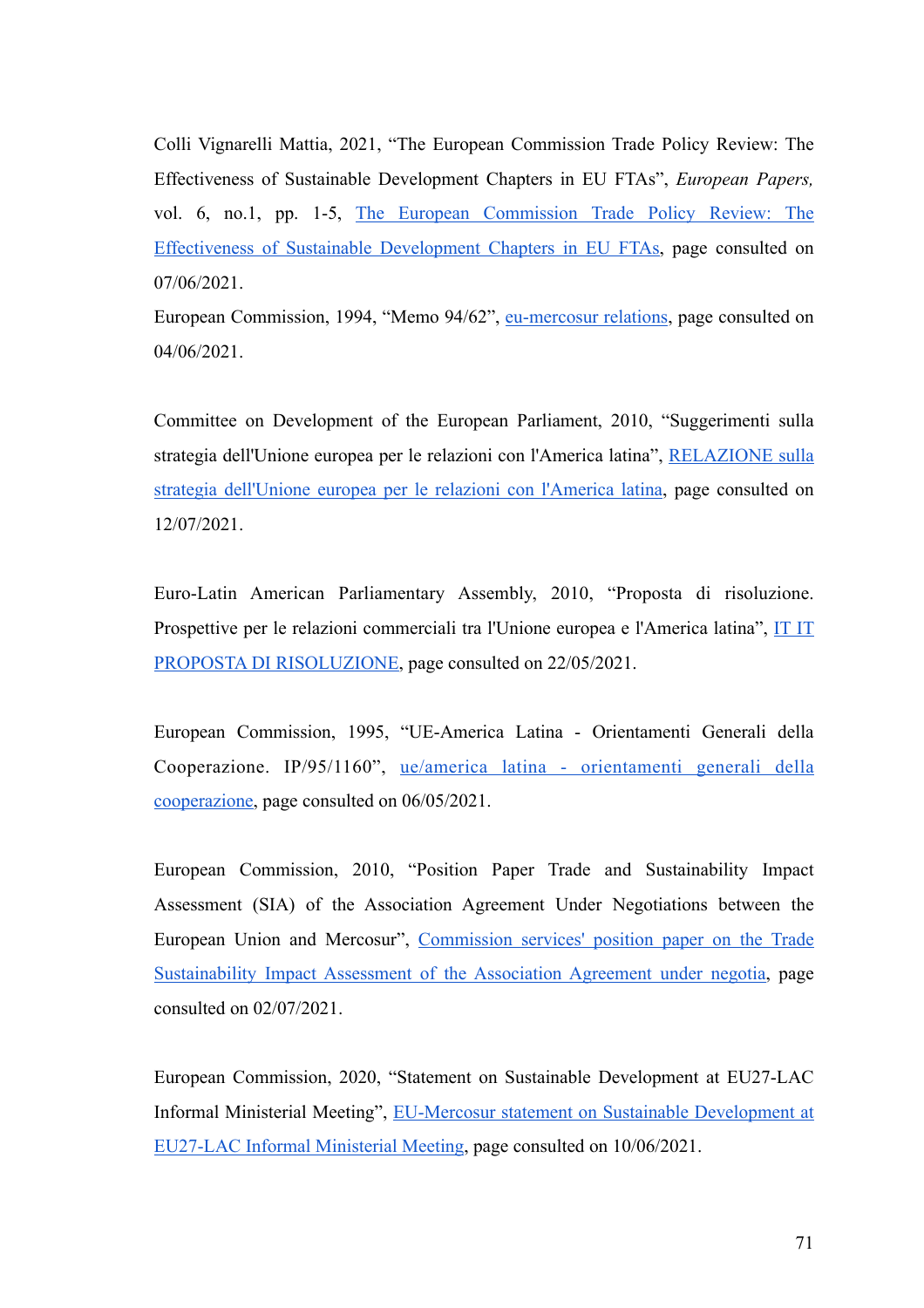Colli Vignarelli Mattia, 2021, "The European Commission Trade Policy Review: The Effectiveness of Sustainable Development Chapters in EU FTAs", *European Papers,*  vol. 6, no.1, pp. 1-5, [The European Commission Trade Policy Review: The](https://www.europeanpapers.eu/en/europeanforum/european-commission-trade-policy-review-effectiveness-sustainable-development-chapters) [Effectiveness of Sustainable Development Chapters in EU FTAs, page consulted on](https://www.europeanpapers.eu/en/europeanforum/european-commission-trade-policy-review-effectiveness-sustainable-development-chapters) 07/06/2021.

European Commission, 1994, "Memo 94/62", [eu-mercosur relations](https://ec.europa.eu/commission/presscorner/detail/en/MEMO_94_62), page consulted on 04/06/2021.

Committee on Development of the European Parliament, 2010, "Suggerimenti sulla strategia dell'Unione europea per le relazioni con l'America latina", [RELAZIONE sulla](https://www.europarl.europa.eu/doceo/document/A-7-2010-0111_IT.html?redirect%23title2) [strategia dell'Unione europea per le relazioni con l'America latina,](https://www.europarl.europa.eu/doceo/document/A-7-2010-0111_IT.html?redirect%23title2) page consulted on 12/07/2021.

Euro-Latin American Parliamentary Assembly, 2010, "Proposta di risoluzione. Prospettive per le relazioni commerciali tra l'Unione europea e l'America latina", [IT IT](https://www.europarl.europa.eu/intcoop/eurolat/committees/trade/meetings/2010_11_04_cuenca/motion_for_a_resolution/835508it.pdf) [PROPOSTA DI RISOLUZIONE,](https://www.europarl.europa.eu/intcoop/eurolat/committees/trade/meetings/2010_11_04_cuenca/motion_for_a_resolution/835508it.pdf) page consulted on 22/05/2021.

European Commission, 1995, "UE-America Latina - Orientamenti Generali della Cooperazione. IP/95/1160", [ue/america latina - orientamenti generali della](https://ec.europa.eu/commission/presscorner/detail/it/IP_95_1160) [cooperazione](https://ec.europa.eu/commission/presscorner/detail/it/IP_95_1160), page consulted on 06/05/2021.

European Commission, 2010, "Position Paper Trade and Sustainability Impact Assessment (SIA) of the Association Agreement Under Negotiations between the European Union and Mercosur", [Commission services' position paper on the Trade](https://trade.ec.europa.eu/doclib/docs/2010/july/tradoc_146386.pdf) [Sustainability Impact Assessment of the Association Agreement under negotia, page](https://trade.ec.europa.eu/doclib/docs/2010/july/tradoc_146386.pdf) consulted on 02/07/2021.

European Commission, 2020, "Statement on Sustainable Development at EU27-LAC Informal Ministerial Meeting", [EU-Mercosur statement on Sustainable Development at](http://sice.oas.org/TPD/MER_EU/negotiations/EU_MER_Stmt_SusDev_EU27_LAC_Mtg_e.pdf) [EU27-LAC Informal Ministerial Meeting, page consulted on 10/06/2021.](http://sice.oas.org/TPD/MER_EU/negotiations/EU_MER_Stmt_SusDev_EU27_LAC_Mtg_e.pdf)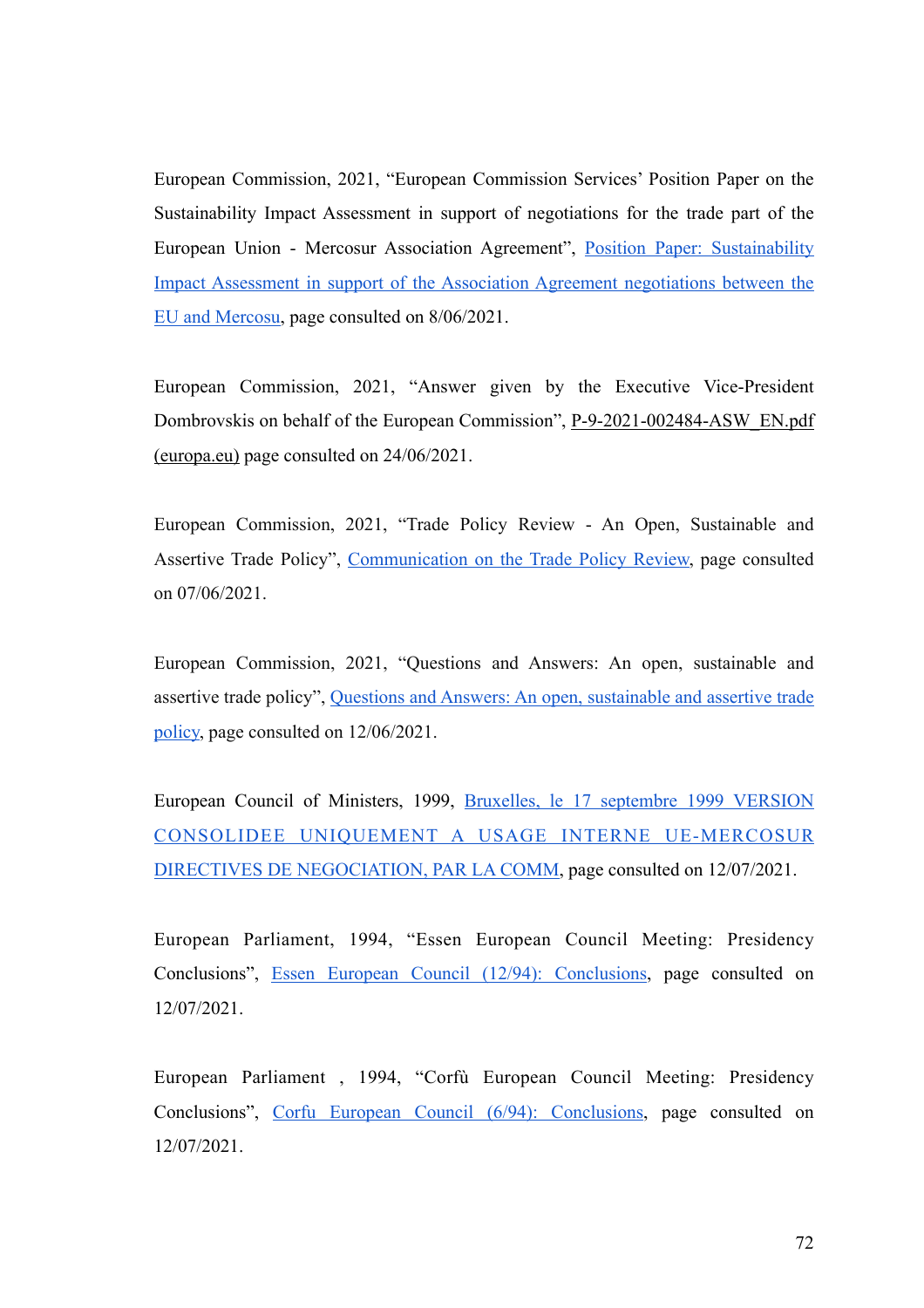European Commission, 2021, "European Commission Services' Position Paper on the Sustainability Impact Assessment in support of negotiations for the trade part of the European Union - Mercosur Association Agreement", [Position Paper: Sustainability](https://trade.ec.europa.eu/doclib/docs/2021/march/tradoc_159515.pdf) [Impact Assessment in support of the Association Agreement negotiations between the](https://trade.ec.europa.eu/doclib/docs/2021/march/tradoc_159515.pdf) [EU and Mercosu,](https://trade.ec.europa.eu/doclib/docs/2021/march/tradoc_159515.pdf) page consulted on 8/06/2021.

[European Commission, 2021, "Answer given by the Executive Vice-President](https://www.europarl.europa.eu/doceo/document/P-9-2021-002484-ASW_EN.pdf) [Dombrovskis on behalf of the European Commission", P-9-2021-002484-ASW\\_EN.pdf](https://www.europarl.europa.eu/doceo/document/P-9-2021-002484-ASW_EN.pdf) [\(europa.eu\)](https://www.europarl.europa.eu/doceo/document/P-9-2021-002484-ASW_EN.pdf) page consulted on 24/06/2021.

European Commission, 2021, "Trade Policy Review - An Open, Sustainable and Assertive Trade Policy", [Communication on the Trade Policy Review,](https://trade.ec.europa.eu/doclib/docs/2021/february/tradoc_159438.pdf) page consulted on 07/06/2021.

European Commission, 2021, "Questions and Answers: An open, sustainable and assertive trade policy", [Questions and Answers: An open, sustainable and assertive trade](https://ec.europa.eu/commission/presscorner/detail/en/qanda_21_645) [policy,](https://ec.europa.eu/commission/presscorner/detail/en/qanda_21_645) page consulted on 12/06/2021.

European Council of Ministers, 1999, [Bruxelles, le 17 septembre 1999 VERSION](https://www.bilaterals.org/IMG/pdf/ue-mercosur-mandat-sep-1999.pdf) [CONSOLIDEE UNIQUEMENT A USAGE INTERNE UE-MERCOSUR](https://www.bilaterals.org/IMG/pdf/ue-mercosur-mandat-sep-1999.pdf) [DIRECTIVES DE NEGOCIATION, PAR LA COMM](https://www.bilaterals.org/IMG/pdf/ue-mercosur-mandat-sep-1999.pdf), page consulted on 12/07/2021.

European Parliament, 1994, "Essen European Council Meeting: Presidency Conclusions", [Essen European Council \(12/94\): Conclusions,](https://www.europarl.europa.eu/summits/ess1_en.htm) page consulted on 12/07/2021.

European Parliament , 1994, "Corfù European Council Meeting: Presidency Conclusions", [Corfu European Council \(6/94\): Conclusions](https://www.europarl.europa.eu/summits/cor1_en.htm), page consulted on 12/07/2021.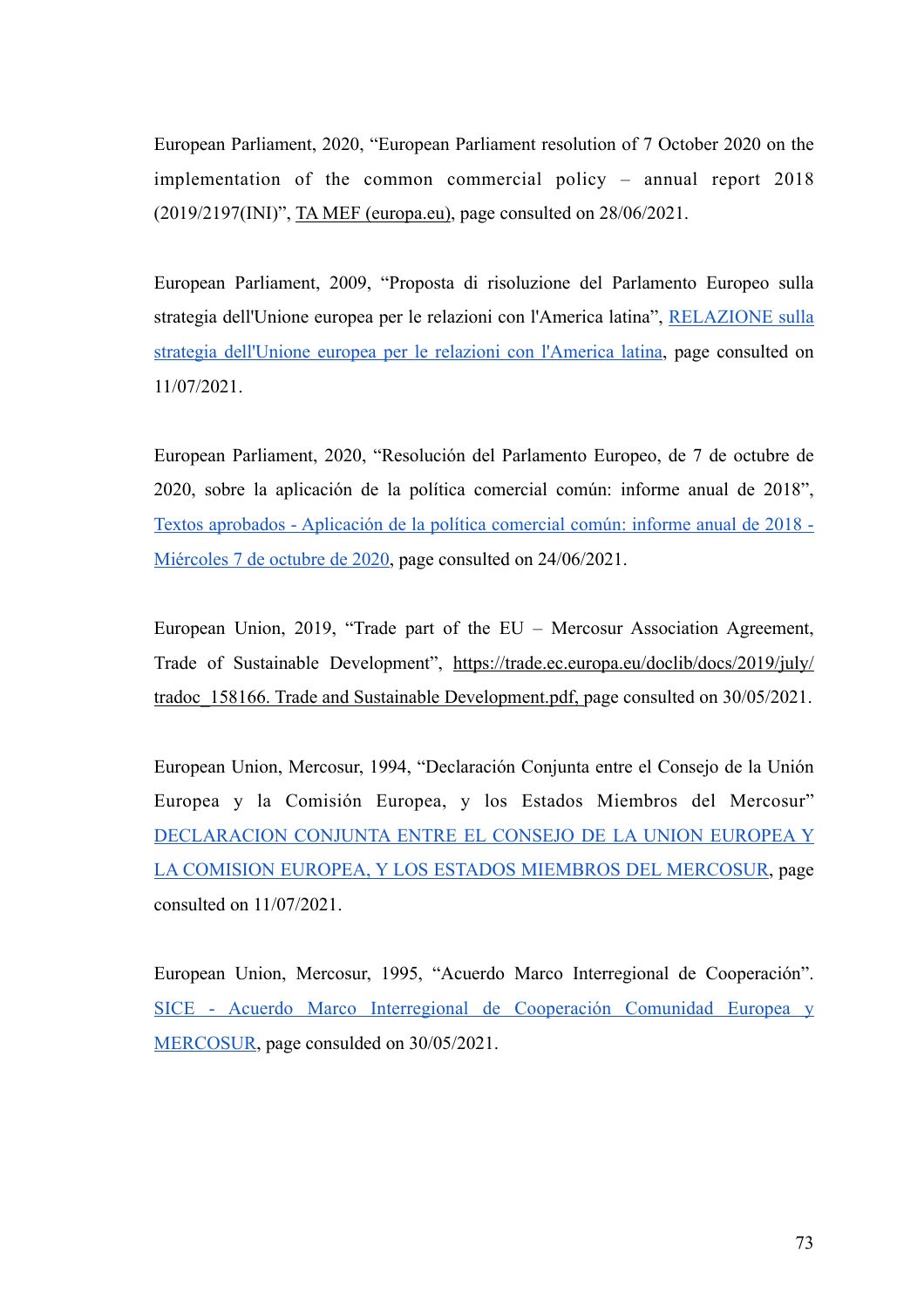European Parliament, 2020, "European Parliament resolution of 7 October 2020 on the implementation of the common commercial policy – annual report 2018 (2019/2197(INI)", [TA MEF \(europa.eu\)](https://www.europarl.europa.eu/doceo/document/TA-9-2020-0252_EN.pdf), page consulted on 28/06/2021.

European Parliament, 2009, "Proposta di risoluzione del Parlamento Europeo sulla strategia dell'Unione europea per le relazioni con l'America latina", [RELAZIONE sulla](https://www.europarl.europa.eu/doceo/document/A-7-2010-0111_IT.html?redirect%23title2) [strategia dell'Unione europea per le relazioni con l'America latina,](https://www.europarl.europa.eu/doceo/document/A-7-2010-0111_IT.html?redirect%23title2) page consulted on 11/07/2021.

European Parliament, 2020, "Resolución del Parlamento Europeo, de 7 de octubre de 2020, sobre la aplicación de la política comercial común: informe anual de 2018", [Textos aprobados - Aplicación de la política comercial común: informe anual de 2018 -](https://www.europarl.europa.eu/doceo/document/TA-9-2020-0252_ES.html) [Miércoles 7 de octubre de 2020,](https://www.europarl.europa.eu/doceo/document/TA-9-2020-0252_ES.html) page consulted on 24/06/2021.

European Union, 2019, "Trade part of the EU – Mercosur Association Agreement, Trade of Sustainable Development", [https://trade.ec.europa.eu/doclib/docs/2019/july/](https://trade.ec.europa.eu/doclib/docs/2019/july/tradoc_158166.%2520Trade%2520and%2520Sustainable%2520Development.pdf) [tradoc\\_158166. Trade and Sustainable Development.pdf, page consulted on 30/05/2021.](https://trade.ec.europa.eu/doclib/docs/2019/july/tradoc_158166.%2520Trade%2520and%2520Sustainable%2520Development.pdf)

European Union, Mercosur, 1994, "Declaración Conjunta entre el Consejo de la Unión Europea y la Comisión Europea, y los Estados Miembros del Mercosur" [DECLARACION CONJUNTA ENTRE EL CONSEJO DE LA UNION EUROPEA Y](https://www.iri.edu.ar/publicaciones_iri/anuario/A95/A2ALDOC5.html) [LA COMISION EUROPEA, Y LOS ESTADOS MIEMBROS DEL MERCOSUR](https://www.iri.edu.ar/publicaciones_iri/anuario/A95/A2ALDOC5.html), page consulted on 11/07/2021.

European Union, Mercosur, 1995, "Acuerdo Marco Interregional de Cooperación". [SICE - Acuerdo Marco Interregional de Cooperación Comunidad Europea y](http://sice.oas.org/TPD/MER_EU/negotiations/Interregional_agreement_s.asp) [MERCOSUR](http://sice.oas.org/TPD/MER_EU/negotiations/Interregional_agreement_s.asp), page consulded on 30/05/2021.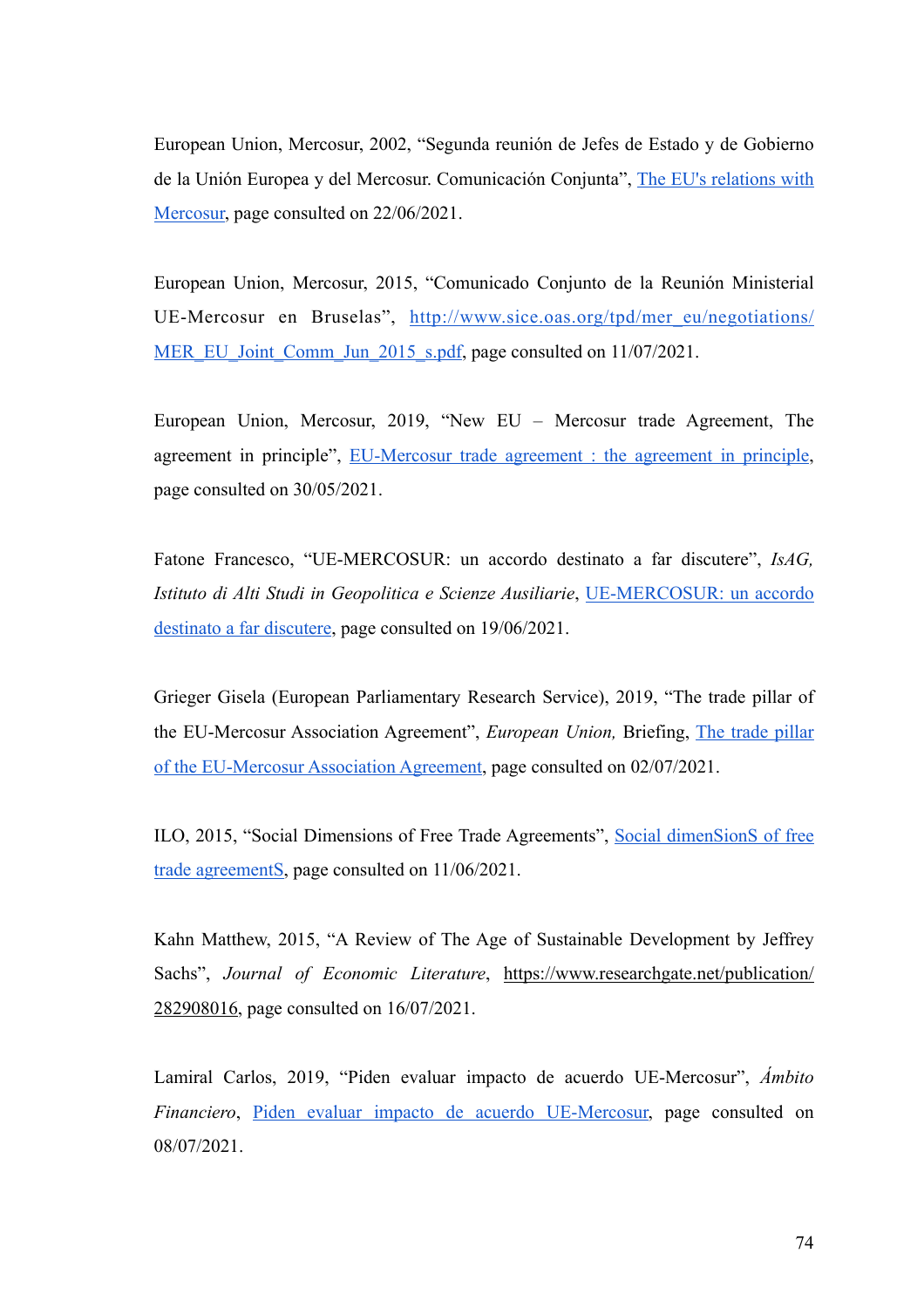European Union, Mercosur, 2002, "Segunda reunión de Jefes de Estado y de Gobierno de la Unión Europea y del Mercosur. Comunicación Conjunta", [The EU's relations with](http://www.sice.oas.org/tpd/mer_eu/negotiations/Madrid2002_s.pdf) [Mercosur,](http://www.sice.oas.org/tpd/mer_eu/negotiations/Madrid2002_s.pdf) page consulted on 22/06/2021.

European Union, Mercosur, 2015, "Comunicado Conjunto de la Reunión Ministerial UE-Mercosur en Bruselas", [http://www.sice.oas.org/tpd/mer\\_eu/negotiations/](http://www.sice.oas.org/tpd/mer_eu/negotiations/MER_EU_Joint_Comm_Jun_2015_s.pdf) [MER\\_EU\\_Joint\\_Comm\\_Jun\\_2015\\_s.pdf, page consulted on 11/07/2021.](http://www.sice.oas.org/tpd/mer_eu/negotiations/MER_EU_Joint_Comm_Jun_2015_s.pdf)

European Union, Mercosur, 2019, "New EU – Mercosur trade Agreement, The agreement in principle", [EU-Mercosur trade agreement : the agreement in principle](http://trade.ec.europa.eu/doclib/docs/2019/june/tradoc_157964.pdf), page consulted on 30/05/2021.

Fatone Francesco, "UE-MERCOSUR: un accordo destinato a far discutere", *IsAG, Istituto di Alti Studi in Geopolitica e Scienze Ausiliarie*, [UE-MERCOSUR: un accordo](https://isagitalia.org/ue-mercosur-un-accordo-destinato-a-far-discutere/wp_8846263/) [destinato a far discutere,](https://isagitalia.org/ue-mercosur-un-accordo-destinato-a-far-discutere/wp_8846263/) page consulted on 19/06/2021.

Grieger Gisela (European Parliamentary Research Service), 2019, "The trade pillar of the EU-Mercosur Association Agreement", *European Union,* Briefing, [The trade pillar](https://www.europarl.europa.eu/RegData/etudes/BRIE/2019/640138/EPRS_BRI(2019)640138_EN.pdf) [of the EU-Mercosur Association Agreement](https://www.europarl.europa.eu/RegData/etudes/BRIE/2019/640138/EPRS_BRI(2019)640138_EN.pdf), page consulted on 02/07/2021.

ILO, 2015, "Social Dimensions of Free Trade Agreements", [Social dimenSionS of free](https://www.ilo.org/wcmsp5/groups/public/---dgreports/---inst/documents/publication/wcms_228965.pdf) [trade agreementS,](https://www.ilo.org/wcmsp5/groups/public/---dgreports/---inst/documents/publication/wcms_228965.pdf) page consulted on 11/06/2021.

Kahn Matthew, 2015, "A Review of The Age of Sustainable Development by Jeffrey Sachs", *Journal of Economic Literature*, [https://www.researchgate.net/publication/](https://www.researchgate.net/publication/282908016) [282908016](https://www.researchgate.net/publication/282908016), page consulted on 16/07/2021.

Lamiral Carlos, 2019, "Piden evaluar impacto de acuerdo UE-Mercosur", *Ámbito Financiero*, [Piden evaluar impacto de acuerdo UE-Mercosur,](https://www.ambito.com/economia/acuerdo-mercosur-ue/piden-evaluar-impacto-acuerdo-ue-mercosur-n5044673) page consulted on 08/07/2021.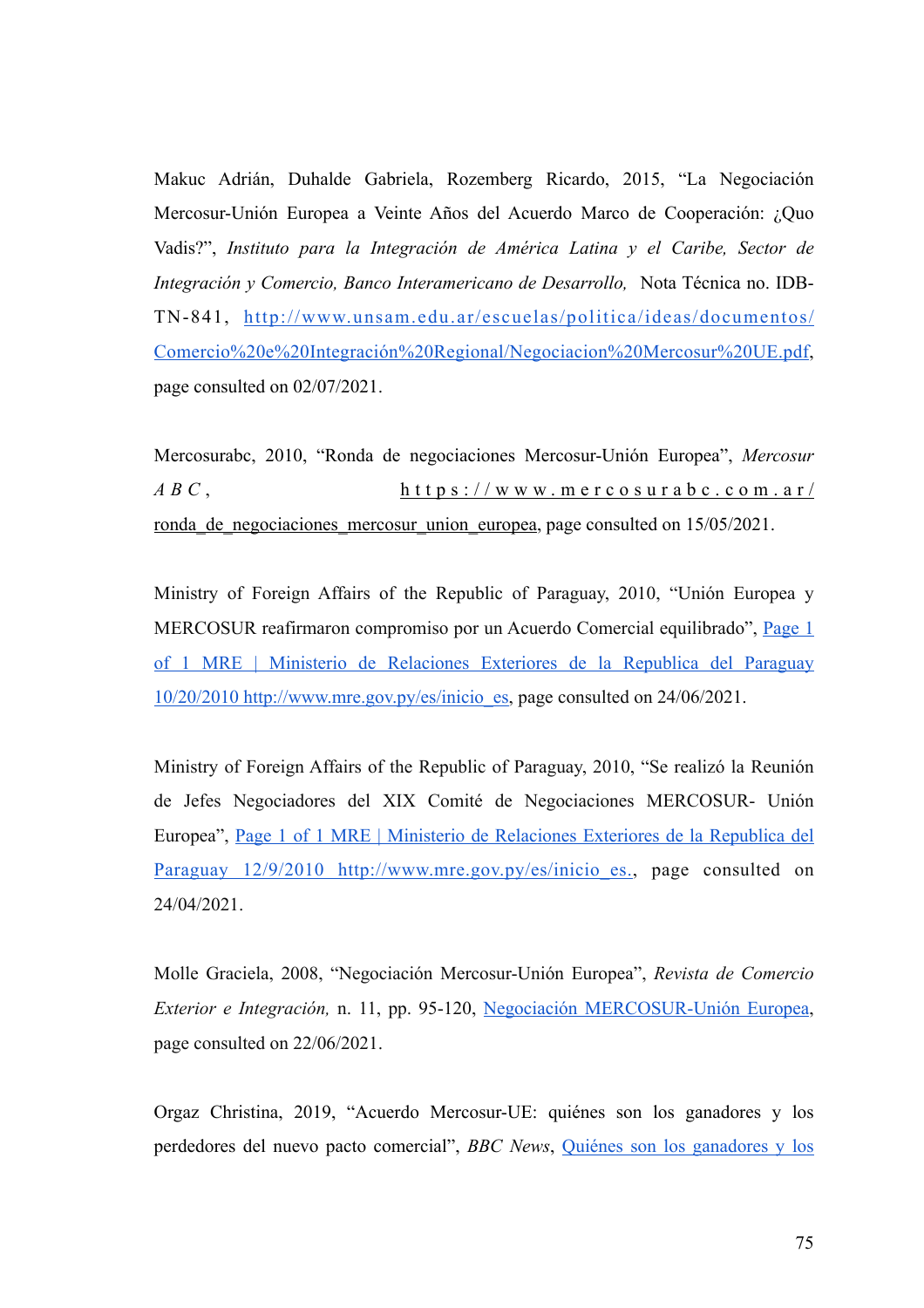Makuc Adrián, Duhalde Gabriela, Rozemberg Ricardo, 2015, "La Negociación Mercosur-Unión Europea a Veinte Años del Acuerdo Marco de Cooperación: ¿Quo Vadis?", *Instituto para la Integración de América Latina y el Caribe, Sector de Integración y Comercio, Banco Interamericano de Desarrollo,* Nota Técnica no. IDB-TN-841, [http://www.unsam.edu.ar/escuelas/politica/ideas/documentos/](http://www.unsam.edu.ar/escuelas/politica/ideas/documentos/Comercio%2520e%2520Integraci%25C3%25B3n%2520Regional/Negociacion%2520Mercosur%2520UE.pdf) [Comercio%20e%20Integración%20Regional/Negociacion%20Mercosur%20UE.pdf,](http://www.unsam.edu.ar/escuelas/politica/ideas/documentos/Comercio%2520e%2520Integraci%25C3%25B3n%2520Regional/Negociacion%2520Mercosur%2520UE.pdf) page consulted on 02/07/2021.

Mercosurabc, 2010, "Ronda de negociaciones Mercosur-Unión Europea", *Mercosur ABC* , [https://www.mercosurabc.com.ar/](https://www.mercosurabc.com.ar/ronda_de_negociaciones_mercosur_union_europea) ronda de negociaciones mercosur union europea, page consulted on 15/05/2021.

Ministry of Foreign Affairs of the Republic of Paraguay, 2010, "Unión Europea y MERCOSUR reafirmaron compromiso por un Acuerdo Comercial equilibrado", [Page 1](http://www.sice.oas.org/tpd/mer_eu/negotiations/Brussels2010_s.pdf) [of 1 MRE | Ministerio de Relaciones Exteriores de la Republica del Paraguay](http://www.sice.oas.org/tpd/mer_eu/negotiations/Brussels2010_s.pdf) [10/20/2010 http://www.mre.gov.py/es/inicio\\_es,](http://www.sice.oas.org/tpd/mer_eu/negotiations/Brussels2010_s.pdf) page consulted on 24/06/2021.

Ministry of Foreign Affairs of the Republic of Paraguay, 2010, "Se realizó la Reunión de Jefes Negociadores del XIX Comité de Negociaciones MERCOSUR- Unión Europea", [Page 1 of 1 MRE | Ministerio de Relaciones Exteriores de la Republica del](http://www.sice.oas.org/tpd/mer_eu/negotiations/Brasilia2010_s.pdf) [Paraguay 12/9/2010 http://www.mre.gov.py/es/inicio\\_es., page consulted on](http://www.sice.oas.org/tpd/mer_eu/negotiations/Brasilia2010_s.pdf) 24/04/2021.

Molle Graciela, 2008, "Negociación Mercosur-Unión Europea", *Revista de Comercio Exterior e Integración,* n. 11, pp. 95-120, [Negociación MERCOSUR-Unión Europea](http://www.cei.gov.ar/userfiles/11%2520Negociacion%2520mercosur%2520ue.pdf), page consulted on 22/06/2021.

Orgaz Christina, 2019, "Acuerdo Mercosur-UE: quiénes son los ganadores y los perdedores del nuevo pacto comercial", *BBC News*, [Quiénes son los ganadores y los](https://www.bbc.com/mundo/noticias-america-latina-48833560)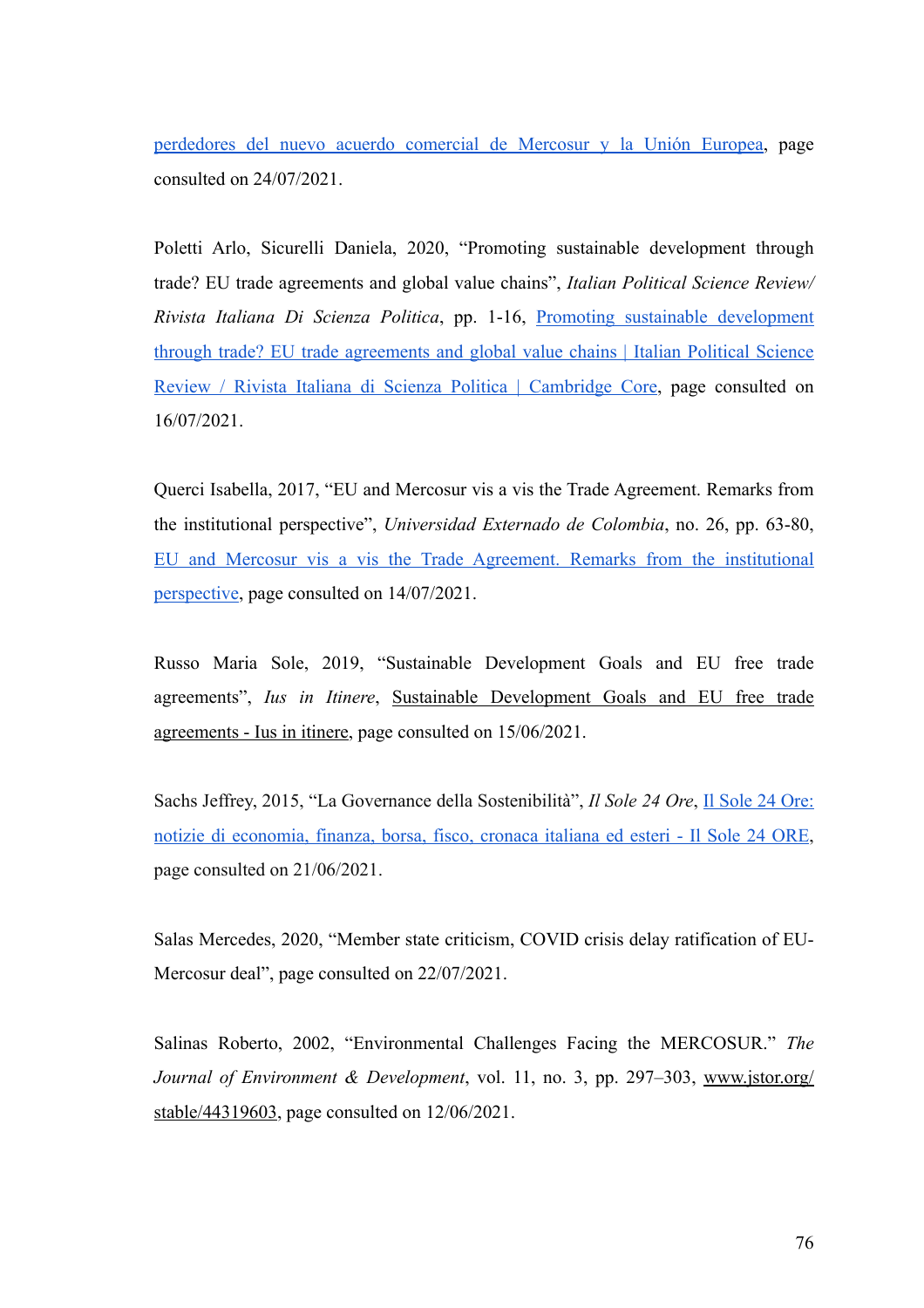[perdedores del nuevo acuerdo comercial de Mercosur y la Unión Europea,](https://www.bbc.com/mundo/noticias-america-latina-48833560) page consulted on 24/07/2021.

Poletti Arlo, Sicurelli Daniela, 2020, "Promoting sustainable development through trade? EU trade agreements and global value chains", *Italian Political Science Review/ Rivista Italiana Di Scienza Politica*, pp. 1-16, [Promoting sustainable development](https://www.cambridge.org/core/journals/italian-political-science-review-rivista-italiana-di-scienza-politica/article/promoting-sustainable-development-through-trade-eu-trade-agreements-and-global-value-chains/D4785ABB4D5B99ABD46F85529B998C53) [through trade? EU trade agreements and global value chains | Italian Political Science](https://www.cambridge.org/core/journals/italian-political-science-review-rivista-italiana-di-scienza-politica/article/promoting-sustainable-development-through-trade-eu-trade-agreements-and-global-value-chains/D4785ABB4D5B99ABD46F85529B998C53) [Review / Rivista Italiana di Scienza Politica | Cambridge Core](https://www.cambridge.org/core/journals/italian-political-science-review-rivista-italiana-di-scienza-politica/article/promoting-sustainable-development-through-trade-eu-trade-agreements-and-global-value-chains/D4785ABB4D5B99ABD46F85529B998C53), page consulted on 16/07/2021.

Querci Isabella, 2017, "EU and Mercosur vis a vis the Trade Agreement. Remarks from the institutional perspective", *Universidad Externado de Colombia*, no. 26, pp. 63-80, [EU and Mercosur vis a vis the Trade Agreement. Remarks from the institutional](https://www.redalyc.org/journal/531/53163843005/html/) [perspective,](https://www.redalyc.org/journal/531/53163843005/html/) page consulted on 14/07/2021.

Russo Maria Sole, 2019, "Sustainable Development Goals and EU free trade agreements", *Ius in Itinere*, [Sustainable Development Goals and EU free trade](https://www.iusinitinere.it/sustainable-development-goals-and-eu-free-trade-agreements-19320%23:~:text=Sustainable%2520development%2520is%2520now%2520a%2520fundamental%2520part%2520of,ensure%2520that%2520trade%2520is%2520ecologically%2520and%2520socially%2520sustainable.) [agreements - Ius in itinere](https://www.iusinitinere.it/sustainable-development-goals-and-eu-free-trade-agreements-19320%23:~:text=Sustainable%2520development%2520is%2520now%2520a%2520fundamental%2520part%2520of,ensure%2520that%2520trade%2520is%2520ecologically%2520and%2520socially%2520sustainable.), page consulted on 15/06/2021.

Sachs Jeffrey, 2015, "La Governance della Sostenibilità", *Il Sole 24 Ore*, [Il Sole 24 Ore:](https://st.ilsole24ore.com/art/commenti-e-idee/2015-04-21/la-governance-sostenibilita-073345.shtml?uuid=ABFAMrSD&refresh_ce=1) [notizie di economia, finanza, borsa, fisco, cronaca italiana ed esteri - Il Sole 24 ORE,](https://st.ilsole24ore.com/art/commenti-e-idee/2015-04-21/la-governance-sostenibilita-073345.shtml?uuid=ABFAMrSD&refresh_ce=1) page consulted on 21/06/2021.

Salas Mercedes, 2020, "Member state criticism, COVID crisis delay ratification of EU-Mercosur deal", page consulted on 22/07/2021.

Salinas Roberto, 2002, "Environmental Challenges Facing the MERCOSUR." *The Journal of Environment & Development*, vol. 11, no. 3, pp. 297–303, [www.jstor.org/](http://www.jstor.org/stable/44319603) [stable/44319603,](http://www.jstor.org/stable/44319603) page consulted on 12/06/2021.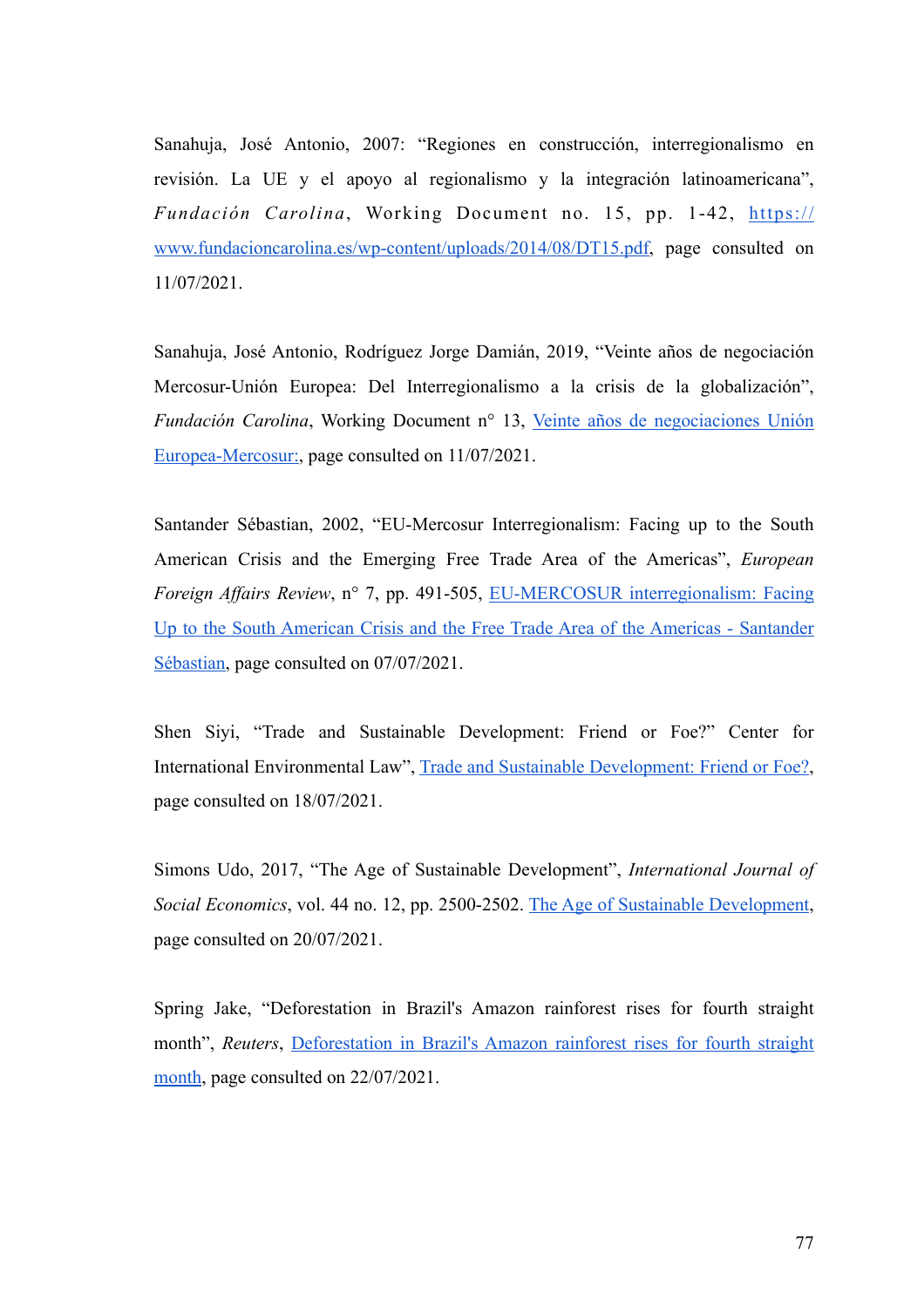Sanahuja, José Antonio, 2007: "Regiones en construcción, interregionalismo en revisión. La UE y el apoyo al regionalismo y la integración latinoamericana", *Fundación Carolina*, Working Document no. 15, pp. 1-42, [https://](https://www.fundacioncarolina.es/wp-content/uploads/2014/08/DT15.pdf) [www.fundacioncarolina.es/wp-content/uploads/2014/08/DT15.pdf](https://www.fundacioncarolina.es/wp-content/uploads/2014/08/DT15.pdf), page consulted on 11/07/2021.

Sanahuja, José Antonio, Rodríguez Jorge Damián, 2019, "Veinte años de negociación Mercosur-Unión Europea: Del Interregionalismo a la crisis de la globalización", *Fundación Carolina*, Working Document n° 13, [Veinte años de negociaciones Unión](https://www.fundacioncarolina.es/wp-content/uploads/2019/09/DT_FC_13.pdf) [Europea-Mercosur:](https://www.fundacioncarolina.es/wp-content/uploads/2019/09/DT_FC_13.pdf), page consulted on 11/07/2021.

Santander Sébastian, 2002, "EU-Mercosur Interregionalism: Facing up to the South American Crisis and the Emerging Free Trade Area of the Americas", *European Foreign Affairs Review*, n° 7, pp. 491-505, [EU-MERCOSUR interregionalism: Facing](https://orbi.uliege.be/handle/2268/2113) [Up to the South American Crisis and the Free Trade Area of the Americas - Santander](https://orbi.uliege.be/handle/2268/2113) [Sébastian](https://orbi.uliege.be/handle/2268/2113), page consulted on 07/07/2021.

Shen Siyi, "Trade and Sustainable Development: Friend or Foe?" Center for International Environmental Law", [Trade and Sustainable Development: Friend or Foe?](https://www.ciel.org/trade-sustainable-development-friends-foes/), page consulted on 18/07/2021.

Simons Udo, 2017, "The Age of Sustainable Development", *International Journal of Social Economics*, vol. 44 no. 12, pp. 2500-2502. [The Age of Sustainable Development](https://doi.org/10.1108/IJSE-08-2016-0224), page consulted on 20/07/2021.

Spring Jake, "Deforestation in Brazil's Amazon rainforest rises for fourth straight month", *Reuters*, [Deforestation in Brazil's Amazon rainforest rises for fourth straight](https://www.reuters.com/business/environment/deforestation-brazils-amazon-rainforest-rises-fourth-straight-month-2021-07-09/) [month,](https://www.reuters.com/business/environment/deforestation-brazils-amazon-rainforest-rises-fourth-straight-month-2021-07-09/) page consulted on 22/07/2021.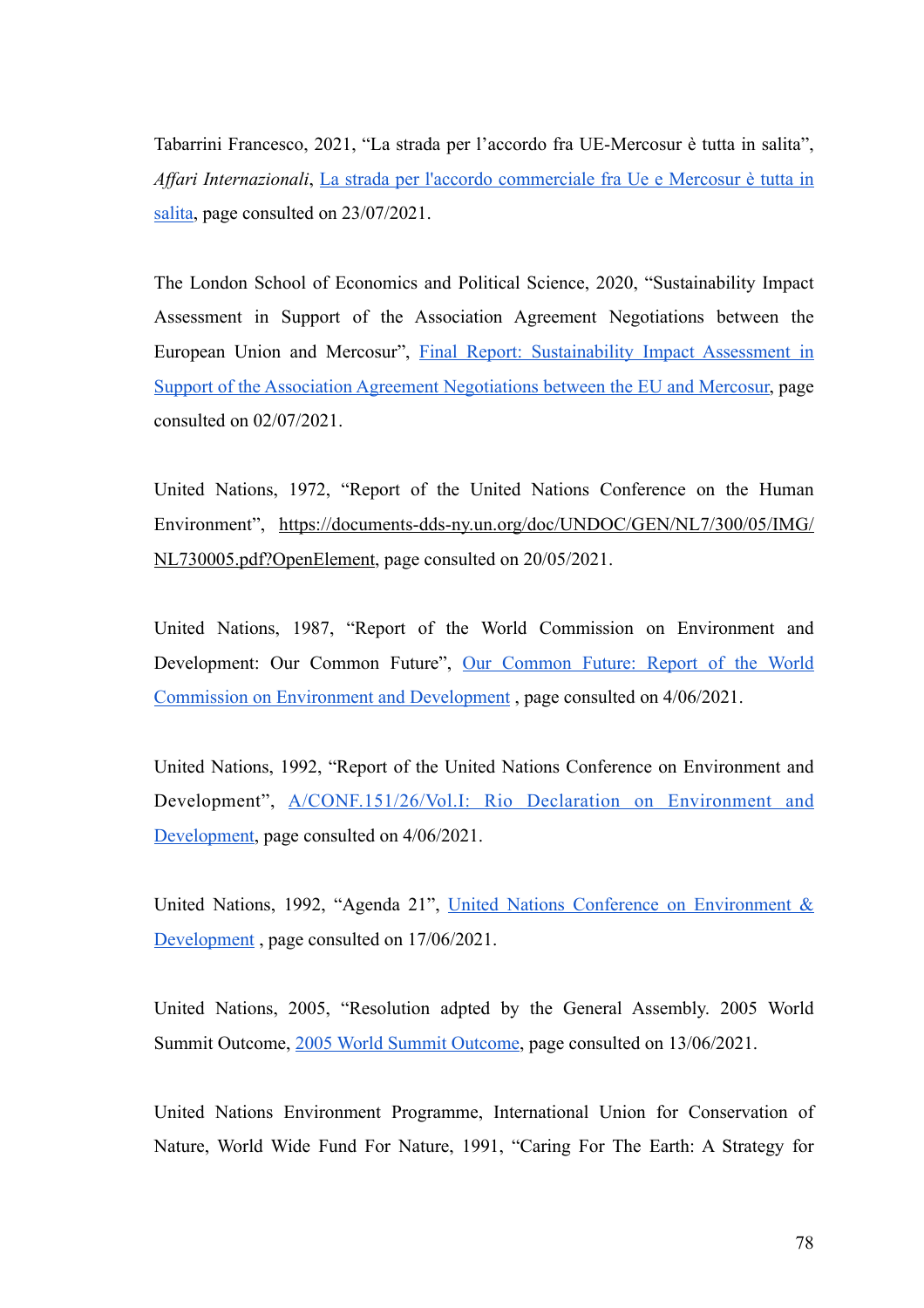Tabarrini Francesco, 2021, "La strada per l'accordo fra UE-Mercosur è tutta in salita", *Affari Internazionali*, [La strada per l'accordo commerciale fra Ue e Mercosur è tutta in](https://www.affarinternazionali.it/2021/03/strada-accordo-commerciale-ue-mercosur/) [salita,](https://www.affarinternazionali.it/2021/03/strada-accordo-commerciale-ue-mercosur/) page consulted on 23/07/2021.

The London School of Economics and Political Science, 2020, "Sustainability Impact Assessment in Support of the Association Agreement Negotiations between the European Union and Mercosur", [Final Report: Sustainability Impact Assessment in](https://trade.ec.europa.eu/doclib/docs/2021/march/tradoc_159509.pdf) [Support of the Association Agreement Negotiations between the EU and Mercosur, page](https://trade.ec.europa.eu/doclib/docs/2021/march/tradoc_159509.pdf) consulted on 02/07/2021.

United Nations, 1972, "Report of the United Nations Conference on the Human Environment", [https://documents-dds-ny.un.org/doc/UNDOC/GEN/NL7/300/05/IMG/](https://documents-dds-ny.un.org/doc/UNDOC/GEN/NL7/300/05/IMG/NL730005.pdf?OpenElement) [NL730005.pdf?OpenElement, page consulted on 20/05/2021.](https://documents-dds-ny.un.org/doc/UNDOC/GEN/NL7/300/05/IMG/NL730005.pdf?OpenElement)

United Nations, 1987, "Report of the World Commission on Environment and Development: Our Common Future", [Our Common Future: Report of the World](https://sustainabledevelopment.un.org/content/documents/5987our-common-future.pdf) [Commission on Environment and Development , page consulted on 4/06/2021.](https://sustainabledevelopment.un.org/content/documents/5987our-common-future.pdf)

United Nations, 1992, "Report of the United Nations Conference on Environment and Development", [A/CONF.151/26/Vol.I: Rio Declaration on Environment and](https://www.un.org/en/development/desa/population/migration/generalassembly/docs/globalcompact/A_CONF.151_26_Vol.I_Declaration.pdf) [Development,](https://www.un.org/en/development/desa/population/migration/generalassembly/docs/globalcompact/A_CONF.151_26_Vol.I_Declaration.pdf) page consulted on 4/06/2021.

United Nations, 1992, "Agenda 21", [United Nations Conference on Environment &](https://sustainabledevelopment.un.org/content/documents/Agenda21.pdf) [Development](https://sustainabledevelopment.un.org/content/documents/Agenda21.pdf) , page consulted on 17/06/2021.

United Nations, 2005, "Resolution adpted by the General Assembly. 2005 World Summit Outcome, [2005 World Summit Outcome,](http://data.unaids.org/topics/universalaccess/worldsummitoutcome_resolution_24oct2005_en.pdf) page consulted on 13/06/2021.

United Nations Environment Programme, International Union for Conservation of Nature, World Wide Fund For Nature, 1991, "Caring For The Earth: A Strategy for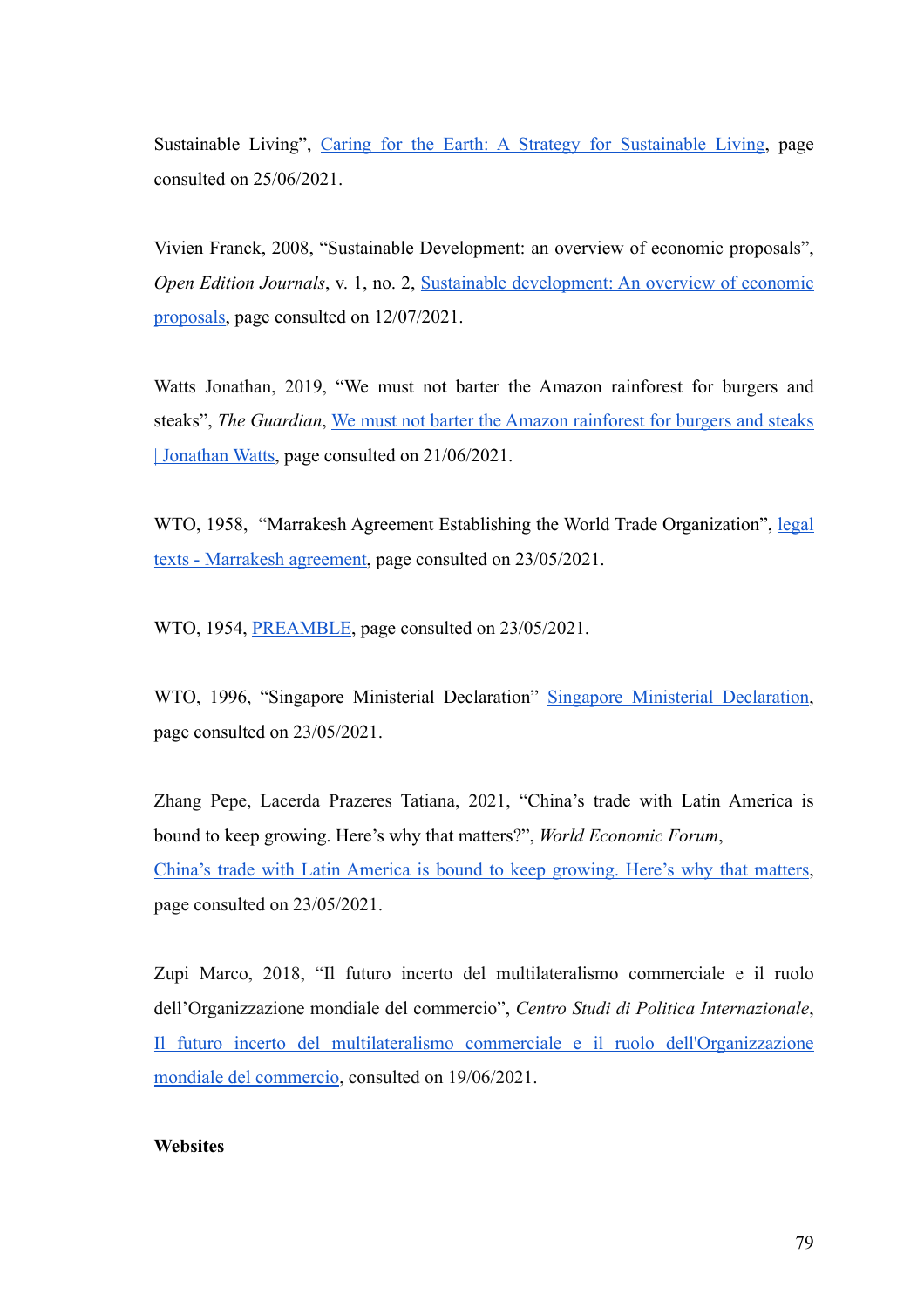Sustainable Living", [Caring for the Earth: A Strategy for Sustainable Living,](https://wedocs.unep.org/handle/20.500.11822/30889) page consulted on 25/06/2021.

Vivien Franck, 2008, "Sustainable Development: an overview of economic proposals", *Open Edition Journals*, v. 1, no. 2, [Sustainable development: An overview of economic](https://journals.openedition.org/sapiens/227) [proposals](https://journals.openedition.org/sapiens/227), page consulted on 12/07/2021.

Watts Jonathan, 2019, "We must not barter the Amazon rainforest for burgers and steaks", *The Guardian*, [We must not barter the Amazon rainforest for burgers and steaks](https://www.theguardian.com/environment/commentisfree/2019/jul/02/barter-amazon-rainforest-burgers-steaks-brazil) [| Jonathan Watts](https://www.theguardian.com/environment/commentisfree/2019/jul/02/barter-amazon-rainforest-burgers-steaks-brazil), page consulted on 21/06/2021.

WTO, 1958, "Marrakesh Agreement Establishing the World Trade Organization", [legal](https://www.wto.org/english/docs_e/legal_e/04-wto_e.htm) [texts - Marrakesh agreement](https://www.wto.org/english/docs_e/legal_e/04-wto_e.htm), page consulted on 23/05/2021.

WTO, 1954, **PREAMBLE**, page consulted on 23/05/2021.

WTO, 1996, "Singapore Ministerial Declaration" [Singapore Ministerial Declaration](https://www.wto.org/english/thewto_e/minist_e/min96_e/wtodec_e.htm), page consulted on 23/05/2021.

Zhang Pepe, Lacerda Prazeres Tatiana, 2021, "China's trade with Latin America is bound to keep growing. Here's why that matters?", *World Economic Forum*, [China's trade with Latin America is bound to keep growing. Here's why that matters](https://www.weforum.org/agenda/2021/06/china-trade-latin-america-caribbean/), page consulted on 23/05/2021.

Zupi Marco, 2018, "Il futuro incerto del multilateralismo commerciale e il ruolo dell'Organizzazione mondiale del commercio", *Centro Studi di Politica Internazionale*, [Il futuro incerto del multilateralismo commerciale e il ruolo dell'Organizzazione](https://www.parlamento.it/application/xmanager/projects/parlamento/file/repository/affariinternazionali/osservatorio/approfondimenti/PI0147.pdf) [mondiale del commercio](https://www.parlamento.it/application/xmanager/projects/parlamento/file/repository/affariinternazionali/osservatorio/approfondimenti/PI0147.pdf), consulted on 19/06/2021.

## **Websites**